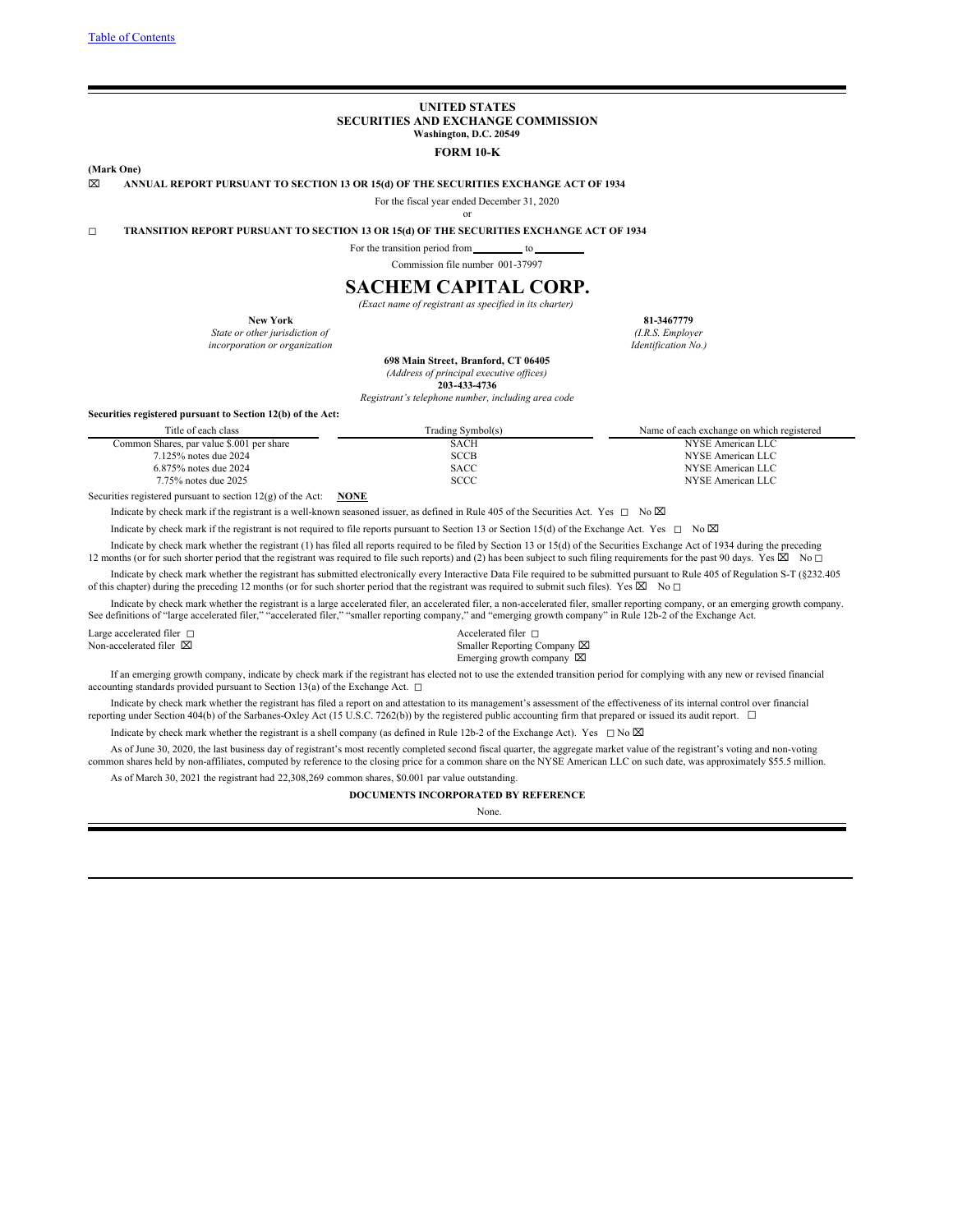#### **UNITED STATES SECURITIES AND EXCHANGE COMMISSION Washington, D.C. 20549**

## **FORM 10-K**

<span id="page-0-0"></span>**(Mark One)**

⌧ **ANNUAL REPORT PURSUANT TO SECTION 13 OR 15(d) OF THE SECURITIES EXCHANGE ACT OF 1934**

For the fiscal year ended December 31, 2020 or

◻ **TRANSITION REPORT PURSUANT TO SECTION 13 OR 15(d) OF THE SECURITIES EXCHANGE ACT OF 1934**

For the transition period from \_\_\_\_\_\_\_\_\_ to \_

Commission file number 001-37997

# **SACHEM CAPITAL CORP.**

*(Exact name of registrant as specified in its charter)*

*State* or other jurisdiction of *(I.R.S. Employer (I.R.S. Employer incorporation or organization incorporation or organization Identification No.)*

**New York 81-3467779**<br> **81-3467779**<br> **81-3467779**<br> **81.8.8. Employer** 

**698 Main Street, Branford, CT 06405**

*(Address of principal executive of ices)* **203-433-4736**

*Registrant's telephone number, including area code*

**Securities registered pursuant to Section 12(b) of the Act:**

| Title of each class                       | Trading Symbol(s) | Name of each exchange on which registered |
|-------------------------------------------|-------------------|-------------------------------------------|
| Common Shares, par value \$.001 per share | SACH              | NYSE American LLC                         |
| 7.125% notes due 2024                     | <b>SCCB</b>       | NYSE American LLC                         |
| 6.875% notes due 2024                     | <b>SACC</b>       | NYSE American LLC                         |
| 7.75% notes due 2025                      | <b>SCCC</b>       | NYSE American LLC                         |

Securities registered pursuant to section 12(g) of the Act: **NONE**

Indicate by check mark if the registrant is a well-known seasoned issuer, as defined in Rule 405 of the Securities Act. Yes □ No ⊠

Indicate by check mark if the registrant is not required to file reports pursuant to Section 13 or Section 15(d) of the Exchange Act. Yes □ No ⊠

Indicate by check mark whether the registrant (1) has filed all reports required to be filed by Section 13 or 15(d) of the Securities Exchange Act of 1934 during the preceding 12 months (or for such shorter period that the registrant was required to file such reports) and (2) has been subject to such filing requirements for the past 90 days. Yes ⊠ No □

Indicate by check mark whether the registrant has submitted electronically every Interactive Data File required to be submitted pursuant to Rule 405 of Regulation S-T (§232.405 of this chapter) during the preceding 12 months (or for such shorter period that the registrant was required to submit such files). Yes ⊠ No □

Indicate by check mark whether the registrant is a large accelerated filer, an accelerated filer, a non-accelerated filer, smaller reporting company, or an emerging growth company. See definitions of "large accelerated filer," "accelerated filer," "smaller reporting company," and "emerging growth company" in Rule 12b-2 of the Exchange Act.

Large accelerated filer  $□$ <br>
Non-accelerated filer  $□$ <br>
Non-accelerated filer  $□$ Smaller Reporting Company  $\boxtimes$ Emerging growth company  $\boxtimes$ 

If an emerging growth company, indicate by check mark if the registrant has elected not to use the extended transition period for complying with any new or revised financial accounting standards provided pursuant to Section 13(a) of the Exchange Act.  $\square$ 

Indicate by check mark whether the registrant has filed a report on and attestation to its management's assessment of the effectiveness of its internal control over financial reporting under Section 404(b) of the Sarbanes-Oxley Act (15 U.S.C. 7262(b)) by the registered public accounting firm that prepared or issued its audit report. ☐

Indicate by check mark whether the registrant is a shell company (as defined in Rule 12b-2 of the Exchange Act). Yes  $\Box$  No  $\boxtimes$ 

As of June 30, 2020, the last business day of registrant's most recently completed second fiscal quarter, the aggregate market value of the registrant's voting and non-voting common shares held by non-affiliates, computed by reference to the closing price for a common share on the NYSE American LLC on such date, was approximately \$55.5 million. As of March 30, 2021 the registrant had 22,308,269 common shares, \$0.001 par value outstanding.

**DOCUMENTS INCORPORATED BY REFERENCE**

None.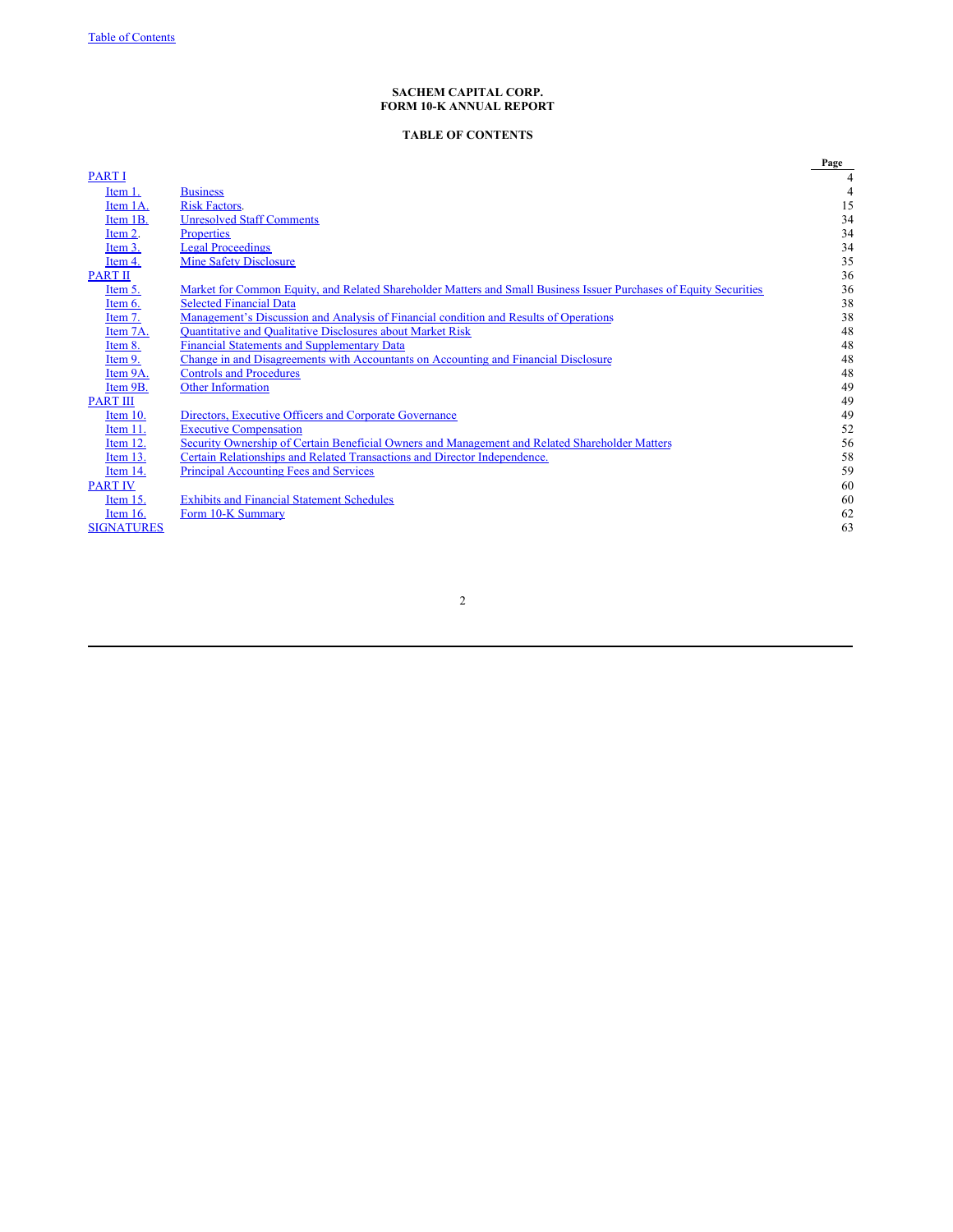## **SACHEM CAPITAL CORP. FORM 10-K ANNUAL REPORT**

## **TABLE OF CONTENTS**

|                   |                                                                                                                    | Page |
|-------------------|--------------------------------------------------------------------------------------------------------------------|------|
| <b>PART I</b>     |                                                                                                                    |      |
| Item 1.           | <b>Business</b>                                                                                                    |      |
| Item 1A.          | <b>Risk Factors.</b>                                                                                               | 15   |
| Item 1B.          | <b>Unresolved Staff Comments</b>                                                                                   | 34   |
| Item 2.           | <b>Properties</b>                                                                                                  | 34   |
| Item 3.           | <b>Legal Proceedings</b>                                                                                           | 34   |
| Item 4.           | <b>Mine Safety Disclosure</b>                                                                                      | 35   |
| <b>PART II</b>    |                                                                                                                    | 36   |
| Item 5.           | Market for Common Equity, and Related Shareholder Matters and Small Business Issuer Purchases of Equity Securities | 36   |
| Item 6.           | <b>Selected Financial Data</b>                                                                                     | 38   |
| Item 7.           | Management's Discussion and Analysis of Financial condition and Results of Operations                              | 38   |
| Item 7A.          | <b>Quantitative and Qualitative Disclosures about Market Risk</b>                                                  | 48   |
| Item 8.           | <b>Financial Statements and Supplementary Data</b>                                                                 | 48   |
| Item 9.           | Change in and Disagreements with Accountants on Accounting and Financial Disclosure                                | 48   |
| Item 9A.          | <b>Controls and Procedures</b>                                                                                     | 48   |
| Item 9B.          | <b>Other Information</b>                                                                                           | 49   |
| <b>PART III</b>   |                                                                                                                    | 49   |
| Item $10$ .       | Directors, Executive Officers and Corporate Governance                                                             | 49   |
| Item 11.          | <b>Executive Compensation</b>                                                                                      | 52   |
| Item $12$ .       | Security Ownership of Certain Beneficial Owners and Management and Related Shareholder Matters                     | 56   |
| Item 13.          | Certain Relationships and Related Transactions and Director Independence.                                          | 58   |
| Item 14.          | <b>Principal Accounting Fees and Services</b>                                                                      | 59   |
| <b>PART IV</b>    |                                                                                                                    | 60   |
| Item 15.          | <b>Exhibits and Financial Statement Schedules</b>                                                                  | 60   |
| Item $16$ .       | Form 10-K Summary                                                                                                  | 62   |
| <b>SIGNATURES</b> |                                                                                                                    | 63   |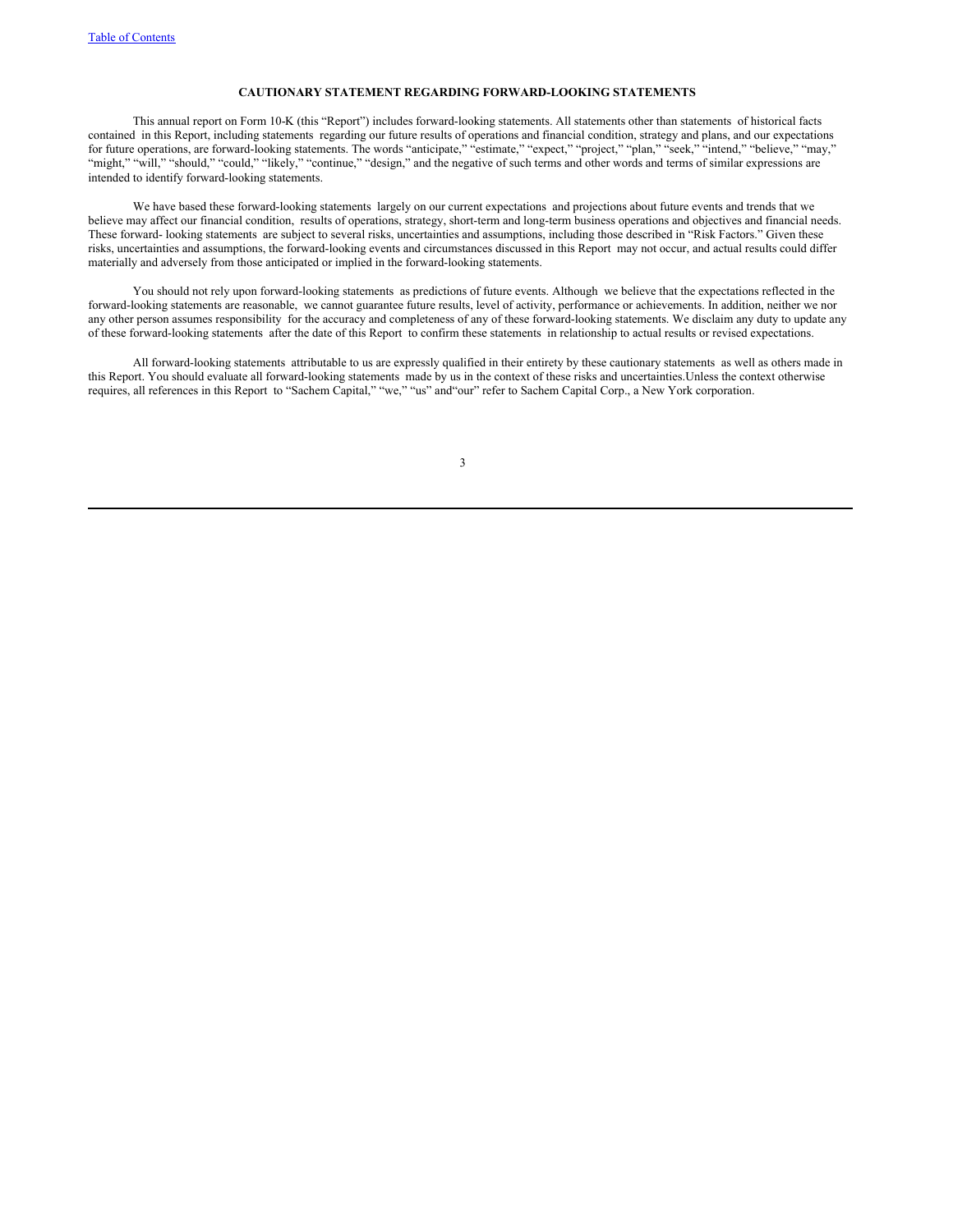## **CAUTIONARY STATEMENT REGARDING FORWARD-LOOKING STATEMENTS**

This annual report on Form 10-K (this "Report") includes forward-looking statements. All statements other than statements of historical facts contained in this Report, including statements regarding our future results of operations and financial condition, strategy and plans, and our expectations for future operations, are forward-looking statements. The words "anticipate," "estimate," "expect," "project," "plan," "seek," "intend," "believe," "may," "might," "will," "should," "could," "likely," "continue," "design," and the negative of such terms and other words and terms of similar expressions are intended to identify forward-looking statements.

We have based these forward-looking statements largely on our current expectations and projections about future events and trends that we believe may affect our financial condition, results of operations, strategy, short-term and long-term business operations and objectives and financial needs. These forward- looking statements are subject to several risks, uncertainties and assumptions, including those described in "Risk Factors." Given these risks, uncertainties and assumptions, the forward-looking events and circumstances discussed in this Report may not occur, and actual results could differ materially and adversely from those anticipated or implied in the forward-looking statements.

You should not rely upon forward-looking statements as predictions of future events. Although we believe that the expectations reflected in the forward-looking statements are reasonable, we cannot guarantee future results, level of activity, performance or achievements. In addition, neither we nor any other person assumes responsibility for the accuracy and completeness of any of these forward-looking statements. We disclaim any duty to update any of these forward-looking statements after the date of this Report to confirm these statements in relationship to actual results or revised expectations.

All forward-looking statements attributable to us are expressly qualified in their entirety by these cautionary statements as well as others made in this Report. You should evaluate all forward-looking statements made by us in the context of these risks and uncertainties.Unless the context otherwise requires, all references in this Report to "Sachem Capital," "we," "us" and"our" refer to Sachem Capital Corp., a New York corporation.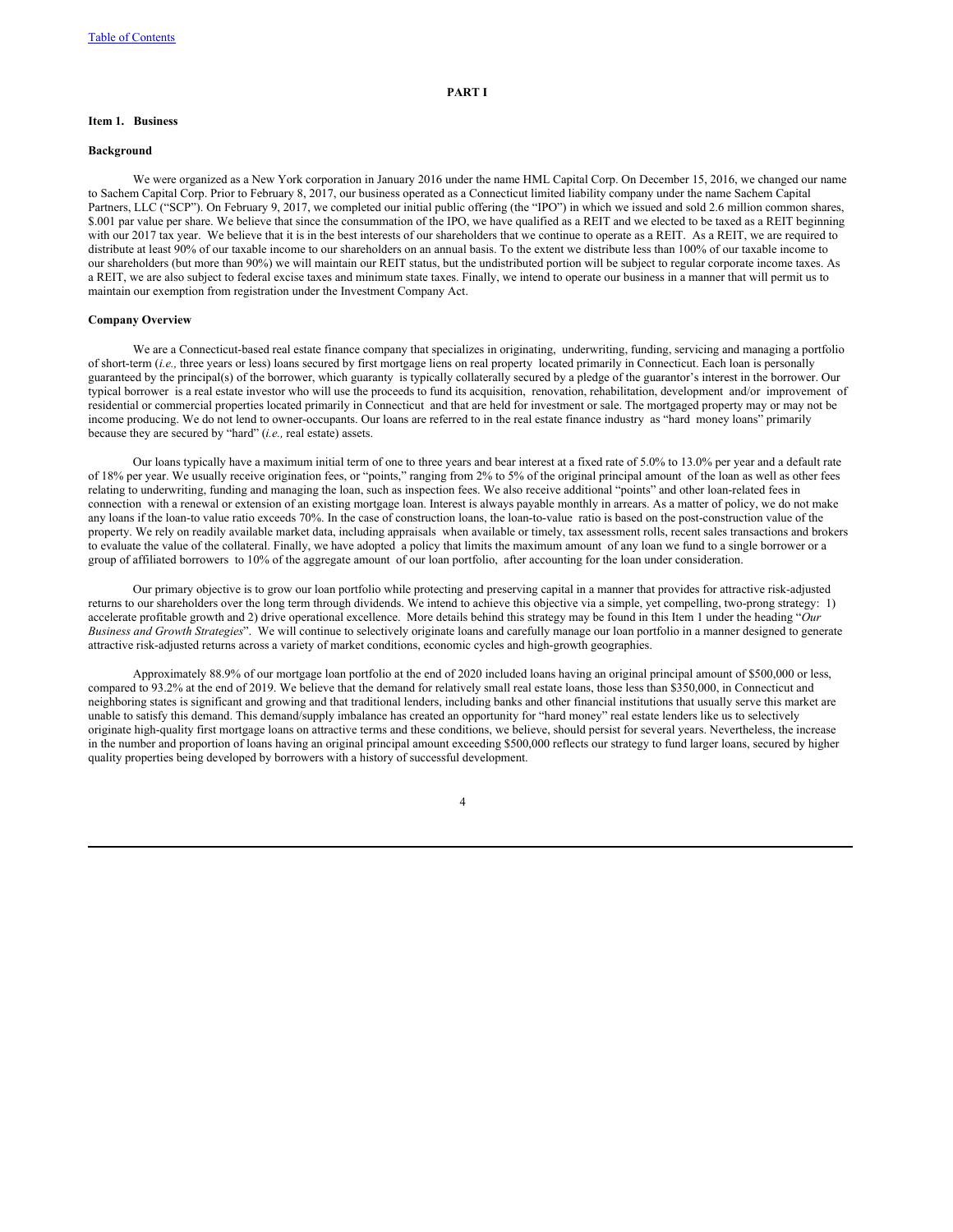## **PART I**

#### **Item 1. Business**

#### **Background**

We were organized as a New York corporation in January 2016 under the name HML Capital Corp. On December 15, 2016, we changed our name to Sachem Capital Corp. Prior to February 8, 2017, our business operated as a Connecticut limited liability company under the name Sachem Capital Partners, LLC ("SCP"). On February 9, 2017, we completed our initial public offering (the "IPO") in which we issued and sold 2.6 million common shares, \$.001 par value per share. We believe that since the consummation of the IPO, we have qualified as a REIT and we elected to be taxed as a REIT beginning with our 2017 tax year. We believe that it is in the best interests of our shareholders that we continue to operate as a REIT. As a REIT, we are required to distribute at least 90% of our taxable income to our shareholders on an annual basis. To the extent we distribute less than 100% of our taxable income to our shareholders (but more than 90%) we will maintain our REIT status, but the undistributed portion will be subject to regular corporate income taxes. As a REIT, we are also subject to federal excise taxes and minimum state taxes. Finally, we intend to operate our business in a manner that will permit us to maintain our exemption from registration under the Investment Company Act.

#### **Company Overview**

We are a Connecticut-based real estate finance company that specializes in originating, underwriting, funding, servicing and managing a portfolio of short-term (*i.e.,* three years or less) loans secured by first mortgage liens on real property located primarily in Connecticut. Each loan is personally guaranteed by the principal(s) of the borrower, which guaranty is typically collaterally secured by a pledge of the guarantor's interest in the borrower. Our typical borrower is a real estate investor who will use the proceeds to fund its acquisition, renovation, rehabilitation, development and/or improvement of residential or commercial properties located primarily in Connecticut and that are held for investment or sale. The mortgaged property may or may not be income producing. We do not lend to owner-occupants. Our loans are referred to in the real estate finance industry as "hard money loans" primarily because they are secured by "hard" (*i.e.,* real estate) assets.

Our loans typically have a maximum initial term of one to three years and bear interest at a fixed rate of 5.0% to 13.0% per year and a default rate of 18% per year. We usually receive origination fees, or "points," ranging from 2% to 5% of the original principal amount of the loan as well as other fees relating to underwriting, funding and managing the loan, such as inspection fees. We also receive additional "points" and other loan-related fees in connection with a renewal or extension of an existing mortgage loan. Interest is always payable monthly in arrears. As a matter of policy, we do not make any loans if the loan-to value ratio exceeds 70%. In the case of construction loans, the loan-to-value ratio is based on the post-construction value of the property. We rely on readily available market data, including appraisals when available or timely, tax assessment rolls, recent sales transactions and brokers to evaluate the value of the collateral. Finally, we have adopted a policy that limits the maximum amount of any loan we fund to a single borrower or a group of affiliated borrowers to 10% of the aggregate amount of our loan portfolio, after accounting for the loan under consideration.

Our primary objective is to grow our loan portfolio while protecting and preserving capital in a manner that provides for attractive risk-adjusted returns to our shareholders over the long term through dividends. We intend to achieve this objective via a simple, yet compelling, two-prong strategy: 1) accelerate profitable growth and 2) drive operational excellence. More details behind this strategy may be found in this Item 1 under the heading "*Our Business and Growth Strategies*". We will continue to selectively originate loans and carefully manage our loan portfolio in a manner designed to generate attractive risk-adjusted returns across a variety of market conditions, economic cycles and high-growth geographies.

Approximately 88.9% of our mortgage loan portfolio at the end of 2020 included loans having an original principal amount of \$500,000 or less, compared to 93.2% at the end of 2019. We believe that the demand for relatively small real estate loans, those less than \$350,000, in Connecticut and neighboring states is significant and growing and that traditional lenders, including banks and other financial institutions that usually serve this market are unable to satisfy this demand. This demand/supply imbalance has created an opportunity for "hard money" real estate lenders like us to selectively originate high-quality first mortgage loans on attractive terms and these conditions, we believe, should persist for several years. Nevertheless, the increase in the number and proportion of loans having an original principal amount exceeding \$500,000 reflects our strategy to fund larger loans, secured by higher quality properties being developed by borrowers with a history of successful development.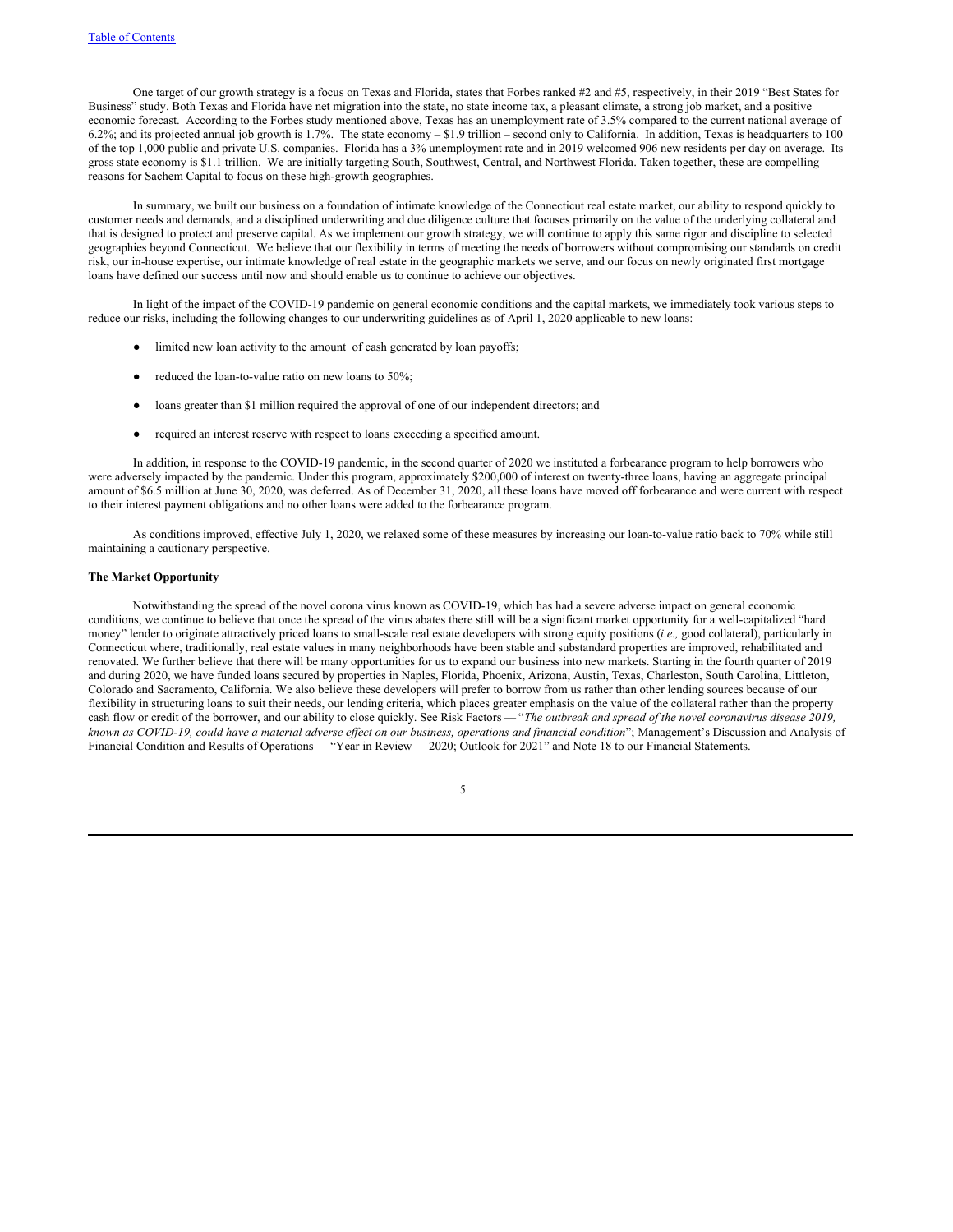One target of our growth strategy is a focus on Texas and Florida, states that Forbes ranked #2 and #5, respectively, in their 2019 "Best States for Business" study. Both Texas and Florida have net migration into the state, no state income tax, a pleasant climate, a strong job market, and a positive economic forecast. According to the Forbes study mentioned above, Texas has an unemployment rate of 3.5% compared to the current national average of 6.2%; and its projected annual job growth is 1.7%. The state economy – \$1.9 trillion – second only to California. In addition, Texas is headquarters to 100 of the top 1,000 public and private U.S. companies. Florida has a 3% unemployment rate and in 2019 welcomed 906 new residents per day on average. Its gross state economy is \$1.1 trillion. We are initially targeting South, Southwest, Central, and Northwest Florida. Taken together, these are compelling reasons for Sachem Capital to focus on these high-growth geographies.

In summary, we built our business on a foundation of intimate knowledge of the Connecticut real estate market, our ability to respond quickly to customer needs and demands, and a disciplined underwriting and due diligence culture that focuses primarily on the value of the underlying collateral and that is designed to protect and preserve capital. As we implement our growth strategy, we will continue to apply this same rigor and discipline to selected geographies beyond Connecticut. We believe that our flexibility in terms of meeting the needs of borrowers without compromising our standards on credit risk, our in-house expertise, our intimate knowledge of real estate in the geographic markets we serve, and our focus on newly originated first mortgage loans have defined our success until now and should enable us to continue to achieve our objectives.

In light of the impact of the COVID-19 pandemic on general economic conditions and the capital markets, we immediately took various steps to reduce our risks, including the following changes to our underwriting guidelines as of April 1, 2020 applicable to new loans:

- limited new loan activity to the amount of cash generated by loan payoffs;
- reduced the loan-to-value ratio on new loans to 50%;
- loans greater than \$1 million required the approval of one of our independent directors; and
- required an interest reserve with respect to loans exceeding a specified amount.

In addition, in response to the COVID-19 pandemic, in the second quarter of 2020 we instituted a forbearance program to help borrowers who were adversely impacted by the pandemic. Under this program, approximately \$200,000 of interest on twenty-three loans, having an aggregate principal amount of \$6.5 million at June 30, 2020, was deferred. As of December 31, 2020, all these loans have moved off forbearance and were current with respect to their interest payment obligations and no other loans were added to the forbearance program.

As conditions improved, effective July 1, 2020, we relaxed some of these measures by increasing our loan-to-value ratio back to 70% while still maintaining a cautionary perspective.

#### **The Market Opportunity**

Notwithstanding the spread of the novel corona virus known as COVID-19, which has had a severe adverse impact on general economic conditions, we continue to believe that once the spread of the virus abates there still will be a significant market opportunity for a well-capitalized "hard money" lender to originate attractively priced loans to small-scale real estate developers with strong equity positions (*i.e.,* good collateral), particularly in Connecticut where, traditionally, real estate values in many neighborhoods have been stable and substandard properties are improved, rehabilitated and renovated. We further believe that there will be many opportunities for us to expand our business into new markets. Starting in the fourth quarter of 2019 and during 2020, we have funded loans secured by properties in Naples, Florida, Phoenix, Arizona, Austin, Texas, Charleston, South Carolina, Littleton, Colorado and Sacramento, California. We also believe these developers will prefer to borrow from us rather than other lending sources because of our flexibility in structuring loans to suit their needs, our lending criteria, which places greater emphasis on the value of the collateral rather than the property cash flow or credit of the borrower, and our ability to close quickly. See Risk Factors — "*The outbreak and spread of the novel coronavirus disease 2019,* known as COVID-19, could have a material adverse effect on our business, operations and financial condition"; Management's Discussion and Analysis of Financial Condition and Results of Operations — "Year in Review — 2020; Outlook for 2021" and Note 18 to our Financial Statements.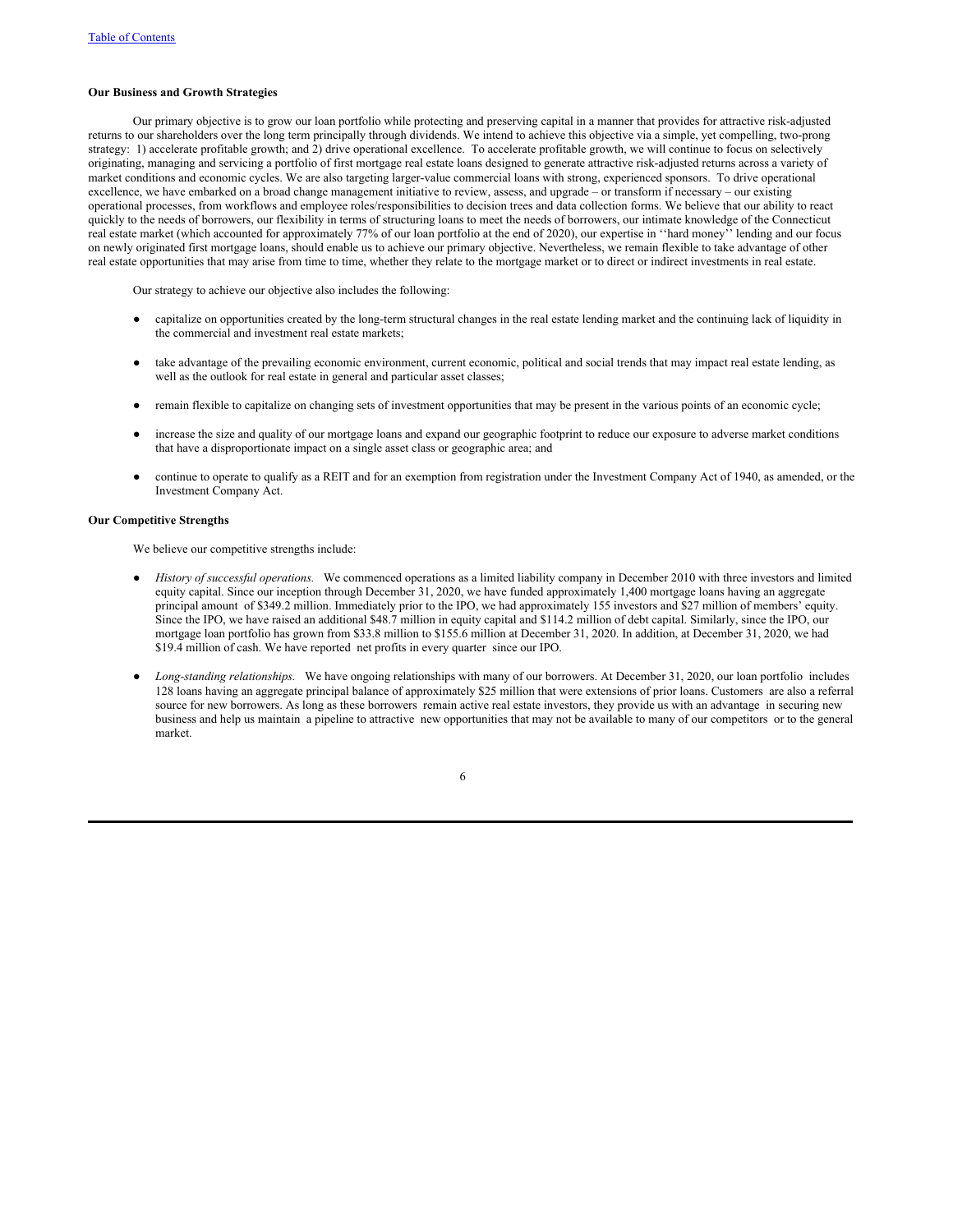## **Our Business and Growth Strategies**

Our primary objective is to grow our loan portfolio while protecting and preserving capital in a manner that provides for attractive risk-adjusted returns to our shareholders over the long term principally through dividends. We intend to achieve this objective via a simple, yet compelling, two-prong strategy: 1) accelerate profitable growth; and 2) drive operational excellence. To accelerate profitable growth, we will continue to focus on selectively originating, managing and servicing a portfolio of first mortgage real estate loans designed to generate attractive risk-adjusted returns across a variety of market conditions and economic cycles. We are also targeting larger-value commercial loans with strong, experienced sponsors. To drive operational excellence, we have embarked on a broad change management initiative to review, assess, and upgrade – or transform if necessary – our existing operational processes, from workflows and employee roles/responsibilities to decision trees and data collection forms. We believe that our ability to react quickly to the needs of borrowers, our flexibility in terms of structuring loans to meet the needs of borrowers, our intimate knowledge of the Connecticut real estate market (which accounted for approximately 77% of our loan portfolio at the end of 2020), our expertise in ''hard money'' lending and our focus on newly originated first mortgage loans, should enable us to achieve our primary objective. Nevertheless, we remain flexible to take advantage of other real estate opportunities that may arise from time to time, whether they relate to the mortgage market or to direct or indirect investments in real estate.

Our strategy to achieve our objective also includes the following:

- capitalize on opportunities created by the long-term structural changes in the real estate lending market and the continuing lack of liquidity in the commercial and investment real estate markets;
- take advantage of the prevailing economic environment, current economic, political and social trends that may impact real estate lending, as well as the outlook for real estate in general and particular asset classes;
- remain flexible to capitalize on changing sets of investment opportunities that may be present in the various points of an economic cycle;
- increase the size and quality of our mortgage loans and expand our geographic footprint to reduce our exposure to adverse market conditions that have a disproportionate impact on a single asset class or geographic area; and
- continue to operate to qualify as a REIT and for an exemption from registration under the Investment Company Act of 1940, as amended, or the Investment Company Act.

## **Our Competitive Strengths**

We believe our competitive strengths include:

- History of successful operations. We commenced operations as a limited liability company in December 2010 with three investors and limited equity capital. Since our inception through December 31, 2020, we have funded approximately 1,400 mortgage loans having an aggregate principal amount of \$349.2 million. Immediately prior to the IPO, we had approximately 155 investors and \$27 million of members' equity. Since the IPO, we have raised an additional \$48.7 million in equity capital and \$114.2 million of debt capital. Similarly, since the IPO, our mortgage loan portfolio has grown from \$33.8 million to \$155.6 million at December 31, 2020. In addition, at December 31, 2020, we had \$19.4 million of cash. We have reported net profits in every quarter since our IPO.
- *Long-standing relationships.* We have ongoing relationships with many of our borrowers. At December 31, 2020, our loan portfolio includes 128 loans having an aggregate principal balance of approximately \$25 million that were extensions of prior loans. Customers are also a referral source for new borrowers. As long as these borrowers remain active real estate investors, they provide us with an advantage in securing new business and help us maintain a pipeline to attractive new opportunities that may not be available to many of our competitors or to the general market.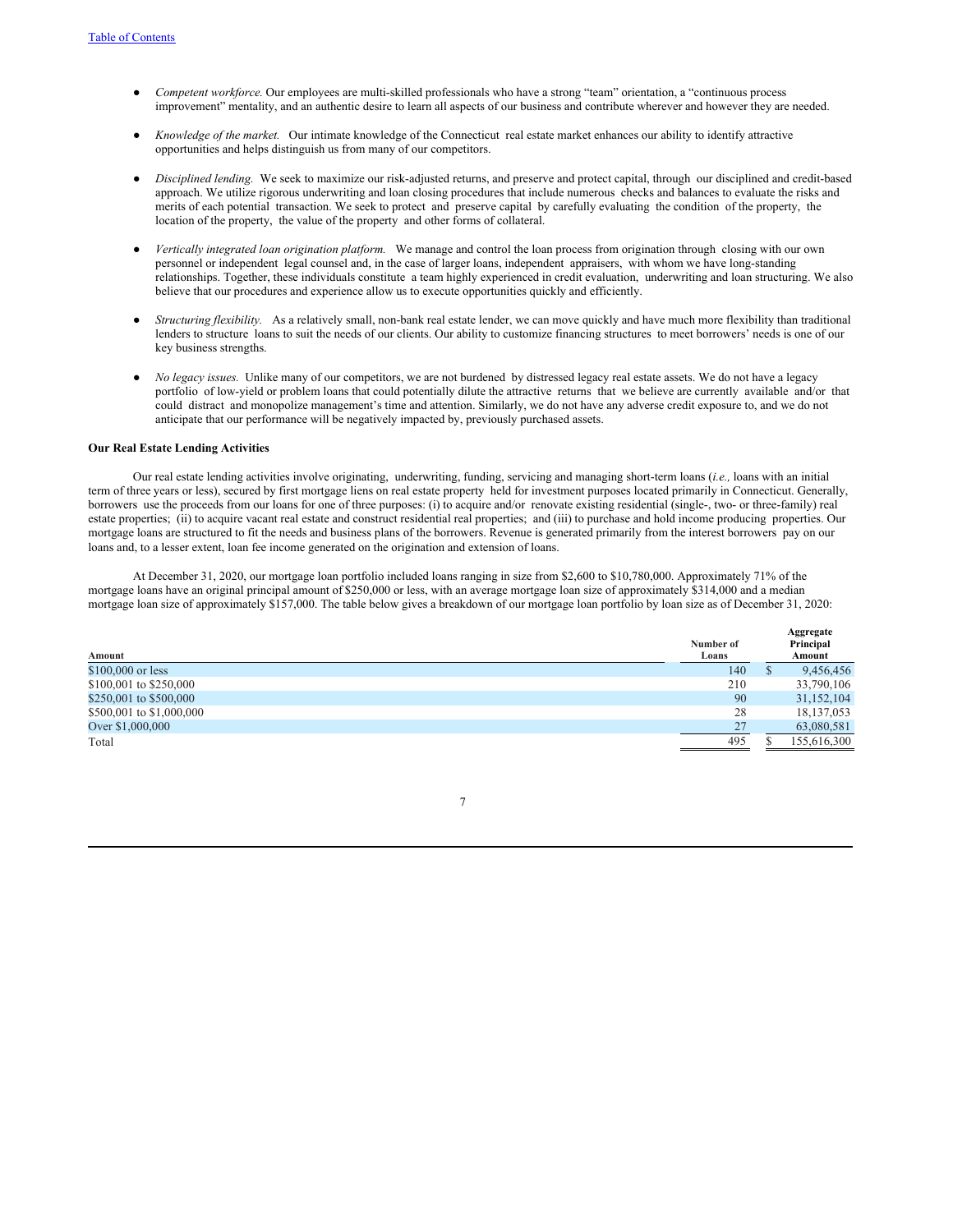- *Competent workforce.* Our employees are multi-skilled professionals who have a strong "team" orientation, a "continuous process improvement" mentality, and an authentic desire to learn all aspects of our business and contribute wherever and however they are needed.
- *Knowledge of the market.* Our intimate knowledge of the Connecticut real estate market enhances our ability to identify attractive opportunities and helps distinguish us from many of our competitors.
- *Disciplined lending.* We seek to maximize our risk-adjusted returns, and preserve and protect capital, through our disciplined and credit-based approach. We utilize rigorous underwriting and loan closing procedures that include numerous checks and balances to evaluate the risks and merits of each potential transaction. We seek to protect and preserve capital by carefully evaluating the condition of the property, the location of the property, the value of the property and other forms of collateral.
- *Vertically integrated loan origination platform.* We manage and control the loan process from origination through closing with our own personnel or independent legal counsel and, in the case of larger loans, independent appraisers, with whom we have long-standing relationships. Together, these individuals constitute a team highly experienced in credit evaluation, underwriting and loan structuring. We also believe that our procedures and experience allow us to execute opportunities quickly and efficiently.
- *Structuring flexibility.* As a relatively small, non-bank real estate lender, we can move quickly and have much more flexibility than traditional lenders to structure loans to suit the needs of our clients. Our ability to customize financing structures to meet borrowers' needs is one of our key business strengths.
- No legacy issues. Unlike many of our competitors, we are not burdened by distressed legacy real estate assets. We do not have a legacy portfolio of low-yield or problem loans that could potentially dilute the attractive returns that we believe are currently available and/or that could distract and monopolize management's time and attention. Similarly, we do not have any adverse credit exposure to, and we do not anticipate that our performance will be negatively impacted by, previously purchased assets.

## **Our Real Estate Lending Activities**

Our real estate lending activities involve originating, underwriting, funding, servicing and managing short-term loans (*i.e.,* loans with an initial term of three years or less), secured by first mortgage liens on real estate property held for investment purposes located primarily in Connecticut. Generally, borrowers use the proceeds from our loans for one of three purposes: (i) to acquire and/or renovate existing residential (single-, two- or three-family) real estate properties; (ii) to acquire vacant real estate and construct residential real properties; and (iii) to purchase and hold income producing properties. Our mortgage loans are structured to fit the needs and business plans of the borrowers. Revenue is generated primarily from the interest borrowers pay on our loans and, to a lesser extent, loan fee income generated on the origination and extension of loans.

At December 31, 2020, our mortgage loan portfolio included loans ranging in size from \$2,600 to \$10,780,000. Approximately 71% of the mortgage loans have an original principal amount of \$250,000 or less, with an average mortgage loan size of approximately \$314,000 and a median mortgage loan size of approximately \$157,000. The table below gives a breakdown of our mortgage loan portfolio by loan size as of December 31, 2020:

| Amount                   | Number of<br>Loans | Aggregate<br>Principal<br>Amount |
|--------------------------|--------------------|----------------------------------|
| \$100,000 or less        | 140                | 9,456,456                        |
| \$100,001 to \$250,000   | 210                | 33,790,106                       |
| \$250,001 to \$500,000   | 90                 | 31,152,104                       |
| \$500,001 to \$1,000,000 | 28                 | 18, 137, 053                     |
| Over \$1,000,000         | 27                 | 63,080,581                       |
| Total                    | 495                | 155,616,300                      |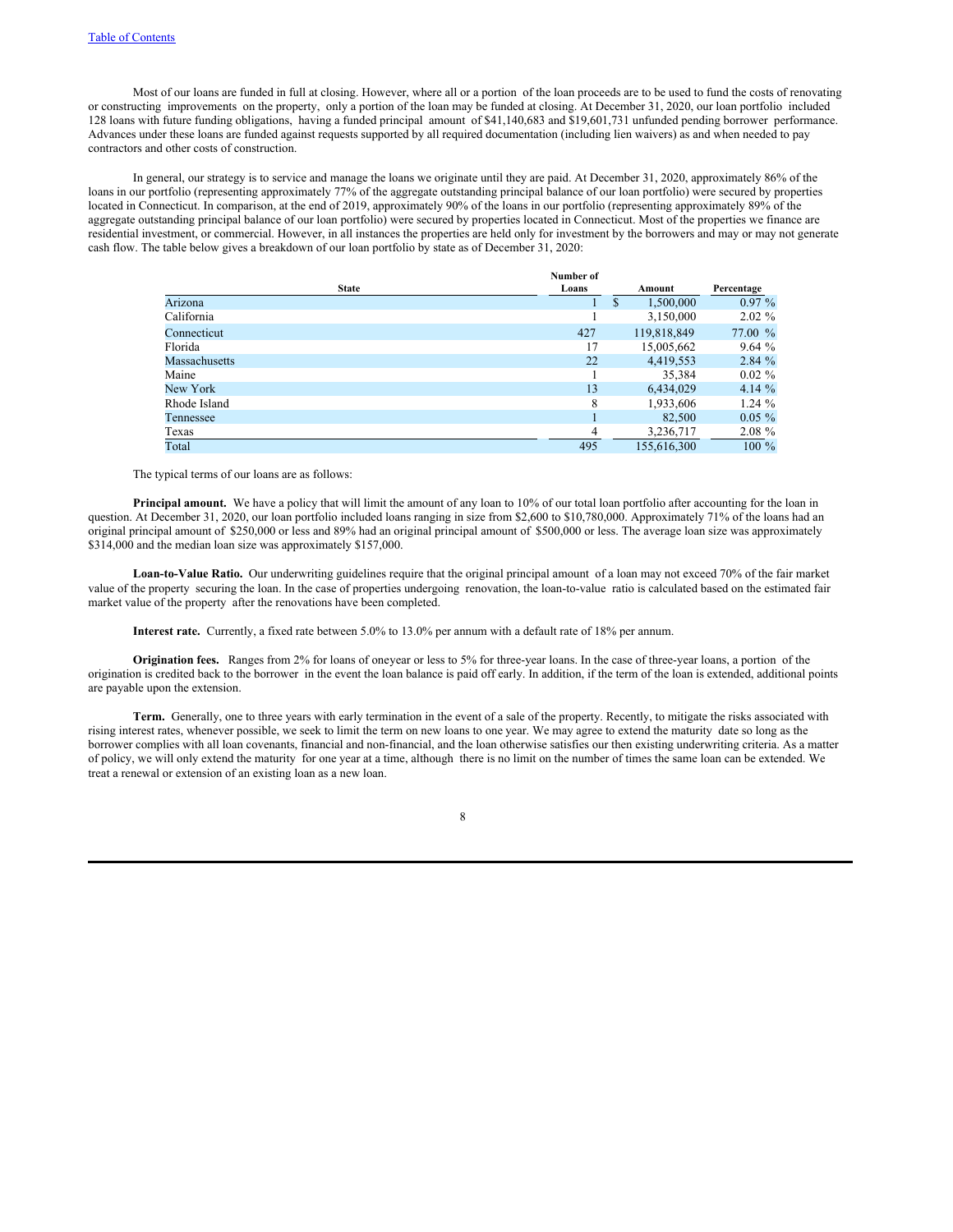Most of our loans are funded in full at closing. However, where all or a portion of the loan proceeds are to be used to fund the costs of renovating or constructing improvements on the property, only a portion of the loan may be funded at closing. At December 31, 2020, our loan portfolio included 128 loans with future funding obligations, having a funded principal amount of \$41,140,683 and \$19,601,731 unfunded pending borrower performance. Advances under these loans are funded against requests supported by all required documentation (including lien waivers) as and when needed to pay contractors and other costs of construction.

In general, our strategy is to service and manage the loans we originate until they are paid. At December 31, 2020, approximately 86% of the loans in our portfolio (representing approximately 77% of the aggregate outstanding principal balance of our loan portfolio) were secured by properties located in Connecticut. In comparison, at the end of 2019, approximately 90% of the loans in our portfolio (representing approximately 89% of the aggregate outstanding principal balance of our loan portfolio) were secured by properties located in Connecticut. Most of the properties we finance are residential investment, or commercial. However, in all instances the properties are held only for investment by the borrowers and may or may not generate cash flow. The table below gives a breakdown of our loan portfolio by state as of December 31, 2020:

|               |              | Number of |               |             |            |
|---------------|--------------|-----------|---------------|-------------|------------|
|               | <b>State</b> | Loans     |               | Amount      | Percentage |
| Arizona       |              |           | <sup>\$</sup> | 1,500,000   | $0.97\%$   |
| California    |              |           |               | 3,150,000   | $2.02\%$   |
| Connecticut   |              | 427       |               | 119,818,849 | 77.00 %    |
| Florida       |              | 17        |               | 15,005,662  | 9.64%      |
| Massachusetts |              | 22        |               | 4,419,553   | 2.84%      |
| Maine         |              |           |               | 35.384      | $0.02 \%$  |
| New York      |              | 13        |               | 6,434,029   | 4.14 $%$   |
| Rhode Island  |              | 8         |               | 1,933,606   | $1.24\%$   |
| Tennessee     |              |           |               | 82,500      | $0.05 \%$  |
| Texas         |              | 4         |               | 3,236,717   | $2.08\%$   |
| Total         |              | 495       |               | 155,616,300 | $100\%$    |

The typical terms of our loans are as follows:

**Principal amount.** We have a policy that will limit the amount of any loan to 10% of our total loan portfolio after accounting for the loan in question. At December 31, 2020, our loan portfolio included loans ranging in size from \$2,600 to \$10,780,000. Approximately 71% of the loans had an original principal amount of \$250,000 or less and 89% had an original principal amount of \$500,000 or less. The average loan size was approximately \$314,000 and the median loan size was approximately \$157,000.

**Loan-to-Value Ratio.** Our underwriting guidelines require that the original principal amount of a loan may not exceed 70% of the fair market value of the property securing the loan. In the case of properties undergoing renovation, the loan-to-value ratio is calculated based on the estimated fair market value of the property after the renovations have been completed.

**Interest rate.** Currently, a fixed rate between 5.0% to 13.0% per annum with a default rate of 18% per annum.

**Origination fees.** Ranges from 2% for loans of oneyear or less to 5% for three-year loans. In the case of three-year loans, a portion of the origination is credited back to the borrower in the event the loan balance is paid off early. In addition, if the term of the loan is extended, additional points are payable upon the extension.

Term. Generally, one to three years with early termination in the event of a sale of the property. Recently, to mitigate the risks associated with rising interest rates, whenever possible, we seek to limit the term on new loans to one year. We may agree to extend the maturity date so long as the borrower complies with all loan covenants, financial and non-financial, and the loan otherwise satisfies our then existing underwriting criteria. As a matter of policy, we will only extend the maturity for one year at a time, although there is no limit on the number of times the same loan can be extended. We treat a renewal or extension of an existing loan as a new loan.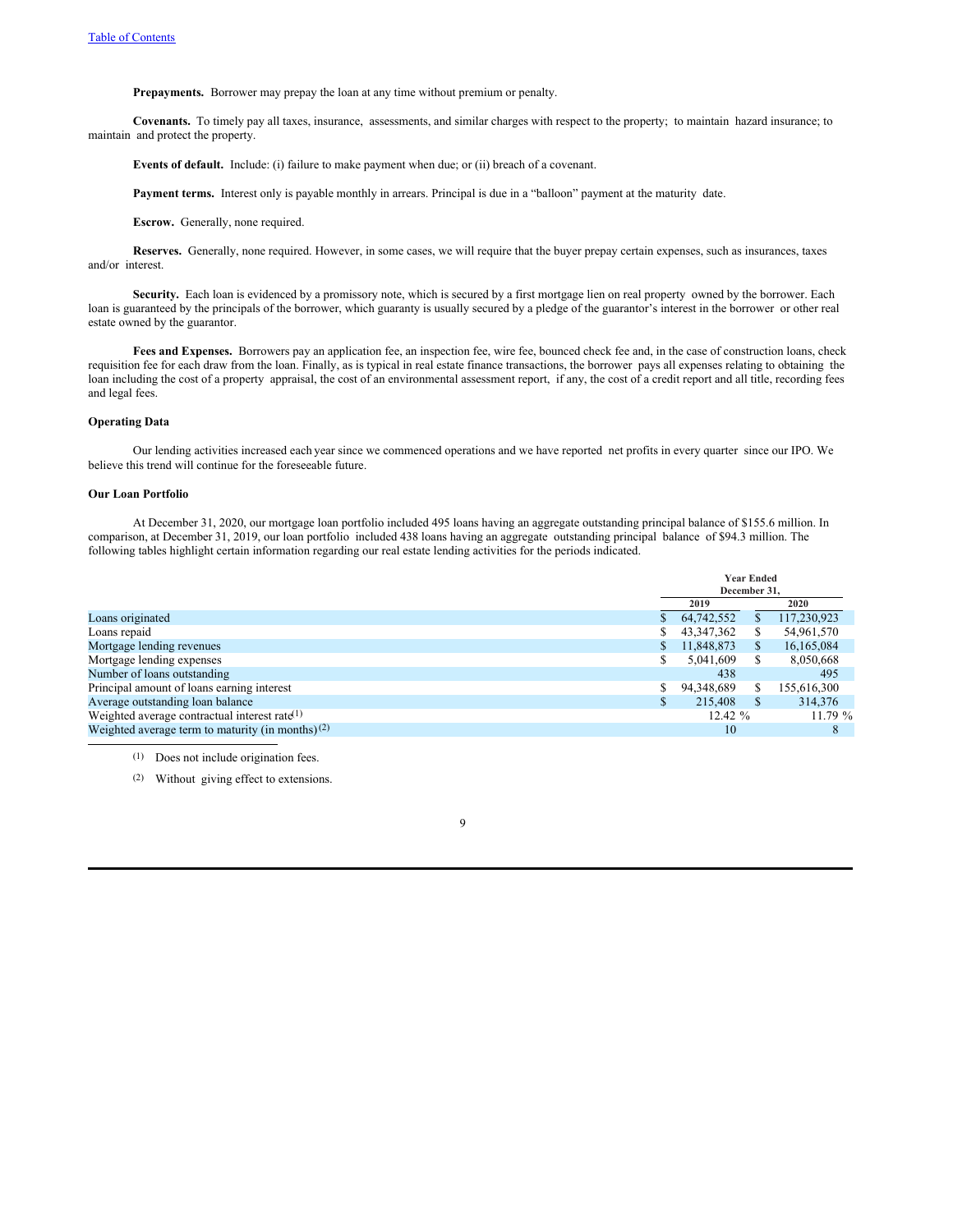**Prepayments.** Borrower may prepay the loan at any time without premium or penalty.

**Covenants.** To timely pay all taxes, insurance, assessments, and similar charges with respect to the property; to maintain hazard insurance; to maintain and protect the property.

**Events of default.** Include: (i) failure to make payment when due; or (ii) breach of a covenant.

**Payment terms.** Interest only is payable monthly in arrears. Principal is due in a "balloon" payment at the maturity date.

**Escrow.** Generally, none required.

Reserves. Generally, none required. However, in some cases, we will require that the buyer prepay certain expenses, such as insurances, taxes and/or interest.

Security. Each loan is evidenced by a promissory note, which is secured by a first mortgage lien on real property owned by the borrower. Each loan is guaranteed by the principals of the borrower, which guaranty is usually secured by a pledge of the guarantor's interest in the borrower or other real estate owned by the guarantor.

Fees and Expenses. Borrowers pay an application fee, an inspection fee, wire fee, bounced check fee and, in the case of construction loans, check requisition fee for each draw from the loan. Finally, as is typical in real estate finance transactions, the borrower pays all expenses relating to obtaining the loan including the cost of a property appraisal, the cost of an environmental assessment report, if any, the cost of a credit report and all title, recording fees and legal fees.

### **Operating Data**

Our lending activities increased each year since we commenced operations and we have reported net profits in every quarter since our IPO. We believe this trend will continue for the foreseeable future.

#### **Our Loan Portfolio**

At December 31, 2020, our mortgage loan portfolio included 495 loans having an aggregate outstanding principal balance of \$155.6 million. In comparison, at December 31, 2019, our loan portfolio included 438 loans having an aggregate outstanding principal balance of \$94.3 million. The following tables highlight certain information regarding our real estate lending activities for the periods indicated.

|                                                              | <b>Year Ended</b> |              |     |             |
|--------------------------------------------------------------|-------------------|--------------|-----|-------------|
|                                                              | December 31,      |              |     |             |
|                                                              | 2019<br>2020      |              |     |             |
| Loans originated                                             |                   | 64,742,552   | Эħ. | 117,230,923 |
| Loans repaid                                                 |                   | 43, 347, 362 |     | 54,961,570  |
| Mortgage lending revenues                                    |                   | 11,848,873   |     | 16,165,084  |
| Mortgage lending expenses                                    |                   | 5.041.609    |     | 8,050,668   |
| Number of loans outstanding                                  |                   | 438          |     | 495         |
| Principal amount of loans earning interest                   |                   | 94,348,689   |     | 155,616,300 |
| Average outstanding loan balance                             |                   | 215,408      |     | 314,376     |
| Weighted average contractual interest rate $(1)$             |                   | $12.42 \%$   |     | 11.79%      |
| Weighted average term to maturity (in months) <sup>(2)</sup> |                   | 10           |     | 8           |

(1) Does not include origination fees.

(2) Without giving effect to extensions.

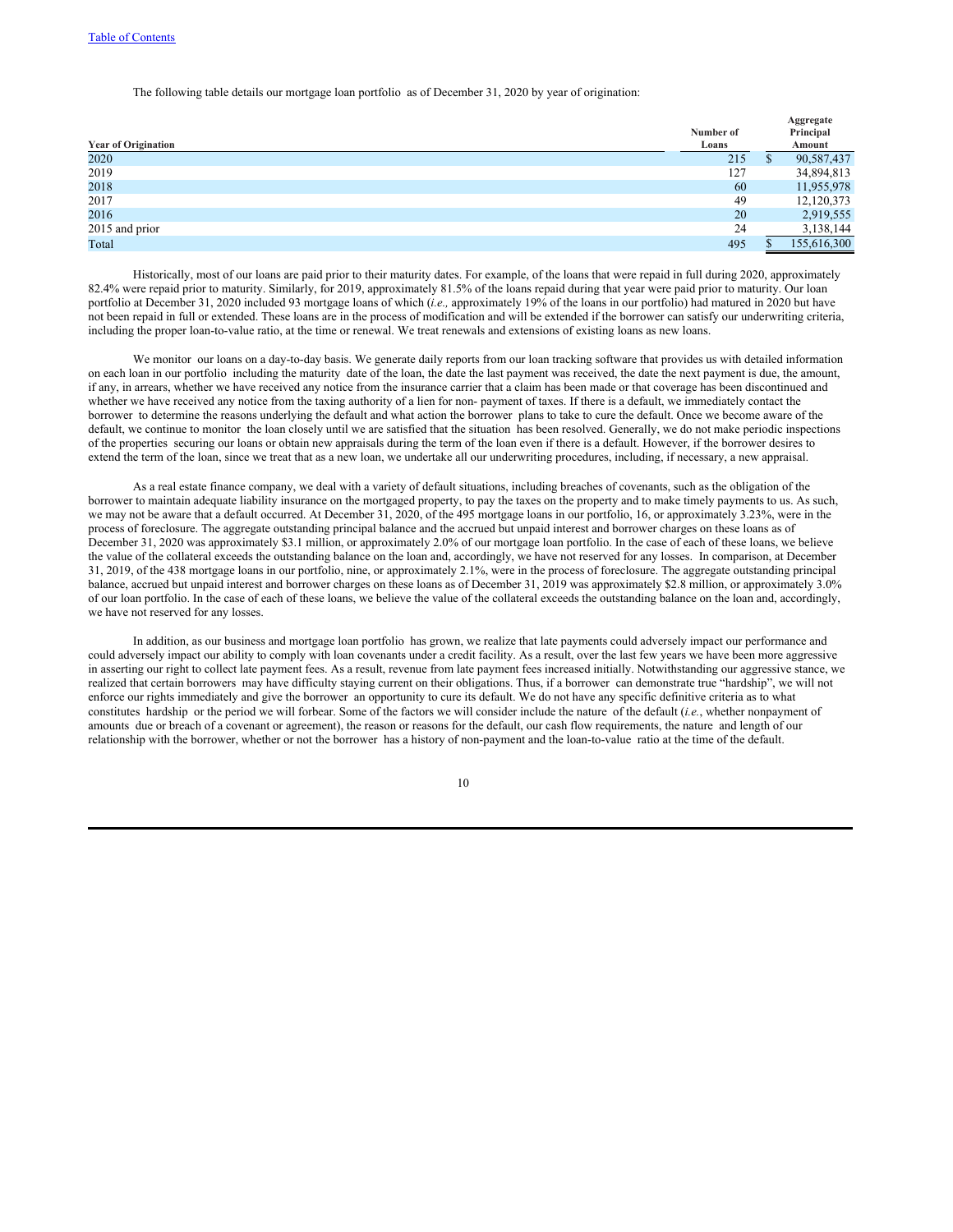#### The following table details our mortgage loan portfolio as of December 31, 2020 by year of origination:

|                            |           |   | Aggregate   |
|----------------------------|-----------|---|-------------|
|                            | Number of |   | Principal   |
| <b>Year of Origination</b> | Loans     |   | Amount      |
| 2020                       | 215       | S | 90,587,437  |
| 2019                       | 127       |   | 34,894,813  |
| 2018                       | 60        |   | 11,955,978  |
| 2017                       | 49        |   | 12,120,373  |
| 2016                       | 20        |   | 2,919,555   |
| 2015 and prior             | 24        |   | 3,138,144   |
| Total                      | 495       |   | 155,616,300 |

Historically, most of our loans are paid prior to their maturity dates. For example, of the loans that were repaid in full during 2020, approximately 82.4% were repaid prior to maturity. Similarly, for 2019, approximately 81.5% of the loans repaid during that year were paid prior to maturity. Our loan portfolio at December 31, 2020 included 93 mortgage loans of which (*i.e.,* approximately 19% of the loans in our portfolio) had matured in 2020 but have not been repaid in full or extended. These loans are in the process of modification and will be extended if the borrower can satisfy our underwriting criteria, including the proper loan-to-value ratio, at the time or renewal. We treat renewals and extensions of existing loans as new loans.

We monitor our loans on a day-to-day basis. We generate daily reports from our loan tracking software that provides us with detailed information on each loan in our portfolio including the maturity date of the loan, the date the last payment was received, the date the next payment is due, the amount, if any, in arrears, whether we have received any notice from the insurance carrier that a claim has been made or that coverage has been discontinued and whether we have received any notice from the taxing authority of a lien for non-payment of taxes. If there is a default, we immediately contact the borrower to determine the reasons underlying the default and what action the borrower plans to take to cure the default. Once we become aware of the default, we continue to monitor the loan closely until we are satisfied that the situation has been resolved. Generally, we do not make periodic inspections of the properties securing our loans or obtain new appraisals during the term of the loan even if there is a default. However, if the borrower desires to extend the term of the loan, since we treat that as a new loan, we undertake all our underwriting procedures, including, if necessary, a new appraisal.

As a real estate finance company, we deal with a variety of default situations, including breaches of covenants, such as the obligation of the borrower to maintain adequate liability insurance on the mortgaged property, to pay the taxes on the property and to make timely payments to us. As such, we may not be aware that a default occurred. At December 31, 2020, of the 495 mortgage loans in our portfolio, 16, or approximately 3.23%, were in the process of foreclosure. The aggregate outstanding principal balance and the accrued but unpaid interest and borrower charges on these loans as of December 31, 2020 was approximately \$3.1 million, or approximately 2.0% of our mortgage loan portfolio. In the case of each of these loans, we believe the value of the collateral exceeds the outstanding balance on the loan and, accordingly, we have not reserved for any losses. In comparison, at December 31, 2019, of the 438 mortgage loans in our portfolio, nine, or approximately 2.1%, were in the process of foreclosure. The aggregate outstanding principal balance, accrued but unpaid interest and borrower charges on these loans as of December 31, 2019 was approximately \$2.8 million, or approximately 3.0% of our loan portfolio. In the case of each of these loans, we believe the value of the collateral exceeds the outstanding balance on the loan and, accordingly, we have not reserved for any losses.

In addition, as our business and mortgage loan portfolio has grown, we realize that late payments could adversely impact our performance and could adversely impact our ability to comply with loan covenants under a credit facility. As a result, over the last few years we have been more aggressive in asserting our right to collect late payment fees. As a result, revenue from late payment fees increased initially. Notwithstanding our aggressive stance, we realized that certain borrowers may have difficulty staying current on their obligations. Thus, if a borrower can demonstrate true "hardship", we will not enforce our rights immediately and give the borrower an opportunity to cure its default. We do not have any specific definitive criteria as to what constitutes hardship or the period we will forbear. Some of the factors we will consider include the nature of the default (*i.e.*, whether nonpayment of amounts due or breach of a covenant or agreement), the reason or reasons for the default, our cash flow requirements, the nature and length of our relationship with the borrower, whether or not the borrower has a history of non-payment and the loan-to-value ratio at the time of the default.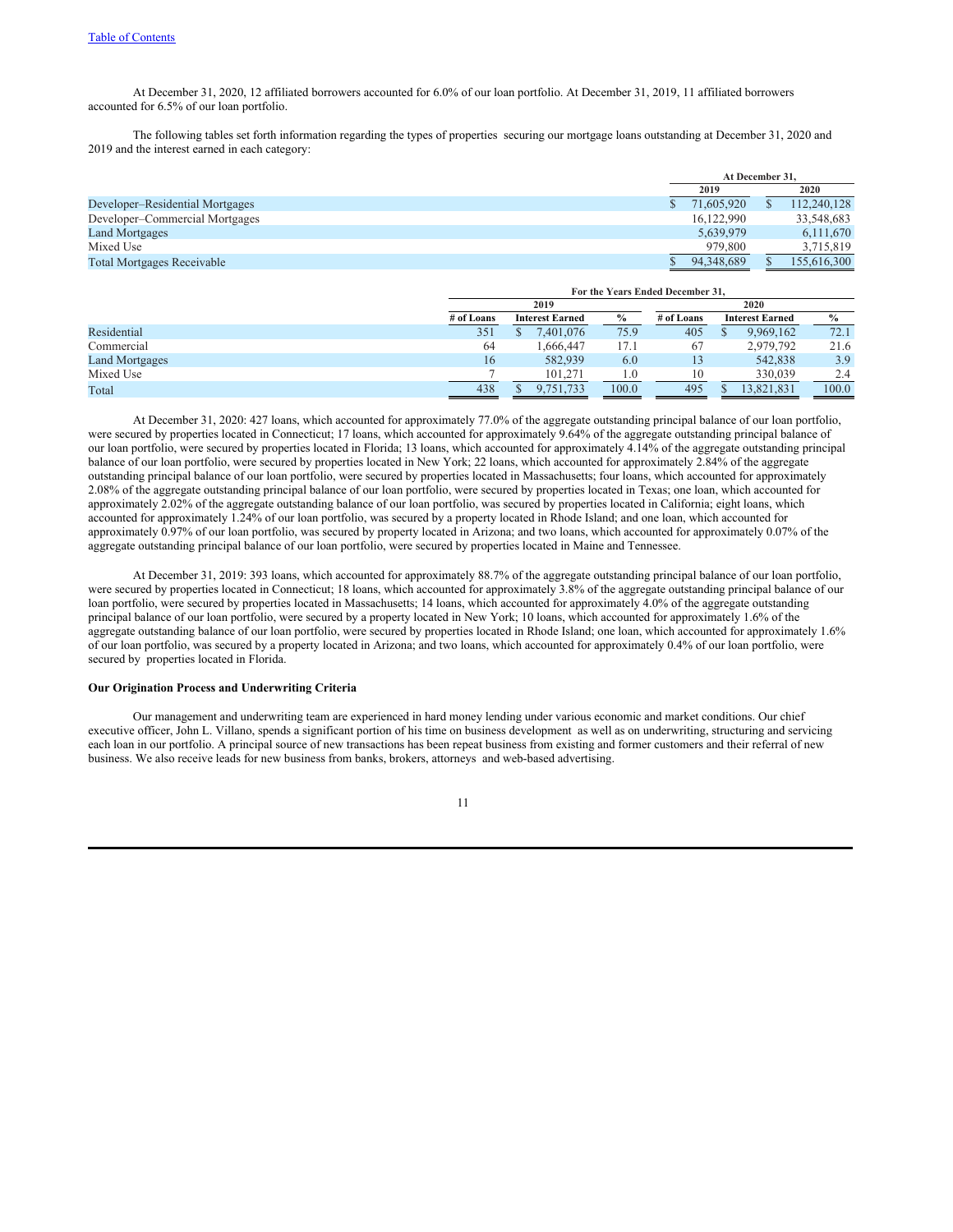At December 31, 2020, 12 affiliated borrowers accounted for 6.0% of our loan portfolio. At December 31, 2019, 11 affiliated borrowers accounted for 6.5% of our loan portfolio.

The following tables set forth information regarding the types of properties securing our mortgage loans outstanding at December 31, 2020 and 2019 and the interest earned in each category:

|                                   | At December 31. |            |  |             |
|-----------------------------------|-----------------|------------|--|-------------|
|                                   |                 | 2019       |  | 2020        |
| Developer–Residential Mortgages   |                 | 71,605,920 |  | 112,240,128 |
| Developer-Commercial Mortgages    |                 | 16,122,990 |  | 33,548,683  |
| <b>Land Mortgages</b>             |                 | 5.639.979  |  | 6,111,670   |
| Mixed Use                         |                 | 979,800    |  | 3.715.819   |
| <b>Total Mortgages Receivable</b> |                 | 94,348,689 |  | 155,616,300 |

|                |                 | For the Years Ended December 31. |               |            |               |       |  |  |
|----------------|-----------------|----------------------------------|---------------|------------|---------------|-------|--|--|
|                |                 | 2019                             |               |            | 2020          |       |  |  |
|                | # of Loans      | <b>Interest Earned</b>           | $\frac{9}{6}$ | # of Loans | $\frac{0}{0}$ |       |  |  |
| Residential    | 35 <sup>2</sup> | 7.401.076                        | 75.9          | 405        | 9.969.162     | 72.1  |  |  |
| Commercial     | 64              | .,666,447                        | 17.1          | 67         | 2,979,792     | 21.6  |  |  |
| Land Mortgages | 16              | 582,939                          | 6.0           | 13         | 542,838       | 3.9   |  |  |
| Mixed Use      |                 | 101.271                          | 1.0           | 10         | 330,039       | 2.4   |  |  |
| Total          | 438             | 9.751.733                        | 100.0         | 495        | 13.821.831    | 100.0 |  |  |

At December 31, 2020: 427 loans, which accounted for approximately 77.0% of the aggregate outstanding principal balance of our loan portfolio, were secured by properties located in Connecticut; 17 loans, which accounted for approximately 9.64% of the aggregate outstanding principal balance of our loan portfolio, were secured by properties located in Florida; 13 loans, which accounted for approximately 4.14% of the aggregate outstanding principal balance of our loan portfolio, were secured by properties located in New York; 22 loans, which accounted for approximately 2.84% of the aggregate outstanding principal balance of our loan portfolio, were secured by properties located in Massachusetts; four loans, which accounted for approximately 2.08% of the aggregate outstanding principal balance of our loan portfolio, were secured by properties located in Texas; one loan, which accounted for approximately 2.02% of the aggregate outstanding balance of our loan portfolio, was secured by properties located in California; eight loans, which accounted for approximately 1.24% of our loan portfolio, was secured by a property located in Rhode Island; and one loan, which accounted for approximately 0.97% of our loan portfolio, was secured by property located in Arizona; and two loans, which accounted for approximately 0.07% of the aggregate outstanding principal balance of our loan portfolio, were secured by properties located in Maine and Tennessee.

At December 31, 2019: 393 loans, which accounted for approximately 88.7% of the aggregate outstanding principal balance of our loan portfolio, were secured by properties located in Connecticut; 18 loans, which accounted for approximately 3.8% of the aggregate outstanding principal balance of our loan portfolio, were secured by properties located in Massachusetts; 14 loans, which accounted for approximately 4.0% of the aggregate outstanding principal balance of our loan portfolio, were secured by a property located in New York; 10 loans, which accounted for approximately 1.6% of the aggregate outstanding balance of our loan portfolio, were secured by properties located in Rhode Island; one loan, which accounted for approximately 1.6% of our loan portfolio, was secured by a property located in Arizona; and two loans, which accounted for approximately 0.4% of our loan portfolio, were secured by properties located in Florida.

## **Our Origination Process and Underwriting Criteria**

Our management and underwriting team are experienced in hard money lending under various economic and market conditions. Our chief executive officer, John L. Villano, spends a significant portion of his time on business development as well as on underwriting, structuring and servicing each loan in our portfolio. A principal source of new transactions has been repeat business from existing and former customers and their referral of new business. We also receive leads for new business from banks, brokers, attorneys and web-based advertising.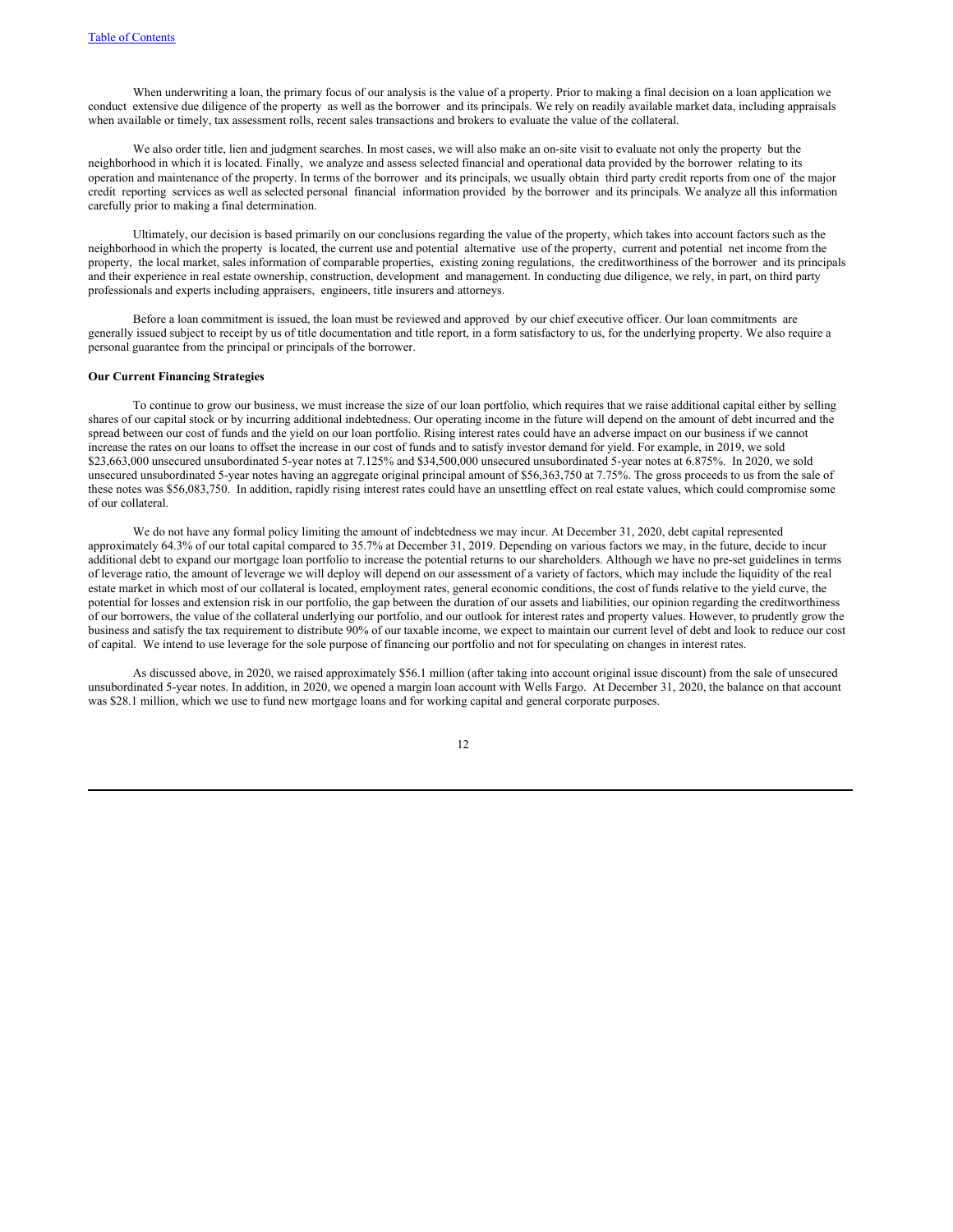When underwriting a loan, the primary focus of our analysis is the value of a property. Prior to making a final decision on a loan application we conduct extensive due diligence of the property as well as the borrower and its principals. We rely on readily available market data, including appraisals when available or timely, tax assessment rolls, recent sales transactions and brokers to evaluate the value of the collateral.

We also order title, lien and judgment searches. In most cases, we will also make an on-site visit to evaluate not only the property but the neighborhood in which it is located. Finally, we analyze and assess selected financial and operational data provided by the borrower relating to its operation and maintenance of the property. In terms of the borrower and its principals, we usually obtain third party credit reports from one of the major credit reporting services as well as selected personal financial information provided by the borrower and its principals. We analyze all this information carefully prior to making a final determination.

Ultimately, our decision is based primarily on our conclusions regarding the value of the property, which takes into account factors such as the neighborhood in which the property is located, the current use and potential alternative use of the property, current and potential net income from the property, the local market, sales information of comparable properties, existing zoning regulations, the creditworthiness of the borrower and its principals and their experience in real estate ownership, construction, development and management. In conducting due diligence, we rely, in part, on third party professionals and experts including appraisers, engineers, title insurers and attorneys.

Before a loan commitment is issued, the loan must be reviewed and approved by our chief executive officer. Our loan commitments are generally issued subject to receipt by us of title documentation and title report, in a form satisfactory to us, for the underlying property. We also require a personal guarantee from the principal or principals of the borrower.

### **Our Current Financing Strategies**

To continue to grow our business, we must increase the size of our loan portfolio, which requires that we raise additional capital either by selling shares of our capital stock or by incurring additional indebtedness. Our operating income in the future will depend on the amount of debt incurred and the spread between our cost of funds and the yield on our loan portfolio. Rising interest rates could have an adverse impact on our business if we cannot increase the rates on our loans to offset the increase in our cost of funds and to satisfy investor demand for yield. For example, in 2019, we sold \$23,663,000 unsecured unsubordinated 5-year notes at 7.125% and \$34,500,000 unsecured unsubordinated 5-year notes at 6.875%. In 2020, we sold unsecured unsubordinated 5-year notes having an aggregate original principal amount of \$56,363,750 at 7.75%. The gross proceeds to us from the sale of these notes was \$56,083,750. In addition, rapidly rising interest rates could have an unsettling effect on real estate values, which could compromise some of our collateral.

We do not have any formal policy limiting the amount of indebtedness we may incur. At December 31, 2020, debt capital represented approximately 64.3% of our total capital compared to 35.7% at December 31, 2019. Depending on various factors we may, in the future, decide to incur additional debt to expand our mortgage loan portfolio to increase the potential returns to our shareholders. Although we have no pre-set guidelines in terms of leverage ratio, the amount of leverage we will deploy will depend on our assessment of a variety of factors, which may include the liquidity of the real estate market in which most of our collateral is located, employment rates, general economic conditions, the cost of funds relative to the yield curve, the potential for losses and extension risk in our portfolio, the gap between the duration of our assets and liabilities, our opinion regarding the creditworthiness of our borrowers, the value of the collateral underlying our portfolio, and our outlook for interest rates and property values. However, to prudently grow the business and satisfy the tax requirement to distribute 90% of our taxable income, we expect to maintain our current level of debt and look to reduce our cost of capital. We intend to use leverage for the sole purpose of financing our portfolio and not for speculating on changes in interest rates.

As discussed above, in 2020, we raised approximately \$56.1 million (after taking into account original issue discount) from the sale of unsecured unsubordinated 5-year notes. In addition, in 2020, we opened a margin loan account with Wells Fargo. At December 31, 2020, the balance on that account was \$28.1 million, which we use to fund new mortgage loans and for working capital and general corporate purposes.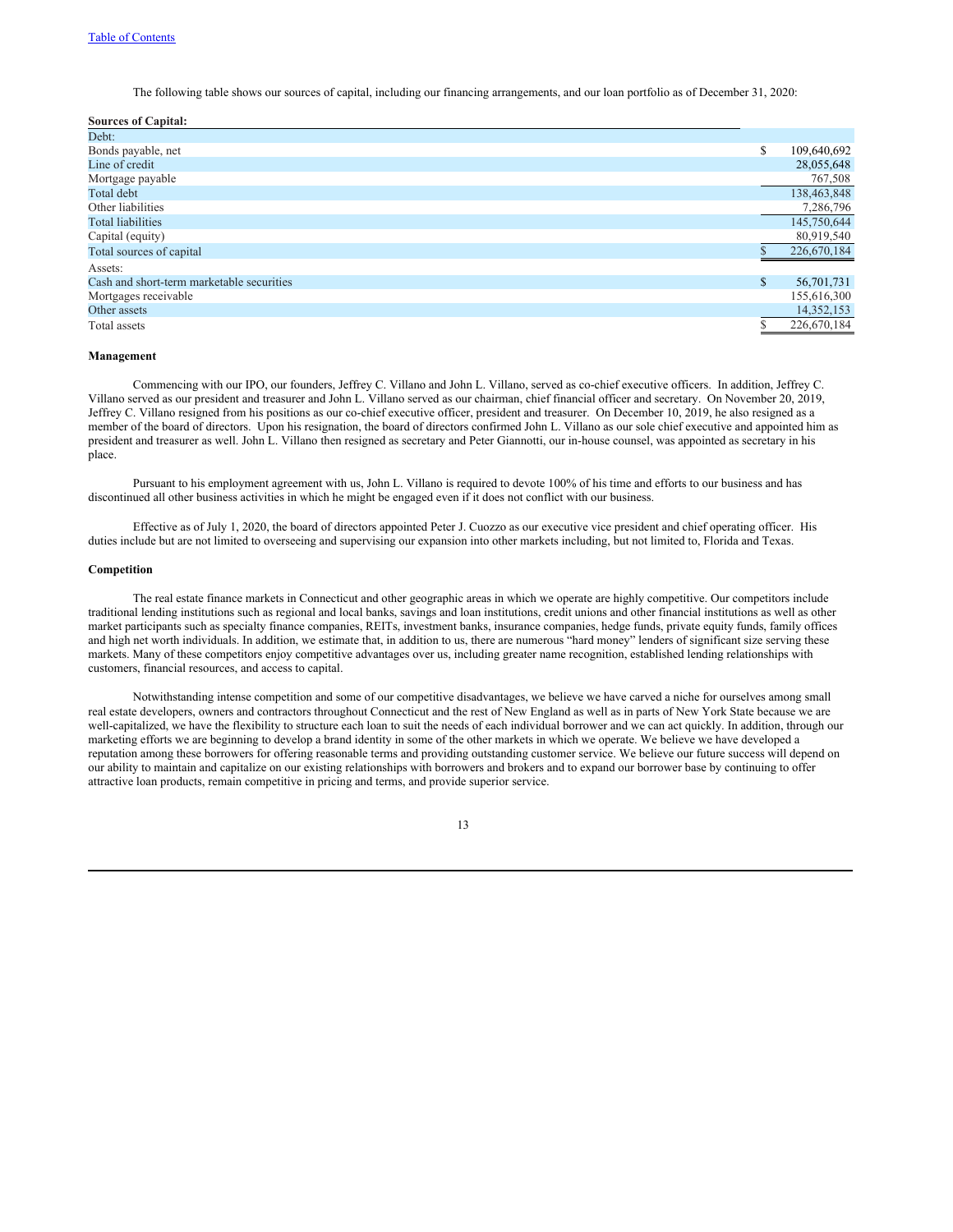The following table shows our sources of capital, including our financing arrangements, and our loan portfolio as of December 31, 2020:

| <b>Sources of Capital:</b>                |              |             |
|-------------------------------------------|--------------|-------------|
| Debt:                                     |              |             |
| Bonds payable, net                        | S            | 109,640,692 |
| Line of credit                            |              | 28,055,648  |
| Mortgage payable                          |              | 767,508     |
| Total debt                                |              | 138,463,848 |
| Other liabilities                         |              | 7,286,796   |
| <b>Total liabilities</b>                  |              | 145,750,644 |
| Capital (equity)                          |              | 80,919,540  |
| Total sources of capital                  |              | 226,670,184 |
| Assets:                                   |              |             |
| Cash and short-term marketable securities | $\mathbb{S}$ | 56,701,731  |
| Mortgages receivable                      |              | 155,616,300 |
| Other assets                              |              | 14,352,153  |
| Total assets                              |              | 226,670,184 |

#### **Management**

Commencing with our IPO, our founders, Jeffrey C. Villano and John L. Villano, served as co-chief executive officers. In addition, Jeffrey C. Villano served as our president and treasurer and John L. Villano served as our chairman, chief financial officer and secretary. On November 20, 2019, Jeffrey C. Villano resigned from his positions as our co-chief executive officer, president and treasurer. On December 10, 2019, he also resigned as a member of the board of directors. Upon his resignation, the board of directors confirmed John L. Villano as our sole chief executive and appointed him as president and treasurer as well. John L. Villano then resigned as secretary and Peter Giannotti, our in-house counsel, was appointed as secretary in his place.

Pursuant to his employment agreement with us, John L. Villano is required to devote 100% of his time and efforts to our business and has discontinued all other business activities in which he might be engaged even if it does not conflict with our business.

Effective as of July 1, 2020, the board of directors appointed Peter J. Cuozzo as our executive vice president and chief operating officer. His duties include but are not limited to overseeing and supervising our expansion into other markets including, but not limited to, Florida and Texas.

#### **Competition**

The real estate finance markets in Connecticut and other geographic areas in which we operate are highly competitive. Our competitors include traditional lending institutions such as regional and local banks, savings and loan institutions, credit unions and other financial institutions as well as other market participants such as specialty finance companies, REITs, investment banks, insurance companies, hedge funds, private equity funds, family offices and high net worth individuals. In addition, we estimate that, in addition to us, there are numerous "hard money" lenders of significant size serving these markets. Many of these competitors enjoy competitive advantages over us, including greater name recognition, established lending relationships with customers, financial resources, and access to capital.

Notwithstanding intense competition and some of our competitive disadvantages, we believe we have carved a niche for ourselves among small real estate developers, owners and contractors throughout Connecticut and the rest of New England as well as in parts of New York State because we are well-capitalized, we have the flexibility to structure each loan to suit the needs of each individual borrower and we can act quickly. In addition, through our marketing efforts we are beginning to develop a brand identity in some of the other markets in which we operate. We believe we have developed a reputation among these borrowers for offering reasonable terms and providing outstanding customer service. We believe our future success will depend on our ability to maintain and capitalize on our existing relationships with borrowers and brokers and to expand our borrower base by continuing to offer attractive loan products, remain competitive in pricing and terms, and provide superior service.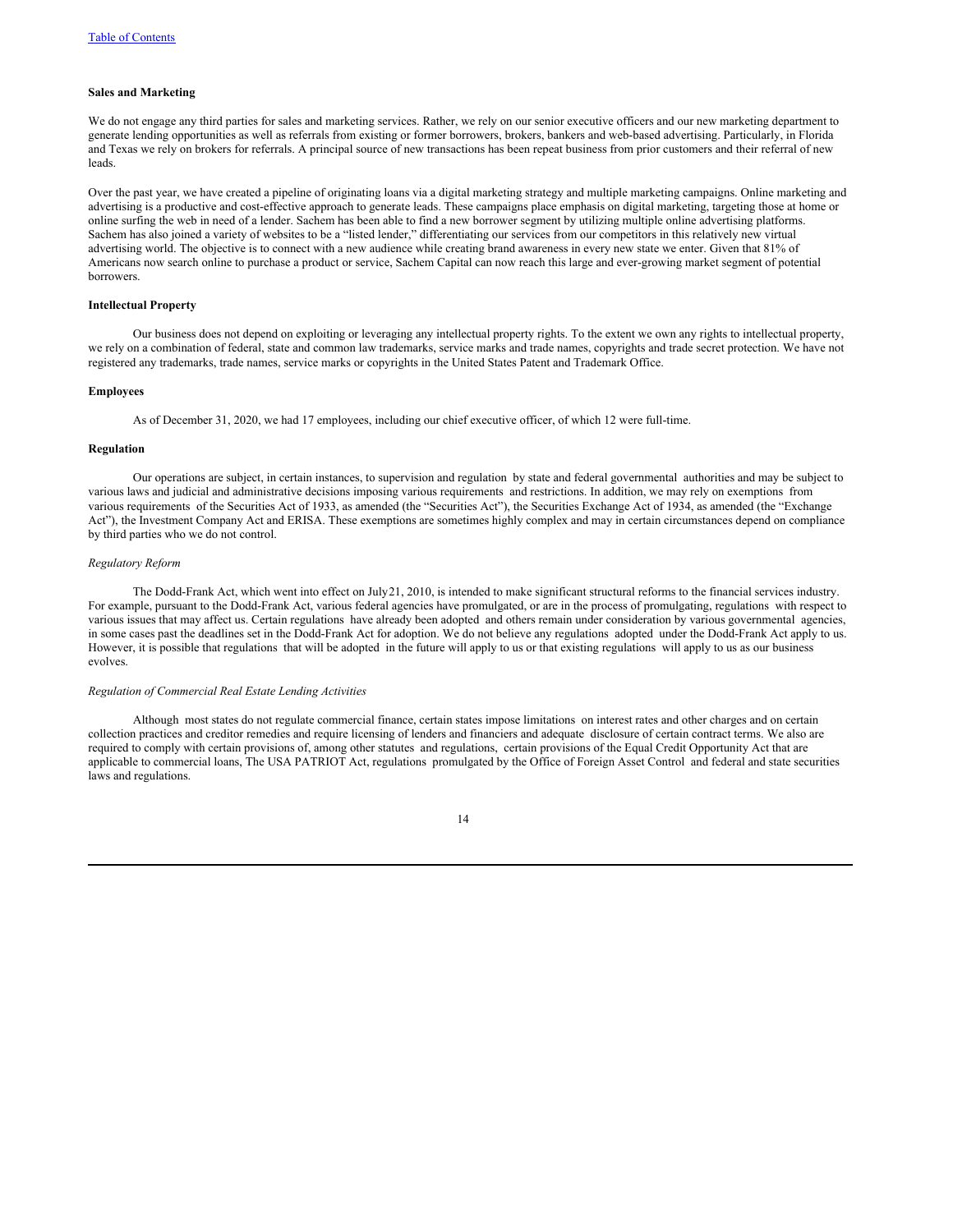## **Sales and Marketing**

We do not engage any third parties for sales and marketing services. Rather, we rely on our senior executive officers and our new marketing department to generate lending opportunities as well as referrals from existing or former borrowers, brokers, bankers and web-based advertising. Particularly, in Florida and Texas we rely on brokers for referrals. A principal source of new transactions has been repeat business from prior customers and their referral of new leads.

Over the past year, we have created a pipeline of originating loans via a digital marketing strategy and multiple marketing campaigns. Online marketing and advertising is a productive and cost-effective approach to generate leads. These campaigns place emphasis on digital marketing, targeting those at home or online surfing the web in need of a lender. Sachem has been able to find a new borrower segment by utilizing multiple online advertising platforms. Sachem has also joined a variety of websites to be a "listed lender," differentiating our services from our competitors in this relatively new virtual advertising world. The objective is to connect with a new audience while creating brand awareness in every new state we enter. Given that 81% of Americans now search online to purchase a product or service, Sachem Capital can now reach this large and ever-growing market segment of potential borrowers.

## **Intellectual Property**

Our business does not depend on exploiting or leveraging any intellectual property rights. To the extent we own any rights to intellectual property, we rely on a combination of federal, state and common law trademarks, service marks and trade names, copyrights and trade secret protection. We have not registered any trademarks, trade names, service marks or copyrights in the United States Patent and Trademark Office.

#### **Employees**

As of December 31, 2020, we had 17 employees, including our chief executive officer, of which 12 were full-time.

#### **Regulation**

Our operations are subject, in certain instances, to supervision and regulation by state and federal governmental authorities and may be subject to various laws and judicial and administrative decisions imposing various requirements and restrictions. In addition, we may rely on exemptions from various requirements of the Securities Act of 1933, as amended (the "Securities Act"), the Securities Exchange Act of 1934, as amended (the "Exchange Act"), the Investment Company Act and ERISA. These exemptions are sometimes highly complex and may in certain circumstances depend on compliance by third parties who we do not control.

## *Regulatory Reform*

The Dodd-Frank Act, which went into effect on July21, 2010, is intended to make significant structural reforms to the financial services industry. For example, pursuant to the Dodd-Frank Act, various federal agencies have promulgated, or are in the process of promulgating, regulations with respect to various issues that may affect us. Certain regulations have already been adopted and others remain under consideration by various governmental agencies, in some cases past the deadlines set in the Dodd-Frank Act for adoption. We do not believe any regulations adopted under the Dodd-Frank Act apply to us. However, it is possible that regulations that will be adopted in the future will apply to us or that existing regulations will apply to us as our business evolves.

### *Regulation of Commercial Real Estate Lending Activities*

Although most states do not regulate commercial finance, certain states impose limitations on interest rates and other charges and on certain collection practices and creditor remedies and require licensing of lenders and financiers and adequate disclosure of certain contract terms. We also are required to comply with certain provisions of, among other statutes and regulations, certain provisions of the Equal Credit Opportunity Act that are applicable to commercial loans, The USA PATRIOT Act, regulations promulgated by the Office of Foreign Asset Control and federal and state securities laws and regulations.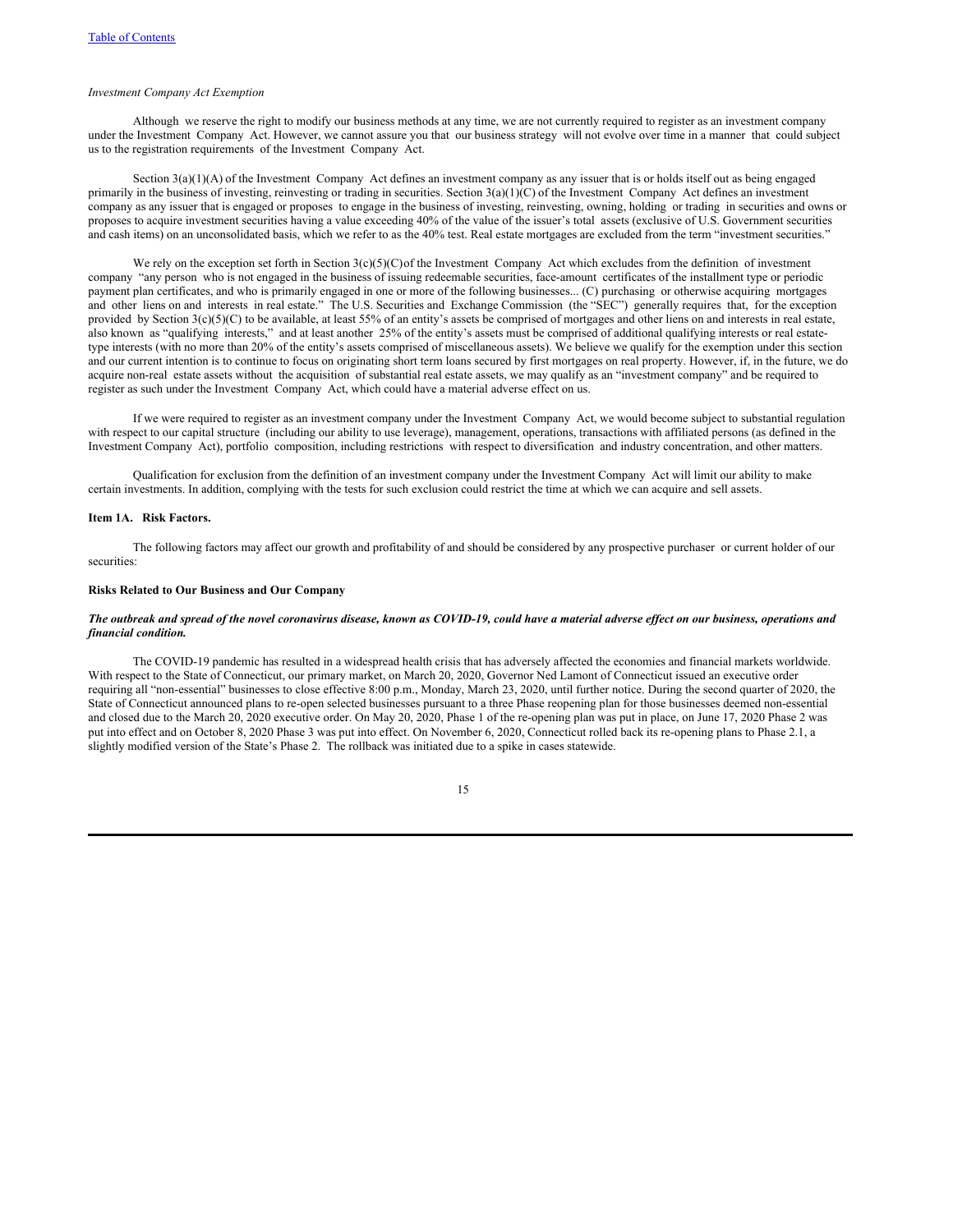## *Investment Company Act Exemption*

Although we reserve the right to modify our business methods at any time, we are not currently required to register as an investment company under the Investment Company Act. However, we cannot assure you that our business strategy will not evolve over time in a manner that could subject us to the registration requirements of the Investment Company Act.

Section  $3(a)(1)(A)$  of the Investment Company Act defines an investment company as any issuer that is or holds itself out as being engaged primarily in the business of investing, reinvesting or trading in securities. Section  $3(a)(1)(C)$  of the Investment Company Act defines an investment company as any issuer that is engaged or proposes to engage in the business of investing, reinvesting, owning, holding or trading in securities and owns or proposes to acquire investment securities having a value exceeding 40% of the value of the issuer's total assets (exclusive of U.S. Government securities and cash items) on an unconsolidated basis, which we refer to as the 40% test. Real estate mortgages are excluded from the term "investment securities."

We rely on the exception set forth in Section  $3(c)(5)(C)$  of the Investment Company Act which excludes from the definition of investment company "any person who is not engaged in the business of issuing redeemable securities, face-amount certificates of the installment type or periodic payment plan certificates, and who is primarily engaged in one or more of the following businesses... (C) purchasing or otherwise acquiring mortgages and other liens on and interests in real estate." The U.S. Securities and Exchange Commission (the "SEC") generally requires that, for the exception provided by Section  $3(c)(5)(C)$  to be available, at least 55% of an entity's assets be comprised of mortgages and other liens on and interests in real estate, also known as "qualifying interests," and at least another 25% of the entity's assets must be comprised of additional qualifying interests or real estatetype interests (with no more than 20% of the entity's assets comprised of miscellaneous assets). We believe we qualify for the exemption under this section and our current intention is to continue to focus on originating short term loans secured by first mortgages on real property. However, if, in the future, we do acquire non-real estate assets without the acquisition of substantial real estate assets, we may qualify as an "investment company" and be required to register as such under the Investment Company Act, which could have a material adverse effect on us.

If we were required to register as an investment company under the Investment Company Act, we would become subject to substantial regulation with respect to our capital structure (including our ability to use leverage), management, operations, transactions with affiliated persons (as defined in the Investment Company Act), portfolio composition, including restrictions with respect to diversification and industry concentration, and other matters.

Qualification for exclusion from the definition of an investment company under the Investment Company Act will limit our ability to make certain investments. In addition, complying with the tests for such exclusion could restrict the time at which we can acquire and sell assets.

#### **Item 1A. Risk Factors.**

The following factors may affect our growth and profitability of and should be considered by any prospective purchaser or current holder of our securities:

#### **Risks Related to Our Business and Our Company**

#### The outbreak and spread of the novel coronavirus disease, known as COVID-19, could have a material adverse effect on our business, operations and *financial condition.*

The COVID-19 pandemic has resulted in a widespread health crisis that has adversely affected the economies and financial markets worldwide. With respect to the State of Connecticut, our primary market, on March 20, 2020, Governor Ned Lamont of Connecticut issued an executive order requiring all "non-essential" businesses to close effective 8:00 p.m., Monday, March 23, 2020, until further notice. During the second quarter of 2020, the State of Connecticut announced plans to re-open selected businesses pursuant to a three Phase reopening plan for those businesses deemed non-essential and closed due to the March 20, 2020 executive order. On May 20, 2020, Phase 1 of the re-opening plan was put in place, on June 17, 2020 Phase 2 was put into effect and on October 8, 2020 Phase 3 was put into effect. On November 6, 2020, Connecticut rolled back its re-opening plans to Phase 2.1, a slightly modified version of the State's Phase 2. The rollback was initiated due to a spike in cases statewide.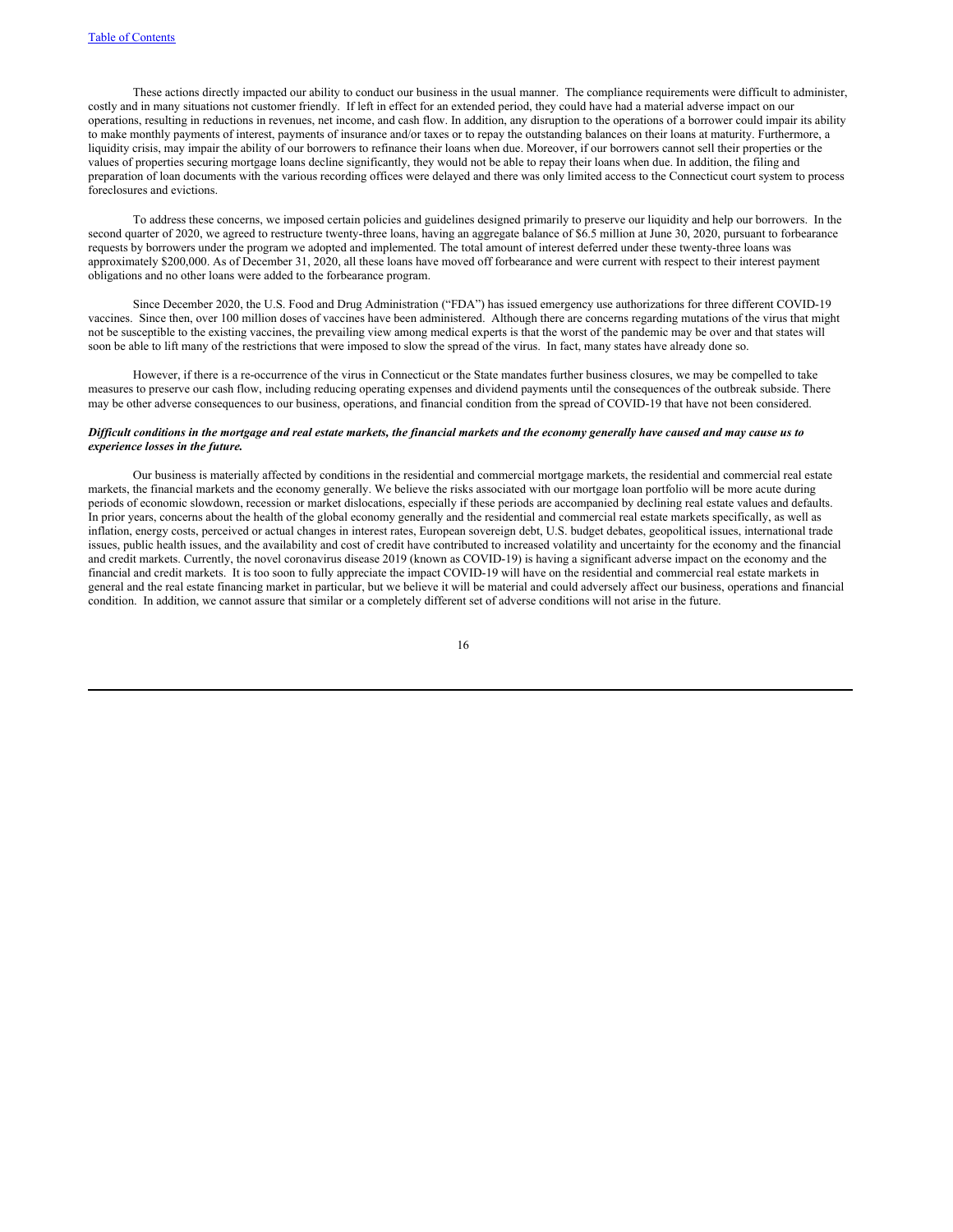These actions directly impacted our ability to conduct our business in the usual manner. The compliance requirements were difficult to administer, costly and in many situations not customer friendly. If left in effect for an extended period, they could have had a material adverse impact on our operations, resulting in reductions in revenues, net income, and cash flow. In addition, any disruption to the operations of a borrower could impair its ability to make monthly payments of interest, payments of insurance and/or taxes or to repay the outstanding balances on their loans at maturity. Furthermore, a liquidity crisis, may impair the ability of our borrowers to refinance their loans when due. Moreover, if our borrowers cannot sell their properties or the values of properties securing mortgage loans decline significantly, they would not be able to repay their loans when due. In addition, the filing and preparation of loan documents with the various recording offices were delayed and there was only limited access to the Connecticut court system to process foreclosures and evictions.

To address these concerns, we imposed certain policies and guidelines designed primarily to preserve our liquidity and help our borrowers. In the second quarter of 2020, we agreed to restructure twenty-three loans, having an aggregate balance of \$6.5 million at June 30, 2020, pursuant to forbearance requests by borrowers under the program we adopted and implemented. The total amount of interest deferred under these twenty-three loans was approximately \$200,000. As of December 31, 2020, all these loans have moved off forbearance and were current with respect to their interest payment obligations and no other loans were added to the forbearance program.

Since December 2020, the U.S. Food and Drug Administration ("FDA") has issued emergency use authorizations for three different COVID-19 vaccines. Since then, over 100 million doses of vaccines have been administered. Although there are concerns regarding mutations of the virus that might not be susceptible to the existing vaccines, the prevailing view among medical experts is that the worst of the pandemic may be over and that states will soon be able to lift many of the restrictions that were imposed to slow the spread of the virus. In fact, many states have already done so.

However, if there is a re-occurrence of the virus in Connecticut or the State mandates further business closures, we may be compelled to take measures to preserve our cash flow, including reducing operating expenses and dividend payments until the consequences of the outbreak subside. There may be other adverse consequences to our business, operations, and financial condition from the spread of COVID-19 that have not been considered.

#### Difficult conditions in the mortgage and real estate markets, the financial markets and the economy generally have caused and may cause us to *experience losses in the future.*

Our business is materially affected by conditions in the residential and commercial mortgage markets, the residential and commercial real estate markets, the financial markets and the economy generally. We believe the risks associated with our mortgage loan portfolio will be more acute during periods of economic slowdown, recession or market dislocations, especially if these periods are accompanied by declining real estate values and defaults. In prior years, concerns about the health of the global economy generally and the residential and commercial real estate markets specifically, as well as inflation, energy costs, perceived or actual changes in interest rates, European sovereign debt, U.S. budget debates, geopolitical issues, international trade issues, public health issues, and the availability and cost of credit have contributed to increased volatility and uncertainty for the economy and the financial and credit markets. Currently, the novel coronavirus disease 2019 (known as COVID-19) is having a significant adverse impact on the economy and the financial and credit markets. It is too soon to fully appreciate the impact COVID-19 will have on the residential and commercial real estate markets in general and the real estate financing market in particular, but we believe it will be material and could adversely affect our business, operations and financial condition. In addition, we cannot assure that similar or a completely different set of adverse conditions will not arise in the future.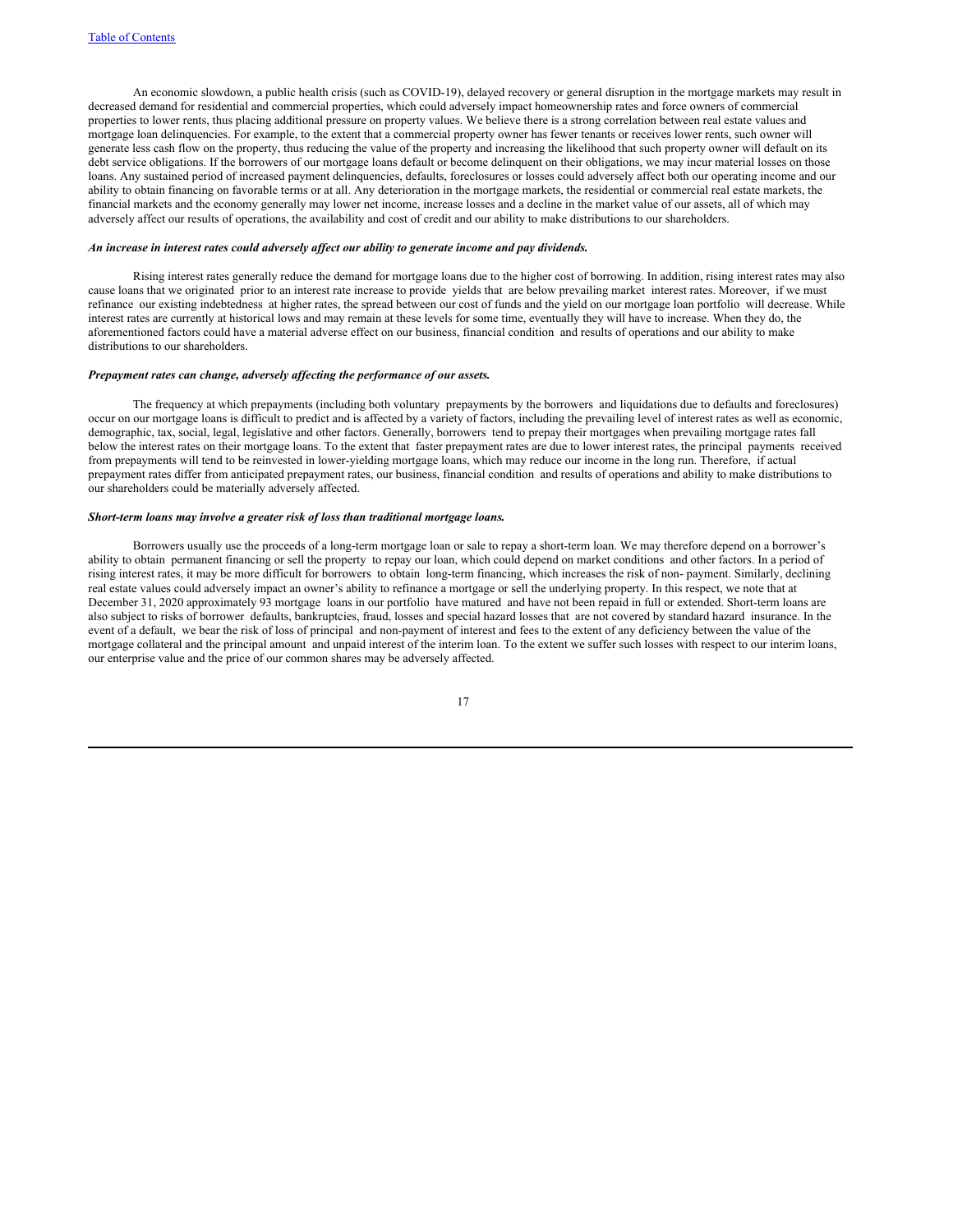An economic slowdown, a public health crisis (such as COVID-19), delayed recovery or general disruption in the mortgage markets may result in decreased demand for residential and commercial properties, which could adversely impact homeownership rates and force owners of commercial properties to lower rents, thus placing additional pressure on property values. We believe there is a strong correlation between real estate values and mortgage loan delinquencies. For example, to the extent that a commercial property owner has fewer tenants or receives lower rents, such owner will generate less cash flow on the property, thus reducing the value of the property and increasing the likelihood that such property owner will default on its debt service obligations. If the borrowers of our mortgage loans default or become delinquent on their obligations, we may incur material losses on those loans. Any sustained period of increased payment delinquencies, defaults, foreclosures or losses could adversely affect both our operating income and our ability to obtain financing on favorable terms or at all. Any deterioration in the mortgage markets, the residential or commercial real estate markets, the financial markets and the economy generally may lower net income, increase losses and a decline in the market value of our assets, all of which may adversely affect our results of operations, the availability and cost of credit and our ability to make distributions to our shareholders.

## *An increase in interest rates could adversely af ect our ability to generate income and pay dividends.*

Rising interest rates generally reduce the demand for mortgage loans due to the higher cost of borrowing. In addition, rising interest rates may also cause loans that we originated prior to an interest rate increase to provide yields that are below prevailing market interest rates. Moreover, if we must refinance our existing indebtedness at higher rates, the spread between our cost of funds and the yield on our mortgage loan portfolio will decrease. While interest rates are currently at historical lows and may remain at these levels for some time, eventually they will have to increase. When they do, the aforementioned factors could have a material adverse effect on our business, financial condition and results of operations and our ability to make distributions to our shareholders.

## *Prepayment rates can change, adversely af ecting the performance of our assets.*

The frequency at which prepayments (including both voluntary prepayments by the borrowers and liquidations due to defaults and foreclosures) occur on our mortgage loans is difficult to predict and is affected by a variety of factors, including the prevailing level of interest rates as well as economic, demographic, tax, social, legal, legislative and other factors. Generally, borrowers tend to prepay their mortgages when prevailing mortgage rates fall below the interest rates on their mortgage loans. To the extent that faster prepayment rates are due to lower interest rates, the principal payments received from prepayments will tend to be reinvested in lower-yielding mortgage loans, which may reduce our income in the long run. Therefore, if actual prepayment rates differ from anticipated prepayment rates, our business, financial condition and results of operations and ability to make distributions to our shareholders could be materially adversely affected.

### *Short-term loans may involve a greater risk of loss than traditional mortgage loans.*

Borrowers usually use the proceeds of a long-term mortgage loan or sale to repay a short-term loan. We may therefore depend on a borrower's ability to obtain permanent financing or sell the property to repay our loan, which could depend on market conditions and other factors. In a period of rising interest rates, it may be more difficult for borrowers to obtain long-term financing, which increases the risk of non- payment. Similarly, declining real estate values could adversely impact an owner's ability to refinance a mortgage or sell the underlying property. In this respect, we note that at December 31, 2020 approximately 93 mortgage loans in our portfolio have matured and have not been repaid in full or extended. Short-term loans are also subject to risks of borrower defaults, bankruptcies, fraud, losses and special hazard losses that are not covered by standard hazard insurance. In the event of a default, we bear the risk of loss of principal and non-payment of interest and fees to the extent of any deficiency between the value of the mortgage collateral and the principal amount and unpaid interest of the interim loan. To the extent we suffer such losses with respect to our interim loans, our enterprise value and the price of our common shares may be adversely affected.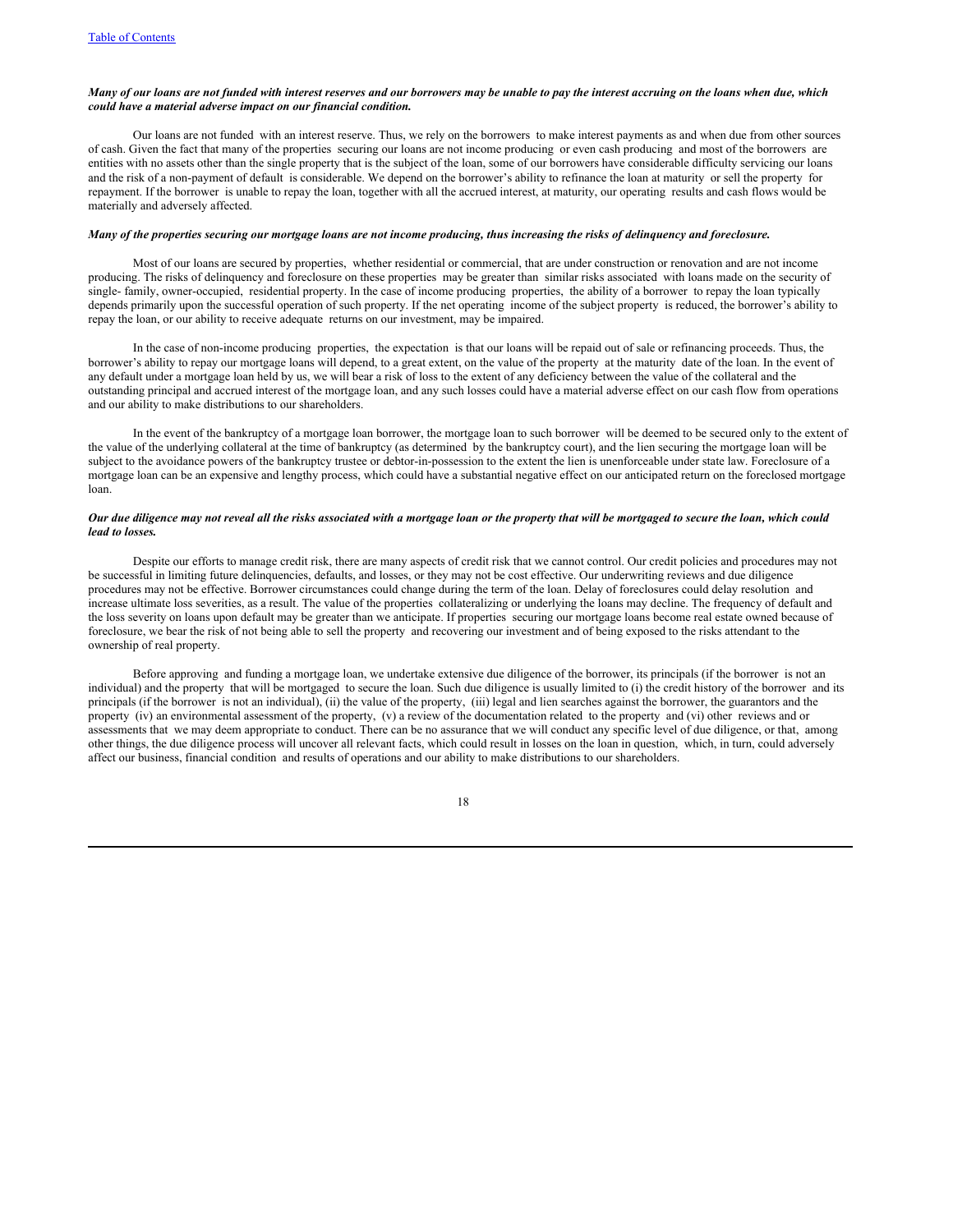#### Many of our loans are not funded with interest reserves and our borrowers may be unable to pay the interest accruing on the loans when due, which *could have a material adverse impact on our financial condition.*

Our loans are not funded with an interest reserve. Thus, we rely on the borrowers to make interest payments as and when due from other sources of cash. Given the fact that many of the properties securing our loans are not income producing or even cash producing and most of the borrowers are entities with no assets other than the single property that is the subject of the loan, some of our borrowers have considerable difficulty servicing our loans and the risk of a non-payment of default is considerable. We depend on the borrower's ability to refinance the loan at maturity or sell the property for repayment. If the borrower is unable to repay the loan, together with all the accrued interest, at maturity, our operating results and cash flows would be materially and adversely affected.

## Many of the properties securing our mortgage loans are not income producing, thus increasing the risks of delinguency and foreclosure.

Most of our loans are secured by properties, whether residential or commercial, that are under construction or renovation and are not income producing. The risks of delinquency and foreclosure on these properties may be greater than similar risks associated with loans made on the security of single-family, owner-occupied, residential property. In the case of income producing properties, the ability of a borrower to repay the loan typically depends primarily upon the successful operation of such property. If the net operating income of the subject property is reduced, the borrower's ability to repay the loan, or our ability to receive adequate returns on our investment, may be impaired.

In the case of non-income producing properties, the expectation is that our loans will be repaid out of sale or refinancing proceeds. Thus, the borrower's ability to repay our mortgage loans will depend, to a great extent, on the value of the property at the maturity date of the loan. In the event of any default under a mortgage loan held by us, we will bear a risk of loss to the extent of any deficiency between the value of the collateral and the outstanding principal and accrued interest of the mortgage loan, and any such losses could have a material adverse effect on our cash flow from operations and our ability to make distributions to our shareholders.

In the event of the bankruptcy of a mortgage loan borrower, the mortgage loan to such borrower will be deemed to be secured only to the extent of the value of the underlying collateral at the time of bankruptcy (as determined by the bankruptcy court), and the lien securing the mortgage loan will be subject to the avoidance powers of the bankruptcy trustee or debtor-in-possession to the extent the lien is unenforceable under state law. Foreclosure of a mortgage loan can be an expensive and lengthy process, which could have a substantial negative effect on our anticipated return on the foreclosed mortgage loan.

## Our due diligence may not reveal all the risks associated with a mortgage loan or the property that will be mortgaged to secure the loan, which could *lead to losses.*

Despite our efforts to manage credit risk, there are many aspects of credit risk that we cannot control. Our credit policies and procedures may not be successful in limiting future delinquencies, defaults, and losses, or they may not be cost effective. Our underwriting reviews and due diligence procedures may not be effective. Borrower circumstances could change during the term of the loan. Delay of foreclosures could delay resolution and increase ultimate loss severities, as a result. The value of the properties collateralizing or underlying the loans may decline. The frequency of default and the loss severity on loans upon default may be greater than we anticipate. If properties securing our mortgage loans become real estate owned because of foreclosure, we bear the risk of not being able to sell the property and recovering our investment and of being exposed to the risks attendant to the ownership of real property.

Before approving and funding a mortgage loan, we undertake extensive due diligence of the borrower, its principals (if the borrower is not an individual) and the property that will be mortgaged to secure the loan. Such due diligence is usually limited to (i) the credit history of the borrower and its principals (if the borrower is not an individual), (ii) the value of the property, (iii) legal and lien searches against the borrower, the guarantors and the property (iv) an environmental assessment of the property, (v) a review of the documentation related to the property and (vi) other reviews and or assessments that we may deem appropriate to conduct. There can be no assurance that we will conduct any specific level of due diligence, or that, among other things, the due diligence process will uncover all relevant facts, which could result in losses on the loan in question, which, in turn, could adversely affect our business, financial condition and results of operations and our ability to make distributions to our shareholders.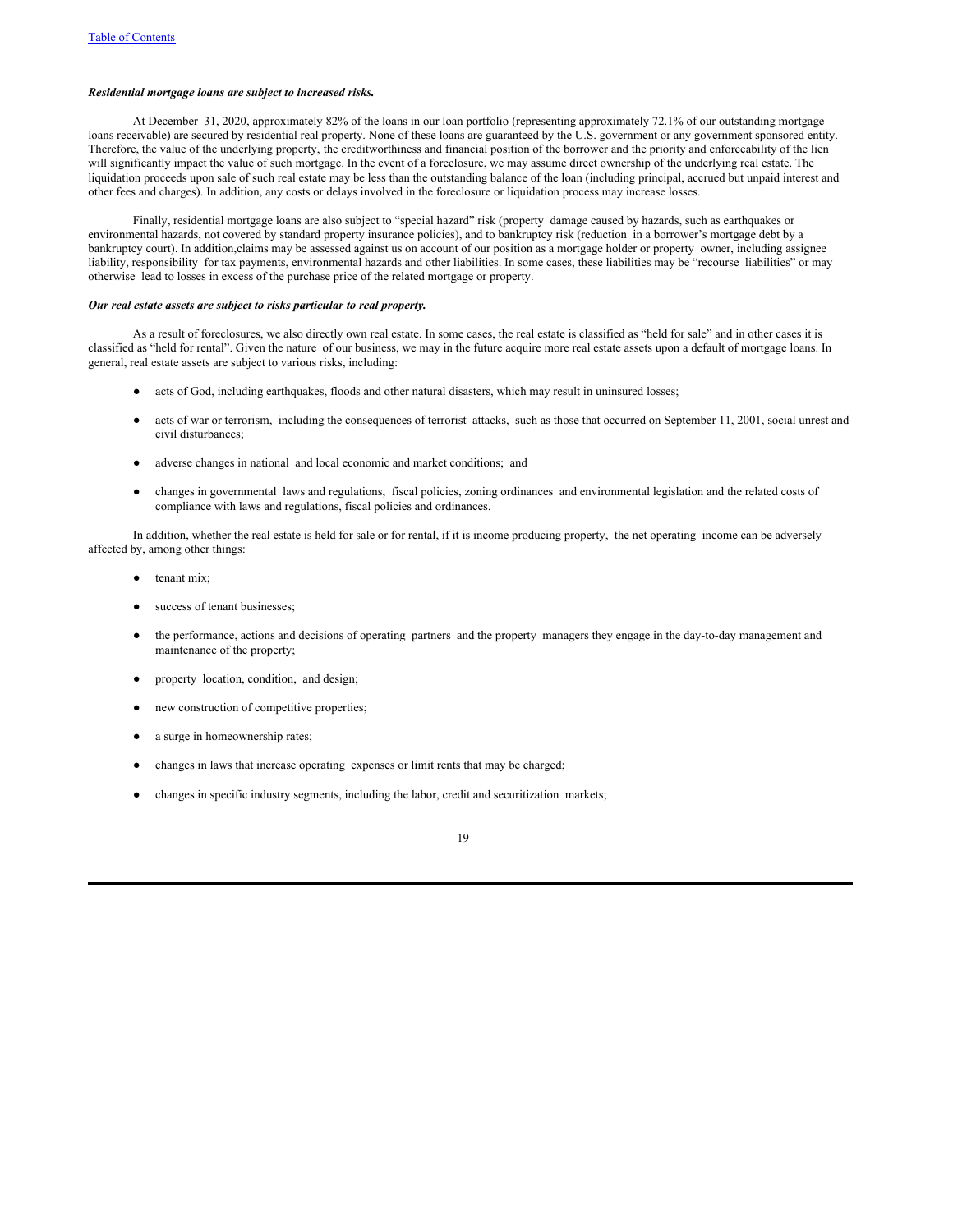## *Residential mortgage loans are subject to increased risks.*

At December 31, 2020, approximately 82% of the loans in our loan portfolio (representing approximately 72.1% of our outstanding mortgage loans receivable) are secured by residential real property. None of these loans are guaranteed by the U.S. government or any government sponsored entity. Therefore, the value of the underlying property, the creditworthiness and financial position of the borrower and the priority and enforceability of the lien will significantly impact the value of such mortgage. In the event of a foreclosure, we may assume direct ownership of the underlying real estate. The liquidation proceeds upon sale of such real estate may be less than the outstanding balance of the loan (including principal, accrued but unpaid interest and other fees and charges). In addition, any costs or delays involved in the foreclosure or liquidation process may increase losses.

Finally, residential mortgage loans are also subject to "special hazard" risk (property damage caused by hazards, such as earthquakes or environmental hazards, not covered by standard property insurance policies), and to bankruptcy risk (reduction in a borrower's mortgage debt by a bankruptcy court). In addition,claims may be assessed against us on account of our position as a mortgage holder or property owner, including assignee liability, responsibility for tax payments, environmental hazards and other liabilities. In some cases, these liabilities may be "recourse liabilities" or may otherwise lead to losses in excess of the purchase price of the related mortgage or property.

### *Our real estate assets are subject to risks particular to real property.*

As a result of foreclosures, we also directly own real estate. In some cases, the real estate is classified as "held for sale" and in other cases it is classified as "held for rental". Given the nature of our business, we may in the future acquire more real estate assets upon a default of mortgage loans. In general, real estate assets are subject to various risks, including:

- acts of God, including earthquakes, floods and other natural disasters, which may result in uninsured losses;
- acts of war or terrorism, including the consequences of terrorist attacks, such as those that occurred on September 11, 2001, social unrest and civil disturbances;
- adverse changes in national and local economic and market conditions; and
- changes in governmental laws and regulations, fiscal policies, zoning ordinances and environmental legislation and the related costs of compliance with laws and regulations, fiscal policies and ordinances.

In addition, whether the real estate is held for sale or for rental, if it is income producing property, the net operating income can be adversely affected by, among other things:

- tenant mix;
- success of tenant businesses;
- the performance, actions and decisions of operating partners and the property managers they engage in the day-to-day management and maintenance of the property;
- property location, condition, and design;
- new construction of competitive properties;
- a surge in homeownership rates;
- changes in laws that increase operating expenses or limit rents that may be charged;
- changes in specific industry segments, including the labor, credit and securitization markets;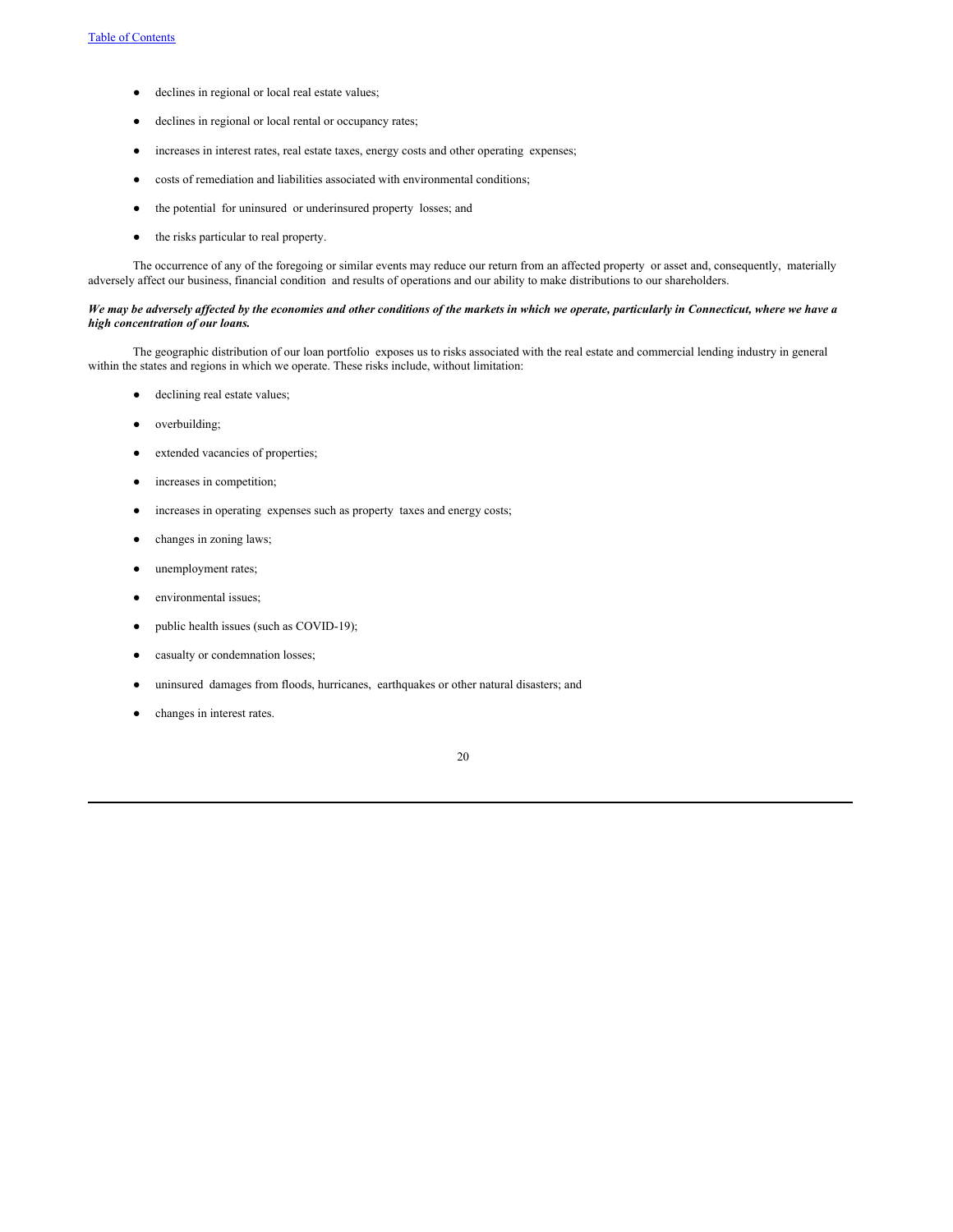- declines in regional or local real estate values;
- declines in regional or local rental or occupancy rates;
- increases in interest rates, real estate taxes, energy costs and other operating expenses;
- costs of remediation and liabilities associated with environmental conditions;
- the potential for uninsured or underinsured property losses; and
- the risks particular to real property.

The occurrence of any of the foregoing or similar events may reduce our return from an affected property or asset and, consequently, materially adversely affect our business, financial condition and results of operations and our ability to make distributions to our shareholders.

## We may be adversely affected by the economies and other conditions of the markets in which we operate, particularly in Connecticut, where we have a *high concentration of our loans.*

The geographic distribution of our loan portfolio exposes us to risks associated with the real estate and commercial lending industry in general within the states and regions in which we operate. These risks include, without limitation:

- declining real estate values;
- overbuilding;
- extended vacancies of properties;
- increases in competition;
- increases in operating expenses such as property taxes and energy costs;
- changes in zoning laws;
- unemployment rates;
- environmental issues;
- public health issues (such as COVID-19);
- casualty or condemnation losses;
- uninsured damages from floods, hurricanes, earthquakes or other natural disasters; and
- changes in interest rates.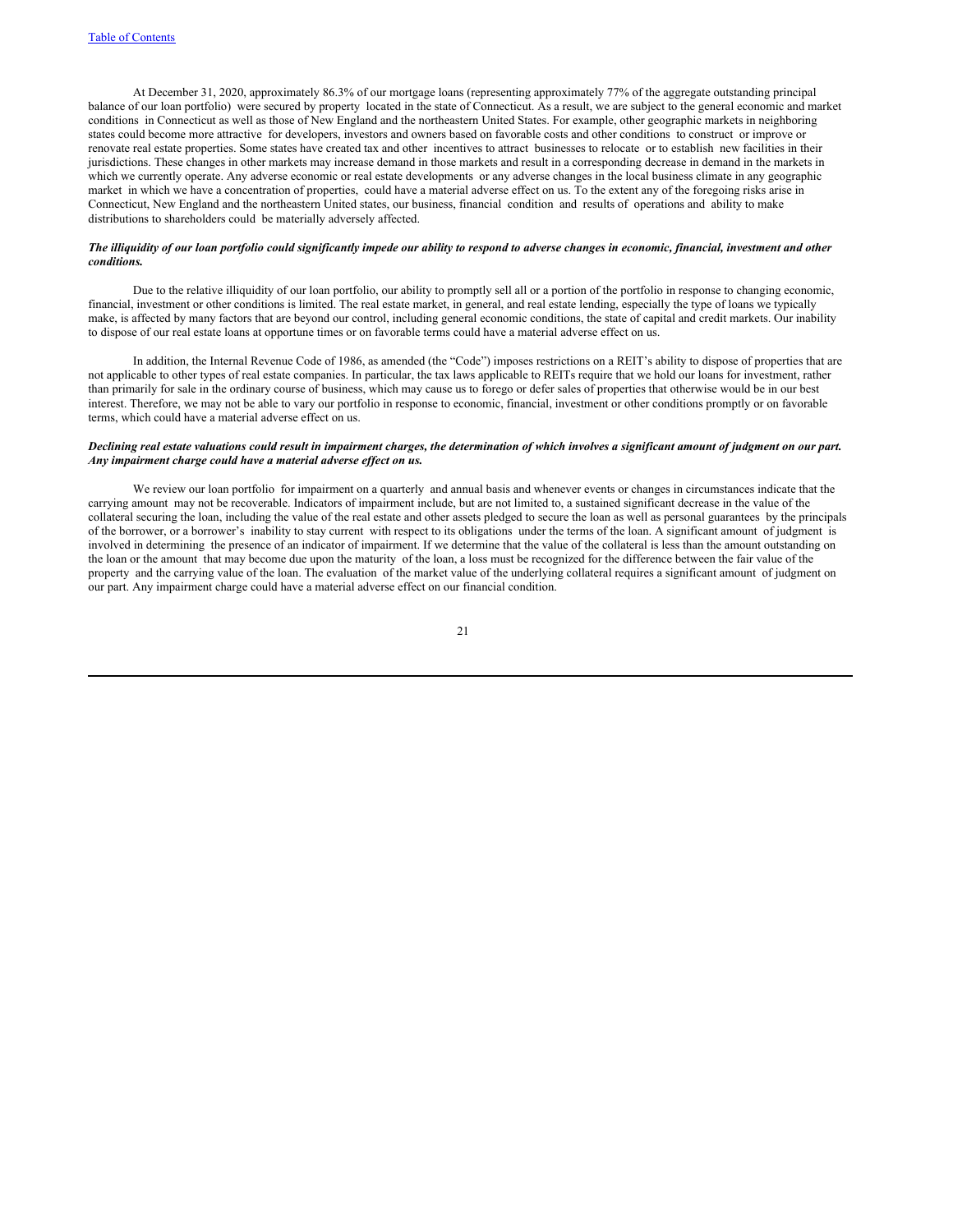At December 31, 2020, approximately 86.3% of our mortgage loans (representing approximately 77% of the aggregate outstanding principal balance of our loan portfolio) were secured by property located in the state of Connecticut. As a result, we are subject to the general economic and market conditions in Connecticut as well as those of New England and the northeastern United States. For example, other geographic markets in neighboring states could become more attractive for developers, investors and owners based on favorable costs and other conditions to construct or improve or renovate real estate properties. Some states have created tax and other incentives to attract businesses to relocate or to establish new facilities in their jurisdictions. These changes in other markets may increase demand in those markets and result in a corresponding decrease in demand in the markets in which we currently operate. Any adverse economic or real estate developments or any adverse changes in the local business climate in any geographic market in which we have a concentration of properties, could have a material adverse effect on us. To the extent any of the foregoing risks arise in Connecticut, New England and the northeastern United states, our business, financial condition and results of operations and ability to make distributions to shareholders could be materially adversely affected.

## The illiquidity of our loan portfolio could significantly impede our ability to respond to adverse changes in economic, financial, investment and other *conditions.*

Due to the relative illiquidity of our loan portfolio, our ability to promptly sell all or a portion of the portfolio in response to changing economic, financial, investment or other conditions is limited. The real estate market, in general, and real estate lending, especially the type of loans we typically make, is affected by many factors that are beyond our control, including general economic conditions, the state of capital and credit markets. Our inability to dispose of our real estate loans at opportune times or on favorable terms could have a material adverse effect on us.

In addition, the Internal Revenue Code of 1986, as amended (the "Code") imposes restrictions on a REIT's ability to dispose of properties that are not applicable to other types of real estate companies. In particular, the tax laws applicable to REITs require that we hold our loans for investment, rather than primarily for sale in the ordinary course of business, which may cause us to forego or defer sales of properties that otherwise would be in our best interest. Therefore, we may not be able to vary our portfolio in response to economic, financial, investment or other conditions promptly or on favorable terms, which could have a material adverse effect on us.

#### Declining real estate valuations could result in impairment charges, the determination of which involves a significant amount of judgment on our part. *Any impairment charge could have a material adverse ef ect on us.*

We review our loan portfolio for impairment on a quarterly and annual basis and whenever events or changes in circumstances indicate that the carrying amount may not be recoverable. Indicators of impairment include, but are not limited to, a sustained significant decrease in the value of the collateral securing the loan, including the value of the real estate and other assets pledged to secure the loan as well as personal guarantees by the principals of the borrower, or a borrower's inability to stay current with respect to its obligations under the terms of the loan. A significant amount of judgment is involved in determining the presence of an indicator of impairment. If we determine that the value of the collateral is less than the amount outstanding on the loan or the amount that may become due upon the maturity of the loan, a loss must be recognized for the difference between the fair value of the property and the carrying value of the loan. The evaluation of the market value of the underlying collateral requires a significant amount of judgment on our part. Any impairment charge could have a material adverse effect on our financial condition.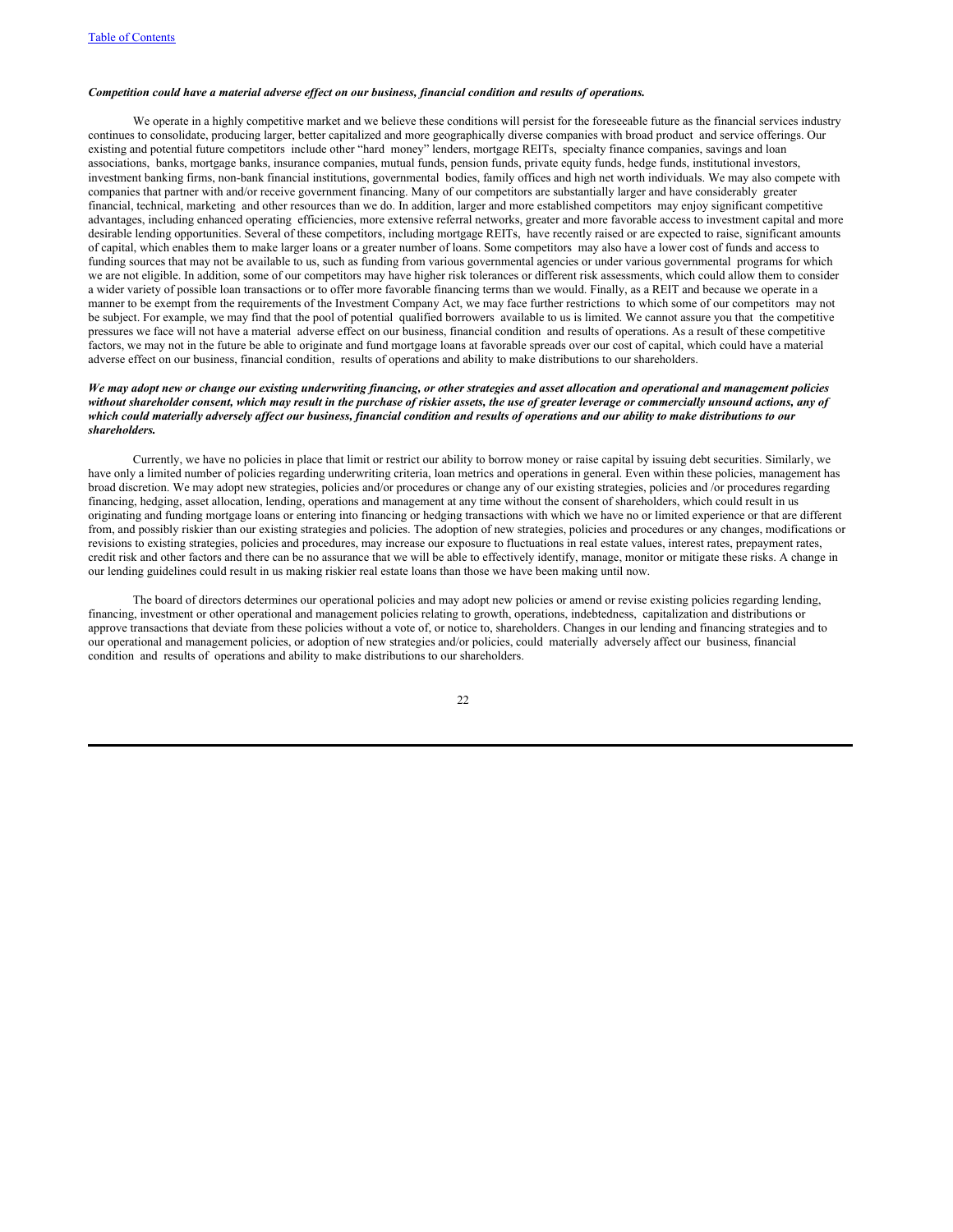## Competition could have a material adverse effect on our business, financial condition and results of operations.

We operate in a highly competitive market and we believe these conditions will persist for the foreseeable future as the financial services industry continues to consolidate, producing larger, better capitalized and more geographically diverse companies with broad product and service offerings. Our existing and potential future competitors include other "hard money" lenders, mortgage REITs, specialty finance companies, savings and loan associations, banks, mortgage banks, insurance companies, mutual funds, pension funds, private equity funds, hedge funds, institutional investors, investment banking firms, non-bank financial institutions, governmental bodies, family offices and high net worth individuals. We may also compete with companies that partner with and/or receive government financing. Many of our competitors are substantially larger and have considerably greater financial, technical, marketing and other resources than we do. In addition, larger and more established competitors may enjoy significant competitive advantages, including enhanced operating efficiencies, more extensive referral networks, greater and more favorable access to investment capital and more desirable lending opportunities. Several of these competitors, including mortgage REITs, have recently raised or are expected to raise, significant amounts of capital, which enables them to make larger loans or a greater number of loans. Some competitors may also have a lower cost of funds and access to funding sources that may not be available to us, such as funding from various governmental agencies or under various governmental programs for which we are not eligible. In addition, some of our competitors may have higher risk tolerances or different risk assessments, which could allow them to consider a wider variety of possible loan transactions or to offer more favorable financing terms than we would. Finally, as a REIT and because we operate in a manner to be exempt from the requirements of the Investment Company Act, we may face further restrictions to which some of our competitors may not be subject. For example, we may find that the pool of potential qualified borrowers available to us is limited. We cannot assure you that the competitive pressures we face will not have a material adverse effect on our business, financial condition and results of operations. As a result of these competitive factors, we may not in the future be able to originate and fund mortgage loans at favorable spreads over our cost of capital, which could have a material adverse effect on our business, financial condition, results of operations and ability to make distributions to our shareholders.

### We may adopt new or change our existing underwriting financing, or other strategies and asset allocation and operational and management policies without shareholder consent, which may result in the purchase of riskier assets, the use of greater leverage or commercially unsound actions, any of which could materially adversely affect our business, financial condition and results of operations and our ability to make distributions to our *shareholders.*

Currently, we have no policies in place that limit or restrict our ability to borrow money or raise capital by issuing debt securities. Similarly, we have only a limited number of policies regarding underwriting criteria, loan metrics and operations in general. Even within these policies, management has broad discretion. We may adopt new strategies, policies and/or procedures or change any of our existing strategies, policies and /or procedures regarding financing, hedging, asset allocation, lending, operations and management at any time without the consent of shareholders, which could result in us originating and funding mortgage loans or entering into financing or hedging transactions with which we have no or limited experience or that are different from, and possibly riskier than our existing strategies and policies. The adoption of new strategies, policies and procedures or any changes, modifications or revisions to existing strategies, policies and procedures, may increase our exposure to fluctuations in real estate values, interest rates, prepayment rates, credit risk and other factors and there can be no assurance that we will be able to effectively identify, manage, monitor or mitigate these risks. A change in our lending guidelines could result in us making riskier real estate loans than those we have been making until now.

The board of directors determines our operational policies and may adopt new policies or amend or revise existing policies regarding lending, financing, investment or other operational and management policies relating to growth, operations, indebtedness, capitalization and distributions or approve transactions that deviate from these policies without a vote of, or notice to, shareholders. Changes in our lending and financing strategies and to our operational and management policies, or adoption of new strategies and/or policies, could materially adversely affect our business, financial condition and results of operations and ability to make distributions to our shareholders.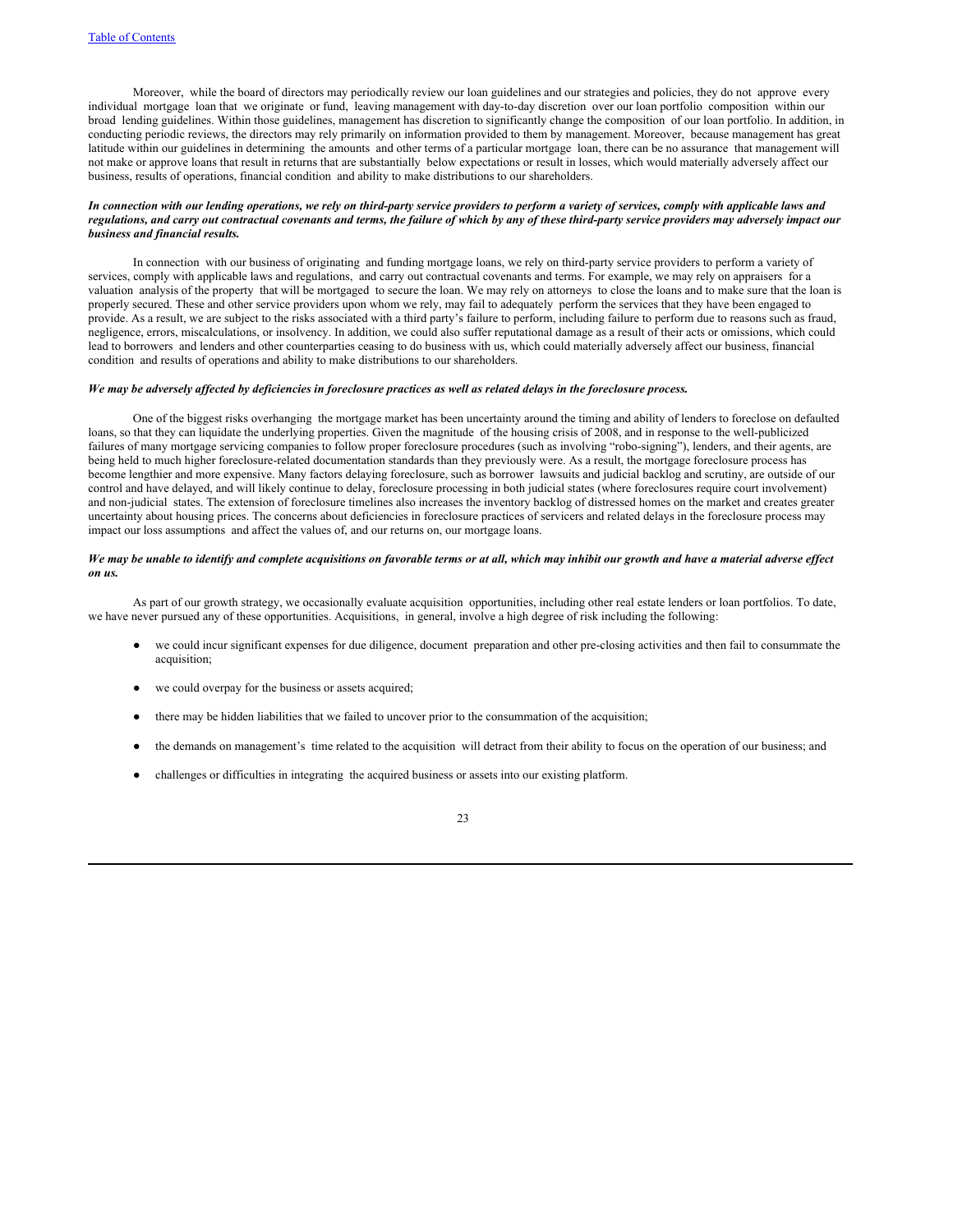Moreover, while the board of directors may periodically review our loan guidelines and our strategies and policies, they do not approve every individual mortgage loan that we originate or fund, leaving management with day-to-day discretion over our loan portfolio composition within our broad lending guidelines. Within those guidelines, management has discretion to significantly change the composition of our loan portfolio. In addition, in conducting periodic reviews, the directors may rely primarily on information provided to them by management. Moreover, because management has great latitude within our guidelines in determining the amounts and other terms of a particular mortgage loan, there can be no assurance that management will not make or approve loans that result in returns that are substantially below expectations or result in losses, which would materially adversely affect our business, results of operations, financial condition and ability to make distributions to our shareholders.

### In connection with our lending operations, we rely on third-party service providers to perform a variety of services, comply with applicable laws and regulations, and carry out contractual covenants and terms, the failure of which by any of these third-party service providers may adversely impact our *business and financial results.*

In connection with our business of originating and funding mortgage loans, we rely on third-party service providers to perform a variety of services, comply with applicable laws and regulations, and carry out contractual covenants and terms. For example, we may rely on appraisers for a valuation analysis of the property that will be mortgaged to secure the loan. We may rely on attorneys to close the loans and to make sure that the loan is properly secured. These and other service providers upon whom we rely, may fail to adequately perform the services that they have been engaged to provide. As a result, we are subject to the risks associated with a third party's failure to perform, including failure to perform due to reasons such as fraud, negligence, errors, miscalculations, or insolvency. In addition, we could also suffer reputational damage as a result of their acts or omissions, which could lead to borrowers and lenders and other counterparties ceasing to do business with us, which could materially adversely affect our business, financial condition and results of operations and ability to make distributions to our shareholders.

#### We may be adversely affected by deficiencies in foreclosure practices as well as related delays in the foreclosure process.

One of the biggest risks overhanging the mortgage market has been uncertainty around the timing and ability of lenders to foreclose on defaulted loans, so that they can liquidate the underlying properties. Given the magnitude of the housing crisis of 2008, and in response to the well-publicized failures of many mortgage servicing companies to follow proper foreclosure procedures (such as involving "robo-signing"), lenders, and their agents, are being held to much higher foreclosure-related documentation standards than they previously were. As a result, the mortgage foreclosure process has become lengthier and more expensive. Many factors delaying foreclosure, such as borrower lawsuits and judicial backlog and scrutiny, are outside of our control and have delayed, and will likely continue to delay, foreclosure processing in both judicial states (where foreclosures require court involvement) and non-judicial states. The extension of foreclosure timelines also increases the inventory backlog of distressed homes on the market and creates greater uncertainty about housing prices. The concerns about deficiencies in foreclosure practices of servicers and related delays in the foreclosure process may impact our loss assumptions and affect the values of, and our returns on, our mortgage loans.

### We may be unable to identify and complete acquisitions on favorable terms or at all, which may inhibit our growth and have a material adverse effect *on us.*

As part of our growth strategy, we occasionally evaluate acquisition opportunities, including other real estate lenders or loan portfolios. To date, we have never pursued any of these opportunities. Acquisitions, in general, involve a high degree of risk including the following:

- we could incur significant expenses for due diligence, document preparation and other pre-closing activities and then fail to consummate the acquisition;
- we could overpay for the business or assets acquired;
- there may be hidden liabilities that we failed to uncover prior to the consummation of the acquisition;
- the demands on management's time related to the acquisition will detract from their ability to focus on the operation of our business; and
- challenges or difficulties in integrating the acquired business or assets into our existing platform.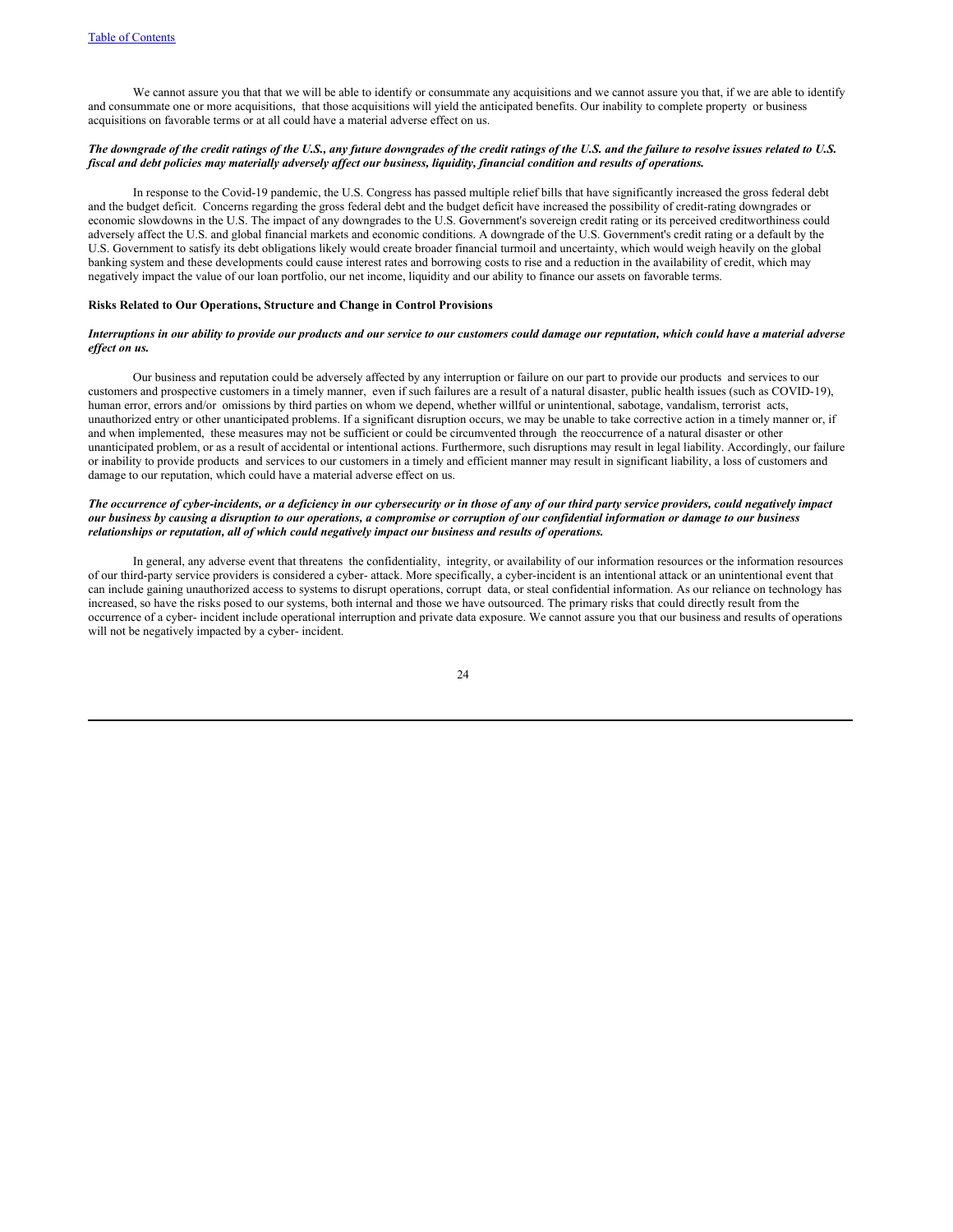We cannot assure you that that we will be able to identify or consummate any acquisitions and we cannot assure you that, if we are able to identify and consummate one or more acquisitions, that those acquisitions will yield the anticipated benefits. Our inability to complete property or business acquisitions on favorable terms or at all could have a material adverse effect on us.

## The downgrade of the credit ratings of the U.S., any future downgrades of the credit ratings of the U.S. and the failure to resolve issues related to U.S. fiscal and debt policies may materially adversely affect our business, liquidity, financial condition and results of operations.

In response to the Covid-19 pandemic, the U.S. Congress has passed multiple relief bills that have significantly increased the gross federal debt and the budget deficit. Concerns regarding the gross federal debt and the budget deficit have increased the possibility of credit-rating downgrades or economic slowdowns in the U.S. The impact of any downgrades to the U.S. Government's sovereign credit rating or its perceived creditworthiness could adversely affect the U.S. and global financial markets and economic conditions. A downgrade of the U.S. Government's credit rating or a default by the U.S. Government to satisfy its debt obligations likely would create broader financial turmoil and uncertainty, which would weigh heavily on the global banking system and these developments could cause interest rates and borrowing costs to rise and a reduction in the availability of credit, which may negatively impact the value of our loan portfolio, our net income, liquidity and our ability to finance our assets on favorable terms.

## **Risks Related to Our Operations, Structure and Change in Control Provisions**

#### Interruptions in our ability to provide our products and our service to our customers could damage our reputation, which could have a material adverse *ef ect on us.*

Our business and reputation could be adversely affected by any interruption or failure on our part to provide our products and services to our customers and prospective customers in a timely manner, even if such failures are a result of a natural disaster, public health issues (such as COVID-19), human error, errors and/or omissions by third parties on whom we depend, whether willful or unintentional, sabotage, vandalism, terrorist acts, unauthorized entry or other unanticipated problems. If a significant disruption occurs, we may be unable to take corrective action in a timely manner or, if and when implemented, these measures may not be sufficient or could be circumvented through the reoccurrence of a natural disaster or other unanticipated problem, or as a result of accidental or intentional actions. Furthermore, such disruptions may result in legal liability. Accordingly, our failure or inability to provide products and services to our customers in a timely and efficient manner may result in significant liability, a loss of customers and damage to our reputation, which could have a material adverse effect on us.

### The occurrence of cyber-incidents, or a deficiency in our cybersecurity or in those of any of our third party service providers, could negatively impact our business by causing a disruption to our operations, a compromise or corruption of our confidential information or damage to our business *relationships or reputation, all of which could negatively impact our business and results of operations.*

In general, any adverse event that threatens the confidentiality, integrity, or availability of our information resources or the information resources of our third-party service providers is considered a cyber- attack. More specifically, a cyber-incident is an intentional attack or an unintentional event that can include gaining unauthorized access to systems to disrupt operations, corrupt data, or steal confidential information. As our reliance on technology has increased, so have the risks posed to our systems, both internal and those we have outsourced. The primary risks that could directly result from the occurrence of a cyber- incident include operational interruption and private data exposure. We cannot assure you that our business and results of operations will not be negatively impacted by a cyber- incident.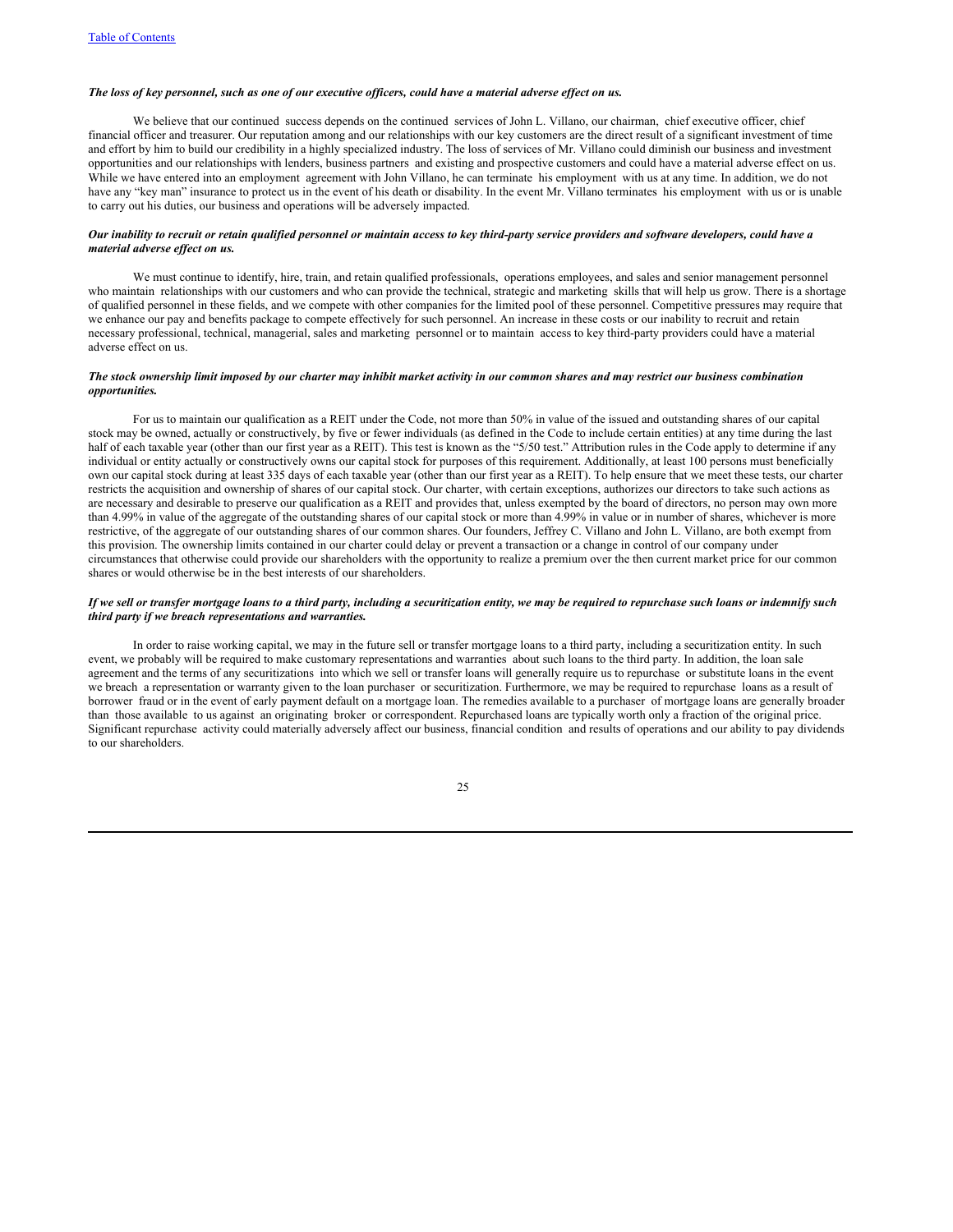#### The loss of key personnel, such as one of our executive officers, could have a material adverse effect on us.

We believe that our continued success depends on the continued services of John L. Villano, our chairman, chief executive officer, chief financial officer and treasurer. Our reputation among and our relationships with our key customers are the direct result of a significant investment of time and effort by him to build our credibility in a highly specialized industry. The loss of services of Mr. Villano could diminish our business and investment opportunities and our relationships with lenders, business partners and existing and prospective customers and could have a material adverse effect on us. While we have entered into an employment agreement with John Villano, he can terminate his employment with us at any time. In addition, we do not have any "key man" insurance to protect us in the event of his death or disability. In the event Mr. Villano terminates his employment with us or is unable to carry out his duties, our business and operations will be adversely impacted.

## Our inability to recruit or retain qualified personnel or maintain access to key third-party service providers and software developers, could have a *material adverse ef ect on us.*

We must continue to identify, hire, train, and retain qualified professionals, operations employees, and sales and senior management personnel who maintain relationships with our customers and who can provide the technical, strategic and marketing skills that will help us grow. There is a shortage of qualified personnel in these fields, and we compete with other companies for the limited pool of these personnel. Competitive pressures may require that we enhance our pay and benefits package to compete effectively for such personnel. An increase in these costs or our inability to recruit and retain necessary professional, technical, managerial, sales and marketing personnel or to maintain access to key third-party providers could have a material adverse effect on us.

#### The stock ownership limit imposed by our charter may inhibit market activity in our common shares and may restrict our business combination *opportunities.*

For us to maintain our qualification as a REIT under the Code, not more than 50% in value of the issued and outstanding shares of our capital stock may be owned, actually or constructively, by five or fewer individuals (as defined in the Code to include certain entities) at any time during the last half of each taxable year (other than our first year as a REIT). This test is known as the "5/50 test." Attribution rules in the Code apply to determine if any individual or entity actually or constructively owns our capital stock for purposes of this requirement. Additionally, at least 100 persons must beneficially own our capital stock during at least 335 days of each taxable year (other than our first year as a REIT). To help ensure that we meet these tests, our charter restricts the acquisition and ownership of shares of our capital stock. Our charter, with certain exceptions, authorizes our directors to take such actions as are necessary and desirable to preserve our qualification as a REIT and provides that, unless exempted by the board of directors, no person may own more than 4.99% in value of the aggregate of the outstanding shares of our capital stock or more than 4.99% in value or in number of shares, whichever is more restrictive, of the aggregate of our outstanding shares of our common shares. Our founders, Jeffrey C. Villano and John L. Villano, are both exempt from this provision. The ownership limits contained in our charter could delay or prevent a transaction or a change in control of our company under circumstances that otherwise could provide our shareholders with the opportunity to realize a premium over the then current market price for our common shares or would otherwise be in the best interests of our shareholders.

#### If we sell or transfer mortgage loans to a third party, including a securitization entity, we may be required to repurchase such loans or indemnify such *third party if we breach representations and warranties.*

In order to raise working capital, we may in the future sell or transfer mortgage loans to a third party, including a securitization entity. In such event, we probably will be required to make customary representations and warranties about such loans to the third party. In addition, the loan sale agreement and the terms of any securitizations into which we sell or transfer loans will generally require us to repurchase or substitute loans in the event we breach a representation or warranty given to the loan purchaser or securitization. Furthermore, we may be required to repurchase loans as a result of borrower fraud or in the event of early payment default on a mortgage loan. The remedies available to a purchaser of mortgage loans are generally broader than those available to us against an originating broker or correspondent. Repurchased loans are typically worth only a fraction of the original price. Significant repurchase activity could materially adversely affect our business, financial condition and results of operations and our ability to pay dividends to our shareholders.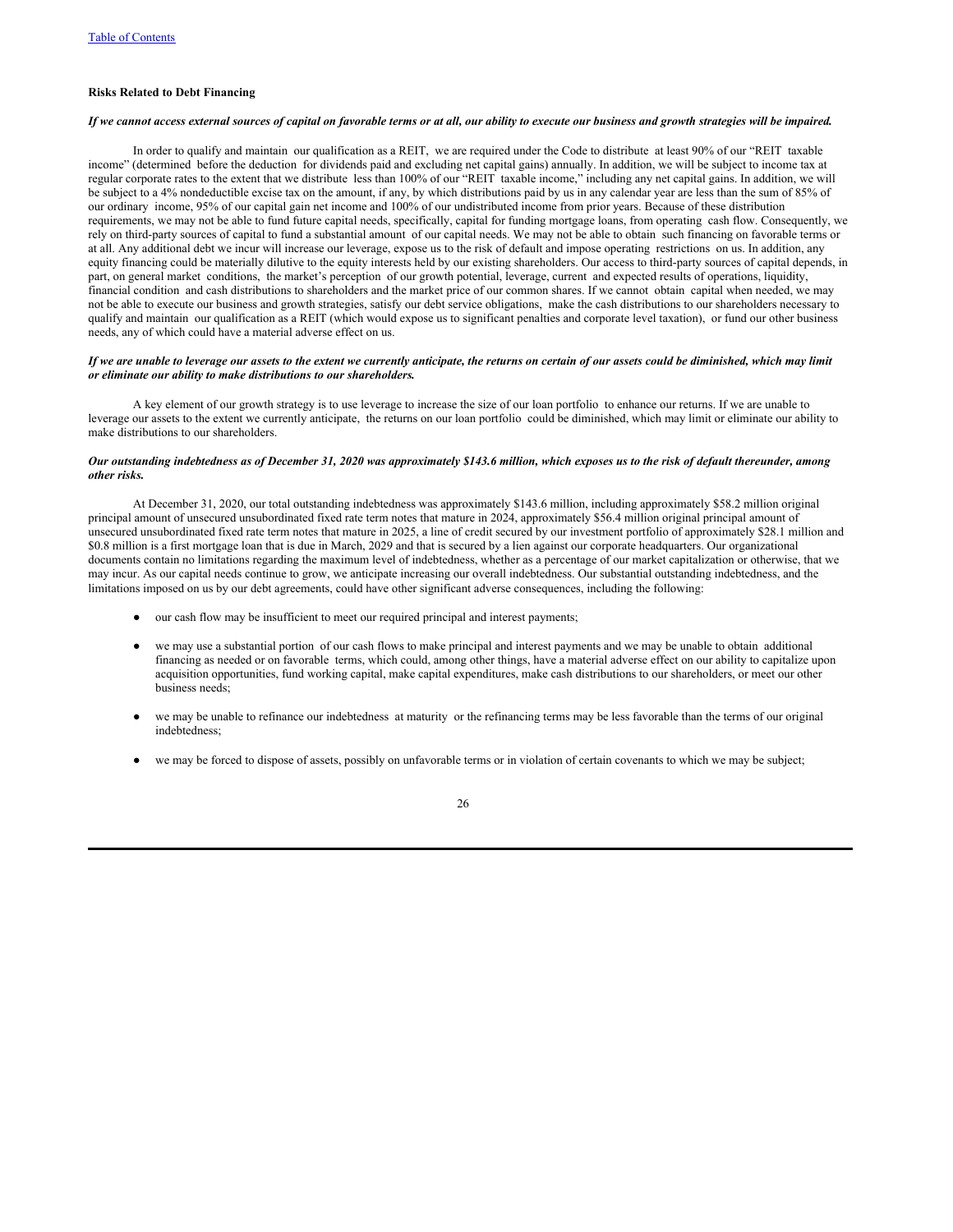## **Risks Related to Debt Financing**

#### If we cannot access external sources of capital on favorable terms or at all, our ability to execute our business and growth strategies will be impaired.

In order to qualify and maintain our qualification as a REIT, we are required under the Code to distribute at least 90% of our "REIT taxable income" (determined before the deduction for dividends paid and excluding net capital gains) annually. In addition, we will be subject to income tax at regular corporate rates to the extent that we distribute less than 100% of our "REIT taxable income," including any net capital gains. In addition, we will be subject to a 4% nondeductible excise tax on the amount, if any, by which distributions paid by us in any calendar year are less than the sum of 85% of our ordinary income, 95% of our capital gain net income and 100% of our undistributed income from prior years. Because of these distribution requirements, we may not be able to fund future capital needs, specifically, capital for funding mortgage loans, from operating cash flow. Consequently, we rely on third-party sources of capital to fund a substantial amount of our capital needs. We may not be able to obtain such financing on favorable terms or at all. Any additional debt we incur will increase our leverage, expose us to the risk of default and impose operating restrictions on us. In addition, any equity financing could be materially dilutive to the equity interests held by our existing shareholders. Our access to third-party sources of capital depends, in part, on general market conditions, the market's perception of our growth potential, leverage, current and expected results of operations, liquidity, financial condition and cash distributions to shareholders and the market price of our common shares. If we cannot obtain capital when needed, we may not be able to execute our business and growth strategies, satisfy our debt service obligations, make the cash distributions to our shareholders necessary to qualify and maintain our qualification as a REIT (which would expose us to significant penalties and corporate level taxation), or fund our other business needs, any of which could have a material adverse effect on us.

#### If we are unable to leverage our assets to the extent we currently anticipate, the returns on certain of our assets could be diminished, which may limit *or eliminate our ability to make distributions to our shareholders.*

A key element of our growth strategy is to use leverage to increase the size of our loan portfolio to enhance our returns. If we are unable to leverage our assets to the extent we currently anticipate, the returns on our loan portfolio could be diminished, which may limit or eliminate our ability to make distributions to our shareholders.

## Our outstanding indebtedness as of December 31, 2020 was approximately \$143.6 million, which exposes us to the risk of default thereunder, among *other risks.*

At December 31, 2020, our total outstanding indebtedness was approximately \$143.6 million, including approximately \$58.2 million original principal amount of unsecured unsubordinated fixed rate term notes that mature in 2024, approximately \$56.4 million original principal amount of unsecured unsubordinated fixed rate term notes that mature in 2025, a line of credit secured by our investment portfolio of approximately \$28.1 million and \$0.8 million is a first mortgage loan that is due in March, 2029 and that is secured by a lien against our corporate headquarters. Our organizational documents contain no limitations regarding the maximum level of indebtedness, whether as a percentage of our market capitalization or otherwise, that we may incur. As our capital needs continue to grow, we anticipate increasing our overall indebtedness. Our substantial outstanding indebtedness, and the limitations imposed on us by our debt agreements, could have other significant adverse consequences, including the following:

- our cash flow may be insufficient to meet our required principal and interest payments;
- we may use a substantial portion of our cash flows to make principal and interest payments and we may be unable to obtain additional financing as needed or on favorable terms, which could, among other things, have a material adverse effect on our ability to capitalize upon acquisition opportunities, fund working capital, make capital expenditures, make cash distributions to our shareholders, or meet our other business needs;
- we may be unable to refinance our indebtedness at maturity or the refinancing terms may be less favorable than the terms of our original indebtedness;
- we may be forced to dispose of assets, possibly on unfavorable terms or in violation of certain covenants to which we may be subject;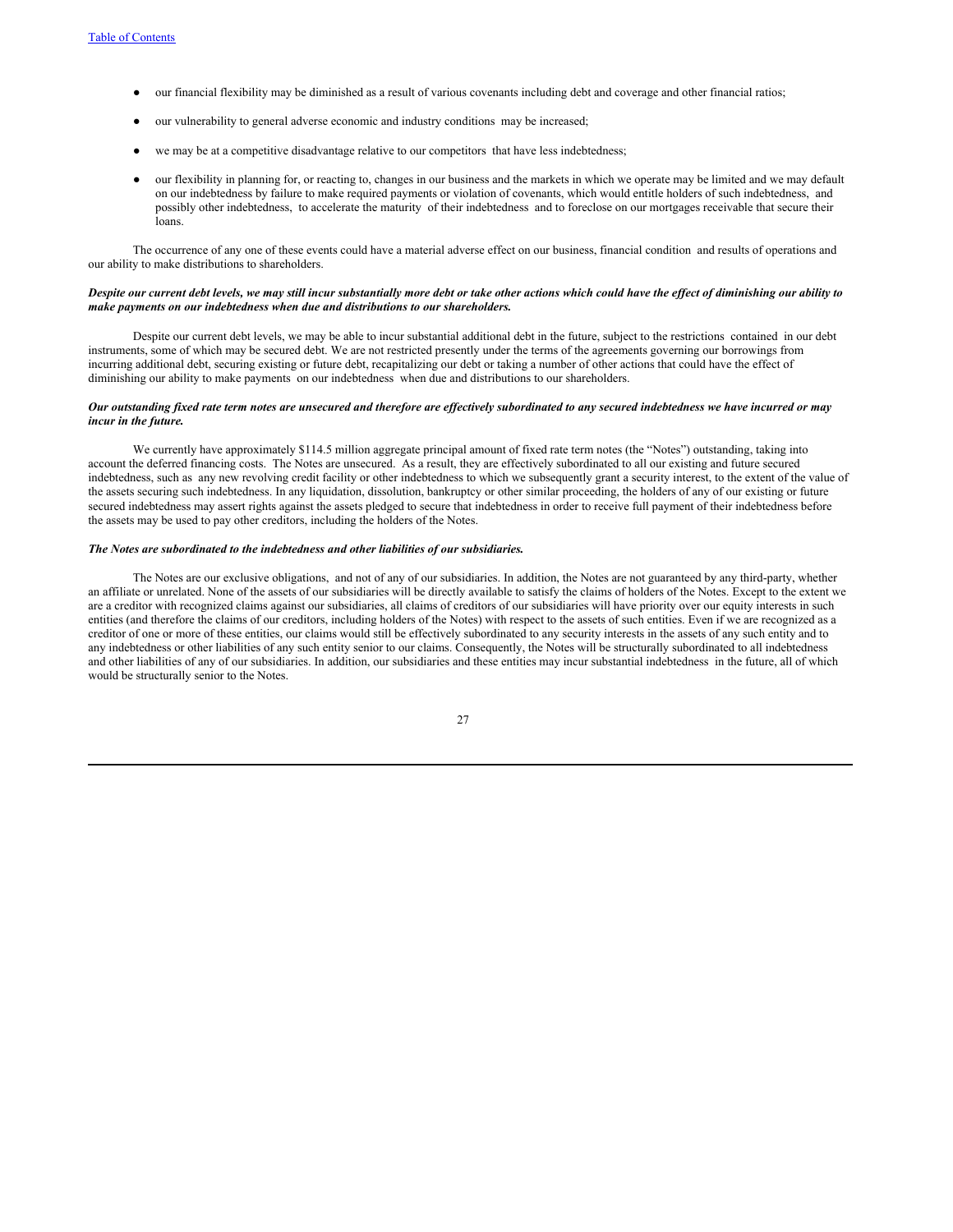- our financial flexibility may be diminished as a result of various covenants including debt and coverage and other financial ratios;
- our vulnerability to general adverse economic and industry conditions may be increased;
- we may be at a competitive disadvantage relative to our competitors that have less indebtedness;
- our flexibility in planning for, or reacting to, changes in our business and the markets in which we operate may be limited and we may default on our indebtedness by failure to make required payments or violation of covenants, which would entitle holders of such indebtedness, and possibly other indebtedness, to accelerate the maturity of their indebtedness and to foreclose on our mortgages receivable that secure their loans.

The occurrence of any one of these events could have a material adverse effect on our business, financial condition and results of operations and our ability to make distributions to shareholders.

#### Despite our current debt levels, we may still incur substantially more debt or take other actions which could have the effect of diminishing our ability to *make payments on our indebtedness when due and distributions to our shareholders.*

Despite our current debt levels, we may be able to incur substantial additional debt in the future, subject to the restrictions contained in our debt instruments, some of which may be secured debt. We are not restricted presently under the terms of the agreements governing our borrowings from incurring additional debt, securing existing or future debt, recapitalizing our debt or taking a number of other actions that could have the effect of diminishing our ability to make payments on our indebtedness when due and distributions to our shareholders.

#### Our outstanding fixed rate term notes are unsecured and therefore are effectively subordinated to any secured indebtedness we have incurred or may *incur in the future.*

We currently have approximately \$114.5 million aggregate principal amount of fixed rate term notes (the "Notes") outstanding, taking into account the deferred financing costs. The Notes are unsecured. As a result, they are effectively subordinated to all our existing and future secured indebtedness, such as any new revolving credit facility or other indebtedness to which we subsequently grant a security interest, to the extent of the value of the assets securing such indebtedness. In any liquidation, dissolution, bankruptcy or other similar proceeding, the holders of any of our existing or future secured indebtedness may assert rights against the assets pledged to secure that indebtedness in order to receive full payment of their indebtedness before the assets may be used to pay other creditors, including the holders of the Notes.

#### *The Notes are subordinated to the indebtedness and other liabilities of our subsidiaries.*

The Notes are our exclusive obligations, and not of any of our subsidiaries. In addition, the Notes are not guaranteed by any third-party, whether an affiliate or unrelated. None of the assets of our subsidiaries will be directly available to satisfy the claims of holders of the Notes. Except to the extent we are a creditor with recognized claims against our subsidiaries, all claims of creditors of our subsidiaries will have priority over our equity interests in such entities (and therefore the claims of our creditors, including holders of the Notes) with respect to the assets of such entities. Even if we are recognized as a creditor of one or more of these entities, our claims would still be effectively subordinated to any security interests in the assets of any such entity and to any indebtedness or other liabilities of any such entity senior to our claims. Consequently, the Notes will be structurally subordinated to all indebtedness and other liabilities of any of our subsidiaries. In addition, our subsidiaries and these entities may incur substantial indebtedness in the future, all of which would be structurally senior to the Notes.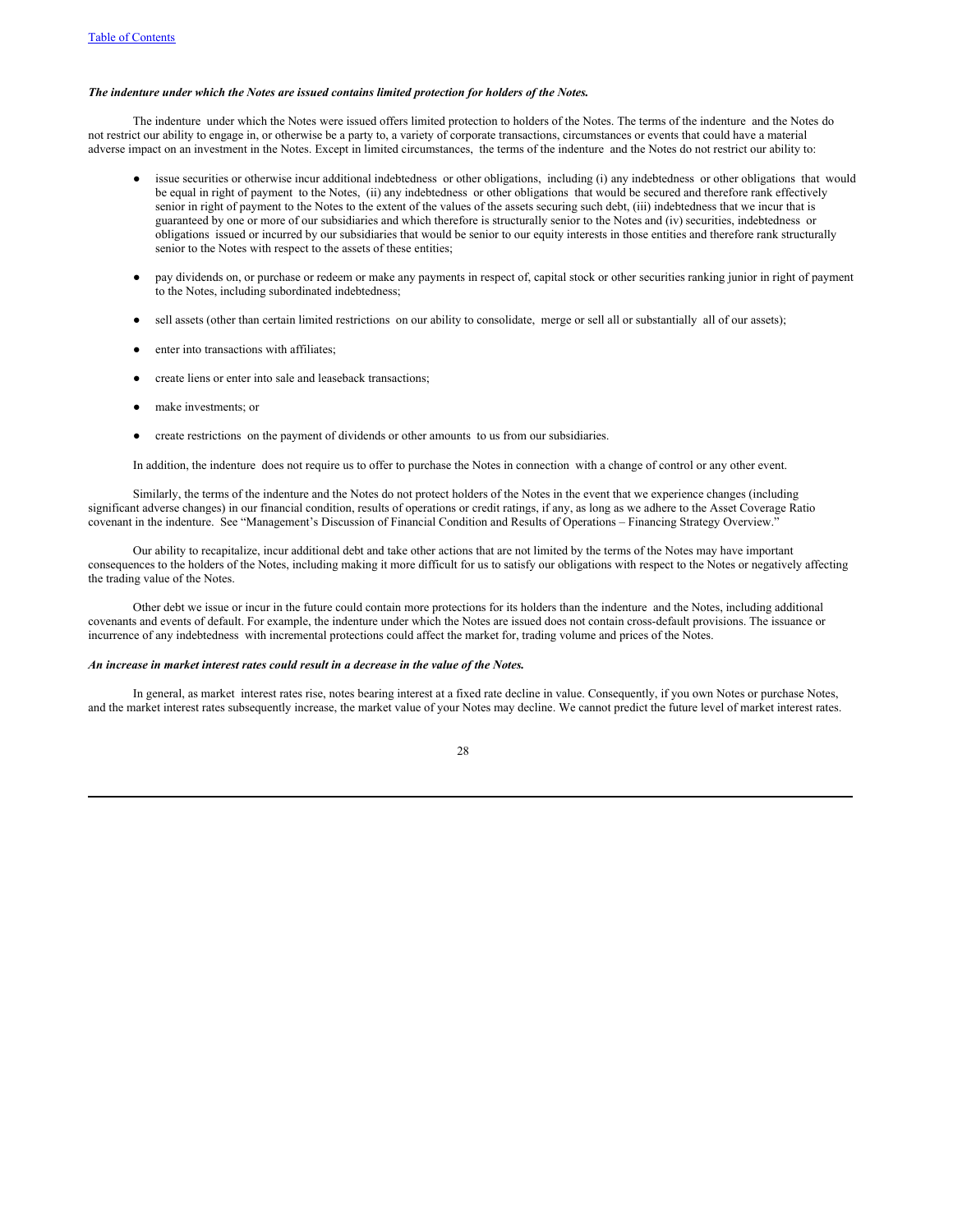#### *The indenture under which the Notes are issued contains limited protection for holders of the Notes.*

The indenture under which the Notes were issued offers limited protection to holders of the Notes. The terms of the indenture and the Notes do not restrict our ability to engage in, or otherwise be a party to, a variety of corporate transactions, circumstances or events that could have a material adverse impact on an investment in the Notes. Except in limited circumstances, the terms of the indenture and the Notes do not restrict our ability to:

- issue securities or otherwise incur additional indebtedness or other obligations, including (i) any indebtedness or other obligations that would be equal in right of payment to the Notes, (ii) any indebtedness or other obligations that would be secured and therefore rank effectively senior in right of payment to the Notes to the extent of the values of the assets securing such debt, (iii) indebtedness that we incur that is guaranteed by one or more of our subsidiaries and which therefore is structurally senior to the Notes and (iv) securities, indebtedness or obligations issued or incurred by our subsidiaries that would be senior to our equity interests in those entities and therefore rank structurally senior to the Notes with respect to the assets of these entities;
- pay dividends on, or purchase or redeem or make any payments in respect of, capital stock or other securities ranking junior in right of payment to the Notes, including subordinated indebtedness;
- sell assets (other than certain limited restrictions on our ability to consolidate, merge or sell all or substantially all of our assets);
- enter into transactions with affiliates;
- create liens or enter into sale and leaseback transactions;
- make investments; or
- create restrictions on the payment of dividends or other amounts to us from our subsidiaries.

In addition, the indenture does not require us to offer to purchase the Notes in connection with a change of control or any other event.

Similarly, the terms of the indenture and the Notes do not protect holders of the Notes in the event that we experience changes (including significant adverse changes) in our financial condition, results of operations or credit ratings, if any, as long as we adhere to the Asset Coverage Ratio covenant in the indenture. See "Management's Discussion of Financial Condition and Results of Operations – Financing Strategy Overview."

Our ability to recapitalize, incur additional debt and take other actions that are not limited by the terms of the Notes may have important consequences to the holders of the Notes, including making it more difficult for us to satisfy our obligations with respect to the Notes or negatively affecting the trading value of the Notes.

Other debt we issue or incur in the future could contain more protections for its holders than the indenture and the Notes, including additional covenants and events of default. For example, the indenture under which the Notes are issued does not contain cross-default provisions. The issuance or incurrence of any indebtedness with incremental protections could affect the market for, trading volume and prices of the Notes.

## *An increase in market interest rates could result in a decrease in the value of the Notes.*

In general, as market interest rates rise, notes bearing interest at a fixed rate decline in value. Consequently, if you own Notes or purchase Notes, and the market interest rates subsequently increase, the market value of your Notes may decline. We cannot predict the future level of market interest rates.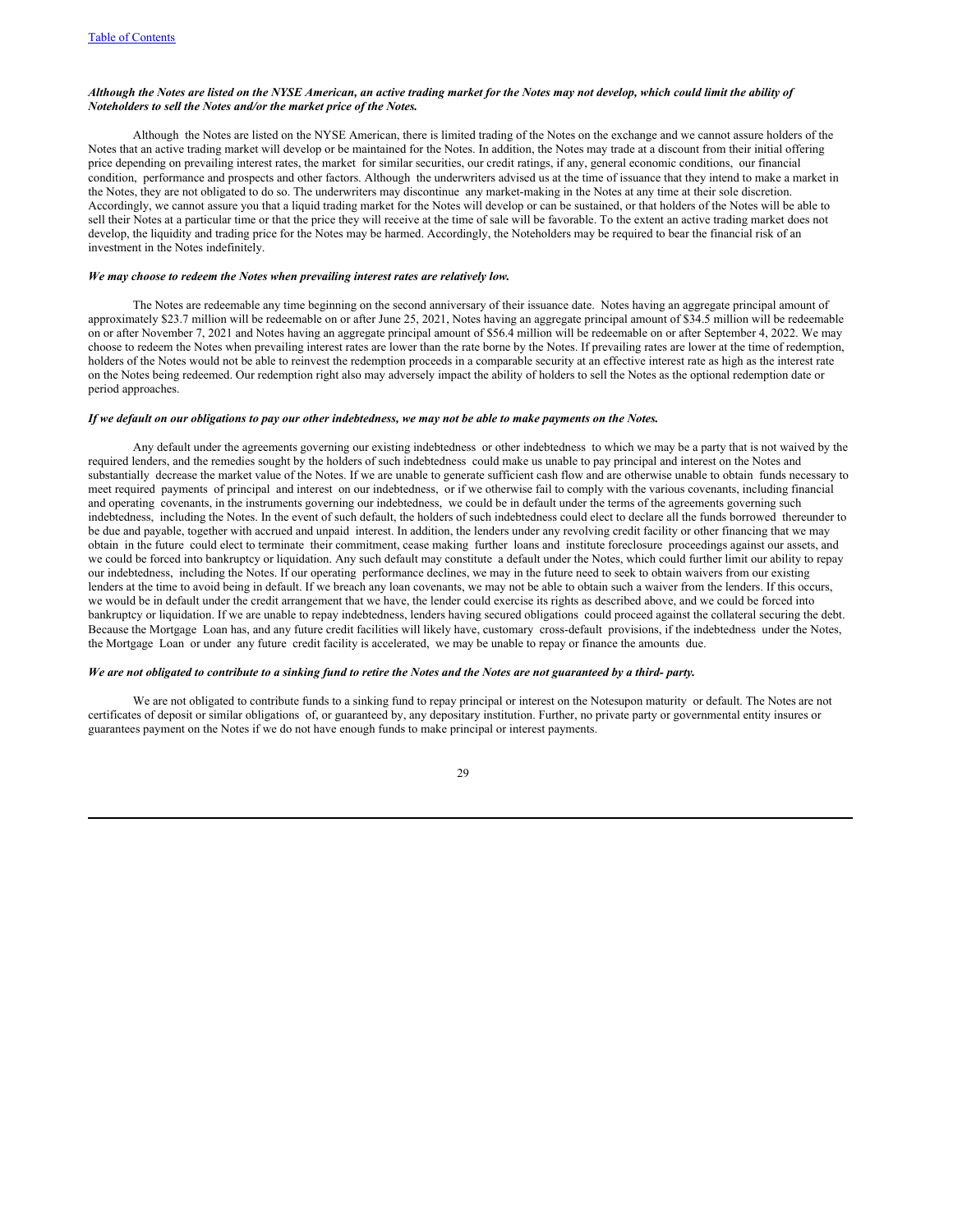## Although the Notes are listed on the NYSE American, an active trading market for the Notes may not develop, which could limit the ability of *Noteholders to sell the Notes and/or the market price of the Notes.*

Although the Notes are listed on the NYSE American, there is limited trading of the Notes on the exchange and we cannot assure holders of the Notes that an active trading market will develop or be maintained for the Notes. In addition, the Notes may trade at a discount from their initial offering price depending on prevailing interest rates, the market for similar securities, our credit ratings, if any, general economic conditions, our financial condition, performance and prospects and other factors. Although the underwriters advised us at the time of issuance that they intend to make a market in the Notes, they are not obligated to do so. The underwriters may discontinue any market-making in the Notes at any time at their sole discretion. Accordingly, we cannot assure you that a liquid trading market for the Notes will develop or can be sustained, or that holders of the Notes will be able to sell their Notes at a particular time or that the price they will receive at the time of sale will be favorable. To the extent an active trading market does not develop, the liquidity and trading price for the Notes may be harmed. Accordingly, the Noteholders may be required to bear the financial risk of an investment in the Notes indefinitely.

#### *We may choose to redeem the Notes when prevailing interest rates are relatively low.*

The Notes are redeemable any time beginning on the second anniversary of their issuance date. Notes having an aggregate principal amount of approximately \$23.7 million will be redeemable on or after June 25, 2021, Notes having an aggregate principal amount of \$34.5 million will be redeemable on or after November 7, 2021 and Notes having an aggregate principal amount of \$56.4 million will be redeemable on or after September 4, 2022. We may choose to redeem the Notes when prevailing interest rates are lower than the rate borne by the Notes. If prevailing rates are lower at the time of redemption, holders of the Notes would not be able to reinvest the redemption proceeds in a comparable security at an effective interest rate as high as the interest rate on the Notes being redeemed. Our redemption right also may adversely impact the ability of holders to sell the Notes as the optional redemption date or period approaches.

### If we default on our obligations to pay our other indebtedness, we may not be able to make payments on the Notes.

Any default under the agreements governing our existing indebtedness or other indebtedness to which we may be a party that is not waived by the required lenders, and the remedies sought by the holders of such indebtedness could make us unable to pay principal and interest on the Notes and substantially decrease the market value of the Notes. If we are unable to generate sufficient cash flow and are otherwise unable to obtain funds necessary to meet required payments of principal and interest on our indebtedness, or if we otherwise fail to comply with the various covenants, including financial and operating covenants, in the instruments governing our indebtedness, we could be in default under the terms of the agreements governing such indebtedness, including the Notes. In the event of such default, the holders of such indebtedness could elect to declare all the funds borrowed thereunder to be due and payable, together with accrued and unpaid interest. In addition, the lenders under any revolving credit facility or other financing that we may obtain in the future could elect to terminate their commitment, cease making further loans and institute foreclosure proceedings against our assets, and we could be forced into bankruptcy or liquidation. Any such default may constitute a default under the Notes, which could further limit our ability to repay our indebtedness, including the Notes. If our operating performance declines, we may in the future need to seek to obtain waivers from our existing lenders at the time to avoid being in default. If we breach any loan covenants, we may not be able to obtain such a waiver from the lenders. If this occurs, we would be in default under the credit arrangement that we have, the lender could exercise its rights as described above, and we could be forced into bankruptcy or liquidation. If we are unable to repay indebtedness, lenders having secured obligations could proceed against the collateral securing the debt. Because the Mortgage Loan has, and any future credit facilities will likely have, customary cross-default provisions, if the indebtedness under the Notes, the Mortgage Loan or under any future credit facility is accelerated, we may be unable to repay or finance the amounts due.

#### We are not obligated to contribute to a sinking fund to retire the Notes and the Notes are not guaranteed by a third-party.

We are not obligated to contribute funds to a sinking fund to repay principal or interest on the Notesupon maturity or default. The Notes are not certificates of deposit or similar obligations of, or guaranteed by, any depositary institution. Further, no private party or governmental entity insures or guarantees payment on the Notes if we do not have enough funds to make principal or interest payments.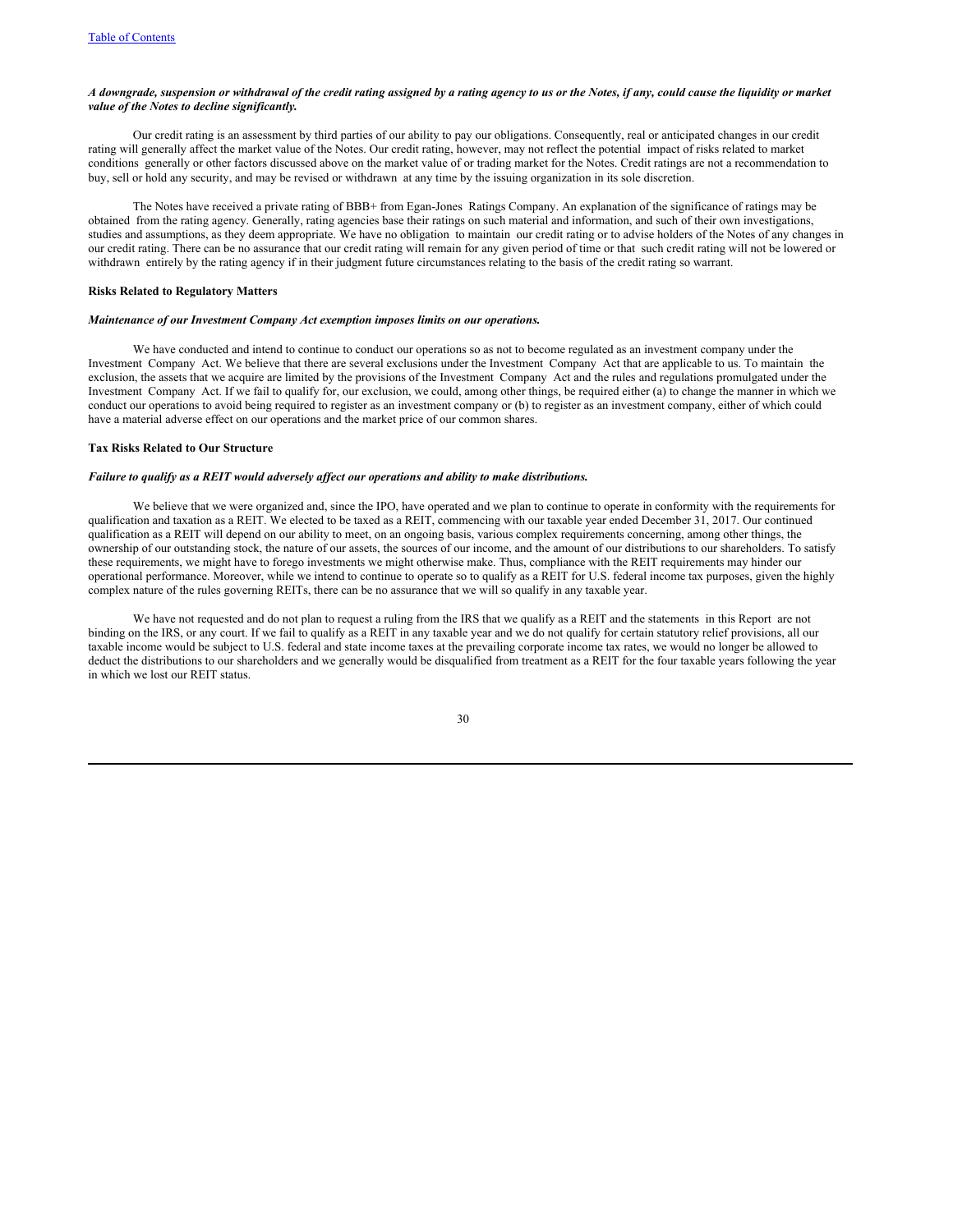## A downgrade, suspension or withdrawal of the credit rating assigned by a rating agency to us or the Notes, if any, could cause the liquidity or market *value of the Notes to decline significantly.*

Our credit rating is an assessment by third parties of our ability to pay our obligations. Consequently, real or anticipated changes in our credit rating will generally affect the market value of the Notes. Our credit rating, however, may not reflect the potential impact of risks related to market conditions generally or other factors discussed above on the market value of or trading market for the Notes. Credit ratings are not a recommendation to buy, sell or hold any security, and may be revised or withdrawn at any time by the issuing organization in its sole discretion.

The Notes have received a private rating of BBB+ from Egan-Jones Ratings Company. An explanation of the significance of ratings may be obtained from the rating agency. Generally, rating agencies base their ratings on such material and information, and such of their own investigations, studies and assumptions, as they deem appropriate. We have no obligation to maintain our credit rating or to advise holders of the Notes of any changes in our credit rating. There can be no assurance that our credit rating will remain for any given period of time or that such credit rating will not be lowered or withdrawn entirely by the rating agency if in their judgment future circumstances relating to the basis of the credit rating so warrant.

## **Risks Related to Regulatory Matters**

#### *Maintenance of our Investment Company Act exemption imposes limits on our operations.*

We have conducted and intend to continue to conduct our operations so as not to become regulated as an investment company under the Investment Company Act. We believe that there are several exclusions under the Investment Company Act that are applicable to us. To maintain the exclusion, the assets that we acquire are limited by the provisions of the Investment Company Act and the rules and regulations promulgated under the Investment Company Act. If we fail to qualify for, our exclusion, we could, among other things, be required either (a) to change the manner in which we conduct our operations to avoid being required to register as an investment company or (b) to register as an investment company, either of which could have a material adverse effect on our operations and the market price of our common shares.

#### **Tax Risks Related to Our Structure**

## *Failure to qualify as a REIT would adversely af ect our operations and ability to make distributions.*

We believe that we were organized and, since the IPO, have operated and we plan to continue to operate in conformity with the requirements for qualification and taxation as a REIT. We elected to be taxed as a REIT, commencing with our taxable year ended December 31, 2017. Our continued qualification as a REIT will depend on our ability to meet, on an ongoing basis, various complex requirements concerning, among other things, the ownership of our outstanding stock, the nature of our assets, the sources of our income, and the amount of our distributions to our shareholders. To satisfy these requirements, we might have to forego investments we might otherwise make. Thus, compliance with the REIT requirements may hinder our operational performance. Moreover, while we intend to continue to operate so to qualify as a REIT for U.S. federal income tax purposes, given the highly complex nature of the rules governing REITs, there can be no assurance that we will so qualify in any taxable year.

We have not requested and do not plan to request a ruling from the IRS that we qualify as a REIT and the statements in this Report are not binding on the IRS, or any court. If we fail to qualify as a REIT in any taxable year and we do not qualify for certain statutory relief provisions, all our taxable income would be subject to U.S. federal and state income taxes at the prevailing corporate income tax rates, we would no longer be allowed to deduct the distributions to our shareholders and we generally would be disqualified from treatment as a REIT for the four taxable years following the year in which we lost our REIT status.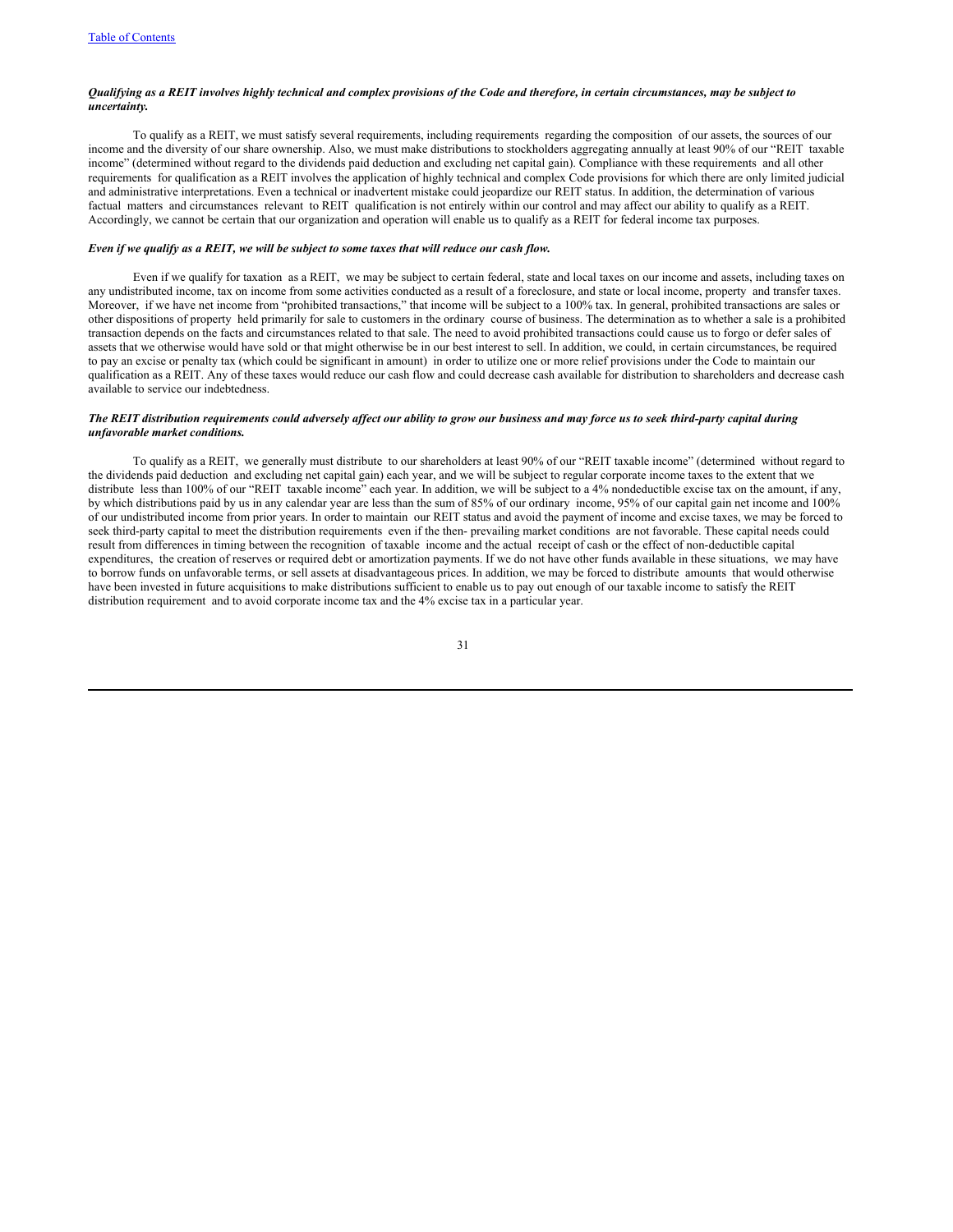#### Qualifying as a REIT involves highly technical and complex provisions of the Code and therefore, in certain circumstances, may be subject to *uncertainty.*

To qualify as a REIT, we must satisfy several requirements, including requirements regarding the composition of our assets, the sources of our income and the diversity of our share ownership. Also, we must make distributions to stockholders aggregating annually at least 90% of our "REIT taxable income" (determined without regard to the dividends paid deduction and excluding net capital gain). Compliance with these requirements and all other requirements for qualification as a REIT involves the application of highly technical and complex Code provisions for which there are only limited judicial and administrative interpretations. Even a technical or inadvertent mistake could jeopardize our REIT status. In addition, the determination of various factual matters and circumstances relevant to REIT qualification is not entirely within our control and may affect our ability to qualify as a REIT. Accordingly, we cannot be certain that our organization and operation will enable us to qualify as a REIT for federal income tax purposes.

#### Even if we qualify as a REIT, we will be subject to some taxes that will reduce our cash flow.

Even if we qualify for taxation as a REIT, we may be subject to certain federal, state and local taxes on our income and assets, including taxes on any undistributed income, tax on income from some activities conducted as a result of a foreclosure, and state or local income, property and transfer taxes. Moreover, if we have net income from "prohibited transactions," that income will be subject to a 100% tax. In general, prohibited transactions are sales or other dispositions of property held primarily for sale to customers in the ordinary course of business. The determination as to whether a sale is a prohibited transaction depends on the facts and circumstances related to that sale. The need to avoid prohibited transactions could cause us to forgo or defer sales of assets that we otherwise would have sold or that might otherwise be in our best interest to sell. In addition, we could, in certain circumstances, be required to pay an excise or penalty tax (which could be significant in amount) in order to utilize one or more relief provisions under the Code to maintain our qualification as a REIT. Any of these taxes would reduce our cash flow and could decrease cash available for distribution to shareholders and decrease cash available to service our indebtedness.

### The REIT distribution requirements could adversely affect our ability to grow our business and may force us to seek third-party capital during *unfavorable market conditions.*

To qualify as a REIT, we generally must distribute to our shareholders at least 90% of our "REIT taxable income" (determined without regard to the dividends paid deduction and excluding net capital gain) each year, and we will be subject to regular corporate income taxes to the extent that we distribute less than 100% of our "REIT taxable income" each year. In addition, we will be subject to a 4% nondeductible excise tax on the amount, if any, by which distributions paid by us in any calendar year are less than the sum of 85% of our ordinary income, 95% of our capital gain net income and 100% of our undistributed income from prior years. In order to maintain our REIT status and avoid the payment of income and excise taxes, we may be forced to seek third-party capital to meet the distribution requirements even if the then- prevailing market conditions are not favorable. These capital needs could result from differences in timing between the recognition of taxable income and the actual receipt of cash or the effect of non-deductible capital expenditures, the creation of reserves or required debt or amortization payments. If we do not have other funds available in these situations, we may have to borrow funds on unfavorable terms, or sell assets at disadvantageous prices. In addition, we may be forced to distribute amounts that would otherwise have been invested in future acquisitions to make distributions sufficient to enable us to pay out enough of our taxable income to satisfy the REIT distribution requirement and to avoid corporate income tax and the 4% excise tax in a particular year.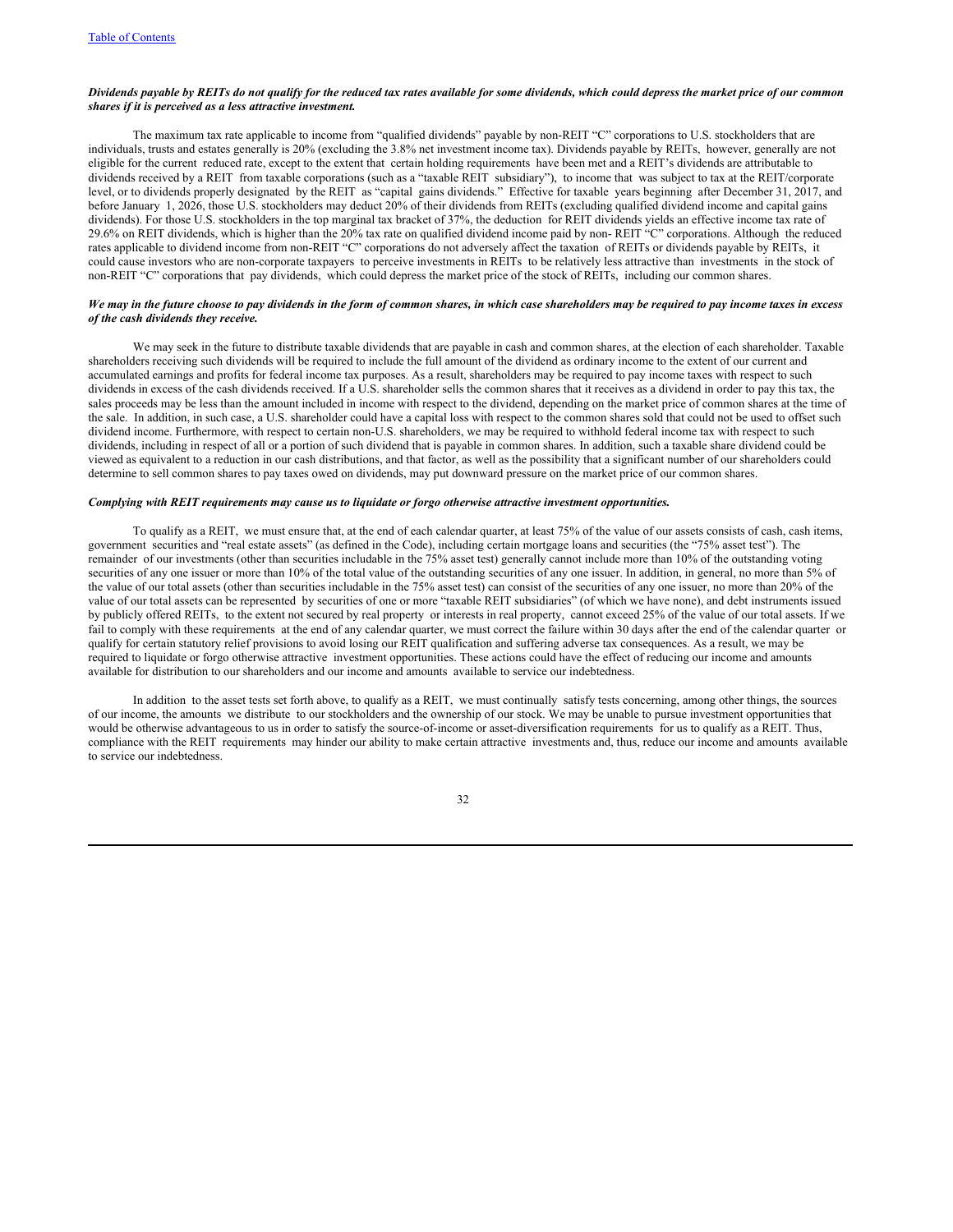## Dividends payable by REITs do not qualify for the reduced tax rates available for some dividends, which could depress the market price of our common *shares if it is perceived as a less attractive investment.*

The maximum tax rate applicable to income from "qualified dividends" payable by non-REIT "C" corporations to U.S. stockholders that are individuals, trusts and estates generally is 20% (excluding the 3.8% net investment income tax). Dividends payable by REITs, however, generally are not eligible for the current reduced rate, except to the extent that certain holding requirements have been met and a REIT's dividends are attributable to dividends received by a REIT from taxable corporations (such as a "taxable REIT subsidiary"), to income that was subject to tax at the REIT/corporate level, or to dividends properly designated by the REIT as "capital gains dividends." Effective for taxable years beginning after December 31, 2017, and before January 1, 2026, those U.S. stockholders may deduct 20% of their dividends from REITs (excluding qualified dividend income and capital gains dividends). For those U.S. stockholders in the top marginal tax bracket of 37%, the deduction for REIT dividends yields an effective income tax rate of 29.6% on REIT dividends, which is higher than the 20% tax rate on qualified dividend income paid by non- REIT "C" corporations. Although the reduced rates applicable to dividend income from non-REIT "C" corporations do not adversely affect the taxation of REITs or dividends payable by REITs, it could cause investors who are non-corporate taxpayers to perceive investments in REITs to be relatively less attractive than investments in the stock of non-REIT "C" corporations that pay dividends, which could depress the market price of the stock of REITs, including our common shares.

## We may in the future choose to pay dividends in the form of common shares, in which case shareholders may be required to pay income taxes in excess *of the cash dividends they receive.*

We may seek in the future to distribute taxable dividends that are payable in cash and common shares, at the election of each shareholder. Taxable shareholders receiving such dividends will be required to include the full amount of the dividend as ordinary income to the extent of our current and accumulated earnings and profits for federal income tax purposes. As a result, shareholders may be required to pay income taxes with respect to such dividends in excess of the cash dividends received. If a U.S. shareholder sells the common shares that it receives as a dividend in order to pay this tax, the sales proceeds may be less than the amount included in income with respect to the dividend, depending on the market price of common shares at the time of the sale. In addition, in such case, a U.S. shareholder could have a capital loss with respect to the common shares sold that could not be used to offset such dividend income. Furthermore, with respect to certain non-U.S. shareholders, we may be required to withhold federal income tax with respect to such dividends, including in respect of all or a portion of such dividend that is payable in common shares. In addition, such a taxable share dividend could be viewed as equivalent to a reduction in our cash distributions, and that factor, as well as the possibility that a significant number of our shareholders could determine to sell common shares to pay taxes owed on dividends, may put downward pressure on the market price of our common shares.

### *Complying with REIT requirements may cause us to liquidate or forgo otherwise attractive investment opportunities.*

To qualify as a REIT, we must ensure that, at the end of each calendar quarter, at least 75% of the value of our assets consists of cash, cash items, government securities and "real estate assets" (as defined in the Code), including certain mortgage loans and securities (the "75% asset test"). The remainder of our investments (other than securities includable in the 75% asset test) generally cannot include more than 10% of the outstanding voting securities of any one issuer or more than 10% of the total value of the outstanding securities of any one issuer. In addition, in general, no more than 5% of the value of our total assets (other than securities includable in the 75% asset test) can consist of the securities of any one issuer, no more than 20% of the value of our total assets can be represented by securities of one or more "taxable REIT subsidiaries" (of which we have none), and debt instruments issued by publicly offered REITs, to the extent not secured by real property or interests in real property, cannot exceed 25% of the value of our total assets. If we fail to comply with these requirements at the end of any calendar quarter, we must correct the failure within 30 days after the end of the calendar quarter or qualify for certain statutory relief provisions to avoid losing our REIT qualification and suffering adverse tax consequences. As a result, we may be required to liquidate or forgo otherwise attractive investment opportunities. These actions could have the effect of reducing our income and amounts available for distribution to our shareholders and our income and amounts available to service our indebtedness.

In addition to the asset tests set forth above, to qualify as a REIT, we must continually satisfy tests concerning, among other things, the sources of our income, the amounts we distribute to our stockholders and the ownership of our stock. We may be unable to pursue investment opportunities that would be otherwise advantageous to us in order to satisfy the source-of-income or asset-diversification requirements for us to qualify as a REIT. Thus, compliance with the REIT requirements may hinder our ability to make certain attractive investments and, thus, reduce our income and amounts available to service our indebtedness.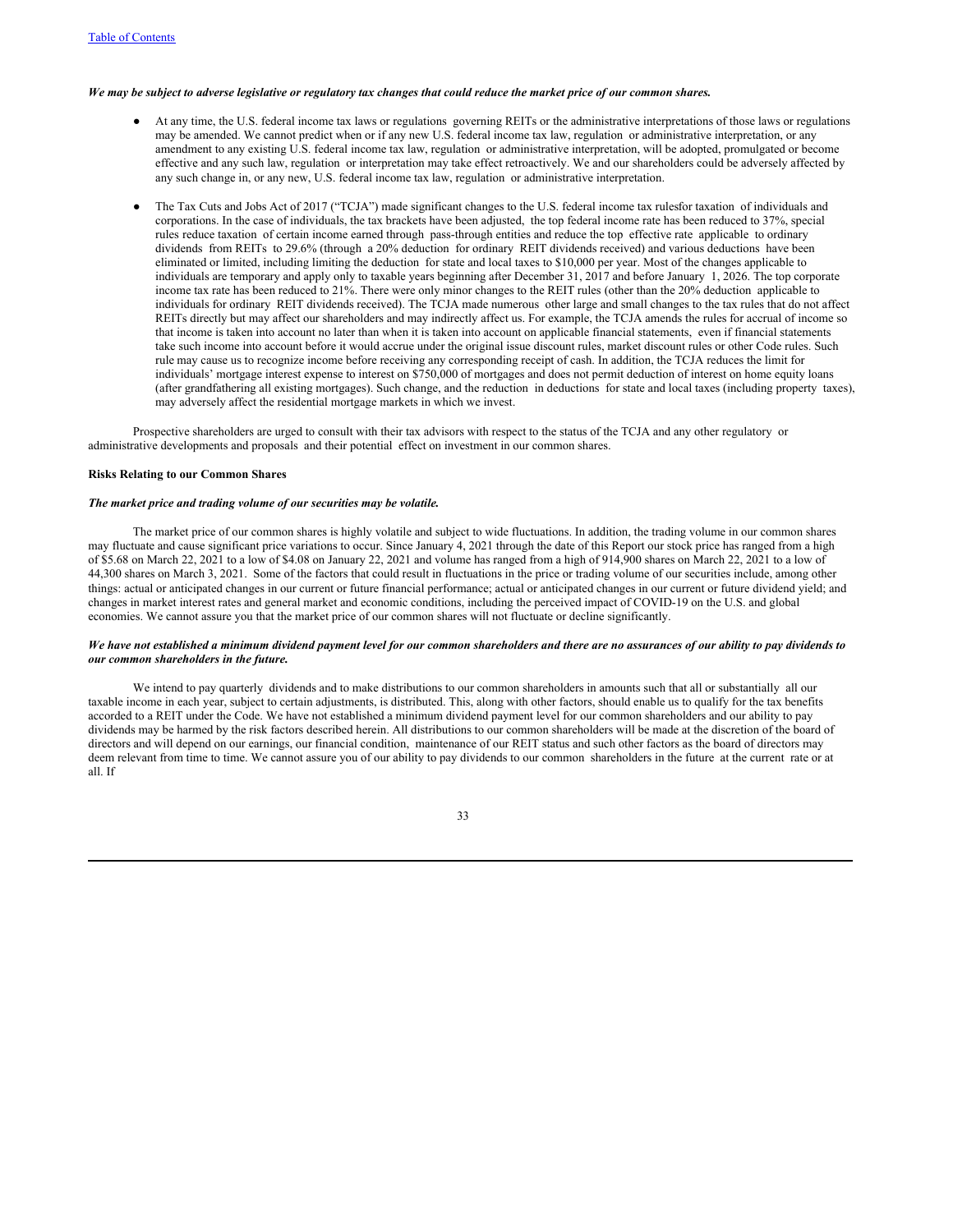#### We may be subject to adverse legislative or regulatory tax changes that could reduce the market price of our common shares.

- At any time, the U.S. federal income tax laws or regulations governing REITs or the administrative interpretations of those laws or regulations may be amended. We cannot predict when or if any new U.S. federal income tax law, regulation or administrative interpretation, or any amendment to any existing U.S. federal income tax law, regulation or administrative interpretation, will be adopted, promulgated or become effective and any such law, regulation or interpretation may take effect retroactively. We and our shareholders could be adversely affected by any such change in, or any new, U.S. federal income tax law, regulation or administrative interpretation.
- The Tax Cuts and Jobs Act of 2017 ("TCJA") made significant changes to the U.S. federal income tax rulesfor taxation of individuals and corporations. In the case of individuals, the tax brackets have been adjusted, the top federal income rate has been reduced to 37%, special rules reduce taxation of certain income earned through pass-through entities and reduce the top effective rate applicable to ordinary dividends from REITs to 29.6% (through a 20% deduction for ordinary REIT dividends received) and various deductions have been eliminated or limited, including limiting the deduction for state and local taxes to \$10,000 per year. Most of the changes applicable to individuals are temporary and apply only to taxable years beginning after December 31, 2017 and before January 1, 2026. The top corporate income tax rate has been reduced to 21%. There were only minor changes to the REIT rules (other than the 20% deduction applicable to individuals for ordinary REIT dividends received). The TCJA made numerous other large and small changes to the tax rules that do not affect REITs directly but may affect our shareholders and may indirectly affect us. For example, the TCJA amends the rules for accrual of income so that income is taken into account no later than when it is taken into account on applicable financial statements, even if financial statements take such income into account before it would accrue under the original issue discount rules, market discount rules or other Code rules. Such rule may cause us to recognize income before receiving any corresponding receipt of cash. In addition, the TCJA reduces the limit for individuals' mortgage interest expense to interest on \$750,000 of mortgages and does not permit deduction of interest on home equity loans (after grandfathering all existing mortgages). Such change, and the reduction in deductions for state and local taxes (including property taxes), may adversely affect the residential mortgage markets in which we invest.

Prospective shareholders are urged to consult with their tax advisors with respect to the status of the TCJA and any other regulatory or administrative developments and proposals and their potential effect on investment in our common shares.

#### **Risks Relating to our Common Shares**

#### *The market price and trading volume of our securities may be volatile.*

The market price of our common shares is highly volatile and subject to wide fluctuations. In addition, the trading volume in our common shares may fluctuate and cause significant price variations to occur. Since January 4, 2021 through the date of this Report our stock price has ranged from a high of \$5.68 on March 22, 2021 to a low of \$4.08 on January 22, 2021 and volume has ranged from a high of 914,900 shares on March 22, 2021 to a low of 44,300 shares on March 3, 2021. Some of the factors that could result in fluctuations in the price or trading volume of our securities include, among other things: actual or anticipated changes in our current or future financial performance; actual or anticipated changes in our current or future dividend yield; and changes in market interest rates and general market and economic conditions, including the perceived impact of COVID-19 on the U.S. and global economies. We cannot assure you that the market price of our common shares will not fluctuate or decline significantly.

#### We have not established a minimum dividend payment level for our common shareholders and there are no assurances of our ability to pay dividends to *our common shareholders in the future.*

We intend to pay quarterly dividends and to make distributions to our common shareholders in amounts such that all or substantially all our taxable income in each year, subject to certain adjustments, is distributed. This, along with other factors, should enable us to qualify for the tax benefits accorded to a REIT under the Code. We have not established a minimum dividend payment level for our common shareholders and our ability to pay dividends may be harmed by the risk factors described herein. All distributions to our common shareholders will be made at the discretion of the board of directors and will depend on our earnings, our financial condition, maintenance of our REIT status and such other factors as the board of directors may deem relevant from time to time. We cannot assure you of our ability to pay dividends to our common shareholders in the future at the current rate or at all. If

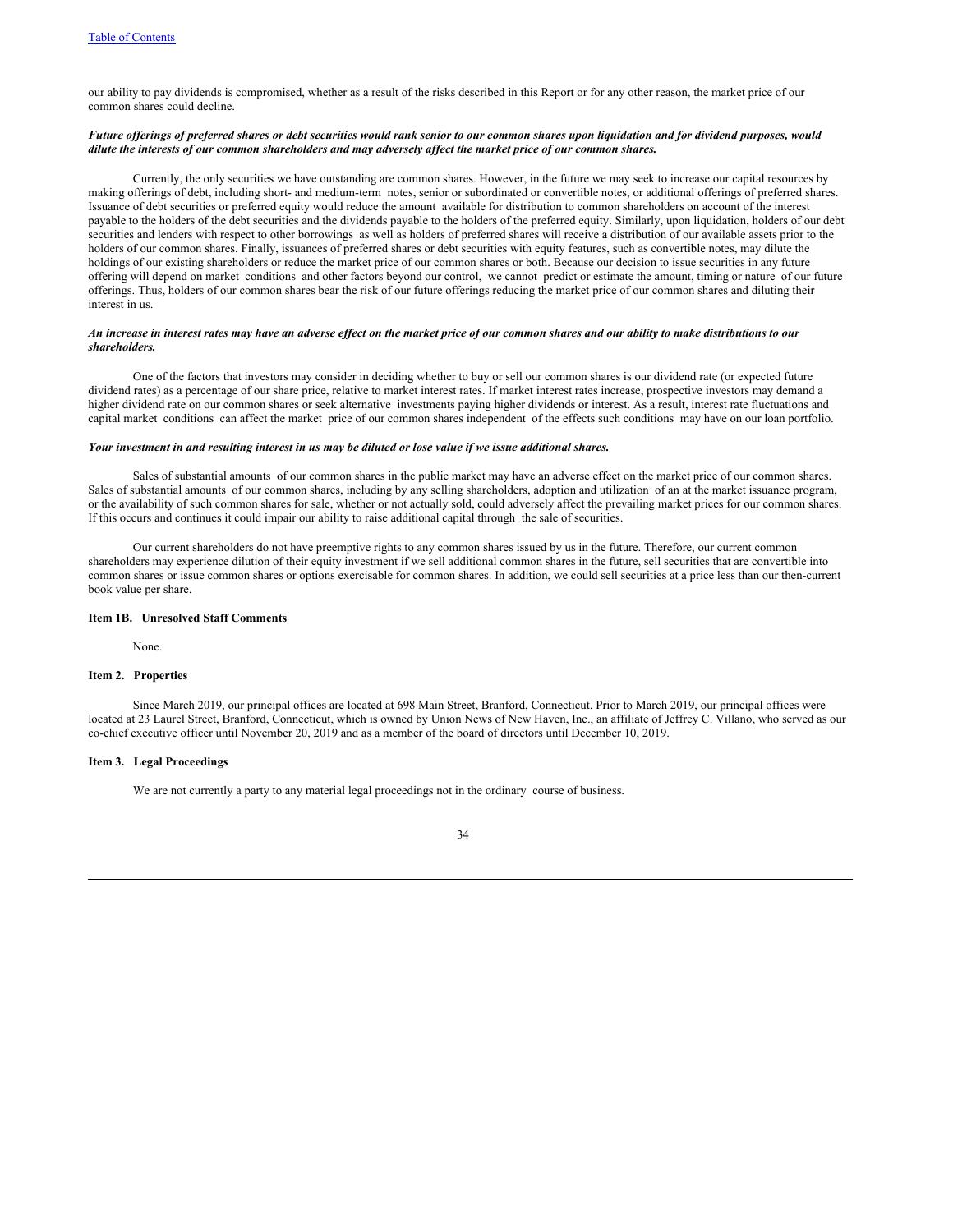our ability to pay dividends is compromised, whether as a result of the risks described in this Report or for any other reason, the market price of our common shares could decline.

### Future offerings of preferred shares or debt securities would rank senior to our common shares upon liquidation and for dividend purposes, would dilute the interests of our common shareholders and may adversely affect the market price of our common shares.

Currently, the only securities we have outstanding are common shares. However, in the future we may seek to increase our capital resources by making offerings of debt, including short- and medium-term notes, senior or subordinated or convertible notes, or additional offerings of preferred shares. Issuance of debt securities or preferred equity would reduce the amount available for distribution to common shareholders on account of the interest payable to the holders of the debt securities and the dividends payable to the holders of the preferred equity. Similarly, upon liquidation, holders of our debt securities and lenders with respect to other borrowings as well as holders of preferred shares will receive a distribution of our available assets prior to the holders of our common shares. Finally, issuances of preferred shares or debt securities with equity features, such as convertible notes, may dilute the holdings of our existing shareholders or reduce the market price of our common shares or both. Because our decision to issue securities in any future offering will depend on market conditions and other factors beyond our control, we cannot predict or estimate the amount, timing or nature of our future offerings. Thus, holders of our common shares bear the risk of our future offerings reducing the market price of our common shares and diluting their interest in us.

## An increase in interest rates may have an adverse effect on the market price of our common shares and our ability to make distributions to our *shareholders.*

One of the factors that investors may consider in deciding whether to buy or sell our common shares is our dividend rate (or expected future dividend rates) as a percentage of our share price, relative to market interest rates. If market interest rates increase, prospective investors may demand a higher dividend rate on our common shares or seek alternative investments paying higher dividends or interest. As a result, interest rate fluctuations and capital market conditions can affect the market price of our common shares independent of the effects such conditions may have on our loan portfolio.

## Your investment in and resulting interest in us may be diluted or lose value if we issue additional shares.

Sales of substantial amounts of our common shares in the public market may have an adverse effect on the market price of our common shares. Sales of substantial amounts of our common shares, including by any selling shareholders, adoption and utilization of an at the market issuance program, or the availability of such common shares for sale, whether or not actually sold, could adversely affect the prevailing market prices for our common shares. If this occurs and continues it could impair our ability to raise additional capital through the sale of securities.

Our current shareholders do not have preemptive rights to any common shares issued by us in the future. Therefore, our current common shareholders may experience dilution of their equity investment if we sell additional common shares in the future, sell securities that are convertible into common shares or issue common shares or options exercisable for common shares. In addition, we could sell securities at a price less than our then-current book value per share.

### **Item 1B. Unresolved Staff Comments**

None.

#### **Item 2. Properties**

Since March 2019, our principal offices are located at 698 Main Street, Branford, Connecticut. Prior to March 2019, our principal offices were located at 23 Laurel Street, Branford, Connecticut, which is owned by Union News of New Haven, Inc., an affiliate of Jeffrey C. Villano, who served as our co-chief executive officer until November 20, 2019 and as a member of the board of directors until December 10, 2019.

## **Item 3. Legal Proceedings**

We are not currently a party to any material legal proceedings not in the ordinary course of business.

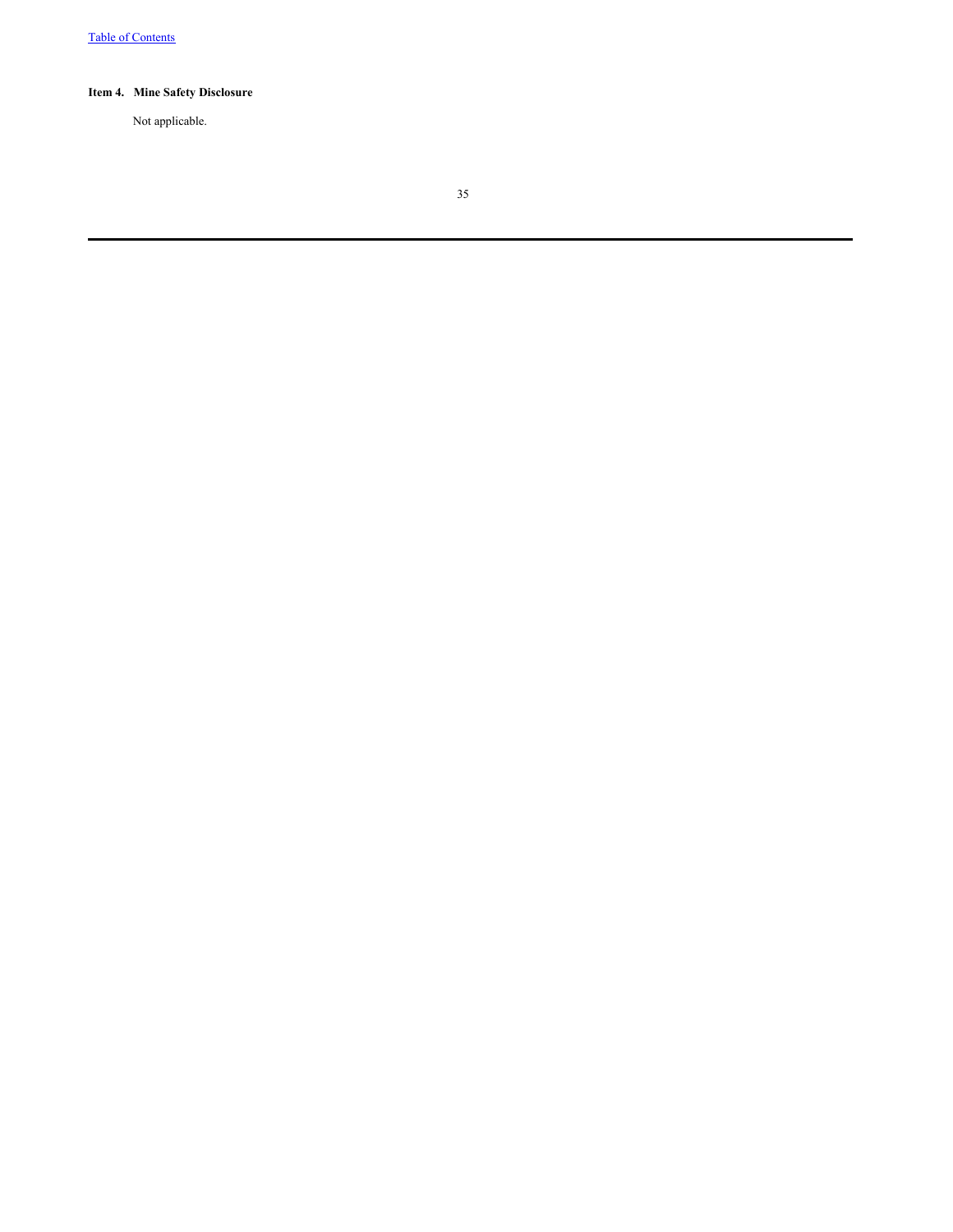# **Item 4. Mine Safety Disclosure**

Not applicable.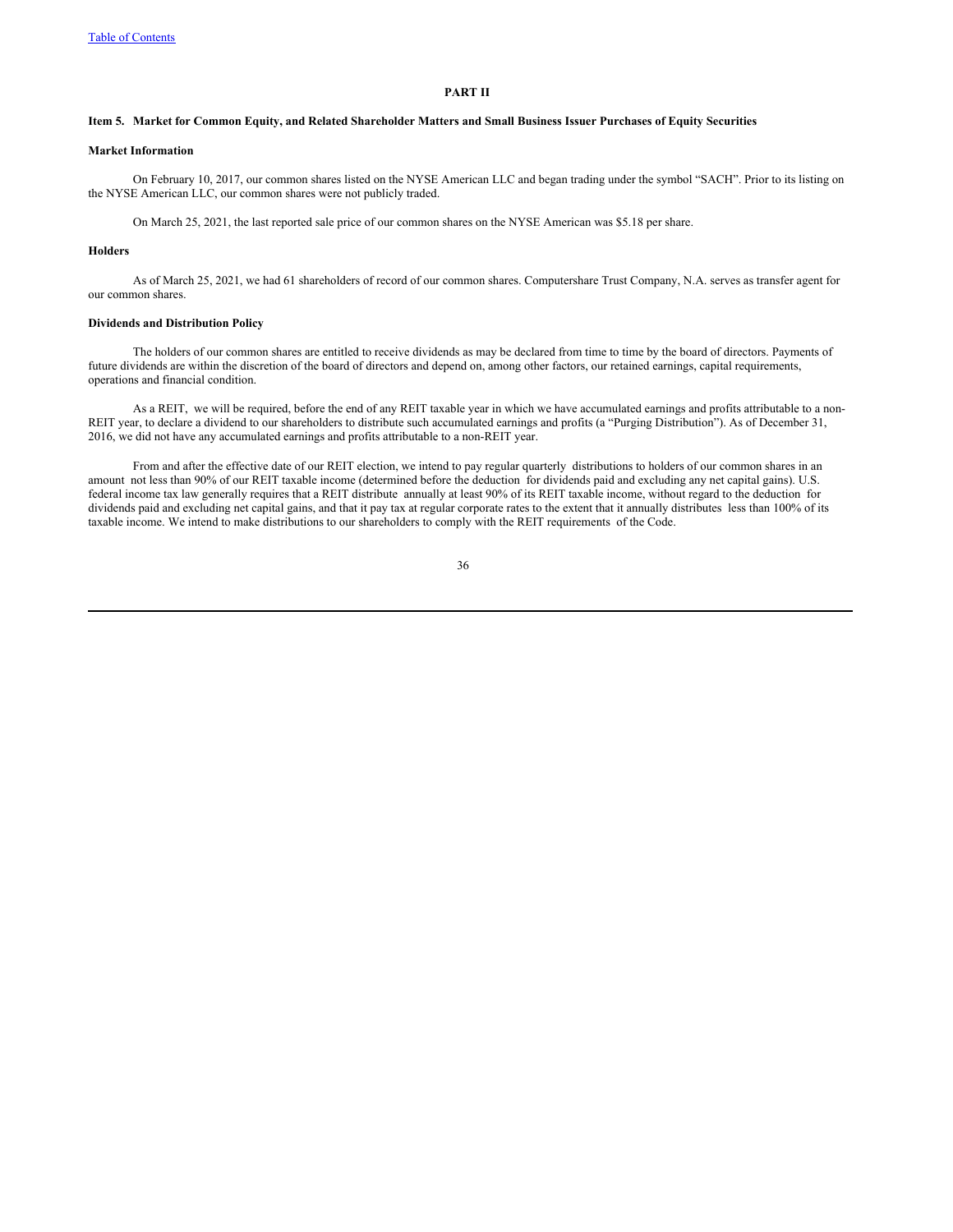## **PART II**

#### Item 5. Market for Common Equity, and Related Shareholder Matters and Small Business Issuer Purchases of Equity Securities

## **Market Information**

On February 10, 2017, our common shares listed on the NYSE American LLC and began trading under the symbol "SACH". Prior to its listing on the NYSE American LLC, our common shares were not publicly traded.

On March 25, 2021, the last reported sale price of our common shares on the NYSE American was \$5.18 per share.

### **Holders**

As of March 25, 2021, we had 61 shareholders of record of our common shares. Computershare Trust Company, N.A. serves as transfer agent for our common shares.

## **Dividends and Distribution Policy**

The holders of our common shares are entitled to receive dividends as may be declared from time to time by the board of directors. Payments of future dividends are within the discretion of the board of directors and depend on, among other factors, our retained earnings, capital requirements, operations and financial condition.

As a REIT, we will be required, before the end of any REIT taxable year in which we have accumulated earnings and profits attributable to a non-REIT year, to declare a dividend to our shareholders to distribute such accumulated earnings and profits (a "Purging Distribution"). As of December 31, 2016, we did not have any accumulated earnings and profits attributable to a non-REIT year.

From and after the effective date of our REIT election, we intend to pay regular quarterly distributions to holders of our common shares in an amount not less than 90% of our REIT taxable income (determined before the deduction for dividends paid and excluding any net capital gains). U.S. federal income tax law generally requires that a REIT distribute annually at least 90% of its REIT taxable income, without regard to the deduction for dividends paid and excluding net capital gains, and that it pay tax at regular corporate rates to the extent that it annually distributes less than 100% of its taxable income. We intend to make distributions to our shareholders to comply with the REIT requirements of the Code.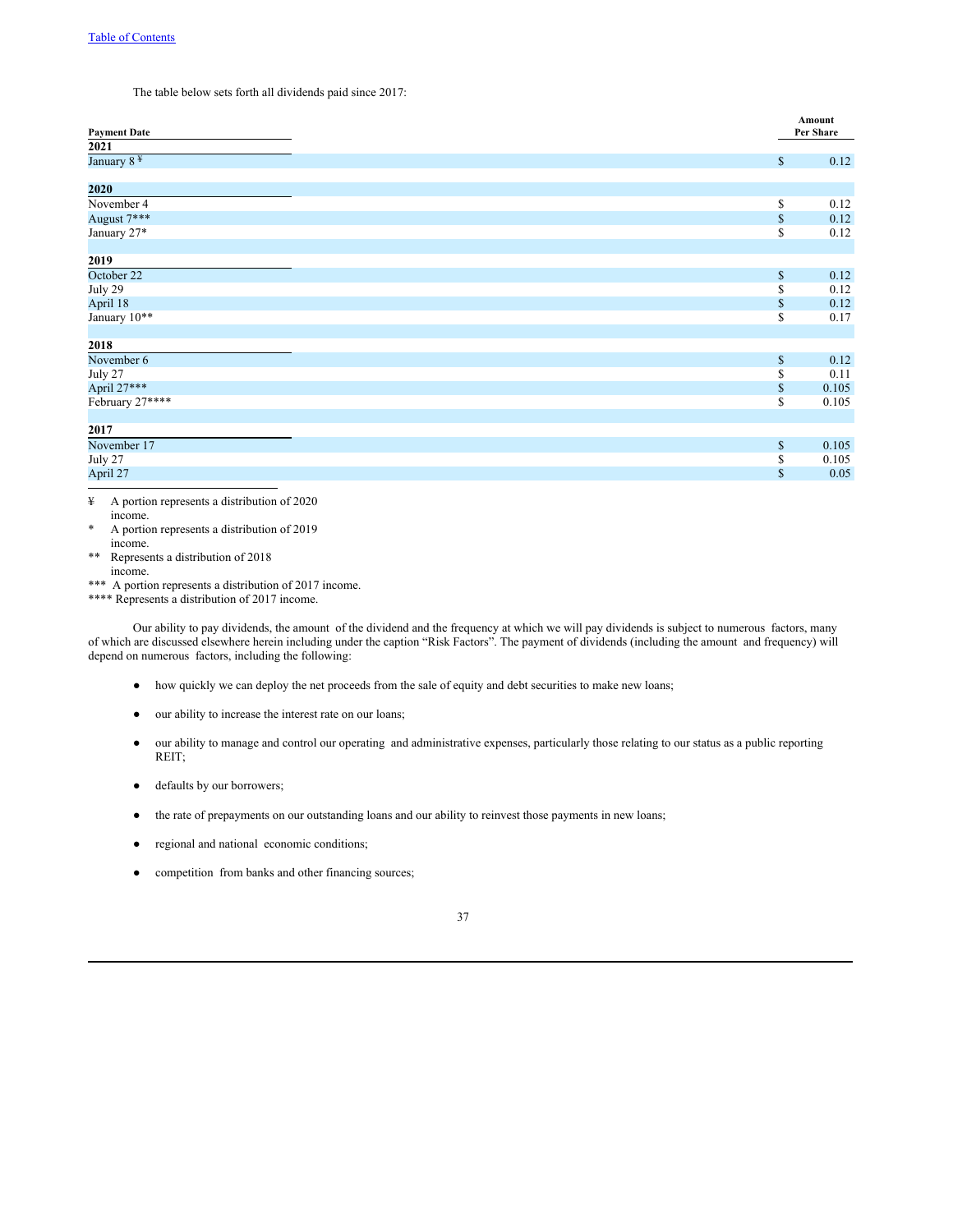The table below sets forth all dividends paid since 2017:

| <b>Payment Date</b>    |              | Amount<br>Per Share |
|------------------------|--------------|---------------------|
| 2021                   |              |                     |
| January 8 <sup>¥</sup> | $\mathbb{S}$ | 0.12                |
| 2020                   |              |                     |
| November 4             | \$           | 0.12                |
| August 7***            | $\$$         | 0.12                |
| January 27*            | \$           | 0.12                |
|                        |              |                     |
| 2019                   |              |                     |
| October 22             | $\$$         | 0.12                |
| July 29                | \$           | 0.12                |
| April 18               | $\$$         | 0.12                |
| January $10**$         | \$           | 0.17                |
|                        |              |                     |
| 2018                   |              |                     |
| November 6             | $\$$         | 0.12                |
| July 27                | \$           | 0.11                |
| April 27***            | $\$$         | 0.105               |
| February 27****        | \$           | 0.105               |
|                        |              |                     |
| 2017                   |              |                     |
| November 17            | $\$$         | 0.105               |
| July 27                | \$           | 0.105               |
| April 27               | \$           | 0.05                |

¥ A portion represents a distribution of 2020 income.

- \* A portion represents a distribution of 2019 income.
- \*\* Represents a distribution of 2018

income.

\*\*\* A portion represents a distribution of 2017 income.

\*\*\*\* Represents a distribution of 2017 income.

Our ability to pay dividends, the amount of the dividend and the frequency at which we will pay dividends is subject to numerous factors, many of which are discussed elsewhere herein including under the caption "Risk Factors". The payment of dividends (including the amount and frequency) will depend on numerous factors, including the following:

- how quickly we can deploy the net proceeds from the sale of equity and debt securities to make new loans;
- our ability to increase the interest rate on our loans;
- our ability to manage and control our operating and administrative expenses, particularly those relating to our status as a public reporting REIT;
- defaults by our borrowers;
- the rate of prepayments on our outstanding loans and our ability to reinvest those payments in new loans;
- regional and national economic conditions;
- competition from banks and other financing sources;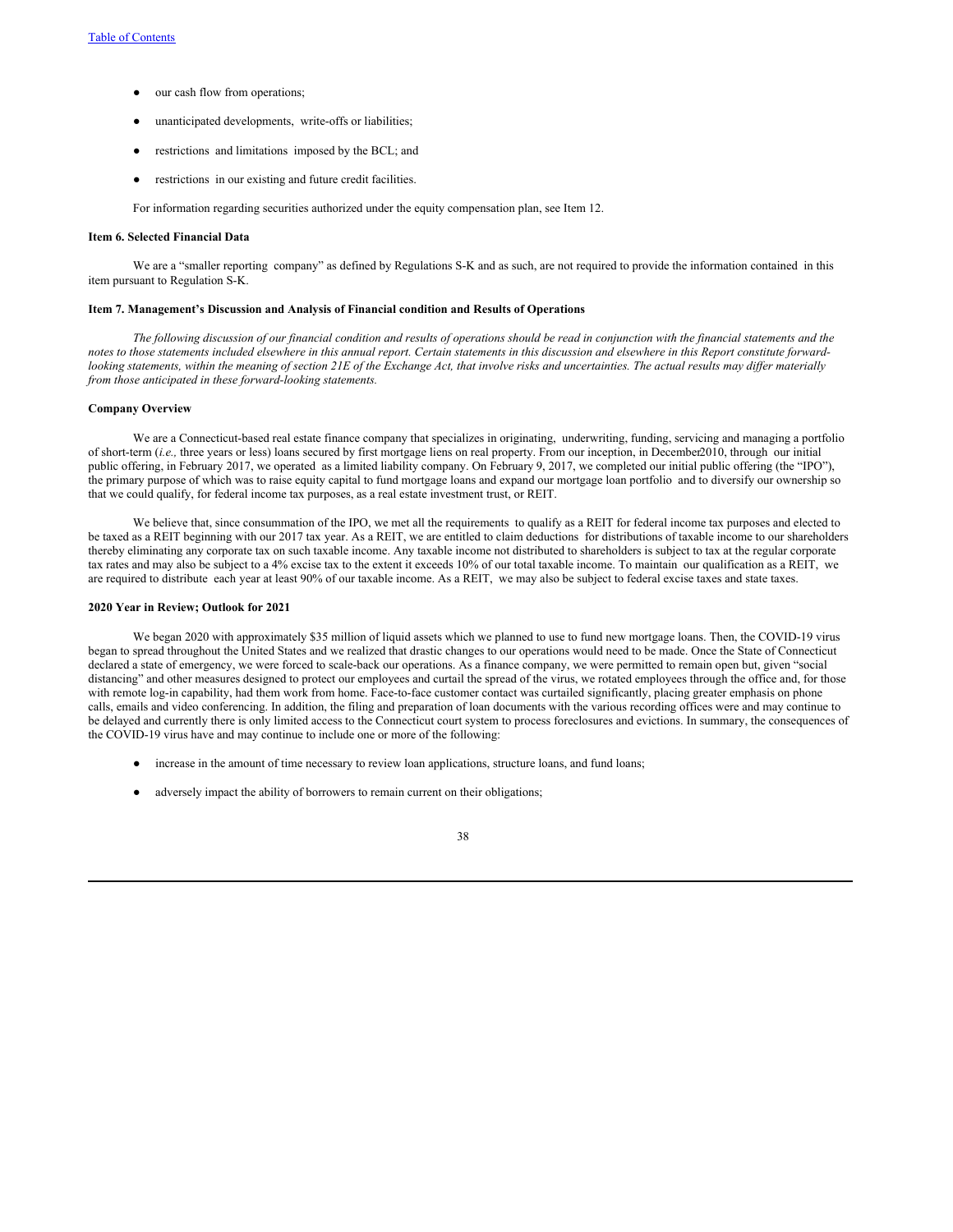- our cash flow from operations;
- unanticipated developments, write-offs or liabilities;
- restrictions and limitations imposed by the BCL; and
- restrictions in our existing and future credit facilities.

For information regarding securities authorized under the equity compensation plan, see Item 12.

## **Item 6. Selected Financial Data**

We are a "smaller reporting company" as defined by Regulations S-K and as such, are not required to provide the information contained in this item pursuant to Regulation S-K.

## **Item 7. Management's Discussion and Analysis of Financial condition and Results of Operations**

The following discussion of our financial condition and results of operations should be read in conjunction with the financial statements and the notes to those statements included elsewhere in this annual report. Certain statements in this discussion and elsewhere in this Report constitute forwardlooking statements, within the meaning of section 21E of the Exchange Act, that involve risks and uncertainties. The actual results may differ materially *from those anticipated in these forward-looking statements.*

## **Company Overview**

We are a Connecticut-based real estate finance company that specializes in originating, underwriting, funding, servicing and managing a portfolio of short-term (*i.e.,* three years or less) loans secured by first mortgage liens on real property. From our inception, in December2010, through our initial public offering, in February 2017, we operated as a limited liability company. On February 9, 2017, we completed our initial public offering (the "IPO"), the primary purpose of which was to raise equity capital to fund mortgage loans and expand our mortgage loan portfolio and to diversify our ownership so that we could qualify, for federal income tax purposes, as a real estate investment trust, or REIT.

We believe that, since consummation of the IPO, we met all the requirements to qualify as a REIT for federal income tax purposes and elected to be taxed as a REIT beginning with our 2017 tax year. As a REIT, we are entitled to claim deductions for distributions of taxable income to our shareholders thereby eliminating any corporate tax on such taxable income. Any taxable income not distributed to shareholders is subject to tax at the regular corporate tax rates and may also be subject to a 4% excise tax to the extent it exceeds 10% of our total taxable income. To maintain our qualification as a REIT, we are required to distribute each year at least 90% of our taxable income. As a REIT, we may also be subject to federal excise taxes and state taxes.

### **2020 Year in Review; Outlook for 2021**

We began 2020 with approximately \$35 million of liquid assets which we planned to use to fund new mortgage loans. Then, the COVID-19 virus began to spread throughout the United States and we realized that drastic changes to our operations would need to be made. Once the State of Connecticut declared a state of emergency, we were forced to scale-back our operations. As a finance company, we were permitted to remain open but, given "social distancing" and other measures designed to protect our employees and curtail the spread of the virus, we rotated employees through the office and, for those with remote log-in capability, had them work from home. Face-to-face customer contact was curtailed significantly, placing greater emphasis on phone calls, emails and video conferencing. In addition, the filing and preparation of loan documents with the various recording offices were and may continue to be delayed and currently there is only limited access to the Connecticut court system to process foreclosures and evictions. In summary, the consequences of the COVID-19 virus have and may continue to include one or more of the following:

- increase in the amount of time necessary to review loan applications, structure loans, and fund loans;
- adversely impact the ability of borrowers to remain current on their obligations;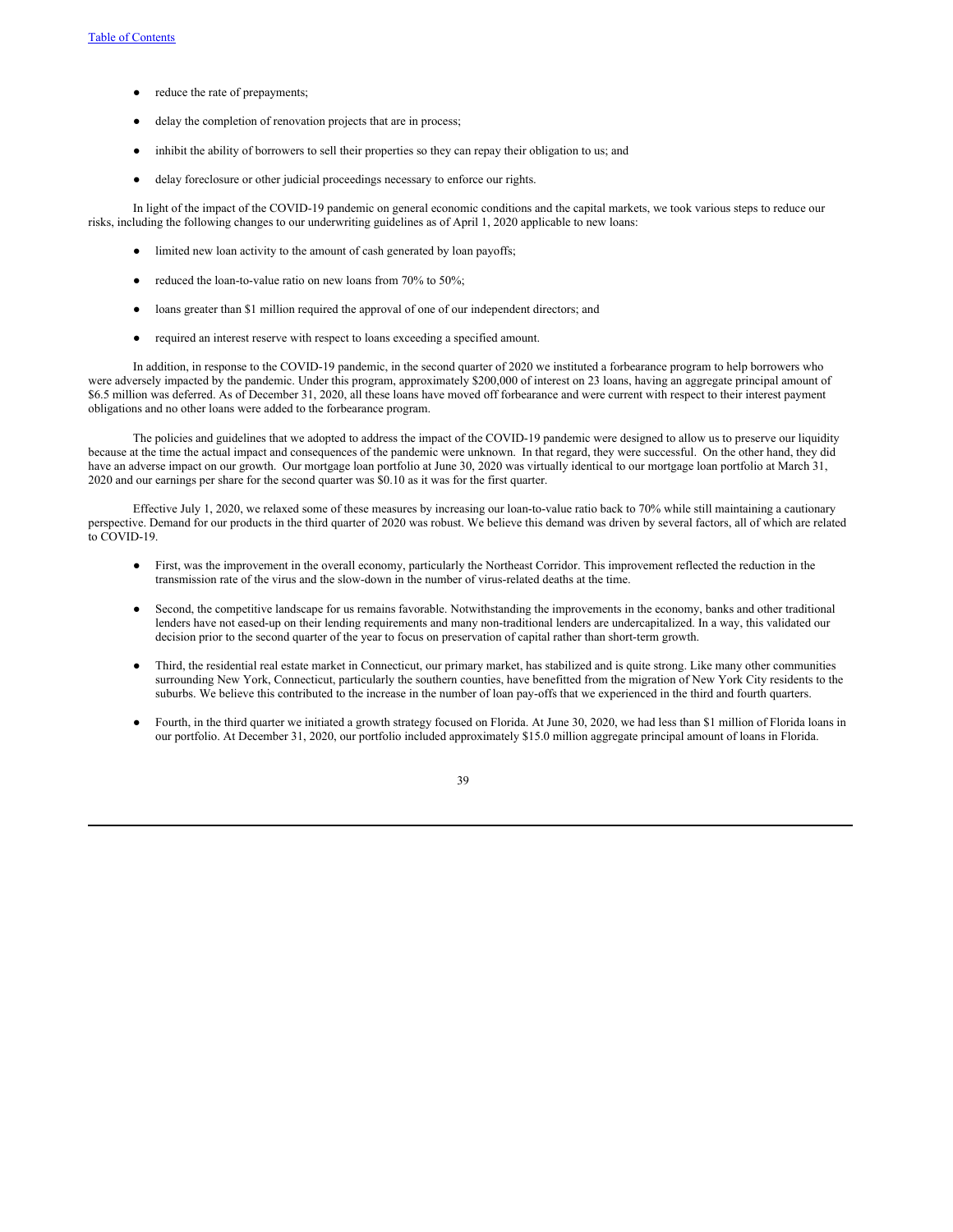- reduce the rate of prepayments;
- delay the completion of renovation projects that are in process;
- inhibit the ability of borrowers to sell their properties so they can repay their obligation to us; and
- delay foreclosure or other judicial proceedings necessary to enforce our rights.

In light of the impact of the COVID-19 pandemic on general economic conditions and the capital markets, we took various steps to reduce our risks, including the following changes to our underwriting guidelines as of April 1, 2020 applicable to new loans:

- limited new loan activity to the amount of cash generated by loan payoffs;
- reduced the loan-to-value ratio on new loans from 70% to 50%;
- loans greater than \$1 million required the approval of one of our independent directors; and
- required an interest reserve with respect to loans exceeding a specified amount.

In addition, in response to the COVID-19 pandemic, in the second quarter of 2020 we instituted a forbearance program to help borrowers who were adversely impacted by the pandemic. Under this program, approximately \$200,000 of interest on 23 loans, having an aggregate principal amount of \$6.5 million was deferred. As of December 31, 2020, all these loans have moved off forbearance and were current with respect to their interest payment obligations and no other loans were added to the forbearance program.

The policies and guidelines that we adopted to address the impact of the COVID-19 pandemic were designed to allow us to preserve our liquidity because at the time the actual impact and consequences of the pandemic were unknown. In that regard, they were successful. On the other hand, they did have an adverse impact on our growth. Our mortgage loan portfolio at June 30, 2020 was virtually identical to our mortgage loan portfolio at March 31, 2020 and our earnings per share for the second quarter was \$0.10 as it was for the first quarter.

Effective July 1, 2020, we relaxed some of these measures by increasing our loan-to-value ratio back to 70% while still maintaining a cautionary perspective. Demand for our products in the third quarter of 2020 was robust. We believe this demand was driven by several factors, all of which are related to COVID-19.

- First, was the improvement in the overall economy, particularly the Northeast Corridor. This improvement reflected the reduction in the transmission rate of the virus and the slow-down in the number of virus-related deaths at the time.
- Second, the competitive landscape for us remains favorable. Notwithstanding the improvements in the economy, banks and other traditional lenders have not eased-up on their lending requirements and many non-traditional lenders are undercapitalized. In a way, this validated our decision prior to the second quarter of the year to focus on preservation of capital rather than short-term growth.
- Third, the residential real estate market in Connecticut, our primary market, has stabilized and is quite strong. Like many other communities surrounding New York, Connecticut, particularly the southern counties, have benefitted from the migration of New York City residents to the suburbs. We believe this contributed to the increase in the number of loan pay-offs that we experienced in the third and fourth quarters.
- Fourth, in the third quarter we initiated a growth strategy focused on Florida. At June 30, 2020, we had less than \$1 million of Florida loans in our portfolio. At December 31, 2020, our portfolio included approximately \$15.0 million aggregate principal amount of loans in Florida.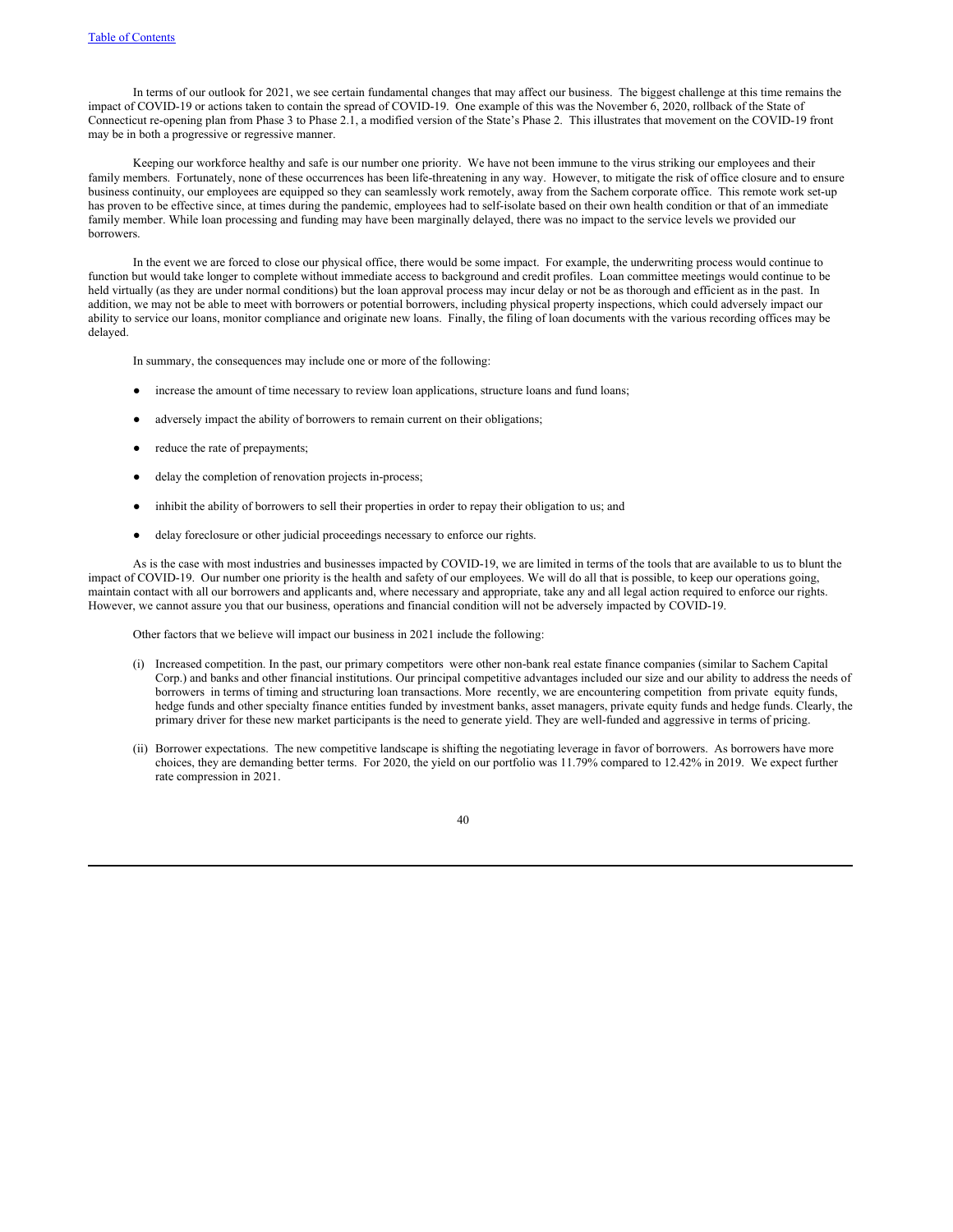In terms of our outlook for 2021, we see certain fundamental changes that may affect our business. The biggest challenge at this time remains the impact of COVID-19 or actions taken to contain the spread of COVID-19. One example of this was the November 6, 2020, rollback of the State of Connecticut re-opening plan from Phase 3 to Phase 2.1, a modified version of the State's Phase 2. This illustrates that movement on the COVID-19 front may be in both a progressive or regressive manner.

Keeping our workforce healthy and safe is our number one priority. We have not been immune to the virus striking our employees and their family members. Fortunately, none of these occurrences has been life-threatening in any way. However, to mitigate the risk of office closure and to ensure business continuity, our employees are equipped so they can seamlessly work remotely, away from the Sachem corporate office. This remote work set-up has proven to be effective since, at times during the pandemic, employees had to self-isolate based on their own health condition or that of an immediate family member. While loan processing and funding may have been marginally delayed, there was no impact to the service levels we provided our borrowers.

In the event we are forced to close our physical office, there would be some impact. For example, the underwriting process would continue to function but would take longer to complete without immediate access to background and credit profiles. Loan committee meetings would continue to be held virtually (as they are under normal conditions) but the loan approval process may incur delay or not be as thorough and efficient as in the past. In addition, we may not be able to meet with borrowers or potential borrowers, including physical property inspections, which could adversely impact our ability to service our loans, monitor compliance and originate new loans. Finally, the filing of loan documents with the various recording offices may be delayed.

In summary, the consequences may include one or more of the following:

- increase the amount of time necessary to review loan applications, structure loans and fund loans;
- adversely impact the ability of borrowers to remain current on their obligations;
- reduce the rate of prepayments;
- delay the completion of renovation projects in-process;
- inhibit the ability of borrowers to sell their properties in order to repay their obligation to us; and
- delay foreclosure or other judicial proceedings necessary to enforce our rights.

As is the case with most industries and businesses impacted by COVID-19, we are limited in terms of the tools that are available to us to blunt the impact of COVID-19. Our number one priority is the health and safety of our employees. We will do all that is possible, to keep our operations going, maintain contact with all our borrowers and applicants and, where necessary and appropriate, take any and all legal action required to enforce our rights. However, we cannot assure you that our business, operations and financial condition will not be adversely impacted by COVID-19.

Other factors that we believe will impact our business in 2021 include the following:

- (i) Increased competition. In the past, our primary competitors were other non-bank real estate finance companies (similar to Sachem Capital Corp.) and banks and other financial institutions. Our principal competitive advantages included our size and our ability to address the needs of borrowers in terms of timing and structuring loan transactions. More recently, we are encountering competition from private equity funds, hedge funds and other specialty finance entities funded by investment banks, asset managers, private equity funds and hedge funds. Clearly, the primary driver for these new market participants is the need to generate yield. They are well-funded and aggressive in terms of pricing.
- (ii) Borrower expectations. The new competitive landscape is shifting the negotiating leverage in favor of borrowers. As borrowers have more choices, they are demanding better terms. For 2020, the yield on our portfolio was 11.79% compared to 12.42% in 2019. We expect further rate compression in 2021.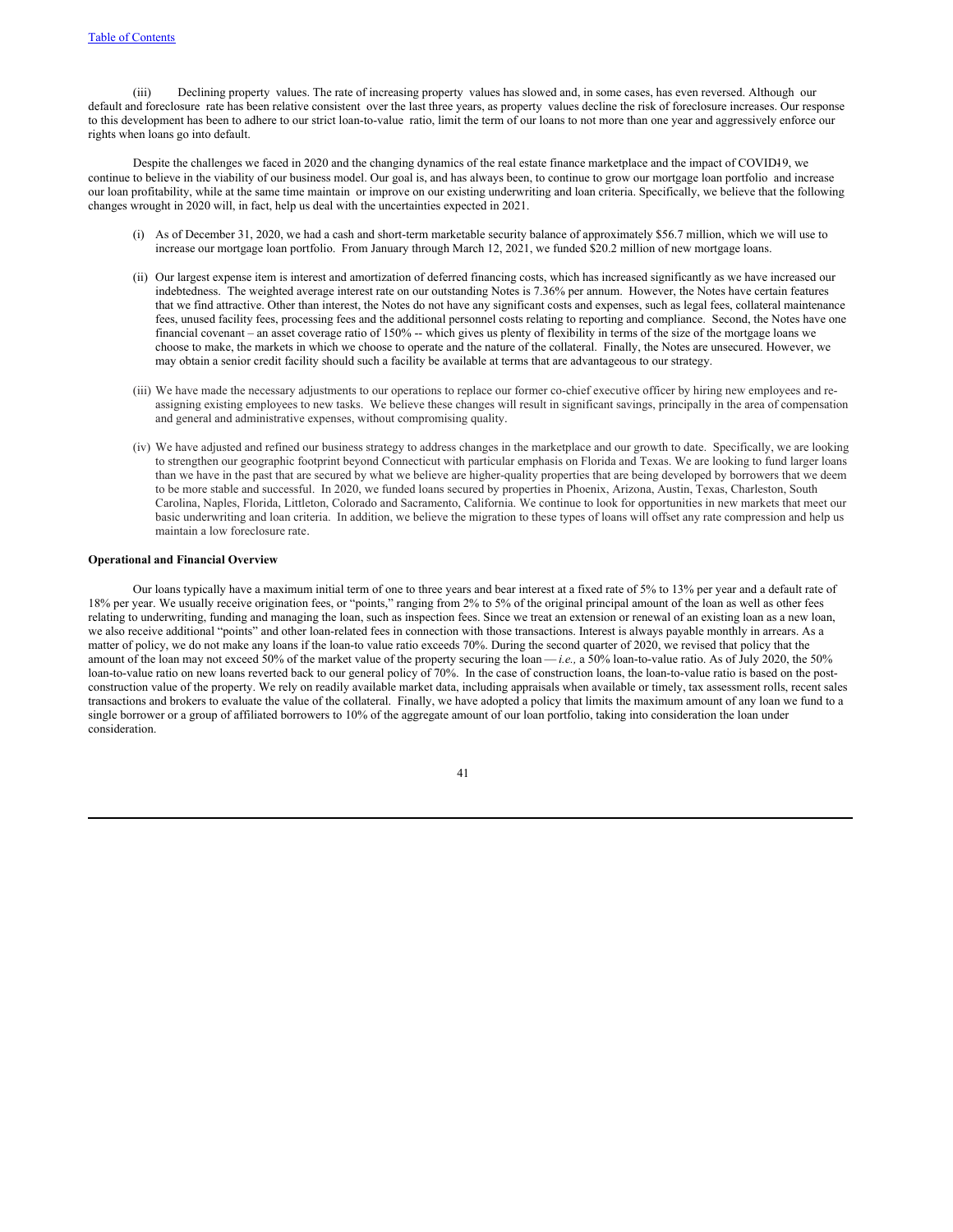(iii) Declining property values. The rate of increasing property values has slowed and, in some cases, has even reversed. Although our default and foreclosure rate has been relative consistent over the last three years, as property values decline the risk of foreclosure increases. Our response to this development has been to adhere to our strict loan-to-value ratio, limit the term of our loans to not more than one year and aggressively enforce our rights when loans go into default.

Despite the challenges we faced in 2020 and the changing dynamics of the real estate finance marketplace and the impact of COVID19, we continue to believe in the viability of our business model. Our goal is, and has always been, to continue to grow our mortgage loan portfolio and increase our loan profitability, while at the same time maintain or improve on our existing underwriting and loan criteria. Specifically, we believe that the following changes wrought in 2020 will, in fact, help us deal with the uncertainties expected in 2021.

- (i) As of December 31, 2020, we had a cash and short-term marketable security balance of approximately \$56.7 million, which we will use to increase our mortgage loan portfolio. From January through March 12, 2021, we funded \$20.2 million of new mortgage loans.
- (ii) Our largest expense item is interest and amortization of deferred financing costs, which has increased significantly as we have increased our indebtedness. The weighted average interest rate on our outstanding Notes is 7.36% per annum. However, the Notes have certain features that we find attractive. Other than interest, the Notes do not have any significant costs and expenses, such as legal fees, collateral maintenance fees, unused facility fees, processing fees and the additional personnel costs relating to reporting and compliance. Second, the Notes have one financial covenant – an asset coverage ratio of 150% -- which gives us plenty of flexibility in terms of the size of the mortgage loans we choose to make, the markets in which we choose to operate and the nature of the collateral. Finally, the Notes are unsecured. However, we may obtain a senior credit facility should such a facility be available at terms that are advantageous to our strategy.
- (iii) We have made the necessary adjustments to our operations to replace our former co-chief executive officer by hiring new employees and reassigning existing employees to new tasks. We believe these changes will result in significant savings, principally in the area of compensation and general and administrative expenses, without compromising quality.
- (iv) We have adjusted and refined our business strategy to address changes in the marketplace and our growth to date. Specifically, we are looking to strengthen our geographic footprint beyond Connecticut with particular emphasis on Florida and Texas. We are looking to fund larger loans than we have in the past that are secured by what we believe are higher-quality properties that are being developed by borrowers that we deem to be more stable and successful. In 2020, we funded loans secured by properties in Phoenix, Arizona, Austin, Texas, Charleston, South Carolina, Naples, Florida, Littleton, Colorado and Sacramento, California. We continue to look for opportunities in new markets that meet our basic underwriting and loan criteria. In addition, we believe the migration to these types of loans will offset any rate compression and help us maintain a low foreclosure rate.

#### **Operational and Financial Overview**

Our loans typically have a maximum initial term of one to three years and bear interest at a fixed rate of 5% to 13% per year and a default rate of 18% per year. We usually receive origination fees, or "points," ranging from 2% to 5% of the original principal amount of the loan as well as other fees relating to underwriting, funding and managing the loan, such as inspection fees. Since we treat an extension or renewal of an existing loan as a new loan, we also receive additional "points" and other loan-related fees in connection with those transactions. Interest is always payable monthly in arrears. As a matter of policy, we do not make any loans if the loan-to value ratio exceeds 70%. During the second quarter of 2020, we revised that policy that the amount of the loan may not exceed 50% of the market value of the property securing the loan — *i.e.,* a 50% loan-to-value ratio. As of July 2020, the 50% loan-to-value ratio on new loans reverted back to our general policy of 70%. In the case of construction loans, the loan-to-value ratio is based on the postconstruction value of the property. We rely on readily available market data, including appraisals when available or timely, tax assessment rolls, recent sales transactions and brokers to evaluate the value of the collateral. Finally, we have adopted a policy that limits the maximum amount of any loan we fund to a single borrower or a group of affiliated borrowers to 10% of the aggregate amount of our loan portfolio, taking into consideration the loan under consideration.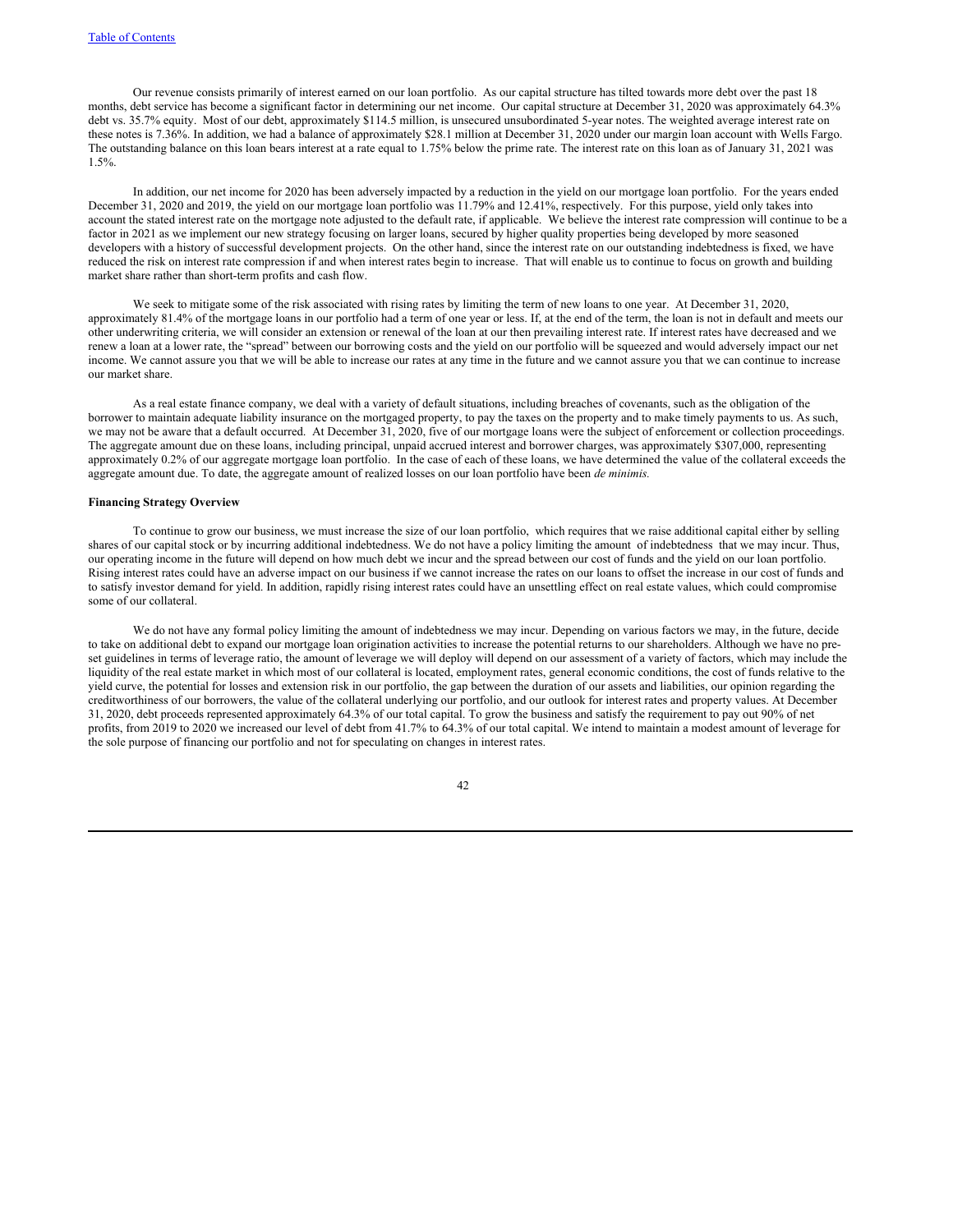Our revenue consists primarily of interest earned on our loan portfolio. As our capital structure has tilted towards more debt over the past 18 months, debt service has become a significant factor in determining our net income. Our capital structure at December 31, 2020 was approximately 64.3% debt vs. 35.7% equity. Most of our debt, approximately \$114.5 million, is unsecured unsubordinated 5-year notes. The weighted average interest rate on these notes is 7.36%. In addition, we had a balance of approximately \$28.1 million at December 31, 2020 under our margin loan account with Wells Fargo. The outstanding balance on this loan bears interest at a rate equal to 1.75% below the prime rate. The interest rate on this loan as of January 31, 2021 was 1.5%.

In addition, our net income for 2020 has been adversely impacted by a reduction in the yield on our mortgage loan portfolio. For the years ended December 31, 2020 and 2019, the yield on our mortgage loan portfolio was 11.79% and 12.41%, respectively. For this purpose, yield only takes into account the stated interest rate on the mortgage note adjusted to the default rate, if applicable. We believe the interest rate compression will continue to be a factor in 2021 as we implement our new strategy focusing on larger loans, secured by higher quality properties being developed by more seasoned developers with a history of successful development projects. On the other hand, since the interest rate on our outstanding indebtedness is fixed, we have reduced the risk on interest rate compression if and when interest rates begin to increase. That will enable us to continue to focus on growth and building market share rather than short-term profits and cash flow.

We seek to mitigate some of the risk associated with rising rates by limiting the term of new loans to one year. At December 31, 2020, approximately 81.4% of the mortgage loans in our portfolio had a term of one year or less. If, at the end of the term, the loan is not in default and meets our other underwriting criteria, we will consider an extension or renewal of the loan at our then prevailing interest rate. If interest rates have decreased and we renew a loan at a lower rate, the "spread" between our borrowing costs and the yield on our portfolio will be squeezed and would adversely impact our net income. We cannot assure you that we will be able to increase our rates at any time in the future and we cannot assure you that we can continue to increase our market share.

As a real estate finance company, we deal with a variety of default situations, including breaches of covenants, such as the obligation of the borrower to maintain adequate liability insurance on the mortgaged property, to pay the taxes on the property and to make timely payments to us. As such, we may not be aware that a default occurred. At December 31, 2020, five of our mortgage loans were the subject of enforcement or collection proceedings. The aggregate amount due on these loans, including principal, unpaid accrued interest and borrower charges, was approximately \$307,000, representing approximately 0.2% of our aggregate mortgage loan portfolio. In the case of each of these loans, we have determined the value of the collateral exceeds the aggregate amount due. To date, the aggregate amount of realized losses on our loan portfolio have been *de minimis.*

## **Financing Strategy Overview**

To continue to grow our business, we must increase the size of our loan portfolio, which requires that we raise additional capital either by selling shares of our capital stock or by incurring additional indebtedness. We do not have a policy limiting the amount of indebtedness that we may incur. Thus, our operating income in the future will depend on how much debt we incur and the spread between our cost of funds and the yield on our loan portfolio. Rising interest rates could have an adverse impact on our business if we cannot increase the rates on our loans to offset the increase in our cost of funds and to satisfy investor demand for yield. In addition, rapidly rising interest rates could have an unsettling effect on real estate values, which could compromise some of our collateral.

We do not have any formal policy limiting the amount of indebtedness we may incur. Depending on various factors we may, in the future, decide to take on additional debt to expand our mortgage loan origination activities to increase the potential returns to our shareholders. Although we have no preset guidelines in terms of leverage ratio, the amount of leverage we will deploy will depend on our assessment of a variety of factors, which may include the liquidity of the real estate market in which most of our collateral is located, employment rates, general economic conditions, the cost of funds relative to the yield curve, the potential for losses and extension risk in our portfolio, the gap between the duration of our assets and liabilities, our opinion regarding the creditworthiness of our borrowers, the value of the collateral underlying our portfolio, and our outlook for interest rates and property values. At December 31, 2020, debt proceeds represented approximately 64.3% of our total capital. To grow the business and satisfy the requirement to pay out 90% of net profits, from 2019 to 2020 we increased our level of debt from 41.7% to 64.3% of our total capital. We intend to maintain a modest amount of leverage for the sole purpose of financing our portfolio and not for speculating on changes in interest rates.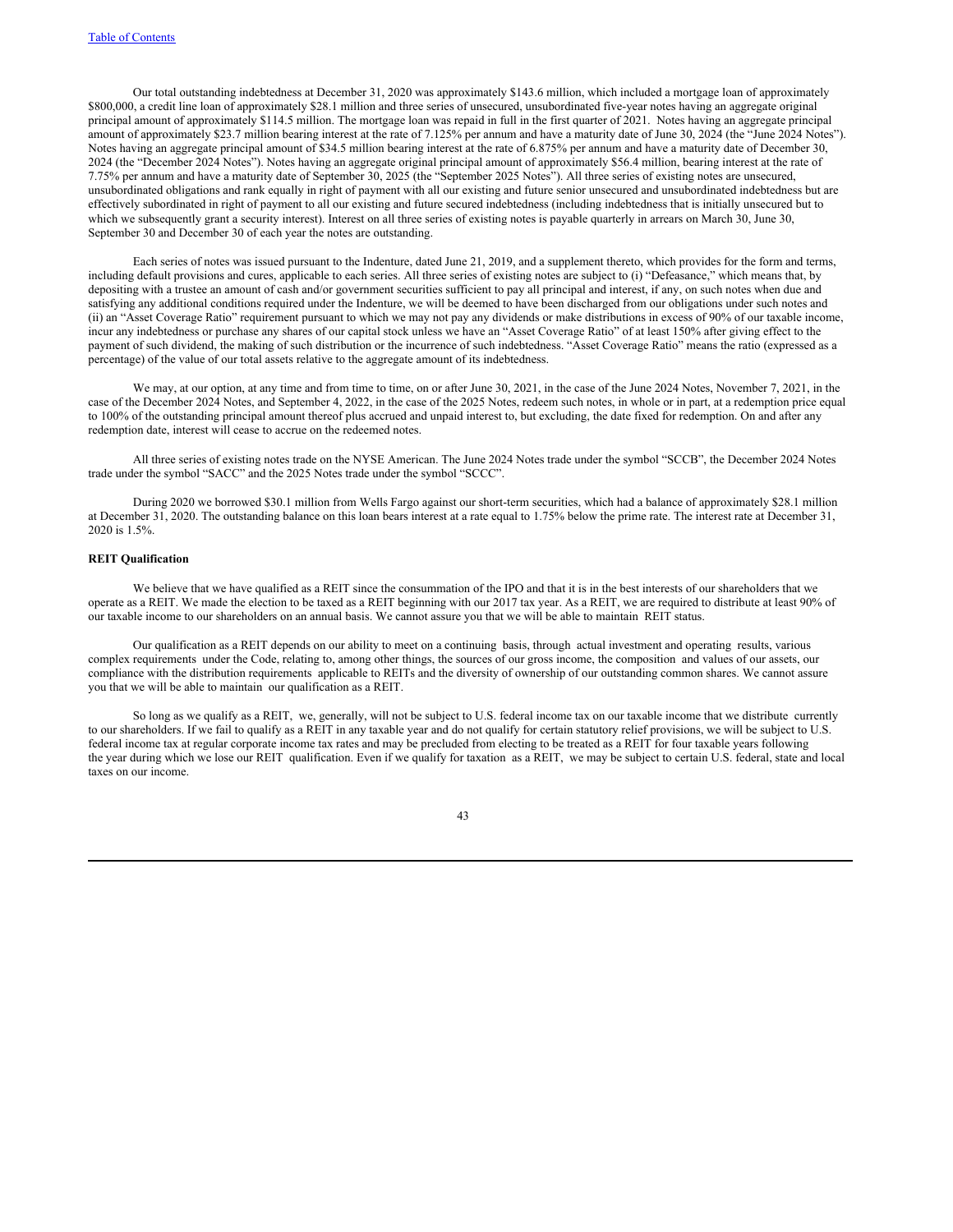Our total outstanding indebtedness at December 31, 2020 was approximately \$143.6 million, which included a mortgage loan of approximately \$800,000, a credit line loan of approximately \$28.1 million and three series of unsecured, unsubordinated five-year notes having an aggregate original principal amount of approximately \$114.5 million. The mortgage loan was repaid in full in the first quarter of 2021. Notes having an aggregate principal amount of approximately \$23.7 million bearing interest at the rate of 7.125% per annum and have a maturity date of June 30, 2024 (the "June 2024 Notes"). Notes having an aggregate principal amount of \$34.5 million bearing interest at the rate of 6.875% per annum and have a maturity date of December 30, 2024 (the "December 2024 Notes"). Notes having an aggregate original principal amount of approximately \$56.4 million, bearing interest at the rate of 7.75% per annum and have a maturity date of September 30, 2025 (the "September 2025 Notes"). All three series of existing notes are unsecured, unsubordinated obligations and rank equally in right of payment with all our existing and future senior unsecured and unsubordinated indebtedness but are effectively subordinated in right of payment to all our existing and future secured indebtedness (including indebtedness that is initially unsecured but to which we subsequently grant a security interest). Interest on all three series of existing notes is payable quarterly in arrears on March 30, June 30, September 30 and December 30 of each year the notes are outstanding.

Each series of notes was issued pursuant to the Indenture, dated June 21, 2019, and a supplement thereto, which provides for the form and terms, including default provisions and cures, applicable to each series. All three series of existing notes are subject to (i) "Defeasance," which means that, by depositing with a trustee an amount of cash and/or government securities sufficient to pay all principal and interest, if any, on such notes when due and satisfying any additional conditions required under the Indenture, we will be deemed to have been discharged from our obligations under such notes and (ii) an "Asset Coverage Ratio" requirement pursuant to which we may not pay any dividends or make distributions in excess of 90% of our taxable income, incur any indebtedness or purchase any shares of our capital stock unless we have an "Asset Coverage Ratio" of at least 150% after giving effect to the payment of such dividend, the making of such distribution or the incurrence of such indebtedness. "Asset Coverage Ratio" means the ratio (expressed as a percentage) of the value of our total assets relative to the aggregate amount of its indebtedness.

We may, at our option, at any time and from time to time, on or after June 30, 2021, in the case of the June 2024 Notes, November 7, 2021, in the case of the December 2024 Notes, and September 4, 2022, in the case of the 2025 Notes, redeem such notes, in whole or in part, at a redemption price equal to 100% of the outstanding principal amount thereof plus accrued and unpaid interest to, but excluding, the date fixed for redemption. On and after any redemption date, interest will cease to accrue on the redeemed notes.

All three series of existing notes trade on the NYSE American. The June 2024 Notes trade under the symbol "SCCB", the December 2024 Notes trade under the symbol "SACC" and the 2025 Notes trade under the symbol "SCCC".

During 2020 we borrowed \$30.1 million from Wells Fargo against our short-term securities, which had a balance of approximately \$28.1 million at December 31, 2020. The outstanding balance on this loan bears interest at a rate equal to 1.75% below the prime rate. The interest rate at December 31, 2020 is 1.5%.

### **REIT Qualification**

We believe that we have qualified as a REIT since the consummation of the IPO and that it is in the best interests of our shareholders that we operate as a REIT. We made the election to be taxed as a REIT beginning with our 2017 tax year. As a REIT, we are required to distribute at least 90% of our taxable income to our shareholders on an annual basis. We cannot assure you that we will be able to maintain REIT status.

Our qualification as a REIT depends on our ability to meet on a continuing basis, through actual investment and operating results, various complex requirements under the Code, relating to, among other things, the sources of our gross income, the composition and values of our assets, our compliance with the distribution requirements applicable to REITs and the diversity of ownership of our outstanding common shares. We cannot assure you that we will be able to maintain our qualification as a REIT.

So long as we qualify as a REIT, we, generally, will not be subject to U.S. federal income tax on our taxable income that we distribute currently to our shareholders. If we fail to qualify as a REIT in any taxable year and do not qualify for certain statutory relief provisions, we will be subject to U.S. federal income tax at regular corporate income tax rates and may be precluded from electing to be treated as a REIT for four taxable years following the year during which we lose our REIT qualification. Even if we qualify for taxation as a REIT, we may be subject to certain U.S. federal, state and local taxes on our income.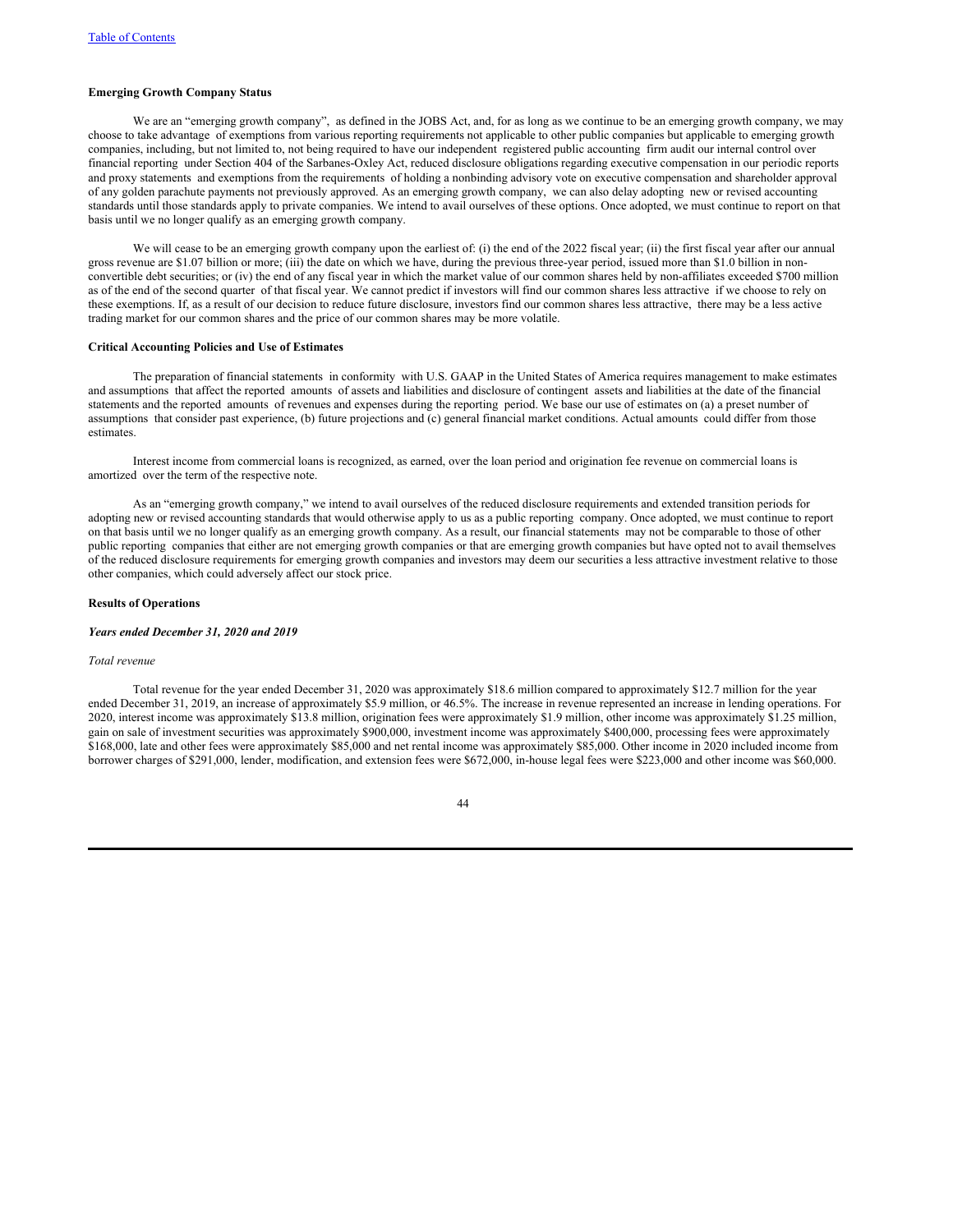## **Emerging Growth Company Status**

We are an "emerging growth company", as defined in the JOBS Act, and, for as long as we continue to be an emerging growth company, we may choose to take advantage of exemptions from various reporting requirements not applicable to other public companies but applicable to emerging growth companies, including, but not limited to, not being required to have our independent registered public accounting firm audit our internal control over financial reporting under Section 404 of the Sarbanes-Oxley Act, reduced disclosure obligations regarding executive compensation in our periodic reports and proxy statements and exemptions from the requirements of holding a nonbinding advisory vote on executive compensation and shareholder approval of any golden parachute payments not previously approved. As an emerging growth company, we can also delay adopting new or revised accounting standards until those standards apply to private companies. We intend to avail ourselves of these options. Once adopted, we must continue to report on that basis until we no longer qualify as an emerging growth company.

We will cease to be an emerging growth company upon the earliest of: (i) the end of the 2022 fiscal year; (ii) the first fiscal year after our annual gross revenue are \$1.07 billion or more; (iii) the date on which we have, during the previous three-year period, issued more than \$1.0 billion in nonconvertible debt securities; or (iv) the end of any fiscal year in which the market value of our common shares held by non-affiliates exceeded \$700 million as of the end of the second quarter of that fiscal year. We cannot predict if investors will find our common shares less attractive if we choose to rely on these exemptions. If, as a result of our decision to reduce future disclosure, investors find our common shares less attractive, there may be a less active trading market for our common shares and the price of our common shares may be more volatile.

#### **Critical Accounting Policies and Use of Estimates**

The preparation of financial statements in conformity with U.S. GAAP in the United States of America requires management to make estimates and assumptions that affect the reported amounts of assets and liabilities and disclosure of contingent assets and liabilities at the date of the financial statements and the reported amounts of revenues and expenses during the reporting period. We base our use of estimates on (a) a preset number of assumptions that consider past experience, (b) future projections and (c) general financial market conditions. Actual amounts could differ from those estimates.

Interest income from commercial loans is recognized, as earned, over the loan period and origination fee revenue on commercial loans is amortized over the term of the respective note.

As an "emerging growth company," we intend to avail ourselves of the reduced disclosure requirements and extended transition periods for adopting new or revised accounting standards that would otherwise apply to us as a public reporting company. Once adopted, we must continue to report on that basis until we no longer qualify as an emerging growth company. As a result, our financial statements may not be comparable to those of other public reporting companies that either are not emerging growth companies or that are emerging growth companies but have opted not to avail themselves of the reduced disclosure requirements for emerging growth companies and investors may deem our securities a less attractive investment relative to those other companies, which could adversely affect our stock price.

#### **Results of Operations**

#### *Years ended December 31, 2020 and 2019*

#### *Total revenue*

Total revenue for the year ended December 31, 2020 was approximately \$18.6 million compared to approximately \$12.7 million for the year ended December 31, 2019, an increase of approximately \$5.9 million, or 46.5%. The increase in revenue represented an increase in lending operations. For 2020, interest income was approximately \$13.8 million, origination fees were approximately \$1.9 million, other income was approximately \$1.25 million, gain on sale of investment securities was approximately \$900,000, investment income was approximately \$400,000, processing fees were approximately \$168,000, late and other fees were approximately \$85,000 and net rental income was approximately \$85,000. Other income in 2020 included income from borrower charges of \$291,000, lender, modification, and extension fees were \$672,000, in-house legal fees were \$223,000 and other income was \$60,000.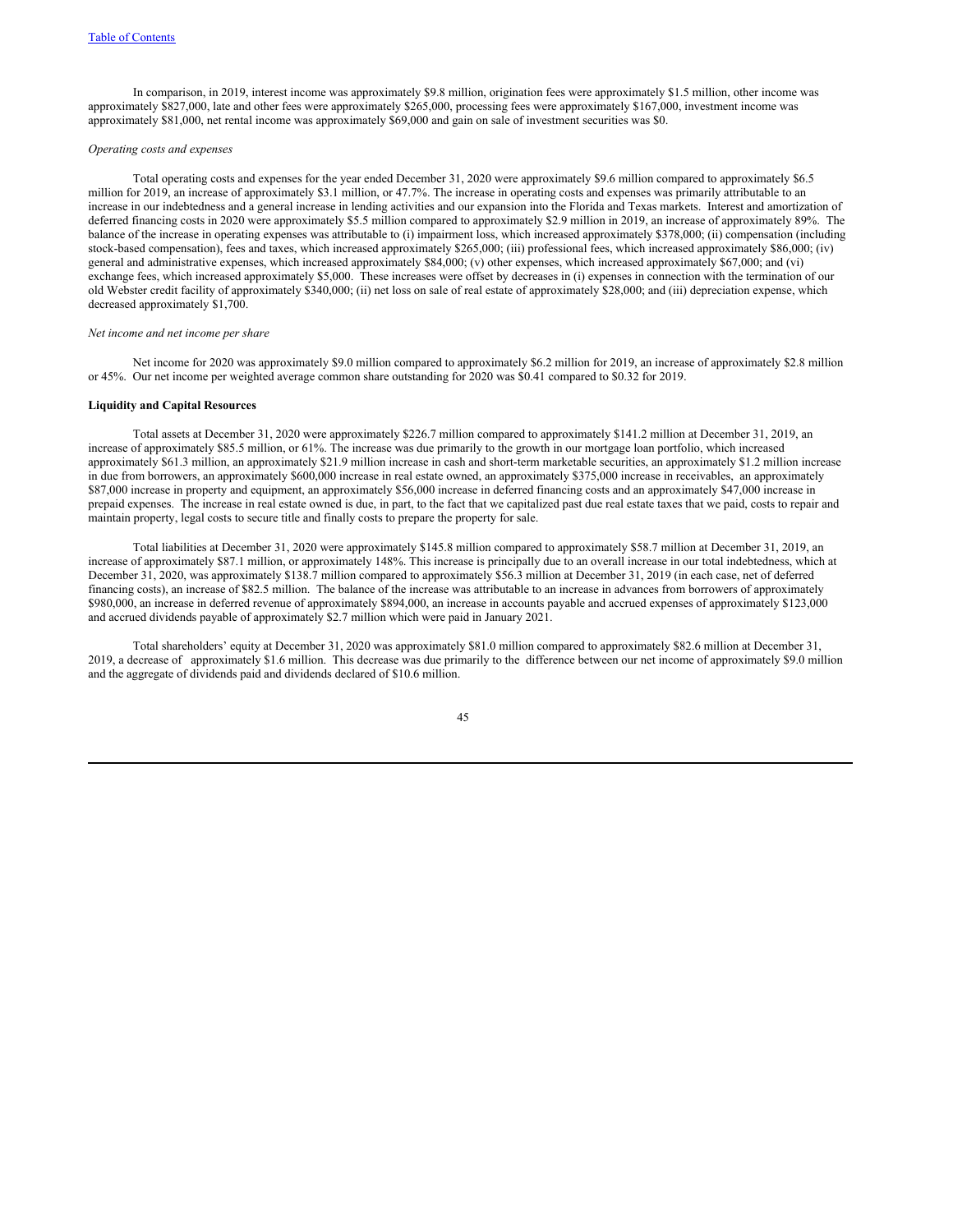In comparison, in 2019, interest income was approximately \$9.8 million, origination fees were approximately \$1.5 million, other income was approximately \$827,000, late and other fees were approximately \$265,000, processing fees were approximately \$167,000, investment income was approximately \$81,000, net rental income was approximately \$69,000 and gain on sale of investment securities was \$0.

#### *Operating costs and expenses*

Total operating costs and expenses for the year ended December 31, 2020 were approximately \$9.6 million compared to approximately \$6.5 million for 2019, an increase of approximately \$3.1 million, or 47.7%. The increase in operating costs and expenses was primarily attributable to an increase in our indebtedness and a general increase in lending activities and our expansion into the Florida and Texas markets. Interest and amortization of deferred financing costs in 2020 were approximately \$5.5 million compared to approximately \$2.9 million in 2019, an increase of approximately 89%. The balance of the increase in operating expenses was attributable to (i) impairment loss, which increased approximately \$378,000; (ii) compensation (including stock-based compensation), fees and taxes, which increased approximately \$265,000; (iii) professional fees, which increased approximately \$86,000; (iv) general and administrative expenses, which increased approximately \$84,000; (v) other expenses, which increased approximately \$67,000; and (vi) exchange fees, which increased approximately \$5,000. These increases were offset by decreases in (i) expenses in connection with the termination of our old Webster credit facility of approximately \$340,000; (ii) net loss on sale of real estate of approximately \$28,000; and (iii) depreciation expense, which decreased approximately \$1,700.

### *Net income and net income per share*

Net income for 2020 was approximately \$9.0 million compared to approximately \$6.2 million for 2019, an increase of approximately \$2.8 million or 45%. Our net income per weighted average common share outstanding for 2020 was \$0.41 compared to \$0.32 for 2019.

#### **Liquidity and Capital Resources**

Total assets at December 31, 2020 were approximately \$226.7 million compared to approximately \$141.2 million at December 31, 2019, an increase of approximately \$85.5 million, or 61%. The increase was due primarily to the growth in our mortgage loan portfolio, which increased approximately \$61.3 million, an approximately \$21.9 million increase in cash and short-term marketable securities, an approximately \$1.2 million increase in due from borrowers, an approximately \$600,000 increase in real estate owned, an approximately \$375,000 increase in receivables, an approximately \$87,000 increase in property and equipment, an approximately \$56,000 increase in deferred financing costs and an approximately \$47,000 increase in prepaid expenses. The increase in real estate owned is due, in part, to the fact that we capitalized past due real estate taxes that we paid, costs to repair and maintain property, legal costs to secure title and finally costs to prepare the property for sale.

Total liabilities at December 31, 2020 were approximately \$145.8 million compared to approximately \$58.7 million at December 31, 2019, an increase of approximately \$87.1 million, or approximately 148%. This increase is principally due to an overall increase in our total indebtedness, which at December 31, 2020, was approximately \$138.7 million compared to approximately \$56.3 million at December 31, 2019 (in each case, net of deferred financing costs), an increase of \$82.5 million. The balance of the increase was attributable to an increase in advances from borrowers of approximately \$980,000, an increase in deferred revenue of approximately \$894,000, an increase in accounts payable and accrued expenses of approximately \$123,000 and accrued dividends payable of approximately \$2.7 million which were paid in January 2021.

Total shareholders' equity at December 31, 2020 was approximately \$81.0 million compared to approximately \$82.6 million at December 31, 2019, a decrease of approximately \$1.6 million. This decrease was due primarily to the difference between our net income of approximately \$9.0 million and the aggregate of dividends paid and dividends declared of \$10.6 million.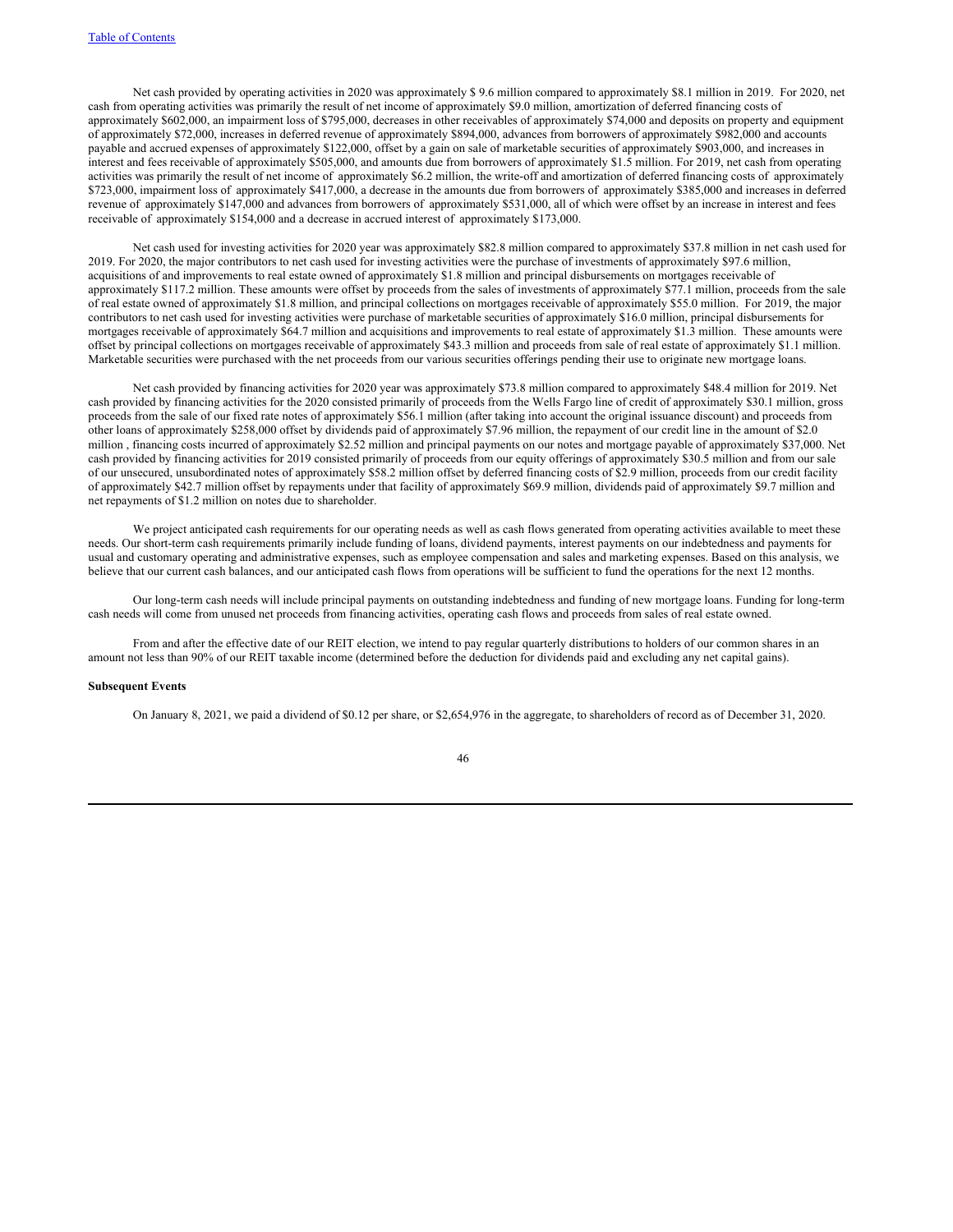Net cash provided by operating activities in 2020 was approximately \$ 9.6 million compared to approximately \$8.1 million in 2019. For 2020, net cash from operating activities was primarily the result of net income of approximately \$9.0 million, amortization of deferred financing costs of approximately \$602,000, an impairment loss of \$795,000, decreases in other receivables of approximately \$74,000 and deposits on property and equipment of approximately \$72,000, increases in deferred revenue of approximately \$894,000, advances from borrowers of approximately \$982,000 and accounts payable and accrued expenses of approximately \$122,000, offset by a gain on sale of marketable securities of approximately \$903,000, and increases in interest and fees receivable of approximately \$505,000, and amounts due from borrowers of approximately \$1.5 million. For 2019, net cash from operating activities was primarily the result of net income of approximately \$6.2 million, the write-off and amortization of deferred financing costs of approximately \$723,000, impairment loss of approximately \$417,000, a decrease in the amounts due from borrowers of approximately \$385,000 and increases in deferred revenue of approximately \$147,000 and advances from borrowers of approximately \$531,000, all of which were offset by an increase in interest and fees receivable of approximately \$154,000 and a decrease in accrued interest of approximately \$173,000.

Net cash used for investing activities for 2020 year was approximately \$82.8 million compared to approximately \$37.8 million in net cash used for 2019. For 2020, the major contributors to net cash used for investing activities were the purchase of investments of approximately \$97.6 million, acquisitions of and improvements to real estate owned of approximately \$1.8 million and principal disbursements on mortgages receivable of approximately \$117.2 million. These amounts were offset by proceeds from the sales of investments of approximately \$77.1 million, proceeds from the sale of real estate owned of approximately \$1.8 million, and principal collections on mortgages receivable of approximately \$55.0 million. For 2019, the major contributors to net cash used for investing activities were purchase of marketable securities of approximately \$16.0 million, principal disbursements for mortgages receivable of approximately \$64.7 million and acquisitions and improvements to real estate of approximately \$1.3 million. These amounts were offset by principal collections on mortgages receivable of approximately \$43.3 million and proceeds from sale of real estate of approximately \$1.1 million. Marketable securities were purchased with the net proceeds from our various securities offerings pending their use to originate new mortgage loans.

Net cash provided by financing activities for 2020 year was approximately \$73.8 million compared to approximately \$48.4 million for 2019. Net cash provided by financing activities for the 2020 consisted primarily of proceeds from the Wells Fargo line of credit of approximately \$30.1 million, gross proceeds from the sale of our fixed rate notes of approximately \$56.1 million (after taking into account the original issuance discount) and proceeds from other loans of approximately \$258,000 offset by dividends paid of approximately \$7.96 million, the repayment of our credit line in the amount of \$2.0 million , financing costs incurred of approximately \$2.52 million and principal payments on our notes and mortgage payable of approximately \$37,000. Net cash provided by financing activities for 2019 consisted primarily of proceeds from our equity offerings of approximately \$30.5 million and from our sale of our unsecured, unsubordinated notes of approximately \$58.2 million offset by deferred financing costs of \$2.9 million, proceeds from our credit facility of approximately \$42.7 million offset by repayments under that facility of approximately \$69.9 million, dividends paid of approximately \$9.7 million and net repayments of \$1.2 million on notes due to shareholder.

We project anticipated cash requirements for our operating needs as well as cash flows generated from operating activities available to meet these needs. Our short-term cash requirements primarily include funding of loans, dividend payments, interest payments on our indebtedness and payments for usual and customary operating and administrative expenses, such as employee compensation and sales and marketing expenses. Based on this analysis, we believe that our current cash balances, and our anticipated cash flows from operations will be sufficient to fund the operations for the next 12 months.

Our long-term cash needs will include principal payments on outstanding indebtedness and funding of new mortgage loans. Funding for long-term cash needs will come from unused net proceeds from financing activities, operating cash flows and proceeds from sales of real estate owned.

From and after the effective date of our REIT election, we intend to pay regular quarterly distributions to holders of our common shares in an amount not less than 90% of our REIT taxable income (determined before the deduction for dividends paid and excluding any net capital gains).

#### **Subsequent Events**

On January 8, 2021, we paid a dividend of \$0.12 per share, or \$2,654,976 in the aggregate, to shareholders of record as of December 31, 2020.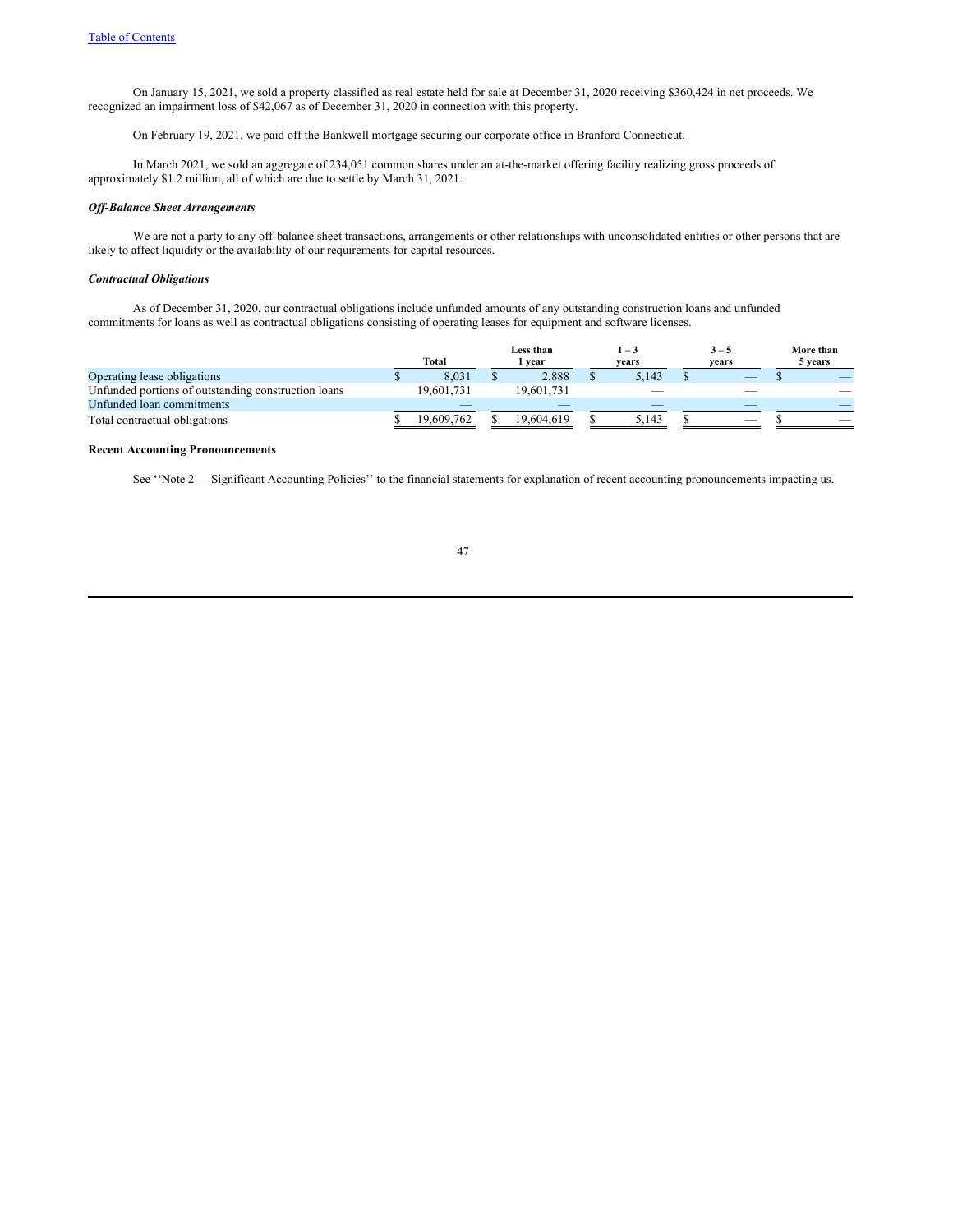On January 15, 2021, we sold a property classified as real estate held for sale at December 31, 2020 receiving \$360,424 in net proceeds. We recognized an impairment loss of \$42,067 as of December 31, 2020 in connection with this property.

On February 19, 2021, we paid off the Bankwell mortgage securing our corporate office in Branford Connecticut.

In March 2021, we sold an aggregate of 234,051 common shares under an at-the-market offering facility realizing gross proceeds of approximately \$1.2 million, all of which are due to settle by March 31, 2021.

## *Of -Balance Sheet Arrangements*

We are not a party to any off-balance sheet transactions, arrangements or other relationships with unconsolidated entities or other persons that are likely to affect liquidity or the availability of our requirements for capital resources.

## *Contractual Obligations*

As of December 31, 2020, our contractual obligations include unfunded amounts of any outstanding construction loans and unfunded commitments for loans as well as contractual obligations consisting of operating leases for equipment and software licenses.

|                                                     | Total      | Less than<br>vear | $1 - 3$<br>vears | $3 - 5$<br>vears | More than<br>5 years |
|-----------------------------------------------------|------------|-------------------|------------------|------------------|----------------------|
| Operating lease obligations                         | 8.031      | 2.888             | 5.143            | _                |                      |
| Unfunded portions of outstanding construction loans | 19.601.731 | 19.601.731        | _                | _                |                      |
| Unfunded loan commitments                           |            |                   |                  |                  |                      |
| Total contractual obligations                       | 19.609.762 | 19.604.619        | 5.143            | _                |                      |

#### **Recent Accounting Pronouncements**

See ''Note 2 — Significant Accounting Policies'' to the financial statements for explanation of recent accounting pronouncements impacting us.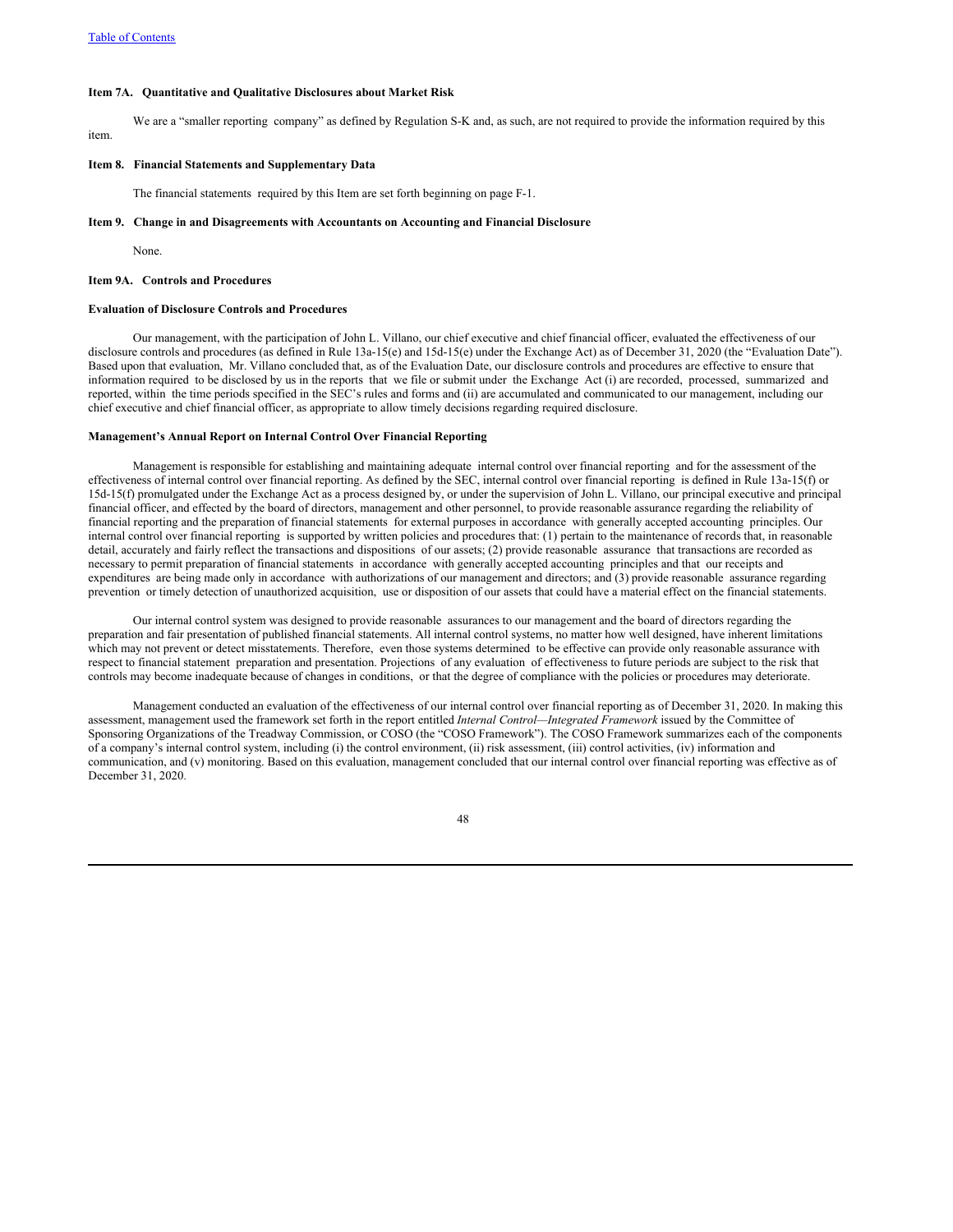# **Item 7A. Quantitative and Qualitative Disclosures about Market Risk**

We are a "smaller reporting company" as defined by Regulation S-K and, as such, are not required to provide the information required by this item.

### **Item 8. Financial Statements and Supplementary Data**

The financial statements required by this Item are set forth beginning on page F-1.

#### **Item 9. Change in and Disagreements with Accountants on Accounting and Financial Disclosure**

None.

#### **Item 9A. Controls and Procedures**

## **Evaluation of Disclosure Controls and Procedures**

Our management, with the participation of John L. Villano, our chief executive and chief financial officer, evaluated the effectiveness of our disclosure controls and procedures (as defined in Rule 13a-15(e) and 15d-15(e) under the Exchange Act) as of December 31, 2020 (the "Evaluation Date"). Based upon that evaluation, Mr. Villano concluded that, as of the Evaluation Date, our disclosure controls and procedures are effective to ensure that information required to be disclosed by us in the reports that we file or submit under the Exchange Act (i) are recorded, processed, summarized and reported, within the time periods specified in the SEC's rules and forms and (ii) are accumulated and communicated to our management, including our chief executive and chief financial officer, as appropriate to allow timely decisions regarding required disclosure.

### **Management's Annual Report on Internal Control Over Financial Reporting**

Management is responsible for establishing and maintaining adequate internal control over financial reporting and for the assessment of the effectiveness of internal control over financial reporting. As defined by the SEC, internal control over financial reporting is defined in Rule 13a-15(f) or 15d-15(f) promulgated under the Exchange Act as a process designed by, or under the supervision of John L. Villano, our principal executive and principal financial officer, and effected by the board of directors, management and other personnel, to provide reasonable assurance regarding the reliability of financial reporting and the preparation of financial statements for external purposes in accordance with generally accepted accounting principles. Our internal control over financial reporting is supported by written policies and procedures that: (1) pertain to the maintenance of records that, in reasonable detail, accurately and fairly reflect the transactions and dispositions of our assets; (2) provide reasonable assurance that transactions are recorded as necessary to permit preparation of financial statements in accordance with generally accepted accounting principles and that our receipts and expenditures are being made only in accordance with authorizations of our management and directors; and (3) provide reasonable assurance regarding prevention or timely detection of unauthorized acquisition, use or disposition of our assets that could have a material effect on the financial statements.

Our internal control system was designed to provide reasonable assurances to our management and the board of directors regarding the preparation and fair presentation of published financial statements. All internal control systems, no matter how well designed, have inherent limitations which may not prevent or detect misstatements. Therefore, even those systems determined to be effective can provide only reasonable assurance with respect to financial statement preparation and presentation. Projections of any evaluation of effectiveness to future periods are subject to the risk that controls may become inadequate because of changes in conditions, or that the degree of compliance with the policies or procedures may deteriorate.

Management conducted an evaluation of the effectiveness of our internal control over financial reporting as of December 31, 2020. In making this assessment, management used the framework set forth in the report entitled *Internal Control—Integrated Framework* issued by the Committee of Sponsoring Organizations of the Treadway Commission, or COSO (the "COSO Framework"). The COSO Framework summarizes each of the components of a company's internal control system, including (i) the control environment, (ii) risk assessment, (iii) control activities, (iv) information and communication, and (v) monitoring. Based on this evaluation, management concluded that our internal control over financial reporting was effective as of December 31, 2020.

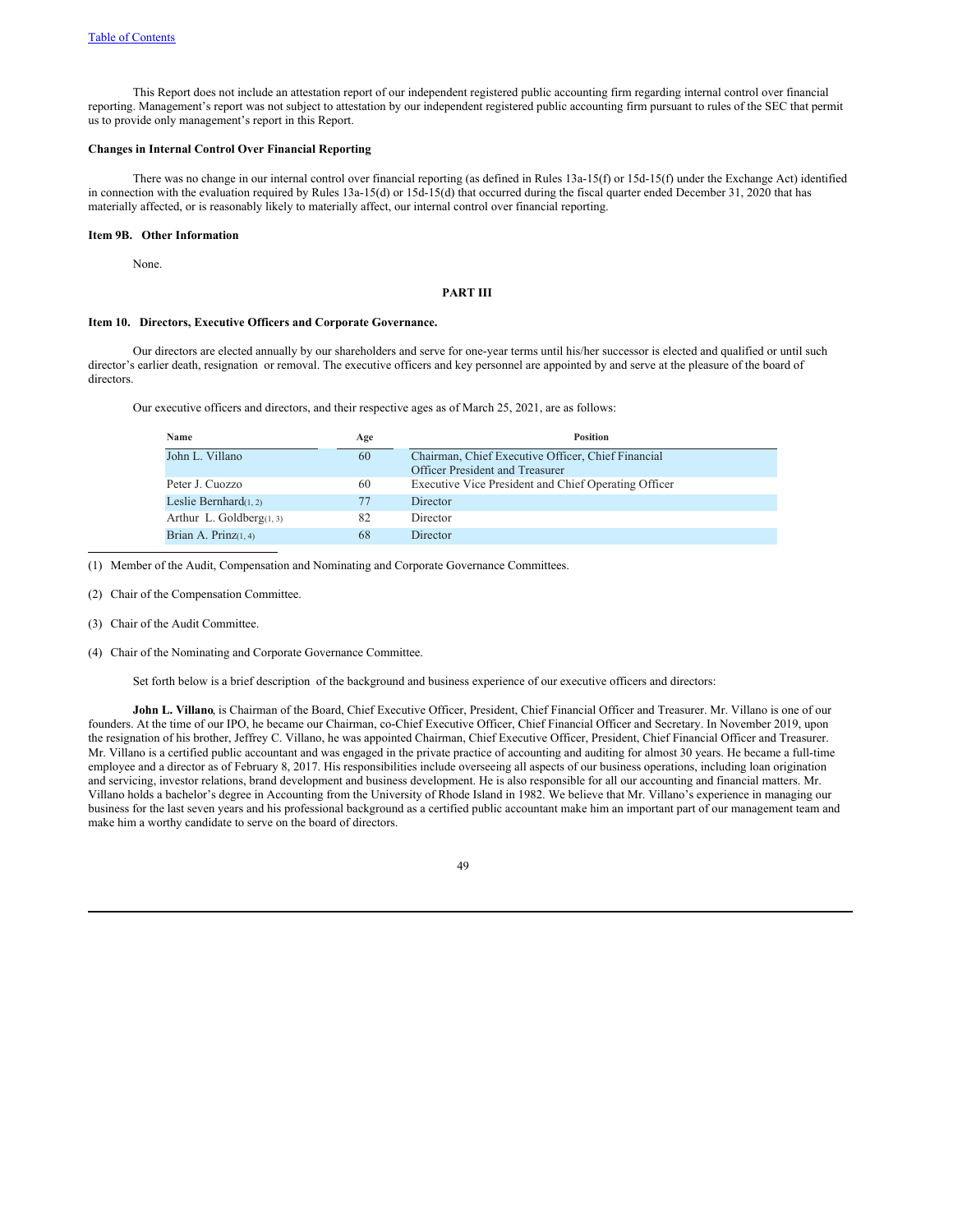This Report does not include an attestation report of our independent registered public accounting firm regarding internal control over financial reporting. Management's report was not subject to attestation by our independent registered public accounting firm pursuant to rules of the SEC that permit us to provide only management's report in this Report.

#### **Changes in Internal Control Over Financial Reporting**

There was no change in our internal control over financial reporting (as defined in Rules 13a-15(f) or 15d-15(f) under the Exchange Act) identified in connection with the evaluation required by Rules 13a-15(d) or 15d-15(d) that occurred during the fiscal quarter ended December 31, 2020 that has materially affected, or is reasonably likely to materially affect, our internal control over financial reporting.

#### **Item 9B. Other Information**

None.

# **PART III**

## **Item 10. Directors, Executive Officers and Corporate Governance.**

Our directors are elected annually by our shareholders and serve for one-year terms until his/her successor is elected and qualified or until such director's earlier death, resignation or removal. The executive officers and key personnel are appointed by and serve at the pleasure of the board of directors.

Our executive officers and directors, and their respective ages as of March 25, 2021, are as follows:

| Name                        | Age | <b>Position</b>                                      |
|-----------------------------|-----|------------------------------------------------------|
| John L. Villano             | 60  | Chairman, Chief Executive Officer, Chief Financial   |
|                             |     | Officer President and Treasurer                      |
| Peter J. Cuozzo             | 60  | Executive Vice President and Chief Operating Officer |
| Leslie Bernhard $(1, 2)$    | 77  | Director                                             |
| Arthur L. Goldberg $(1, 3)$ | 82  | Director                                             |
| Brian A. Prinz $(1, 4)$     | 68  | Director                                             |

(1) Member of the Audit, Compensation and Nominating and Corporate Governance Committees.

- (2) Chair of the Compensation Committee.
- (3) Chair of the Audit Committee.
- (4) Chair of the Nominating and Corporate Governance Committee.

Set forth below is a brief description of the background and business experience of our executive officers and directors:

**John L. Villano**, is Chairman of the Board, Chief Executive Officer, President, Chief Financial Officer and Treasurer. Mr. Villano is one of our founders. At the time of our IPO, he became our Chairman, co-Chief Executive Officer, Chief Financial Officer and Secretary. In November 2019, upon the resignation of his brother, Jeffrey C. Villano, he was appointed Chairman, Chief Executive Officer, President, Chief Financial Officer and Treasurer. Mr. Villano is a certified public accountant and was engaged in the private practice of accounting and auditing for almost 30 years. He became a full-time employee and a director as of February 8, 2017. His responsibilities include overseeing all aspects of our business operations, including loan origination and servicing, investor relations, brand development and business development. He is also responsible for all our accounting and financial matters. Mr. Villano holds a bachelor's degree in Accounting from the University of Rhode Island in 1982. We believe that Mr. Villano's experience in managing our business for the last seven years and his professional background as a certified public accountant make him an important part of our management team and make him a worthy candidate to serve on the board of directors.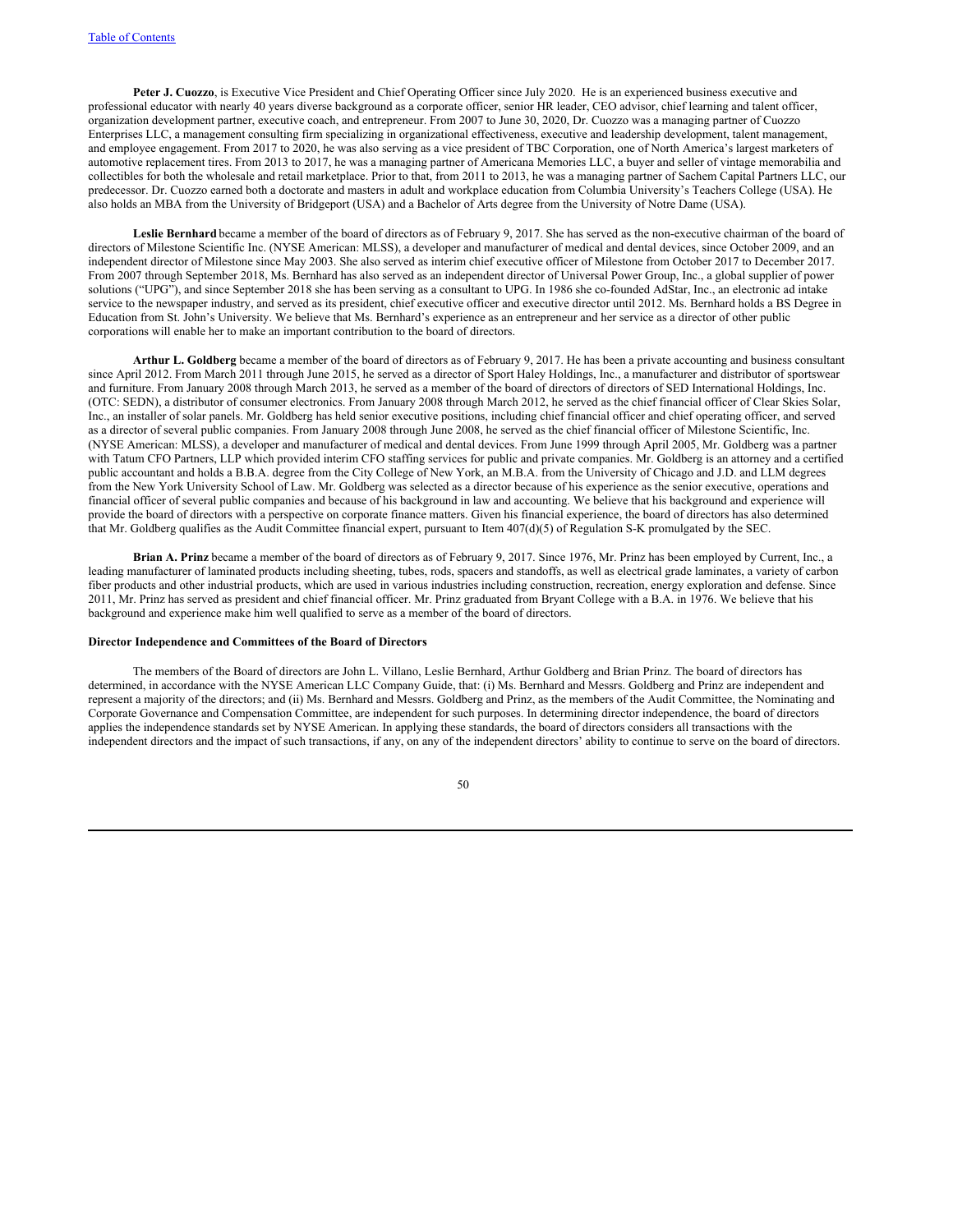**Peter J. Cuozzo**, is Executive Vice President and Chief Operating Officer since July 2020. He is an experienced business executive and professional educator with nearly 40 years diverse background as a corporate officer, senior HR leader, CEO advisor, chief learning and talent officer, organization development partner, executive coach, and entrepreneur. From 2007 to June 30, 2020, Dr. Cuozzo was a managing partner of Cuozzo Enterprises LLC, a management consulting firm specializing in organizational effectiveness, executive and leadership development, talent management, and employee engagement. From 2017 to 2020, he was also serving as a vice president of TBC Corporation, one of North America's largest marketers of automotive replacement tires. From 2013 to 2017, he was a managing partner of Americana Memories LLC, a buyer and seller of vintage memorabilia and collectibles for both the wholesale and retail marketplace. Prior to that, from 2011 to 2013, he was a managing partner of Sachem Capital Partners LLC, our predecessor. Dr. Cuozzo earned both a doctorate and masters in adult and workplace education from Columbia University's Teachers College (USA). He also holds an MBA from the University of Bridgeport (USA) and a Bachelor of Arts degree from the University of Notre Dame (USA).

**Leslie Bernhard** became a member of the board of directors as of February 9, 2017. She has served as the non-executive chairman of the board of directors of Milestone Scientific Inc. (NYSE American: MLSS), a developer and manufacturer of medical and dental devices, since October 2009, and an independent director of Milestone since May 2003. She also served as interim chief executive officer of Milestone from October 2017 to December 2017. From 2007 through September 2018, Ms. Bernhard has also served as an independent director of Universal Power Group, Inc., a global supplier of power solutions ("UPG"), and since September 2018 she has been serving as a consultant to UPG. In 1986 she co-founded AdStar, Inc., an electronic ad intake service to the newspaper industry, and served as its president, chief executive officer and executive director until 2012. Ms. Bernhard holds a BS Degree in Education from St. John's University. We believe that Ms. Bernhard's experience as an entrepreneur and her service as a director of other public corporations will enable her to make an important contribution to the board of directors.

**Arthur L. Goldberg** became a member of the board of directors as of February 9, 2017. He has been a private accounting and business consultant since April 2012. From March 2011 through June 2015, he served as a director of Sport Haley Holdings, Inc., a manufacturer and distributor of sportswear and furniture. From January 2008 through March 2013, he served as a member of the board of directors of directors of SED International Holdings, Inc. (OTC: SEDN), a distributor of consumer electronics. From January 2008 through March 2012, he served as the chief financial officer of Clear Skies Solar, Inc., an installer of solar panels. Mr. Goldberg has held senior executive positions, including chief financial officer and chief operating officer, and served as a director of several public companies. From January 2008 through June 2008, he served as the chief financial officer of Milestone Scientific, Inc. (NYSE American: MLSS), a developer and manufacturer of medical and dental devices. From June 1999 through April 2005, Mr. Goldberg was a partner with Tatum CFO Partners, LLP which provided interim CFO staffing services for public and private companies. Mr. Goldberg is an attorney and a certified public accountant and holds a B.B.A. degree from the City College of New York, an M.B.A. from the University of Chicago and J.D. and LLM degrees from the New York University School of Law. Mr. Goldberg was selected as a director because of his experience as the senior executive, operations and financial officer of several public companies and because of his background in law and accounting. We believe that his background and experience will provide the board of directors with a perspective on corporate finance matters. Given his financial experience, the board of directors has also determined that Mr. Goldberg qualifies as the Audit Committee financial expert, pursuant to Item 407(d)(5) of Regulation S-K promulgated by the SEC.

**Brian A. Prinz** became a member of the board of directors as of February 9, 2017. Since 1976, Mr. Prinz has been employed by Current, Inc., a leading manufacturer of laminated products including sheeting, tubes, rods, spacers and standoffs, as well as electrical grade laminates, a variety of carbon fiber products and other industrial products, which are used in various industries including construction, recreation, energy exploration and defense. Since 2011, Mr. Prinz has served as president and chief financial officer. Mr. Prinz graduated from Bryant College with a B.A. in 1976. We believe that his background and experience make him well qualified to serve as a member of the board of directors.

#### **Director Independence and Committees of the Board of Directors**

The members of the Board of directors are John L. Villano, Leslie Bernhard, Arthur Goldberg and Brian Prinz. The board of directors has determined, in accordance with the NYSE American LLC Company Guide, that: (i) Ms. Bernhard and Messrs. Goldberg and Prinz are independent and represent a majority of the directors; and (ii) Ms. Bernhard and Messrs. Goldberg and Prinz, as the members of the Audit Committee, the Nominating and Corporate Governance and Compensation Committee, are independent for such purposes. In determining director independence, the board of directors applies the independence standards set by NYSE American. In applying these standards, the board of directors considers all transactions with the independent directors and the impact of such transactions, if any, on any of the independent directors' ability to continue to serve on the board of directors.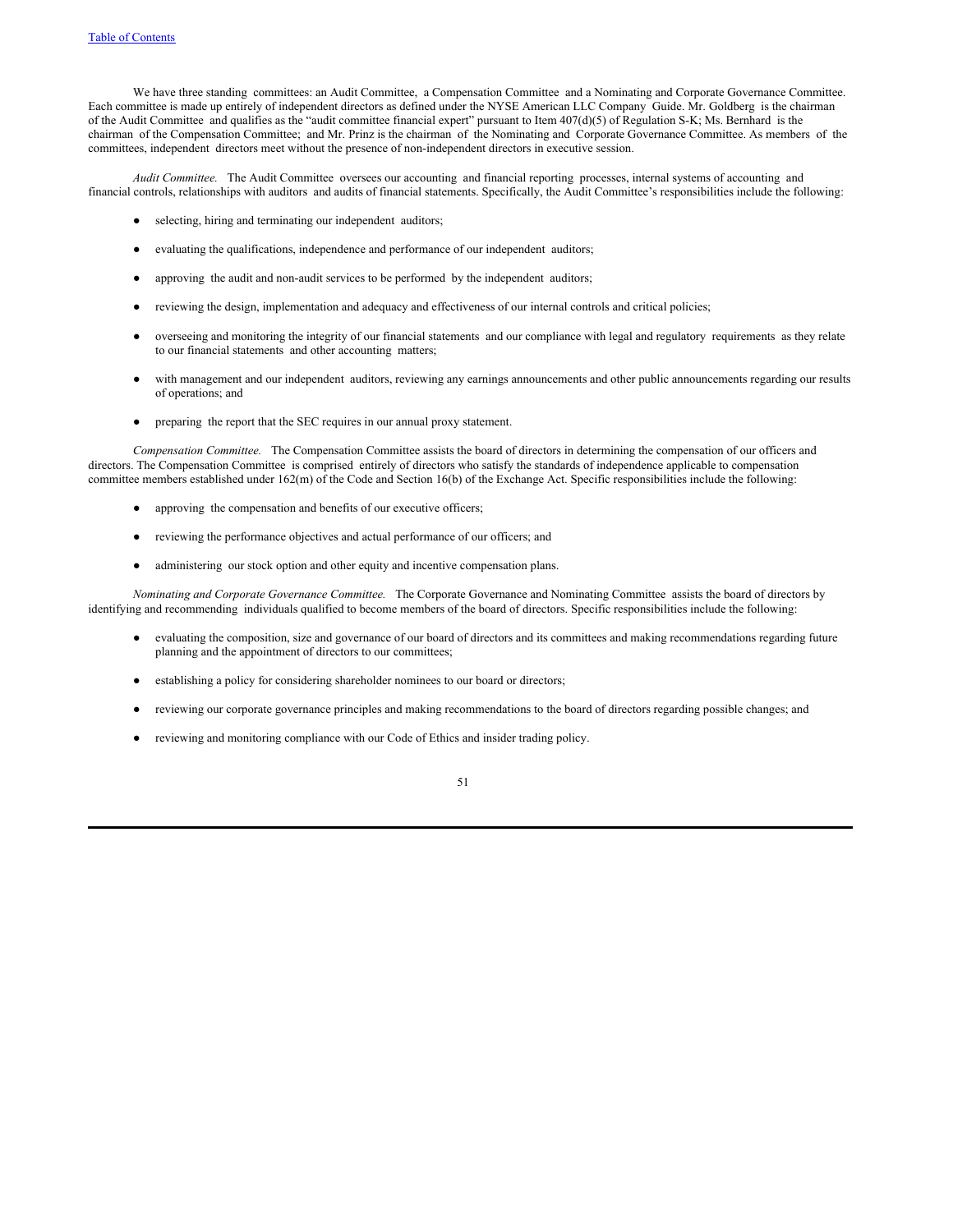We have three standing committees: an Audit Committee, a Compensation Committee and a Nominating and Corporate Governance Committee. Each committee is made up entirely of independent directors as defined under the NYSE American LLC Company Guide. Mr. Goldberg is the chairman of the Audit Committee and qualifies as the "audit committee financial expert" pursuant to Item  $407(d)(5)$  of Regulation S-K; Ms. Bernhard is the chairman of the Compensation Committee; and Mr. Prinz is the chairman of the Nominating and Corporate Governance Committee. As members of the committees, independent directors meet without the presence of non-independent directors in executive session.

*Audit Committee.* The Audit Committee oversees our accounting and financial reporting processes, internal systems of accounting and financial controls, relationships with auditors and audits of financial statements. Specifically, the Audit Committee's responsibilities include the following:

- selecting, hiring and terminating our independent auditors;
- evaluating the qualifications, independence and performance of our independent auditors;
- approving the audit and non-audit services to be performed by the independent auditors;
- reviewing the design, implementation and adequacy and effectiveness of our internal controls and critical policies;
- overseeing and monitoring the integrity of our financial statements and our compliance with legal and regulatory requirements as they relate to our financial statements and other accounting matters;
- with management and our independent auditors, reviewing any earnings announcements and other public announcements regarding our results of operations; and
- preparing the report that the SEC requires in our annual proxy statement.

*Compensation Committee.* The Compensation Committee assists the board of directors in determining the compensation of our officers and directors. The Compensation Committee is comprised entirely of directors who satisfy the standards of independence applicable to compensation committee members established under 162(m) of the Code and Section 16(b) of the Exchange Act. Specific responsibilities include the following:

- approving the compensation and benefits of our executive officers;
- reviewing the performance objectives and actual performance of our officers; and
- administering our stock option and other equity and incentive compensation plans.

*Nominating and Corporate Governance Committee.* The Corporate Governance and Nominating Committee assists the board of directors by identifying and recommending individuals qualified to become members of the board of directors. Specific responsibilities include the following:

- evaluating the composition, size and governance of our board of directors and its committees and making recommendations regarding future planning and the appointment of directors to our committees;
- establishing a policy for considering shareholder nominees to our board or directors;
- reviewing our corporate governance principles and making recommendations to the board of directors regarding possible changes; and
- reviewing and monitoring compliance with our Code of Ethics and insider trading policy.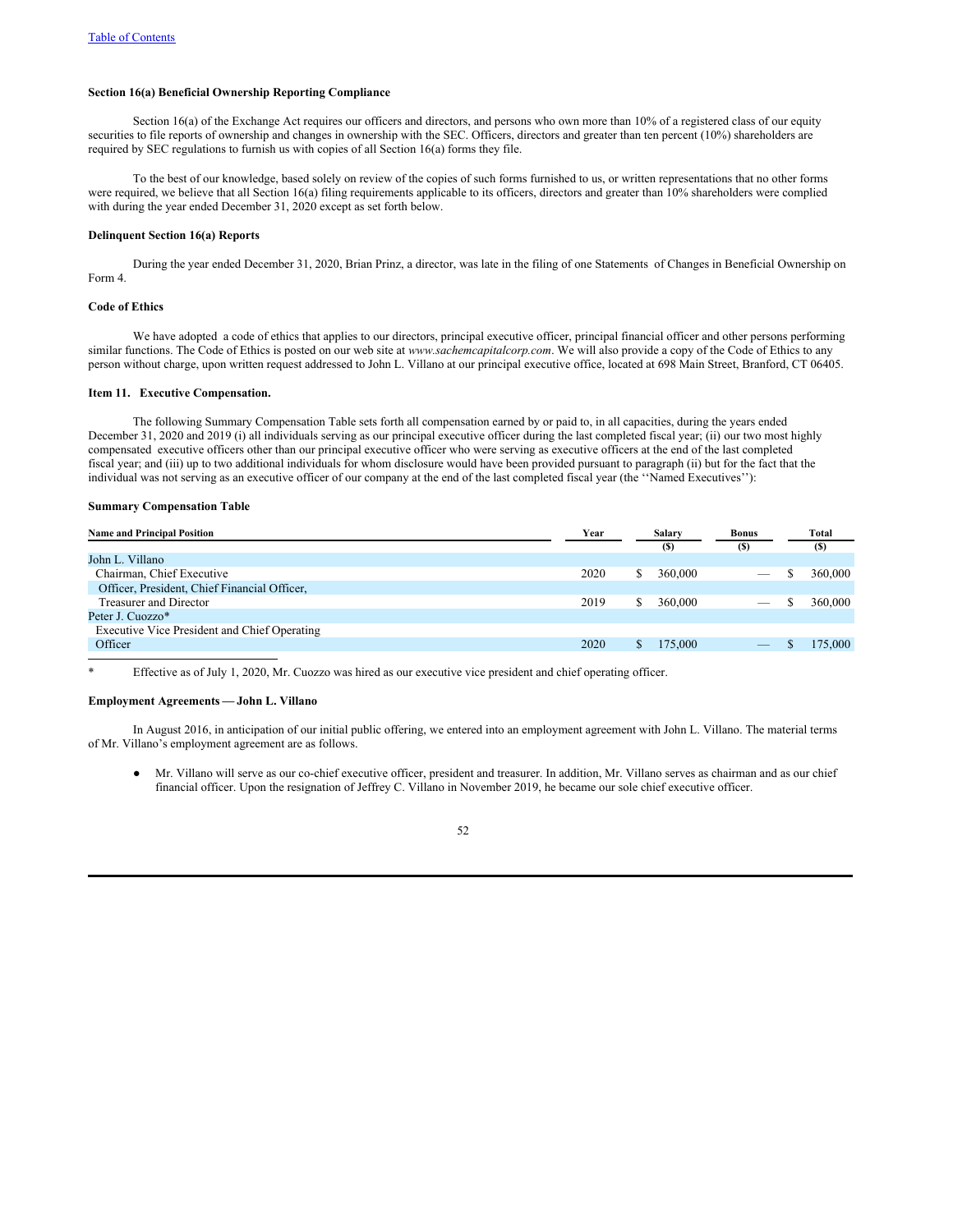# **Section 16(a) Beneficial Ownership Reporting Compliance**

Section 16(a) of the Exchange Act requires our officers and directors, and persons who own more than 10% of a registered class of our equity securities to file reports of ownership and changes in ownership with the SEC. Officers, directors and greater than ten percent (10%) shareholders are required by SEC regulations to furnish us with copies of all Section 16(a) forms they file.

To the best of our knowledge, based solely on review of the copies of such forms furnished to us, or written representations that no other forms were required, we believe that all Section 16(a) filing requirements applicable to its officers, directors and greater than 10% shareholders were complied with during the year ended December 31, 2020 except as set forth below.

# **Delinquent Section 16(a) Reports**

During the year ended December 31, 2020, Brian Prinz, a director, was late in the filing of one Statements of Changes in Beneficial Ownership on Form 4.

## **Code of Ethics**

We have adopted a code of ethics that applies to our directors, principal executive officer, principal financial officer and other persons performing similar functions. The Code of Ethics is posted on our web site at *www.sachemcapitalcorp.com*. We will also provide a copy of the Code of Ethics to any person without charge, upon written request addressed to John L. Villano at our principal executive office, located at 698 Main Street, Branford, CT 06405.

## **Item 11. Executive Compensation.**

The following Summary Compensation Table sets forth all compensation earned by or paid to, in all capacities, during the years ended December 31, 2020 and 2019 (i) all individuals serving as our principal executive officer during the last completed fiscal year; (ii) our two most highly compensated executive officers other than our principal executive officer who were serving as executive officers at the end of the last completed fiscal year; and (iii) up to two additional individuals for whom disclosure would have been provided pursuant to paragraph (ii) but for the fact that the individual was not serving as an executive officer of our company at the end of the last completed fiscal year (the ''Named Executives''):

## **Summary Compensation Table**

| <b>Name and Principal Position</b>           | Year | Salarv  | <b>Bonus</b> | Total   |
|----------------------------------------------|------|---------|--------------|---------|
|                                              |      | (S)     | (S)          | (S)     |
| John L. Villano                              |      |         |              |         |
| Chairman, Chief Executive                    | 2020 | 360,000 |              | 360,000 |
| Officer, President, Chief Financial Officer, |      |         |              |         |
| <b>Treasurer and Director</b>                | 2019 | 360,000 |              | 360,000 |
| Peter J. Cuozzo*                             |      |         |              |         |
| Executive Vice President and Chief Operating |      |         |              |         |
| Officer                                      | 2020 | 175,000 |              | 175,000 |
|                                              |      |         |              |         |

\* Effective as of July 1, 2020, Mr. Cuozzo was hired as our executive vice president and chief operating officer.

#### **Employment Agreements — John L. Villano**

In August 2016, in anticipation of our initial public offering, we entered into an employment agreement with John L. Villano. The material terms of Mr. Villano's employment agreement are as follows.

● Mr. Villano will serve as our co-chief executive officer, president and treasurer. In addition, Mr. Villano serves as chairman and as our chief financial officer. Upon the resignation of Jeffrey C. Villano in November 2019, he became our sole chief executive officer.

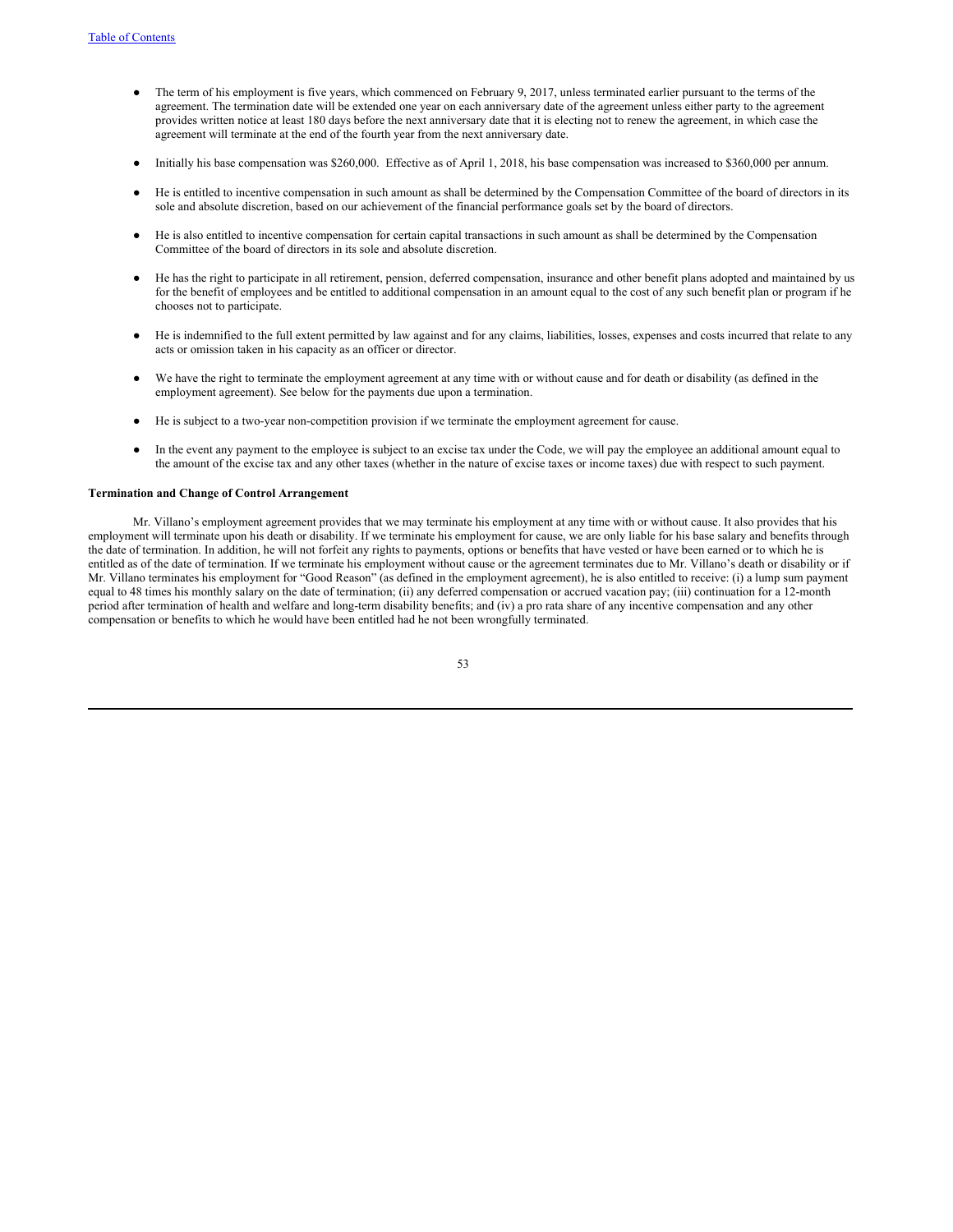- The term of his employment is five years, which commenced on February 9, 2017, unless terminated earlier pursuant to the terms of the agreement. The termination date will be extended one year on each anniversary date of the agreement unless either party to the agreement provides written notice at least 180 days before the next anniversary date that it is electing not to renew the agreement, in which case the agreement will terminate at the end of the fourth year from the next anniversary date.
- Initially his base compensation was \$260,000. Effective as of April 1, 2018, his base compensation was increased to \$360,000 per annum.
- He is entitled to incentive compensation in such amount as shall be determined by the Compensation Committee of the board of directors in its sole and absolute discretion, based on our achievement of the financial performance goals set by the board of directors.
- He is also entitled to incentive compensation for certain capital transactions in such amount as shall be determined by the Compensation Committee of the board of directors in its sole and absolute discretion.
- He has the right to participate in all retirement, pension, deferred compensation, insurance and other benefit plans adopted and maintained by us for the benefit of employees and be entitled to additional compensation in an amount equal to the cost of any such benefit plan or program if he chooses not to participate.
- He is indemnified to the full extent permitted by law against and for any claims, liabilities, losses, expenses and costs incurred that relate to any acts or omission taken in his capacity as an officer or director.
- We have the right to terminate the employment agreement at any time with or without cause and for death or disability (as defined in the employment agreement). See below for the payments due upon a termination.
- He is subject to a two-year non-competition provision if we terminate the employment agreement for cause.
- In the event any payment to the employee is subject to an excise tax under the Code, we will pay the employee an additional amount equal to the amount of the excise tax and any other taxes (whether in the nature of excise taxes or income taxes) due with respect to such payment.

#### **Termination and Change of Control Arrangement**

Mr. Villano's employment agreement provides that we may terminate his employment at any time with or without cause. It also provides that his employment will terminate upon his death or disability. If we terminate his employment for cause, we are only liable for his base salary and benefits through the date of termination. In addition, he will not forfeit any rights to payments, options or benefits that have vested or have been earned or to which he is entitled as of the date of termination. If we terminate his employment without cause or the agreement terminates due to Mr. Villano's death or disability or if Mr. Villano terminates his employment for "Good Reason" (as defined in the employment agreement), he is also entitled to receive: (i) a lump sum payment equal to 48 times his monthly salary on the date of termination; (ii) any deferred compensation or accrued vacation pay; (iii) continuation for a 12-month period after termination of health and welfare and long-term disability benefits; and (iv) a pro rata share of any incentive compensation and any other compensation or benefits to which he would have been entitled had he not been wrongfully terminated.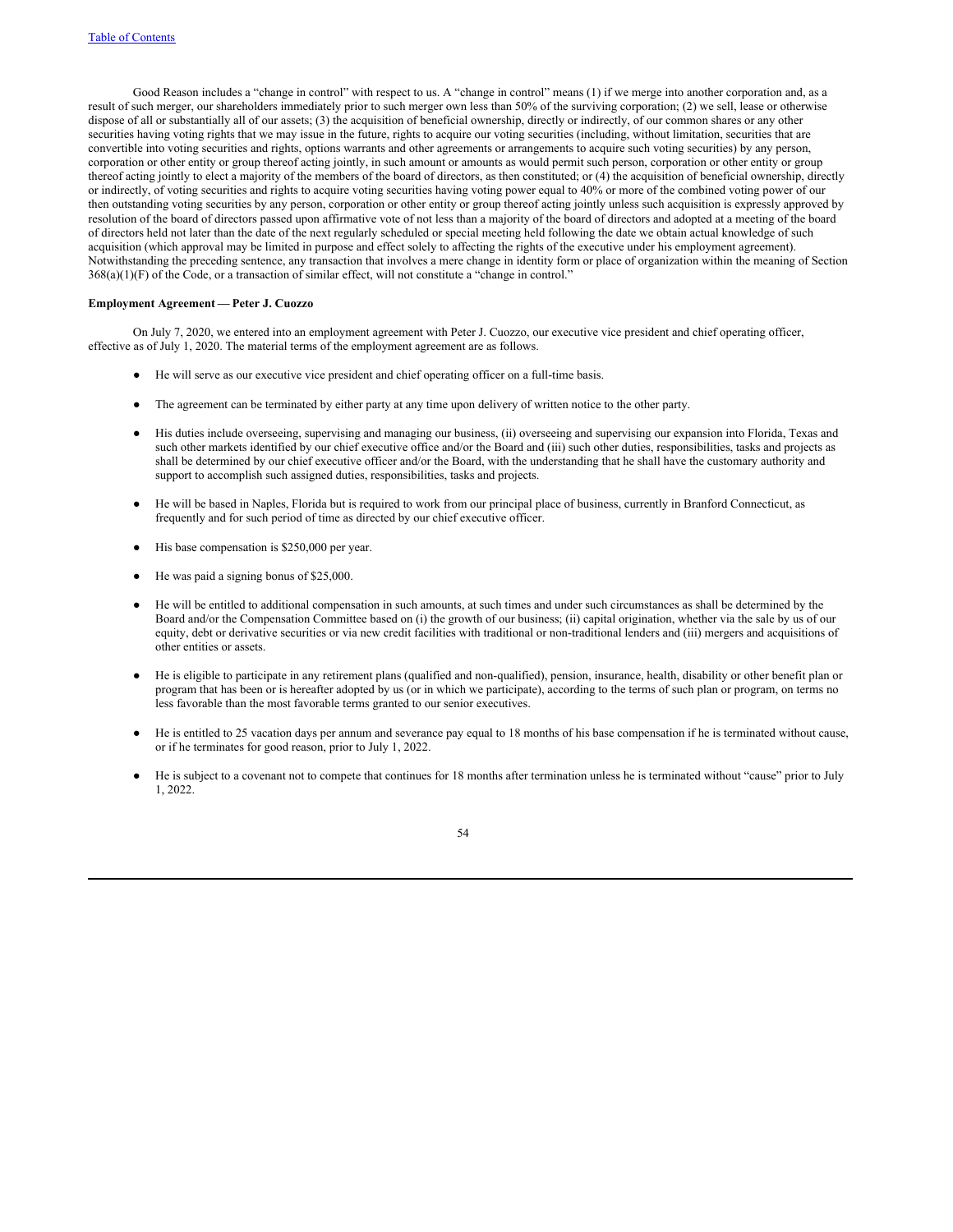Good Reason includes a "change in control" with respect to us. A "change in control" means (1) if we merge into another corporation and, as a result of such merger, our shareholders immediately prior to such merger own less than 50% of the surviving corporation; (2) we sell, lease or otherwise dispose of all or substantially all of our assets; (3) the acquisition of beneficial ownership, directly or indirectly, of our common shares or any other securities having voting rights that we may issue in the future, rights to acquire our voting securities (including, without limitation, securities that are convertible into voting securities and rights, options warrants and other agreements or arrangements to acquire such voting securities) by any person, corporation or other entity or group thereof acting jointly, in such amount or amounts as would permit such person, corporation or other entity or group thereof acting jointly to elect a majority of the members of the board of directors, as then constituted; or (4) the acquisition of beneficial ownership, directly or indirectly, of voting securities and rights to acquire voting securities having voting power equal to 40% or more of the combined voting power of our then outstanding voting securities by any person, corporation or other entity or group thereof acting jointly unless such acquisition is expressly approved by resolution of the board of directors passed upon affirmative vote of not less than a majority of the board of directors and adopted at a meeting of the board of directors held not later than the date of the next regularly scheduled or special meeting held following the date we obtain actual knowledge of such acquisition (which approval may be limited in purpose and effect solely to affecting the rights of the executive under his employment agreement). Notwithstanding the preceding sentence, any transaction that involves a mere change in identity form or place of organization within the meaning of Section 368(a)(1)(F) of the Code, or a transaction of similar effect, will not constitute a "change in control."

#### **Employment Agreement — Peter J. Cuozzo**

On July 7, 2020, we entered into an employment agreement with Peter J. Cuozzo, our executive vice president and chief operating officer, effective as of July 1, 2020. The material terms of the employment agreement are as follows.

- He will serve as our executive vice president and chief operating officer on a full-time basis.
- The agreement can be terminated by either party at any time upon delivery of written notice to the other party.
- His duties include overseeing, supervising and managing our business, (ii) overseeing and supervising our expansion into Florida, Texas and such other markets identified by our chief executive office and/or the Board and (iii) such other duties, responsibilities, tasks and projects as shall be determined by our chief executive officer and/or the Board, with the understanding that he shall have the customary authority and support to accomplish such assigned duties, responsibilities, tasks and projects.
- He will be based in Naples, Florida but is required to work from our principal place of business, currently in Branford Connecticut, as frequently and for such period of time as directed by our chief executive officer.
- His base compensation is \$250,000 per year.
- He was paid a signing bonus of \$25,000.
- He will be entitled to additional compensation in such amounts, at such times and under such circumstances as shall be determined by the Board and/or the Compensation Committee based on (i) the growth of our business; (ii) capital origination, whether via the sale by us of our equity, debt or derivative securities or via new credit facilities with traditional or non-traditional lenders and (iii) mergers and acquisitions of other entities or assets.
- He is eligible to participate in any retirement plans (qualified and non-qualified), pension, insurance, health, disability or other benefit plan or program that has been or is hereafter adopted by us (or in which we participate), according to the terms of such plan or program, on terms no less favorable than the most favorable terms granted to our senior executives.
- He is entitled to 25 vacation days per annum and severance pay equal to 18 months of his base compensation if he is terminated without cause, or if he terminates for good reason, prior to July 1, 2022.
- He is subject to a covenant not to compete that continues for 18 months after termination unless he is terminated without "cause" prior to July 1, 2022.

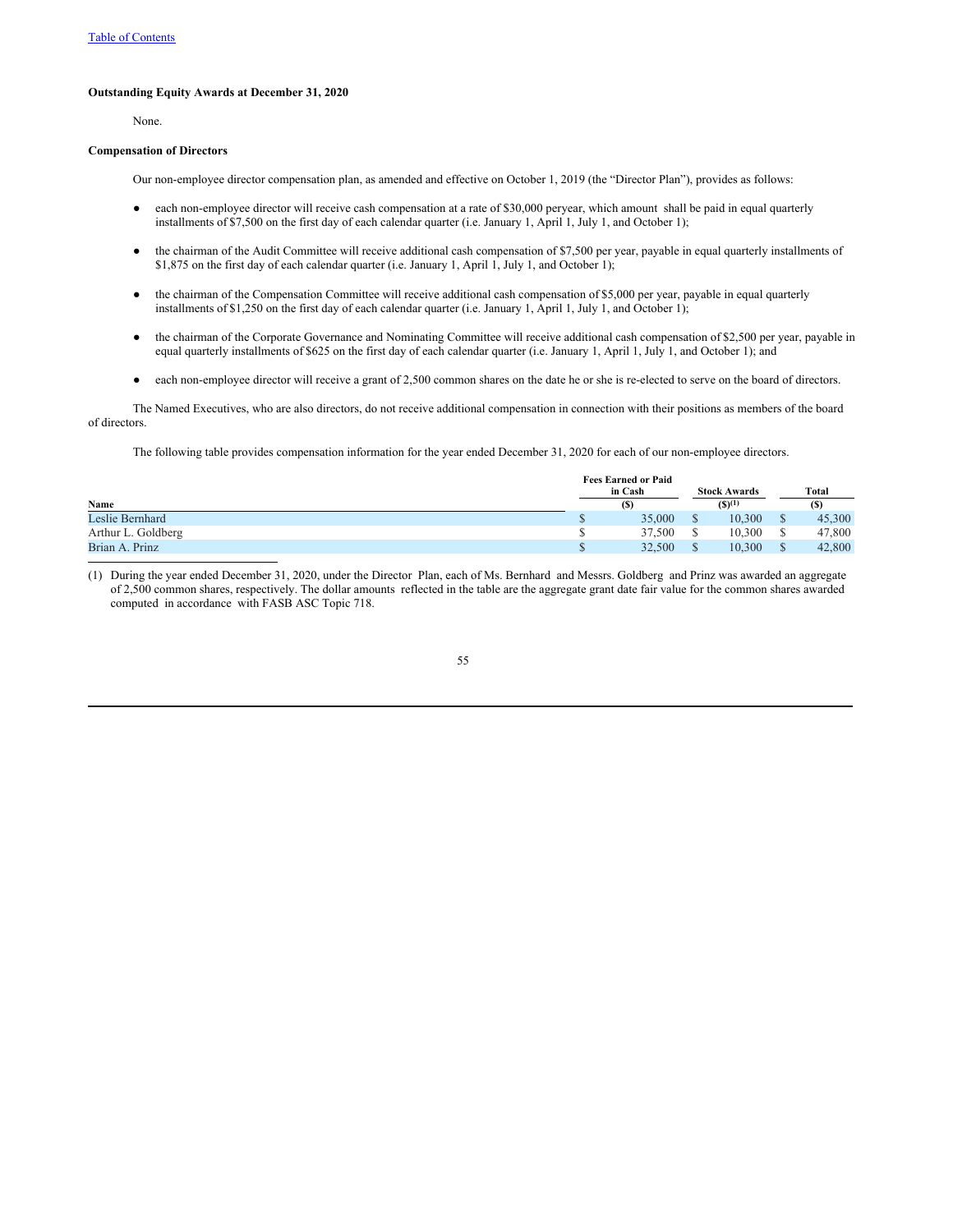# **Outstanding Equity Awards at December 31, 2020**

None.

#### **Compensation of Directors**

Our non-employee director compensation plan, as amended and effective on October 1, 2019 (the "Director Plan"), provides as follows:

- each non-employee director will receive cash compensation at a rate of \$30,000 peryear, which amount shall be paid in equal quarterly installments of \$7,500 on the first day of each calendar quarter (i.e. January 1, April 1, July 1, and October 1);
- the chairman of the Audit Committee will receive additional cash compensation of \$7,500 per year, payable in equal quarterly installments of \$1,875 on the first day of each calendar quarter (i.e. January 1, April 1, July 1, and October 1);
- the chairman of the Compensation Committee will receive additional cash compensation of \$5,000 per year, payable in equal quarterly installments of \$1,250 on the first day of each calendar quarter (i.e. January 1, April 1, July 1, and October 1);
- the chairman of the Corporate Governance and Nominating Committee will receive additional cash compensation of \$2,500 per year, payable in equal quarterly installments of \$625 on the first day of each calendar quarter (i.e. January 1, April 1, July 1, and October 1); and
- each non-employee director will receive a grant of 2,500 common shares on the date he or she is re-elected to serve on the board of directors.

The Named Executives, who are also directors, do not receive additional compensation in connection with their positions as members of the board of directors.

The following table provides compensation information for the year ended December 31, 2020 for each of our non-employee directors.

|                    | <b>Fees Earned or Paid</b> |         |  |                     |  |              |  |  |
|--------------------|----------------------------|---------|--|---------------------|--|--------------|--|--|
|                    |                            | in Cash |  | <b>Stock Awards</b> |  | <b>Total</b> |  |  |
| Name               |                            | (S)     |  | $(5)^{(1)}$         |  | (S)          |  |  |
| Leslie Bernhard    |                            | 35,000  |  | 10.300              |  | 45,300       |  |  |
| Arthur L. Goldberg |                            | 37,500  |  | 10.300              |  | 47,800       |  |  |
| Brian A. Prinz     |                            | 32,500  |  | 10.300              |  | 42,800       |  |  |

(1) During the year ended December 31, 2020, under the Director Plan, each of Ms. Bernhard and Messrs. Goldberg and Prinz was awarded an aggregate of 2,500 common shares, respectively. The dollar amounts reflected in the table are the aggregate grant date fair value for the common shares awarded computed in accordance with FASB ASC Topic 718.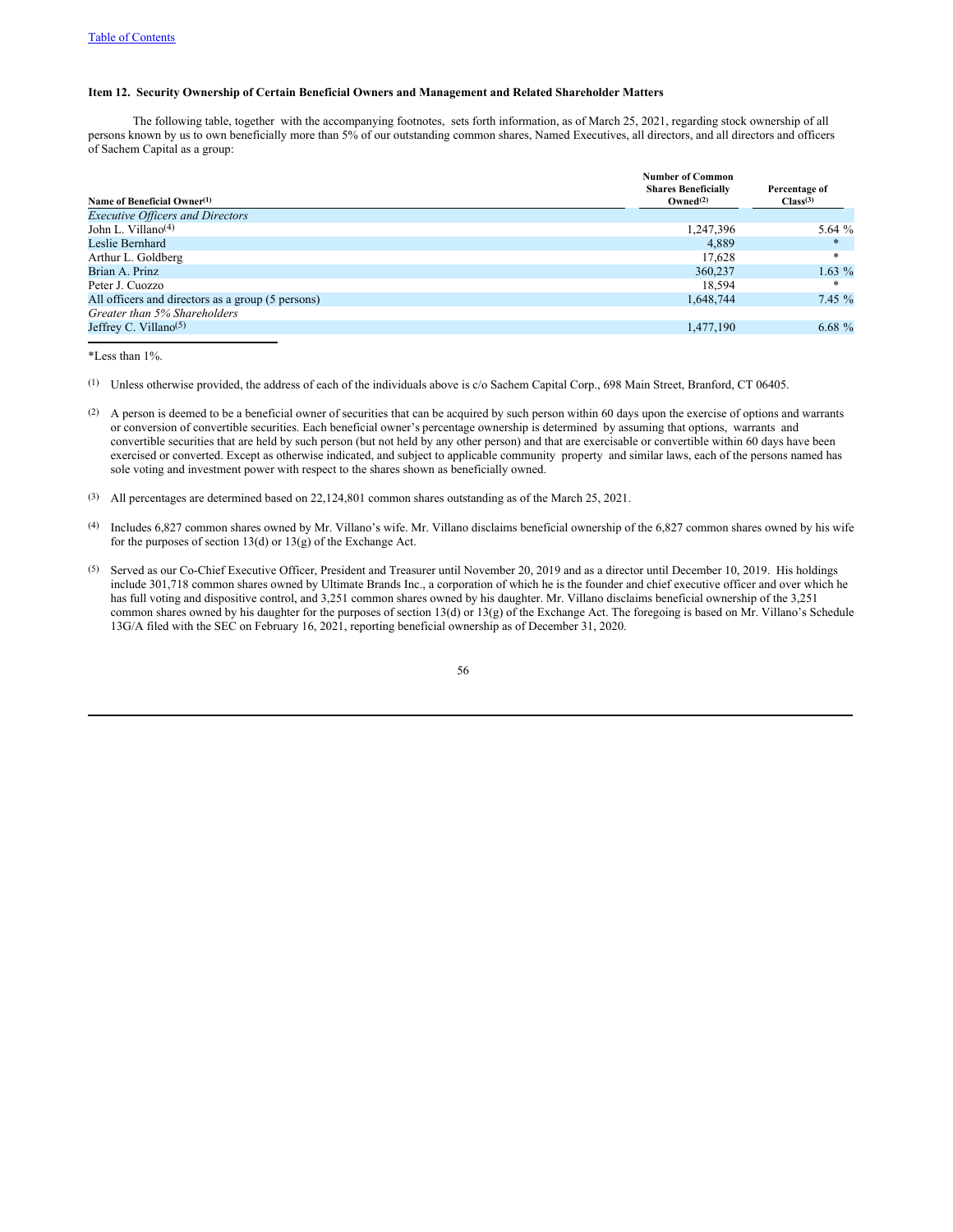## **Item 12. Security Ownership of Certain Beneficial Owners and Management and Related Shareholder Matters**

The following table, together with the accompanying footnotes, sets forth information, as of March 25, 2021, regarding stock ownership of all persons known by us to own beneficially more than 5% of our outstanding common shares, Named Executives, all directors, and all directors and officers of Sachem Capital as a group:

| Name of Beneficial Owner $(1)$                    | <b>Number of Common</b><br><b>Shares Beneficially</b><br>Owned <sup>(2)</sup> | Percentage of<br>Class <sup>(3)</sup> |
|---------------------------------------------------|-------------------------------------------------------------------------------|---------------------------------------|
| <b>Executive Officers and Directors</b>           |                                                                               |                                       |
| John L. Villano <sup><math>(4)</math></sup>       | 1,247,396                                                                     | 5.64 %                                |
| Leslie Bernhard                                   | 4,889                                                                         | $\ast$                                |
| Arthur L. Goldberg                                | 17.628                                                                        | $\ast$                                |
| Brian A. Prinz                                    | 360,237                                                                       | $1.63\%$                              |
| Peter J. Cuozzo                                   | 18,594                                                                        | *                                     |
| All officers and directors as a group (5 persons) | 1,648,744                                                                     | 7.45%                                 |
| Greater than 5% Shareholders                      |                                                                               |                                       |
| Jeffrey C. Villano <sup>(5)</sup>                 | 1,477,190                                                                     | 6.68 $%$                              |
|                                                   |                                                                               |                                       |

\*Less than 1%.

(1) Unless otherwise provided, the address of each of the individuals above is c/o Sachem Capital Corp., 698 Main Street, Branford, CT 06405.

- (2) A person is deemed to be a beneficial owner of securities that can be acquired by such person within 60 days upon the exercise of options and warrants or conversion of convertible securities. Each beneficial owner's percentage ownership is determined by assuming that options, warrants and convertible securities that are held by such person (but not held by any other person) and that are exercisable or convertible within 60 days have been exercised or converted. Except as otherwise indicated, and subject to applicable community property and similar laws, each of the persons named has sole voting and investment power with respect to the shares shown as beneficially owned.
- (3) All percentages are determined based on 22,124,801 common shares outstanding as of the March 25, 2021.
- (4) Includes 6,827 common shares owned by Mr. Villano's wife. Mr. Villano disclaims beneficial ownership of the 6,827 common shares owned by his wife for the purposes of section 13(d) or 13(g) of the Exchange Act.
- (5) Served as our Co-Chief Executive Officer, President and Treasurer until November 20, 2019 and as a director until December 10, 2019. His holdings include 301,718 common shares owned by Ultimate Brands Inc., a corporation of which he is the founder and chief executive officer and over which he has full voting and dispositive control, and 3,251 common shares owned by his daughter. Mr. Villano disclaims beneficial ownership of the 3,251 common shares owned by his daughter for the purposes of section 13(d) or 13(g) of the Exchange Act. The foregoing is based on Mr. Villano's Schedule 13G/A filed with the SEC on February 16, 2021, reporting beneficial ownership as of December 31, 2020.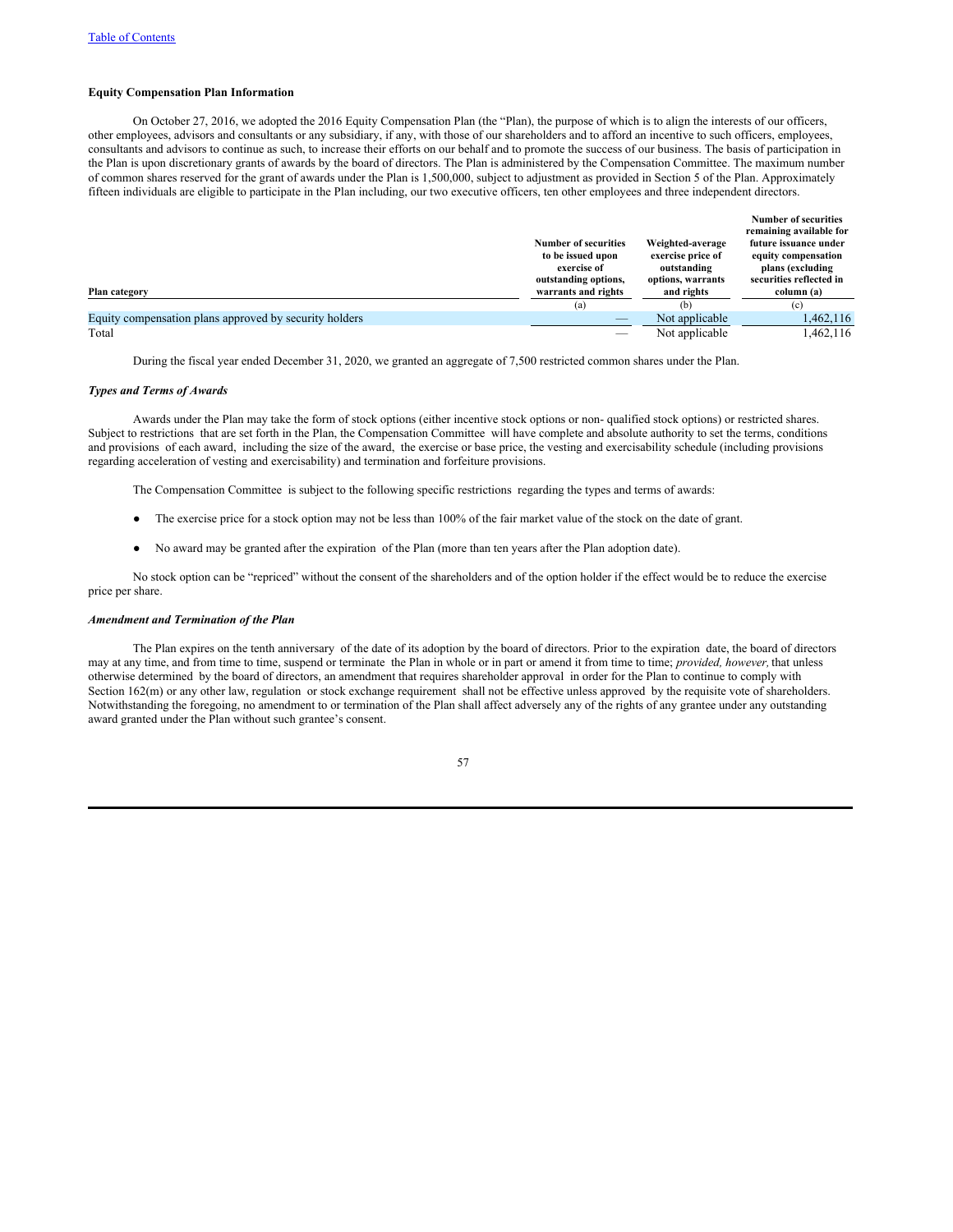# **Equity Compensation Plan Information**

On October 27, 2016, we adopted the 2016 Equity Compensation Plan (the "Plan), the purpose of which is to align the interests of our officers, other employees, advisors and consultants or any subsidiary, if any, with those of our shareholders and to afford an incentive to such officers, employees, consultants and advisors to continue as such, to increase their efforts on our behalf and to promote the success of our business. The basis of participation in the Plan is upon discretionary grants of awards by the board of directors. The Plan is administered by the Compensation Committee. The maximum number of common shares reserved for the grant of awards under the Plan is 1,500,000, subject to adjustment as provided in Section 5 of the Plan. Approximately fifteen individuals are eligible to participate in the Plan including, our two executive officers, ten other employees and three independent directors.

|                                                        |                                                                                                                |                                                                                         | <b>Number of securities</b><br>remaining available for                                                    |
|--------------------------------------------------------|----------------------------------------------------------------------------------------------------------------|-----------------------------------------------------------------------------------------|-----------------------------------------------------------------------------------------------------------|
| Plan category                                          | <b>Number of securities</b><br>to be issued upon<br>exercise of<br>outstanding options,<br>warrants and rights | Weighted-average<br>exercise price of<br>outstanding<br>options, warrants<br>and rights | future issuance under<br>equity compensation<br>plans (excluding<br>securities reflected in<br>column (a) |
|                                                        | (a)                                                                                                            | (b)                                                                                     | (c)                                                                                                       |
| Equity compensation plans approved by security holders |                                                                                                                | Not applicable                                                                          | 1,462,116                                                                                                 |
| Total                                                  |                                                                                                                | Not applicable                                                                          | 1,462,116                                                                                                 |

During the fiscal year ended December 31, 2020, we granted an aggregate of 7,500 restricted common shares under the Plan.

#### *Types and Terms of Awards*

Awards under the Plan may take the form of stock options (either incentive stock options or non- qualified stock options) or restricted shares. Subject to restrictions that are set forth in the Plan, the Compensation Committee will have complete and absolute authority to set the terms, conditions and provisions of each award, including the size of the award, the exercise or base price, the vesting and exercisability schedule (including provisions regarding acceleration of vesting and exercisability) and termination and forfeiture provisions.

The Compensation Committee is subject to the following specific restrictions regarding the types and terms of awards:

- The exercise price for a stock option may not be less than 100% of the fair market value of the stock on the date of grant.
- No award may be granted after the expiration of the Plan (more than ten years after the Plan adoption date).

No stock option can be "repriced" without the consent of the shareholders and of the option holder if the effect would be to reduce the exercise price per share.

## *Amendment and Termination of the Plan*

The Plan expires on the tenth anniversary of the date of its adoption by the board of directors. Prior to the expiration date, the board of directors may at any time, and from time to time, suspend or terminate the Plan in whole or in part or amend it from time to time; *provided, however,* that unless otherwise determined by the board of directors, an amendment that requires shareholder approval in order for the Plan to continue to comply with Section 162(m) or any other law, regulation or stock exchange requirement shall not be effective unless approved by the requisite vote of shareholders. Notwithstanding the foregoing, no amendment to or termination of the Plan shall affect adversely any of the rights of any grantee under any outstanding award granted under the Plan without such grantee's consent.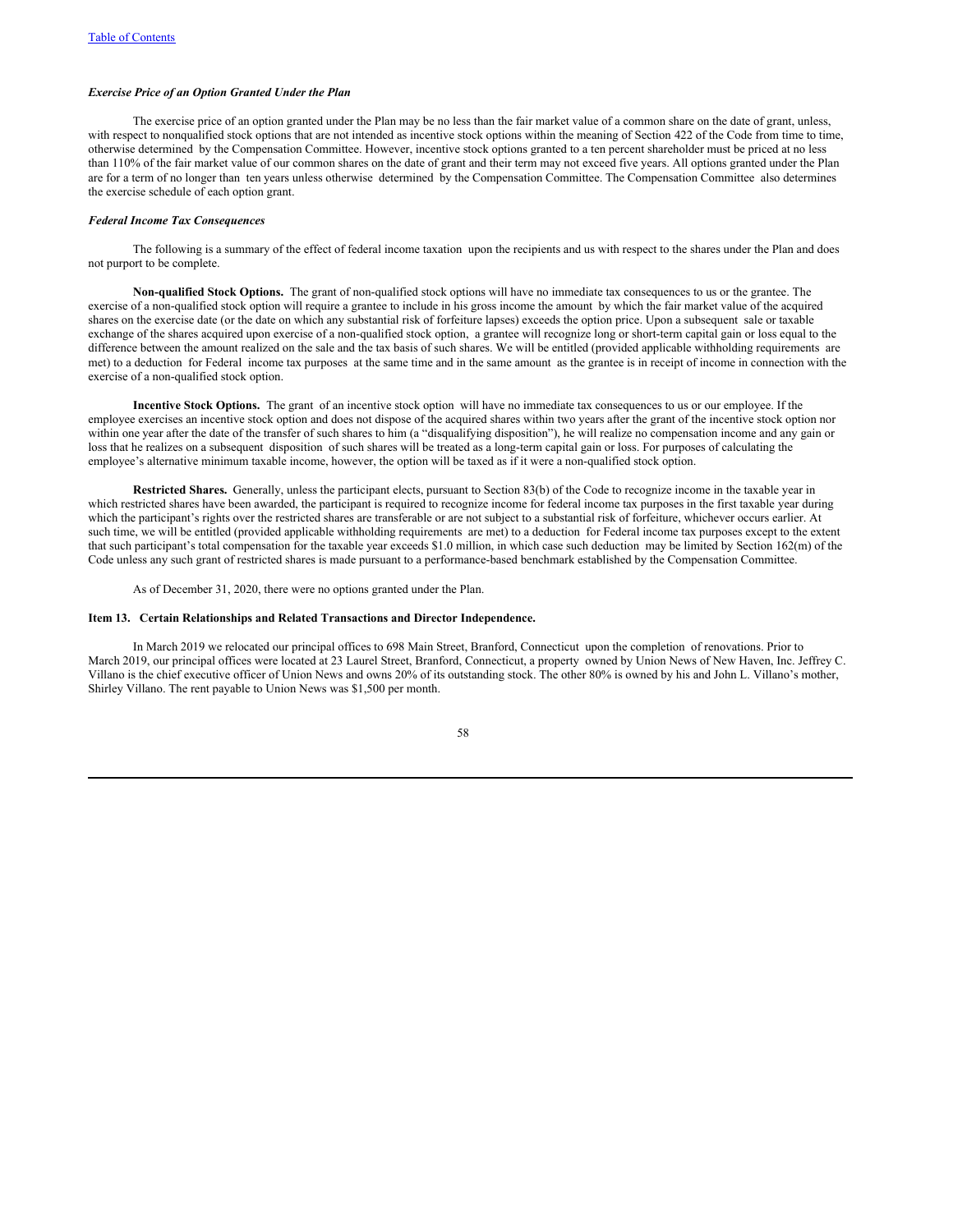#### *Exercise Price of an Option Granted Under the Plan*

The exercise price of an option granted under the Plan may be no less than the fair market value of a common share on the date of grant, unless, with respect to nonqualified stock options that are not intended as incentive stock options within the meaning of Section 422 of the Code from time to time, otherwise determined by the Compensation Committee. However, incentive stock options granted to a ten percent shareholder must be priced at no less than 110% of the fair market value of our common shares on the date of grant and their term may not exceed five years. All options granted under the Plan are for a term of no longer than ten years unless otherwise determined by the Compensation Committee. The Compensation Committee also determines the exercise schedule of each option grant.

#### *Federal Income Tax Consequences*

The following is a summary of the effect of federal income taxation upon the recipients and us with respect to the shares under the Plan and does not purport to be complete.

**Non-qualified Stock Options.** The grant of non-qualified stock options will have no immediate tax consequences to us or the grantee. The exercise of a non-qualified stock option will require a grantee to include in his gross income the amount by which the fair market value of the acquired shares on the exercise date (or the date on which any substantial risk of forfeiture lapses) exceeds the option price. Upon a subsequent sale or taxable exchange of the shares acquired upon exercise of a non-qualified stock option, a grantee will recognize long or short-term capital gain or loss equal to the difference between the amount realized on the sale and the tax basis of such shares. We will be entitled (provided applicable withholding requirements are met) to a deduction for Federal income tax purposes at the same time and in the same amount as the grantee is in receipt of income in connection with the exercise of a non-qualified stock option.

**Incentive Stock Options.** The grant of an incentive stock option will have no immediate tax consequences to us or our employee. If the employee exercises an incentive stock option and does not dispose of the acquired shares within two years after the grant of the incentive stock option nor within one year after the date of the transfer of such shares to him (a "disqualifying disposition"), he will realize no compensation income and any gain or loss that he realizes on a subsequent disposition of such shares will be treated as a long-term capital gain or loss. For purposes of calculating the employee's alternative minimum taxable income, however, the option will be taxed as if it were a non-qualified stock option.

**Restricted Shares.** Generally, unless the participant elects, pursuant to Section 83(b) of the Code to recognize income in the taxable year in which restricted shares have been awarded, the participant is required to recognize income for federal income tax purposes in the first taxable year during which the participant's rights over the restricted shares are transferable or are not subject to a substantial risk of forfeiture, whichever occurs earlier. At such time, we will be entitled (provided applicable withholding requirements are met) to a deduction for Federal income tax purposes except to the extent that such participant's total compensation for the taxable year exceeds \$1.0 million, in which case such deduction may be limited by Section 162(m) of the Code unless any such grant of restricted shares is made pursuant to a performance-based benchmark established by the Compensation Committee.

As of December 31, 2020, there were no options granted under the Plan.

## **Item 13. Certain Relationships and Related Transactions and Director Independence.**

In March 2019 we relocated our principal offices to 698 Main Street, Branford, Connecticut upon the completion of renovations. Prior to March 2019, our principal offices were located at 23 Laurel Street, Branford, Connecticut, a property owned by Union News of New Haven, Inc. Jeffrey C. Villano is the chief executive officer of Union News and owns 20% of its outstanding stock. The other 80% is owned by his and John L. Villano's mother, Shirley Villano. The rent payable to Union News was \$1,500 per month.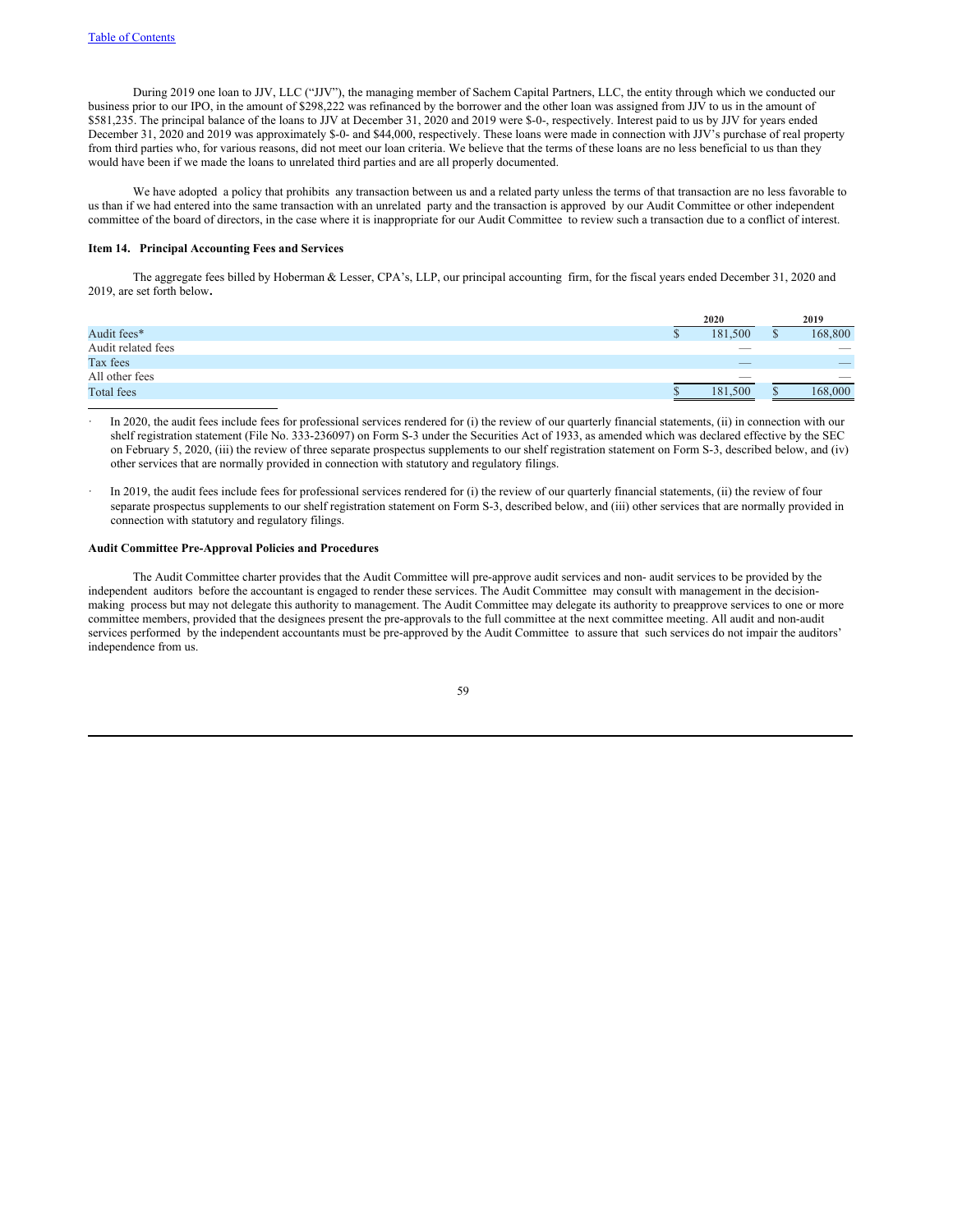During 2019 one loan to JJV, LLC ("JJV"), the managing member of Sachem Capital Partners, LLC, the entity through which we conducted our business prior to our IPO, in the amount of \$298,222 was refinanced by the borrower and the other loan was assigned from JJV to us in the amount of \$581,235. The principal balance of the loans to JJV at December 31, 2020 and 2019 were \$-0-, respectively. Interest paid to us by JJV for years ended December 31, 2020 and 2019 was approximately \$-0- and \$44,000, respectively. These loans were made in connection with JJV's purchase of real property from third parties who, for various reasons, did not meet our loan criteria. We believe that the terms of these loans are no less beneficial to us than they would have been if we made the loans to unrelated third parties and are all properly documented.

We have adopted a policy that prohibits any transaction between us and a related party unless the terms of that transaction are no less favorable to us than if we had entered into the same transaction with an unrelated party and the transaction is approved by our Audit Committee or other independent committee of the board of directors, in the case where it is inappropriate for our Audit Committee to review such a transaction due to a conflict of interest.

### **Item 14. Principal Accounting Fees and Services**

The aggregate fees billed by Hoberman & Lesser, CPA's, LLP, our principal accounting firm, for the fiscal years ended December 31, 2020 and 2019, are set forth below**.**

|                    | 2020                     |             | 2019                     |
|--------------------|--------------------------|-------------|--------------------------|
| Audit fees*        | 181,500                  | $\triangle$ | 168,800                  |
| Audit related fees |                          |             |                          |
| Tax fees           | $\sim$                   |             | $\overline{\phantom{a}}$ |
| All other fees     | $\overline{\phantom{a}}$ |             | $\overline{\phantom{a}}$ |
| <b>Total</b> fees  | 181,500                  |             | 168,000                  |

In 2020, the audit fees include fees for professional services rendered for (i) the review of our quarterly financial statements, (ii) in connection with our shelf registration statement (File No. 333-236097) on Form S-3 under the Securities Act of 1933, as amended which was declared effective by the SEC on February 5, 2020, (iii) the review of three separate prospectus supplements to our shelf registration statement on Form S-3, described below, and (iv) other services that are normally provided in connection with statutory and regulatory filings.

In 2019, the audit fees include fees for professional services rendered for (i) the review of our quarterly financial statements, (ii) the review of four separate prospectus supplements to our shelf registration statement on Form S-3, described below, and (iii) other services that are normally provided in connection with statutory and regulatory filings.

## **Audit Committee Pre-Approval Policies and Procedures**

The Audit Committee charter provides that the Audit Committee will pre-approve audit services and non- audit services to be provided by the independent auditors before the accountant is engaged to render these services. The Audit Committee may consult with management in the decisionmaking process but may not delegate this authority to management. The Audit Committee may delegate its authority to preapprove services to one or more committee members, provided that the designees present the pre-approvals to the full committee at the next committee meeting. All audit and non-audit services performed by the independent accountants must be pre-approved by the Audit Committee to assure that such services do not impair the auditors' independence from us.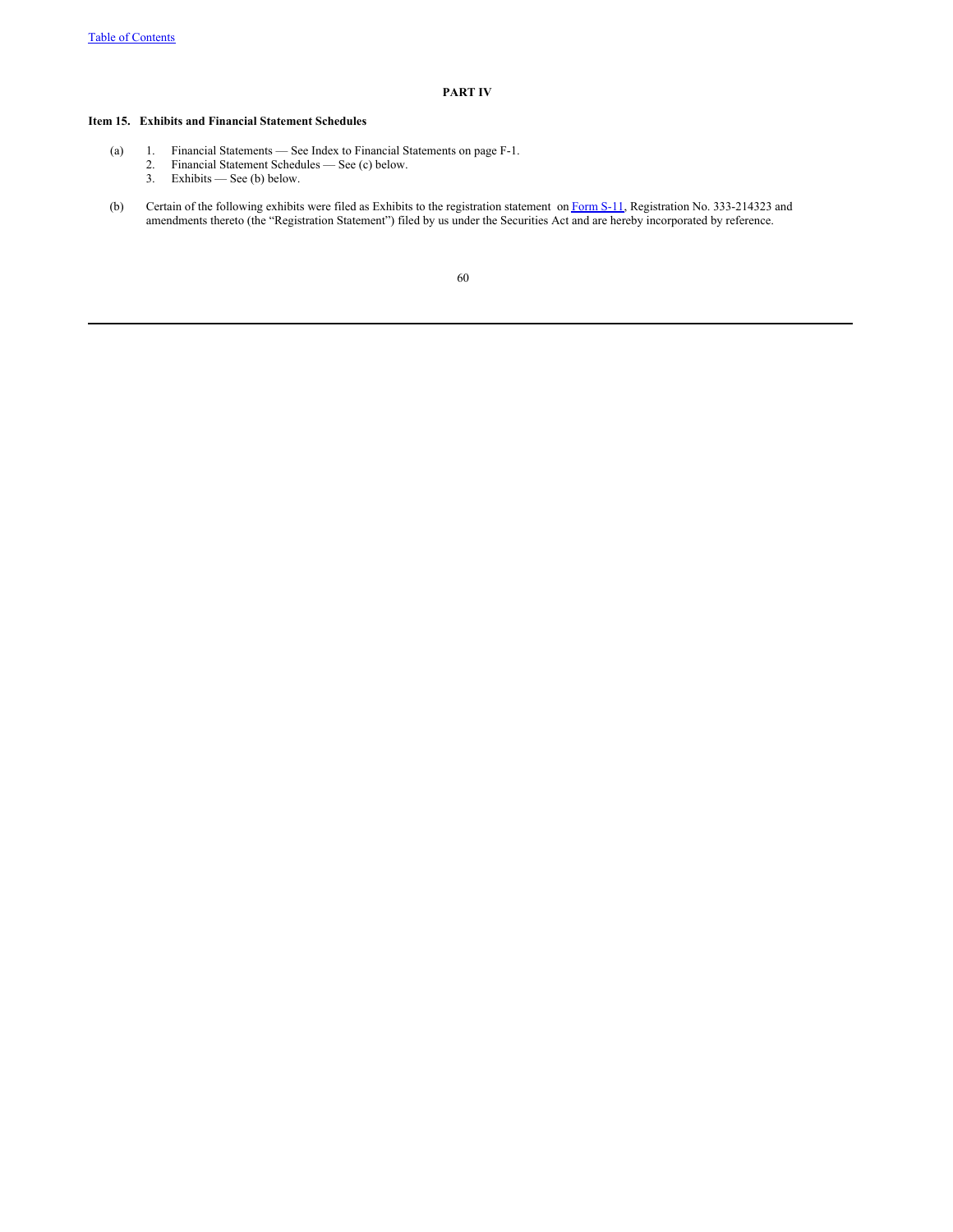# **PART IV**

# **Item 15. Exhibits and Financial Statement Schedules**

- (a) 1. Financial Statements See Index to Financial Statements on page F-1.
	- 2. Financial Statement Schedules See (c) below.<br>3. Exhibits See (b) below.
		- Exhibits See (b) below.
- (b) Certain of the following exhibits were filed as Exhibits to the registration statement on [Form](https://www.sec.gov/Archives/edgar/data/1682220/000114420416130342/v450580_s11.htm) S-11, Registration No. 333-214323 and amendments thereto (the "Registration Statement") filed by us under the Securities Act and are hereby incorporated by reference.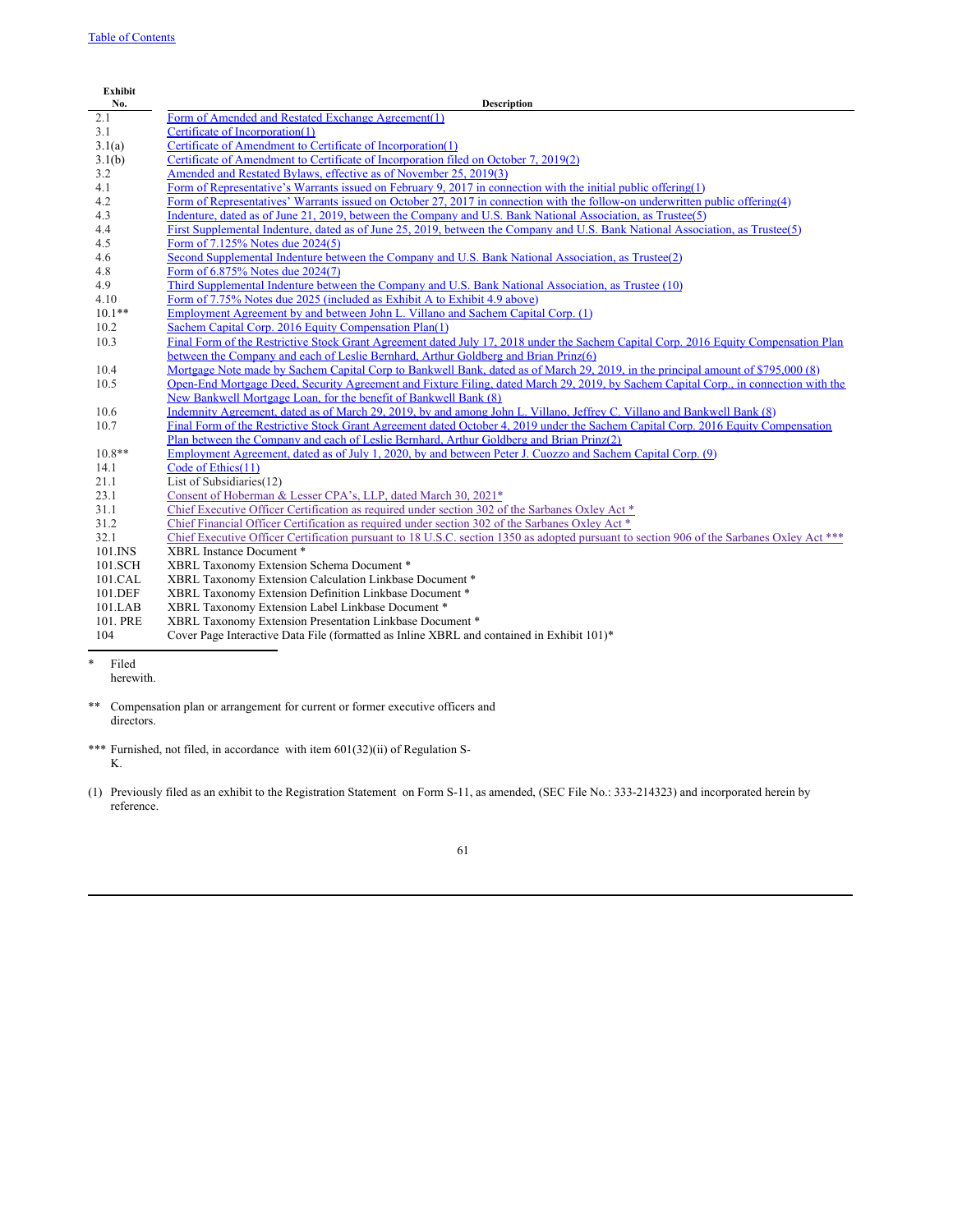| Exhibit<br>No. | Description                                                                                                                                          |
|----------------|------------------------------------------------------------------------------------------------------------------------------------------------------|
| 2.1            | Form of Amended and Restated Exchange Agreement(1)                                                                                                   |
| 3.1            | Certificate of Incorporation(1)                                                                                                                      |
| 3.1(a)         | Certificate of Amendment to Certificate of Incorporation(1)                                                                                          |
| 3.1(b)         | Certificate of Amendment to Certificate of Incorporation filed on October 7, 2019(2)                                                                 |
| 3.2            | Amended and Restated Bylaws, effective as of November 25, 2019(3)                                                                                    |
| 4.1            | Form of Representative's Warrants issued on February 9, 2017 in connection with the initial public offering (1)                                      |
| 4.2            | Form of Representatives' Warrants issued on October 27, 2017 in connection with the follow-on underwritten public offering(4)                        |
| 4.3            | Indenture, dated as of June 21, 2019, between the Company and U.S. Bank National Association, as Trustee(5)                                          |
| 4.4            | First Supplemental Indenture, dated as of June 25, 2019, between the Company and U.S. Bank National Association, as Trustee(5)                       |
| 4.5            | Form of 7.125% Notes due 2024(5)                                                                                                                     |
| 4.6            | Second Supplemental Indenture between the Company and U.S. Bank National Association, as Trustee(2)                                                  |
| 4.8            | Form of 6.875% Notes due 2024(7)                                                                                                                     |
| 4.9            | Third Supplemental Indenture between the Company and U.S. Bank National Association, as Trustee (10)                                                 |
| 4.10           | Form of 7.75% Notes due 2025 (included as Exhibit A to Exhibit 4.9 above)                                                                            |
| $10.1**$       | Employment Agreement by and between John L. Villano and Sachem Capital Corp. (1)                                                                     |
| 10.2           | Sachem Capital Corp. 2016 Equity Compensation Plan(1)                                                                                                |
| 10.3           | Final Form of the Restrictive Stock Grant Agreement dated July 17, 2018 under the Sachem Capital Corp. 2016 Equity Compensation Plan                 |
|                | between the Company and each of Leslie Bernhard, Arthur Goldberg and Brian Prinz(6)                                                                  |
| 10.4           | Mortgage Note made by Sachem Capital Corp to Bankwell Bank, dated as of March 29, 2019, in the principal amount of \$795,000 (8)                     |
| 10.5           | Open-End Mortgage Deed, Security Agreement and Fixture Filing, dated March 29, 2019, by Sachem Capital Corp., in connection with the                 |
|                | New Bankwell Mortgage Loan, for the benefit of Bankwell Bank (8)                                                                                     |
| 10.6           | Indemnity Agreement, dated as of March 29, 2019, by and among John L. Villano, Jeffrey C. Villano and Bankwell Bank (8)                              |
| 10.7           | Final Form of the Restrictive Stock Grant Agreement dated October 4, 2019 under the Sachem Capital Corp. 2016 Equity Compensation                    |
|                | Plan between the Company and each of Leslie Bernhard, Arthur Goldberg and Brian Prinz(2)                                                             |
| $10.8**$       | Employment Agreement, dated as of July 1, 2020, by and between Peter J. Cuozzo and Sachem Capital Corp. (9)                                          |
| 14.1           | Code of Ethics(11)                                                                                                                                   |
| 21.1           | List of Subsidiaries(12)                                                                                                                             |
| 23.1           | Consent of Hoberman & Lesser CPA's, LLP, dated March 30, 2021*                                                                                       |
| 31.1           | Chief Executive Officer Certification as required under section 302 of the Sarbanes Oxley Act *                                                      |
| 31.2           | Chief Financial Officer Certification as required under section 302 of the Sarbanes Oxley Act *                                                      |
| 32.1           | Chief Executive Officer Certification pursuant to 18 U.S.C. section 1350 as adopted pursuant to section 906 of the Sarbanes Oxley Act <sup>***</sup> |
| 101.INS        | XBRL Instance Document *                                                                                                                             |
| 101.SCH        | XBRL Taxonomy Extension Schema Document*                                                                                                             |
| 101.CAL        | XBRL Taxonomy Extension Calculation Linkbase Document *                                                                                              |
| 101.DEF        | XBRL Taxonomy Extension Definition Linkbase Document *                                                                                               |
| 101.LAB        | XBRL Taxonomy Extension Label Linkbase Document *                                                                                                    |
| 101. PRE       | XBRL Taxonomy Extension Presentation Linkbase Document *                                                                                             |
| 104            | Cover Page Interactive Data File (formatted as Inline XBRL and contained in Exhibit 101)*                                                            |

\* Filed herewith.

\*\* Compensation plan or arrangement for current or former executive officers and directors.

<sup>\*\*\*</sup> Furnished, not filed, in accordance with item 601(32)(ii) of Regulation S-K.

<sup>(1)</sup> Previously filed as an exhibit to the Registration Statement on Form S-11, as amended, (SEC File No.: 333-214323) and incorporated herein by reference.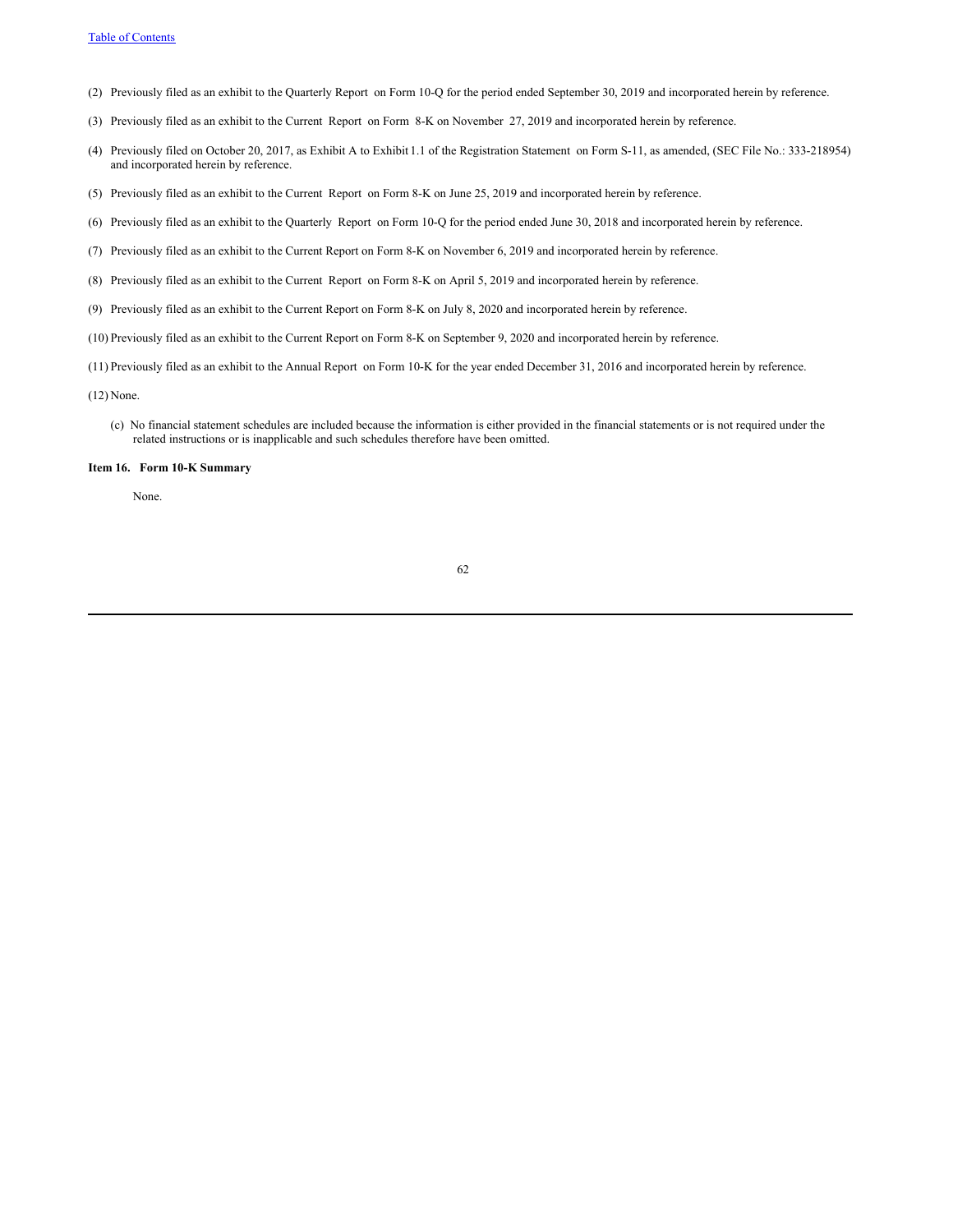- (2) Previously filed as an exhibit to the Quarterly Report on Form 10-Q for the period ended September 30, 2019 and incorporated herein by reference.
- (3) Previously filed as an exhibit to the Current Report on Form 8-K on November 27, 2019 and incorporated herein by reference.
- (4) Previously filed on October 20, 2017, as Exhibit A to Exhibit 1.1 of the Registration Statement on Form S-11, as amended, (SEC File No.: 333-218954) and incorporated herein by reference.
- (5) Previously filed as an exhibit to the Current Report on Form 8-K on June 25, 2019 and incorporated herein by reference.
- (6) Previously filed as an exhibit to the Quarterly Report on Form 10-Q for the period ended June 30, 2018 and incorporated herein by reference.
- (7) Previously filed as an exhibit to the Current Report on Form 8-K on November 6, 2019 and incorporated herein by reference.
- (8) Previously filed as an exhibit to the Current Report on Form 8-K on April 5, 2019 and incorporated herein by reference.
- (9) Previously filed as an exhibit to the Current Report on Form 8-K on July 8, 2020 and incorporated herein by reference.
- (10) Previously filed as an exhibit to the Current Report on Form 8-K on September 9, 2020 and incorporated herein by reference.
- (11) Previously filed as an exhibit to the Annual Report on Form 10-K for the year ended December 31, 2016 and incorporated herein by reference.

#### (12) None.

(c) No financial statement schedules are included because the information is either provided in the financial statements or is not required under the related instructions or is inapplicable and such schedules therefore have been omitted.

#### **Item 16. Form 10-K Summary**

None.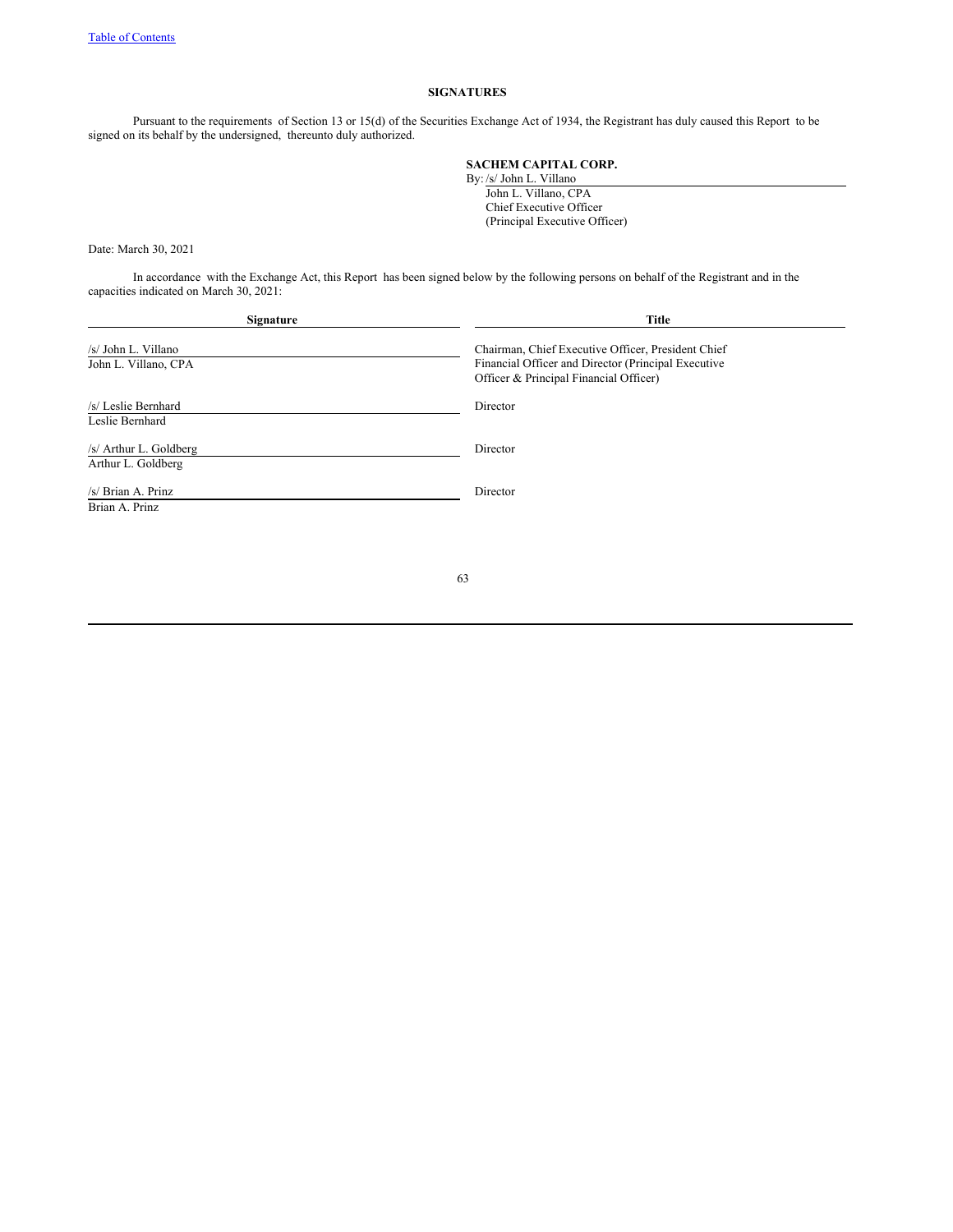# **SIGNATURES**

Pursuant to the requirements of Section 13 or 15(d) of the Securities Exchange Act of 1934, the Registrant has duly caused this Report to be signed on its behalf by the undersigned, thereunto duly authorized.

> **SACHEM CAPITAL CORP.** By: /s/ John L. Villano John L. Villano, CPA Chief Executive Officer (Principal Executive Officer)

Date: March 30, 2021

In accordance with the Exchange Act, this Report has been signed below by the following persons on behalf of the Registrant and in the capacities indicated on March 30, 2021:

| <b>Signature</b>                             | <b>Title</b>                                                                                                                                        |
|----------------------------------------------|-----------------------------------------------------------------------------------------------------------------------------------------------------|
| /s/ John L. Villano<br>John L. Villano, CPA  | Chairman, Chief Executive Officer, President Chief<br>Financial Officer and Director (Principal Executive<br>Officer & Principal Financial Officer) |
| /s/ Leslie Bernhard<br>Leslie Bernhard       | Director                                                                                                                                            |
| /s/ Arthur L. Goldberg<br>Arthur L. Goldberg | Director                                                                                                                                            |
| $/s/$ Brian A. Prinz<br>Brian A. Prinz       | Director                                                                                                                                            |
|                                              |                                                                                                                                                     |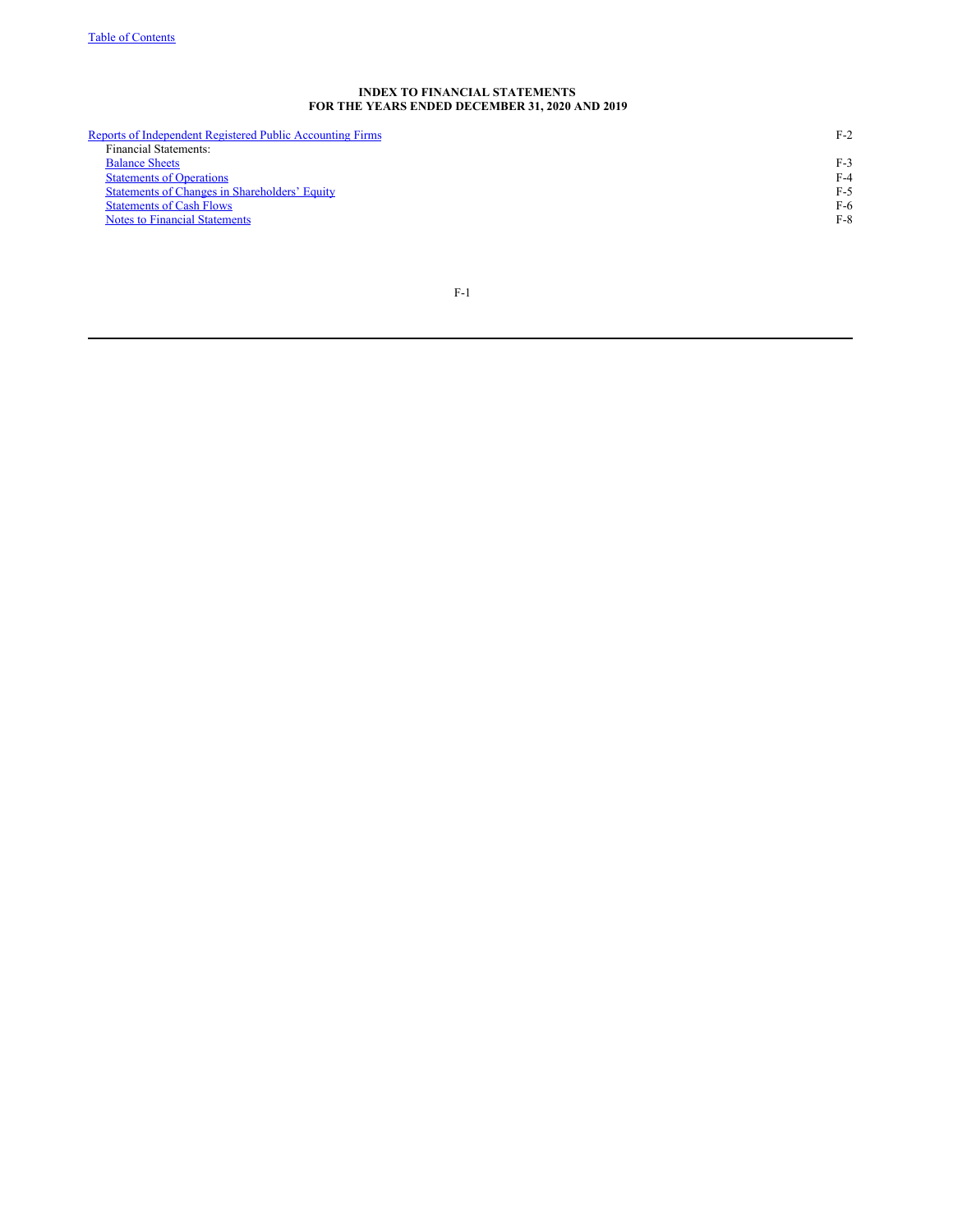# **INDEX TO FINANCIAL STATEMENTS FOR THE YEARS ENDED DECEMBER 31, 2020 AND 2019**

| Reports of Independent Registered Public Accounting Firms | $F-2$ |
|-----------------------------------------------------------|-------|
| <b>Financial Statements:</b>                              |       |
| <b>Balance Sheets</b>                                     | $F-3$ |
| <b>Statements of Operations</b>                           | $F-4$ |
| <b>Statements of Changes in Shareholders' Equity</b>      | $F-5$ |
| <b>Statements of Cash Flows</b>                           | F-6   |
| <b>Notes to Financial Statements</b>                      | $F-8$ |
|                                                           |       |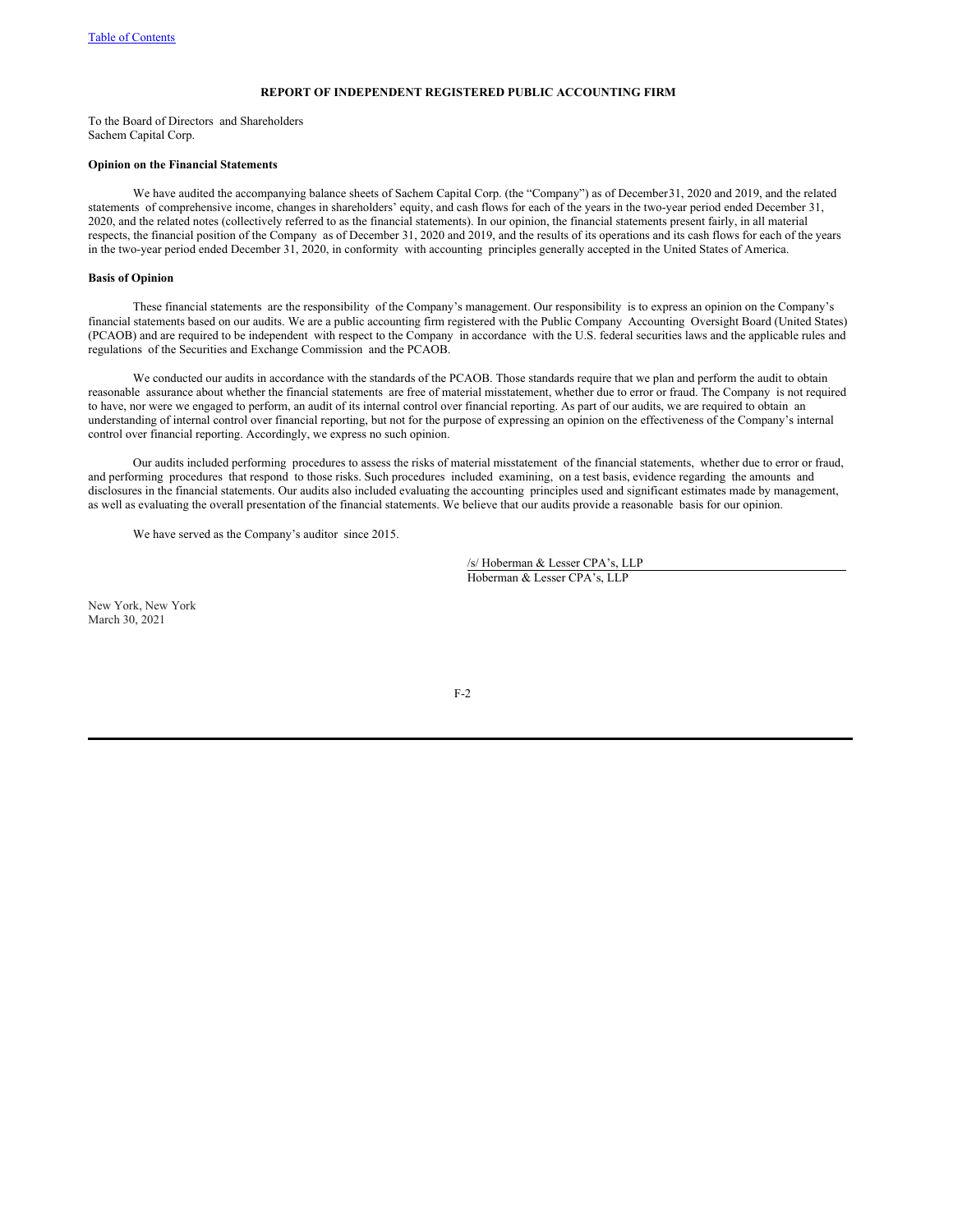# **REPORT OF INDEPENDENT REGISTERED PUBLIC ACCOUNTING FIRM**

To the Board of Directors and Shareholders Sachem Capital Corp.

## **Opinion on the Financial Statements**

We have audited the accompanying balance sheets of Sachem Capital Corp. (the "Company") as of December31, 2020 and 2019, and the related statements of comprehensive income, changes in shareholders' equity, and cash flows for each of the years in the two-year period ended December 31, 2020, and the related notes (collectively referred to as the financial statements). In our opinion, the financial statements present fairly, in all material respects, the financial position of the Company as of December 31, 2020 and 2019, and the results of its operations and its cash flows for each of the years in the two-year period ended December 31, 2020, in conformity with accounting principles generally accepted in the United States of America.

#### **Basis of Opinion**

These financial statements are the responsibility of the Company's management. Our responsibility is to express an opinion on the Company's financial statements based on our audits. We are a public accounting firm registered with the Public Company Accounting Oversight Board (United States) (PCAOB) and are required to be independent with respect to the Company in accordance with the U.S. federal securities laws and the applicable rules and regulations of the Securities and Exchange Commission and the PCAOB.

We conducted our audits in accordance with the standards of the PCAOB. Those standards require that we plan and perform the audit to obtain reasonable assurance about whether the financial statements are free of material misstatement, whether due to error or fraud. The Company is not required to have, nor were we engaged to perform, an audit of its internal control over financial reporting. As part of our audits, we are required to obtain an understanding of internal control over financial reporting, but not for the purpose of expressing an opinion on the effectiveness of the Company's internal control over financial reporting. Accordingly, we express no such opinion.

Our audits included performing procedures to assess the risks of material misstatement of the financial statements, whether due to error or fraud, and performing procedures that respond to those risks. Such procedures included examining, on a test basis, evidence regarding the amounts and disclosures in the financial statements. Our audits also included evaluating the accounting principles used and significant estimates made by management, as well as evaluating the overall presentation of the financial statements. We believe that our audits provide a reasonable basis for our opinion.

We have served as the Company's auditor since 2015.

/s/ Hoberman & Lesser CPA's, LLP Hoberman & Lesser CPA's, LLP

New York, New York March 30, 2021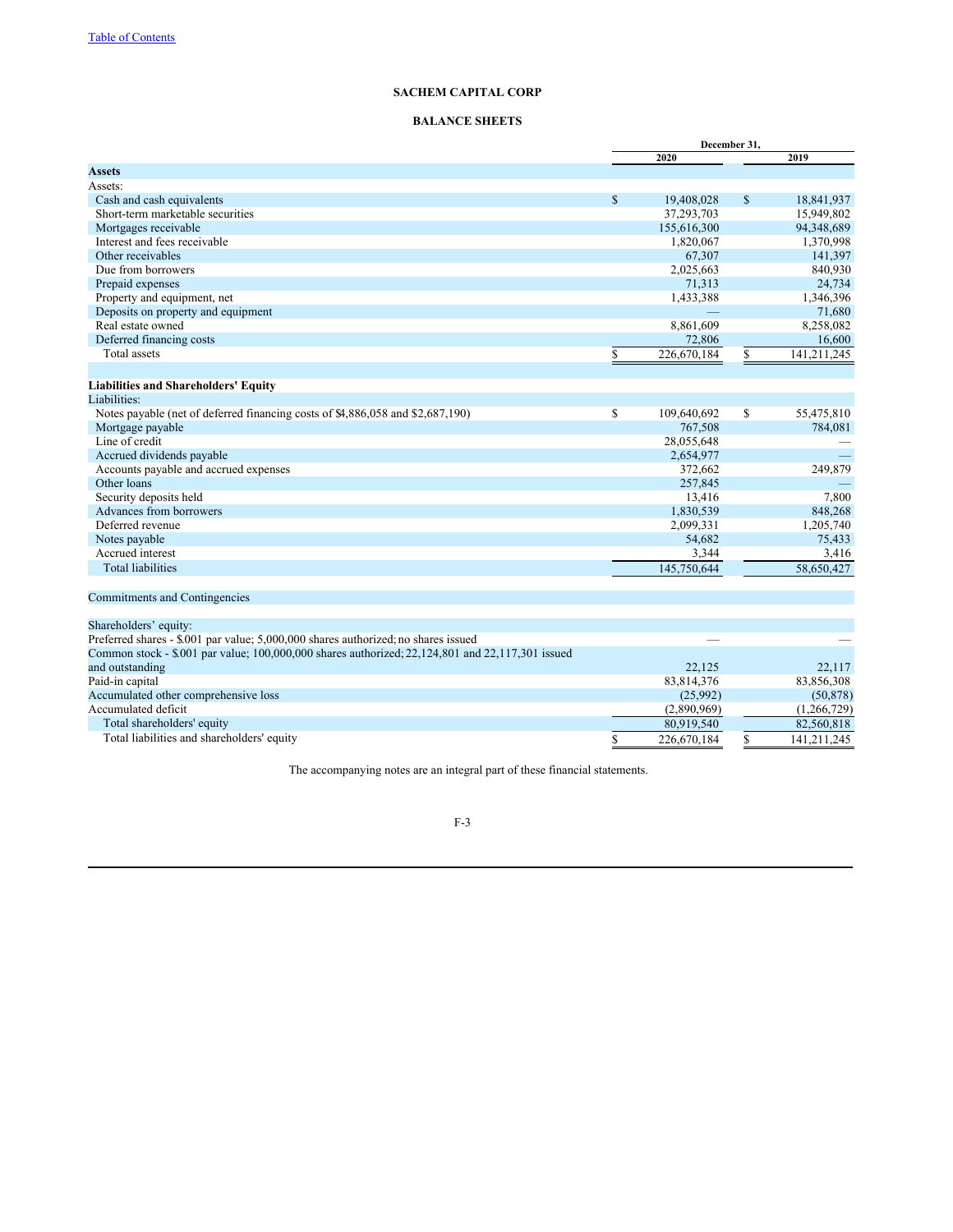# **BALANCE SHEETS**

|                                                                                                  | December 31, |             |               |             |
|--------------------------------------------------------------------------------------------------|--------------|-------------|---------------|-------------|
|                                                                                                  |              | 2020        |               | 2019        |
| <b>Assets</b>                                                                                    |              |             |               |             |
| Assets:                                                                                          |              |             |               |             |
| Cash and cash equivalents                                                                        | \$           | 19,408,028  | $\mathsf{\$}$ | 18,841,937  |
| Short-term marketable securities                                                                 |              | 37,293,703  |               | 15,949,802  |
| Mortgages receivable                                                                             |              | 155,616,300 |               | 94,348,689  |
| Interest and fees receivable                                                                     |              | 1,820,067   |               | 1,370,998   |
| Other receivables                                                                                |              | 67,307      |               | 141,397     |
| Due from borrowers                                                                               |              | 2,025,663   |               | 840,930     |
| Prepaid expenses                                                                                 |              | 71,313      |               | 24,734      |
| Property and equipment, net                                                                      |              | 1,433,388   |               | 1,346,396   |
| Deposits on property and equipment                                                               |              |             |               | 71,680      |
| Real estate owned                                                                                |              | 8,861,609   |               | 8,258,082   |
| Deferred financing costs                                                                         |              | 72,806      |               | 16,600      |
| <b>Total assets</b>                                                                              | \$           | 226,670,184 | \$            | 141,211,245 |
|                                                                                                  |              |             |               |             |
| <b>Liabilities and Shareholders' Equity</b>                                                      |              |             |               |             |
| Liabilities:                                                                                     |              |             |               |             |
| Notes payable (net of deferred financing costs of \$4,886,058 and \$2,687,190)                   | \$           | 109,640,692 | \$            | 55,475,810  |
| Mortgage payable                                                                                 |              | 767,508     |               | 784,081     |
| Line of credit                                                                                   |              | 28,055,648  |               |             |
| Accrued dividends payable                                                                        |              | 2,654,977   |               |             |
| Accounts payable and accrued expenses                                                            |              | 372,662     |               | 249,879     |
| Other loans                                                                                      |              | 257,845     |               |             |
| Security deposits held                                                                           |              | 13,416      |               | 7,800       |
| Advances from borrowers                                                                          |              | 1,830,539   |               | 848,268     |
| Deferred revenue                                                                                 |              | 2,099,331   |               | 1,205,740   |
| Notes payable                                                                                    |              | 54,682      |               | 75,433      |
| Accrued interest                                                                                 |              | 3,344       |               | 3,416       |
| <b>Total liabilities</b>                                                                         |              | 145,750,644 |               | 58,650,427  |
|                                                                                                  |              |             |               |             |
| Commitments and Contingencies                                                                    |              |             |               |             |
|                                                                                                  |              |             |               |             |
| Shareholders' equity:                                                                            |              |             |               |             |
| Preferred shares - \$.001 par value; 5,000,000 shares authorized; no shares issued               |              |             |               |             |
| Common stock - \$.001 par value; 100,000,000 shares authorized; 22,124,801 and 22,117,301 issued |              |             |               |             |
| and outstanding                                                                                  |              | 22,125      |               | 22,117      |
| Paid-in capital                                                                                  |              | 83,814,376  |               | 83,856,308  |
| Accumulated other comprehensive loss                                                             |              | (25,992)    |               | (50, 878)   |
| Accumulated deficit                                                                              |              | (2,890,969) |               | (1,266,729) |
| Total shareholders' equity                                                                       |              | 80,919,540  |               | 82,560,818  |
| Total liabilities and shareholders' equity                                                       | \$           | 226,670,184 | \$            | 141,211,245 |
|                                                                                                  |              |             |               |             |

The accompanying notes are an integral part of these financial statements.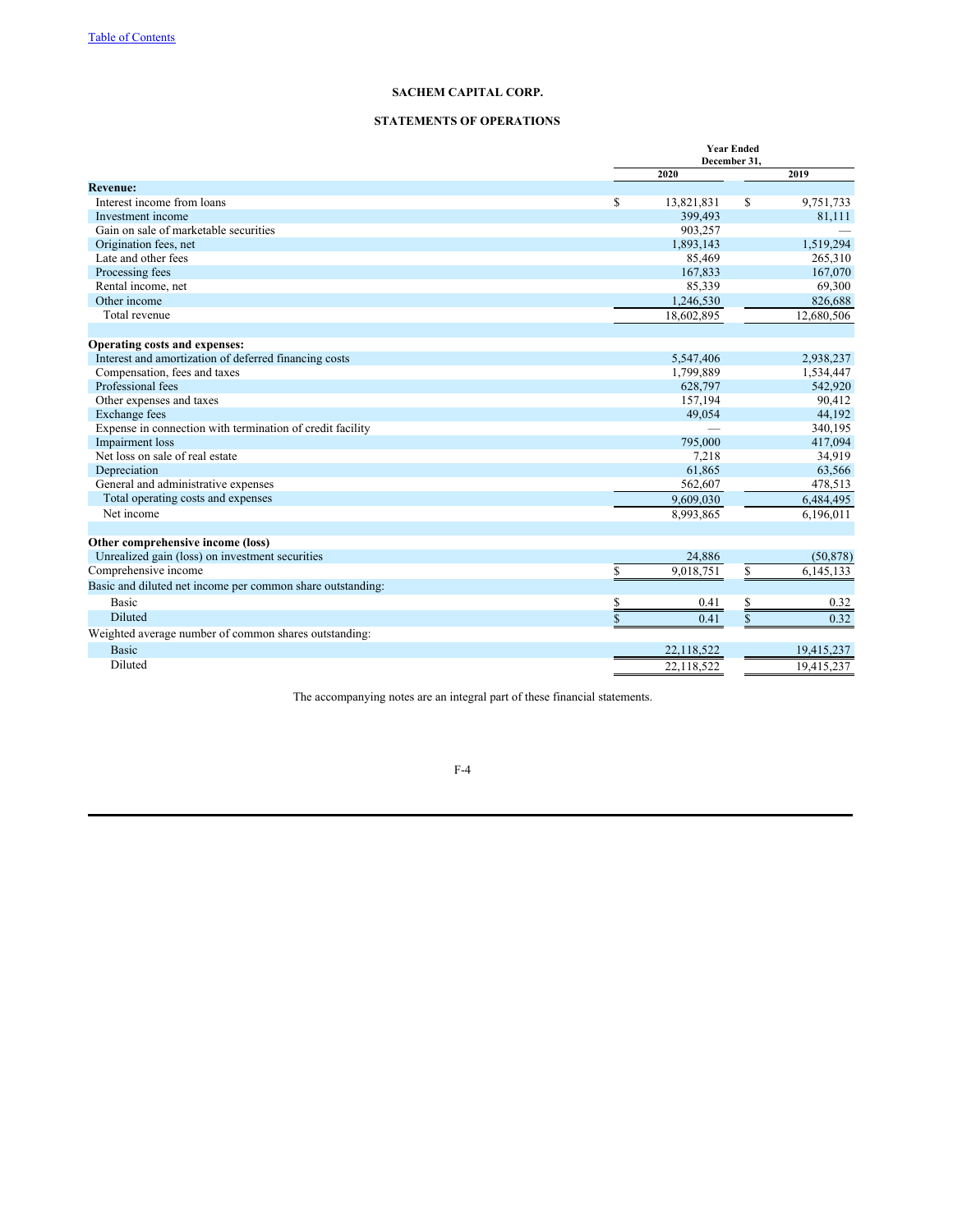# **STATEMENTS OF OPERATIONS**

|                                                            |                     | <b>Year Ended</b><br>December 31. |            |  |  |  |
|------------------------------------------------------------|---------------------|-----------------------------------|------------|--|--|--|
|                                                            |                     | 2020                              |            |  |  |  |
| <b>Revenue:</b>                                            |                     |                                   | 2019       |  |  |  |
| Interest income from loans                                 | \$<br>13,821,831    | S                                 | 9,751,733  |  |  |  |
| Investment income                                          | 399,493             |                                   | 81,111     |  |  |  |
| Gain on sale of marketable securities                      | 903,257             |                                   |            |  |  |  |
| Origination fees, net                                      | 1,893,143           |                                   | 1,519,294  |  |  |  |
| Late and other fees                                        | 85,469              |                                   | 265,310    |  |  |  |
| Processing fees                                            | 167,833             |                                   | 167,070    |  |  |  |
| Rental income, net                                         | 85,339              |                                   | 69,300     |  |  |  |
| Other income                                               | 1,246,530           |                                   | 826,688    |  |  |  |
| Total revenue                                              | 18,602,895          |                                   | 12,680,506 |  |  |  |
|                                                            |                     |                                   |            |  |  |  |
| Operating costs and expenses:                              |                     |                                   |            |  |  |  |
| Interest and amortization of deferred financing costs      | 5,547,406           |                                   | 2,938,237  |  |  |  |
| Compensation, fees and taxes                               | 1,799,889           |                                   | 1,534,447  |  |  |  |
| Professional fees                                          | 628,797             |                                   | 542,920    |  |  |  |
| Other expenses and taxes                                   | 157,194             |                                   | 90,412     |  |  |  |
| <b>Exchange fees</b>                                       | 49,054              |                                   | 44,192     |  |  |  |
| Expense in connection with termination of credit facility  |                     |                                   | 340,195    |  |  |  |
| Impairment loss                                            | 795,000             |                                   | 417,094    |  |  |  |
| Net loss on sale of real estate                            | 7,218               |                                   | 34,919     |  |  |  |
| Depreciation                                               | 61,865              |                                   | 63,566     |  |  |  |
| General and administrative expenses                        | 562,607             |                                   | 478,513    |  |  |  |
| Total operating costs and expenses                         | 9,609,030           |                                   | 6,484,495  |  |  |  |
| Net income                                                 | 8,993,865           |                                   | 6,196,011  |  |  |  |
|                                                            |                     |                                   |            |  |  |  |
| Other comprehensive income (loss)                          |                     |                                   |            |  |  |  |
| Unrealized gain (loss) on investment securities            | 24,886              |                                   | (50, 878)  |  |  |  |
| Comprehensive income                                       | \$<br>9,018,751     | \$                                | 6,145,133  |  |  |  |
| Basic and diluted net income per common share outstanding: |                     |                                   |            |  |  |  |
| Basic                                                      | \$<br>0.41          | \$                                | 0.32       |  |  |  |
| <b>Diluted</b>                                             | $\mathbf S$<br>0.41 | ÷<br>\$                           | 0.32       |  |  |  |
| Weighted average number of common shares outstanding:      |                     |                                   |            |  |  |  |
| <b>Basic</b>                                               | 22,118,522          |                                   | 19,415,237 |  |  |  |
| Diluted                                                    | 22,118,522          |                                   | 19,415,237 |  |  |  |

The accompanying notes are an integral part of these financial statements.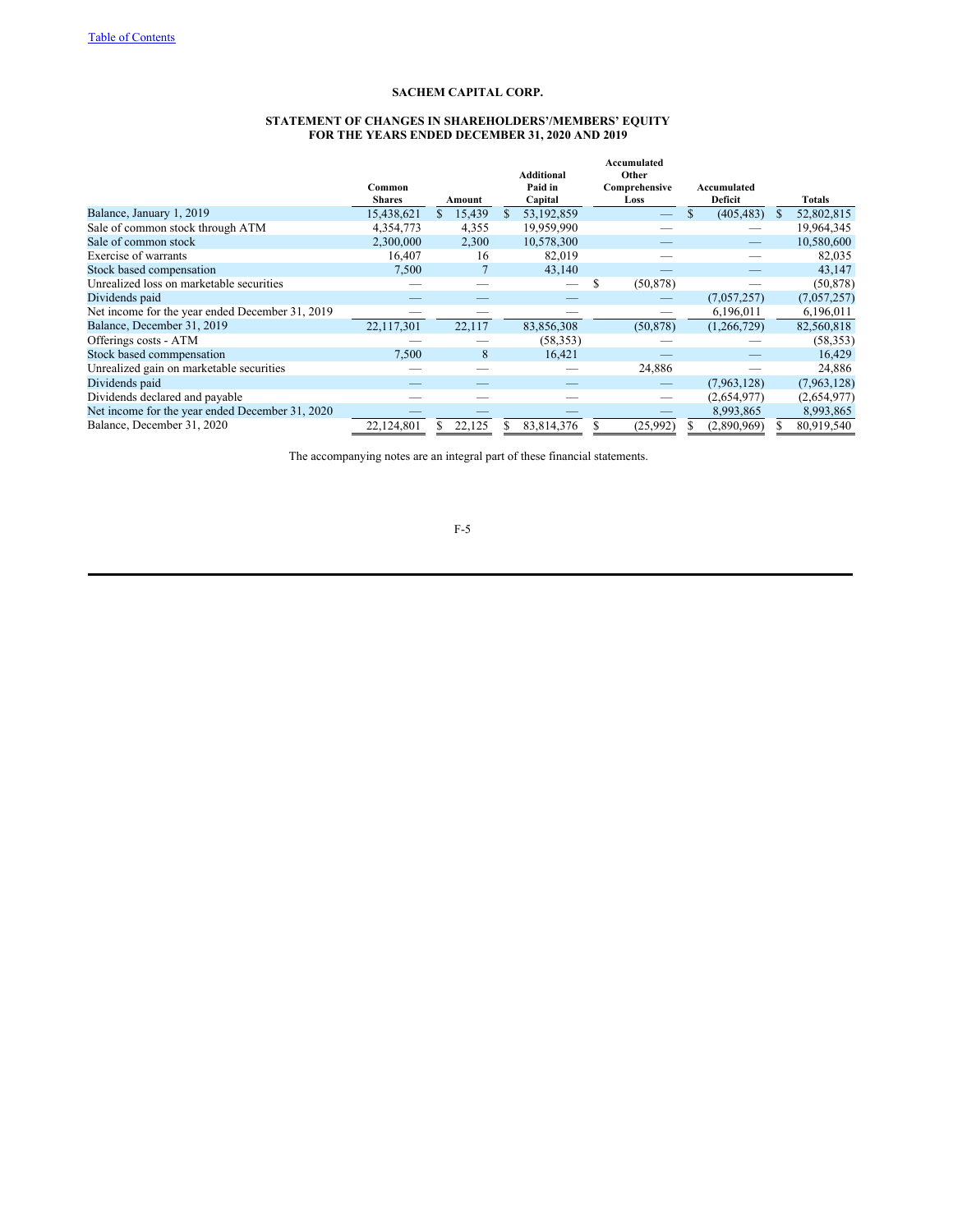#### **STATEMENT OF CHANGES IN SHAREHOLDERS'/MEMBERS' EQUITY FOR THE YEARS ENDED DECEMBER 31, 2020 AND 2019**

|                                                 | Common<br><b>Shares</b> |        | <b>Additional</b><br>Paid in |   | Accumulated<br>Other<br>Comprehensive | Accumulated<br>Deficit | <b>Totals</b> |
|-------------------------------------------------|-------------------------|--------|------------------------------|---|---------------------------------------|------------------------|---------------|
|                                                 |                         | Amount | Capital                      |   | Loss                                  |                        |               |
| Balance, January 1, 2019                        | 15,438,621              | 15,439 | 53,192,859                   |   |                                       | (405, 483)             | 52,802,815    |
| Sale of common stock through ATM                | 4,354,773               | 4,355  | 19,959,990                   |   |                                       |                        | 19,964,345    |
| Sale of common stock                            | 2,300,000               | 2,300  | 10,578,300                   |   |                                       |                        | 10,580,600    |
| Exercise of warrants                            | 16,407                  | 16     | 82,019                       |   |                                       |                        | 82,035        |
| Stock based compensation                        | 7,500                   |        | 43,140                       |   |                                       |                        | 43,147        |
| Unrealized loss on marketable securities        |                         |        |                              | S | (50, 878)                             |                        | (50, 878)     |
| Dividends paid                                  |                         |        |                              |   |                                       | (7,057,257)            | (7,057,257)   |
| Net income for the year ended December 31, 2019 |                         |        |                              |   |                                       | 6,196,011              | 6,196,011     |
| Balance, December 31, 2019                      | 22,117,301              | 22,117 | 83,856,308                   |   | (50, 878)                             | (1,266,729)            | 82,560,818    |
| Offerings costs - ATM                           |                         |        | (58, 353)                    |   |                                       |                        | (58, 353)     |
| Stock based commpensation                       | 7,500                   | 8      | 16,421                       |   |                                       |                        | 16,429        |
| Unrealized gain on marketable securities        |                         |        |                              |   | 24,886                                |                        | 24,886        |
| Dividends paid                                  |                         |        |                              |   |                                       | (7,963,128)            | (7,963,128)   |
| Dividends declared and payable                  |                         |        |                              |   |                                       | (2,654,977)            | (2,654,977)   |
| Net income for the year ended December 31, 2020 |                         |        |                              |   |                                       | 8,993,865              | 8,993,865     |
| Balance, December 31, 2020                      | 22,124,801              | 22,125 | 83, 814, 376                 |   | (25,992)                              | (2,890,969)            | 80,919,540    |

The accompanying notes are an integral part of these financial statements.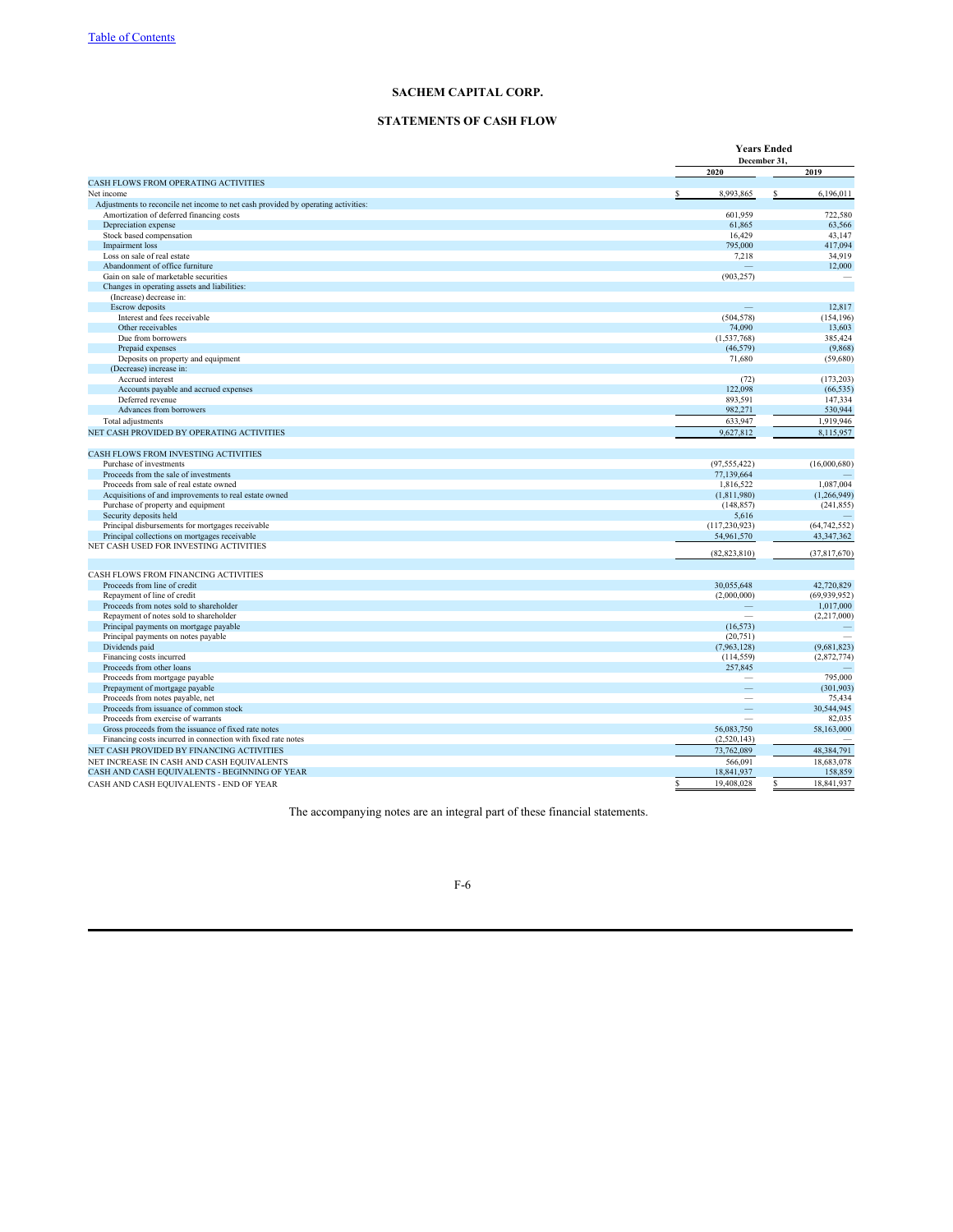# **STATEMENTS OF CASH FLOW**

|                                                                                   |                 | <b>Years Ended</b> |
|-----------------------------------------------------------------------------------|-----------------|--------------------|
|                                                                                   |                 | December 31.       |
| CASH FLOWS FROM OPERATING ACTIVITIES                                              | 2020            | 2019               |
| Net income                                                                        | 8,993,865<br>S. | 6,196,011<br>s     |
| Adjustments to reconcile net income to net cash provided by operating activities: |                 |                    |
| Amortization of deferred financing costs                                          | 601,959         | 722,580            |
| Depreciation expense                                                              | 61,865          | 63,566             |
| Stock based compensation                                                          | 16,429          | 43,147             |
| Impairment loss                                                                   | 795,000         | 417,094            |
| Loss on sale of real estate                                                       | 7,218           | 34,919             |
| Abandonment of office furniture                                                   |                 | 12,000             |
| Gain on sale of marketable securities                                             | (903, 257)      |                    |
| Changes in operating assets and liabilities:                                      |                 |                    |
| (Increase) decrease in:                                                           |                 |                    |
| <b>Escrow</b> deposits                                                            |                 | 12,817             |
| Interest and fees receivable                                                      | (504, 578)      | (154, 196)         |
| Other receivables                                                                 | 74,090          | 13,603             |
| Due from borrowers                                                                | (1, 537, 768)   | 385,424            |
| Prepaid expenses                                                                  | (46, 579)       | (9, 868)           |
| Deposits on property and equipment                                                | 71,680          | (59,680)           |
| (Decrease) increase in:                                                           |                 |                    |
| Accrued interest                                                                  | (72)            | (173, 203)         |
| Accounts payable and accrued expenses                                             | 122,098         | (66, 535)          |
| Deferred revenue                                                                  | 893,591         | 147,334            |
| Advances from borrowers                                                           | 982,271         | 530,944            |
| Total adjustments                                                                 | 633,947         | 1,919,946          |
| NET CASH PROVIDED BY OPERATING ACTIVITIES                                         | 9,627,812       | 8,115,957          |
| <b>CASH FLOWS FROM INVESTING ACTIVITIES</b>                                       |                 |                    |
| Purchase of investments                                                           | (97, 555, 422)  | (16,000,680)       |
| Proceeds from the sale of investments                                             | 77,139,664      |                    |
| Proceeds from sale of real estate owned                                           | 1,816,522       | 1,087,004          |
| Acquisitions of and improvements to real estate owned                             | (1, 811, 980)   | (1,266,949)        |
| Purchase of property and equipment                                                | (148, 857)      | (241, 855)         |
| Security deposits held                                                            | 5,616           |                    |
| Principal disbursements for mortgages receivable                                  | (117, 230, 923) | (64, 742, 552)     |
| Principal collections on mortgages receivable                                     | 54,961,570      | 43,347,362         |
| NET CASH USED FOR INVESTING ACTIVITIES                                            |                 |                    |
|                                                                                   | (82, 823, 810)  | (37, 817, 670)     |
| CASH FLOWS FROM FINANCING ACTIVITIES                                              |                 |                    |
| Proceeds from line of credit                                                      | 30,055,648      | 42,720,829         |
| Repayment of line of credit                                                       | (2,000,000)     | (69,939,952)       |
| Proceeds from notes sold to shareholder                                           |                 | 1,017,000          |
| Repayment of notes sold to shareholder                                            |                 | (2,217,000)        |
| Principal payments on mortgage payable                                            | (16, 573)       |                    |
| Principal payments on notes payable                                               | (20, 751)       |                    |
| Dividends paid                                                                    | (7,963,128)     | (9,681,823)        |
| Financing costs incurred                                                          | (114, 559)      | (2,872,774)        |
| Proceeds from other loans                                                         | 257,845         |                    |
| Proceeds from mortgage payable                                                    |                 | 795,000            |
| Prepayment of mortgage payable                                                    |                 | (301, 903)         |
| Proceeds from notes payable, net                                                  |                 | 75,434             |
| Proceeds from issuance of common stock                                            |                 | 30,544,945         |
| Proceeds from exercise of warrants                                                |                 | 82,035             |
| Gross proceeds from the issuance of fixed rate notes                              | 56,083,750      | 58,163,000         |
| Financing costs incurred in connection with fixed rate notes                      | (2,520,143)     |                    |
| NET CASH PROVIDED BY FINANCING ACTIVITIES                                         | 73,762,089      | 48,384,791         |
| NET INCREASE IN CASH AND CASH EQUIVALENTS                                         | 566,091         | 18,683,078         |
| CASH AND CASH EQUIVALENTS - BEGINNING OF YEAR                                     | 18,841,937      | 158,859            |
| CASH AND CASH EQUIVALENTS - END OF YEAR                                           | S<br>19,408,028 | 18,841,937<br>s    |

The accompanying notes are an integral part of these financial statements.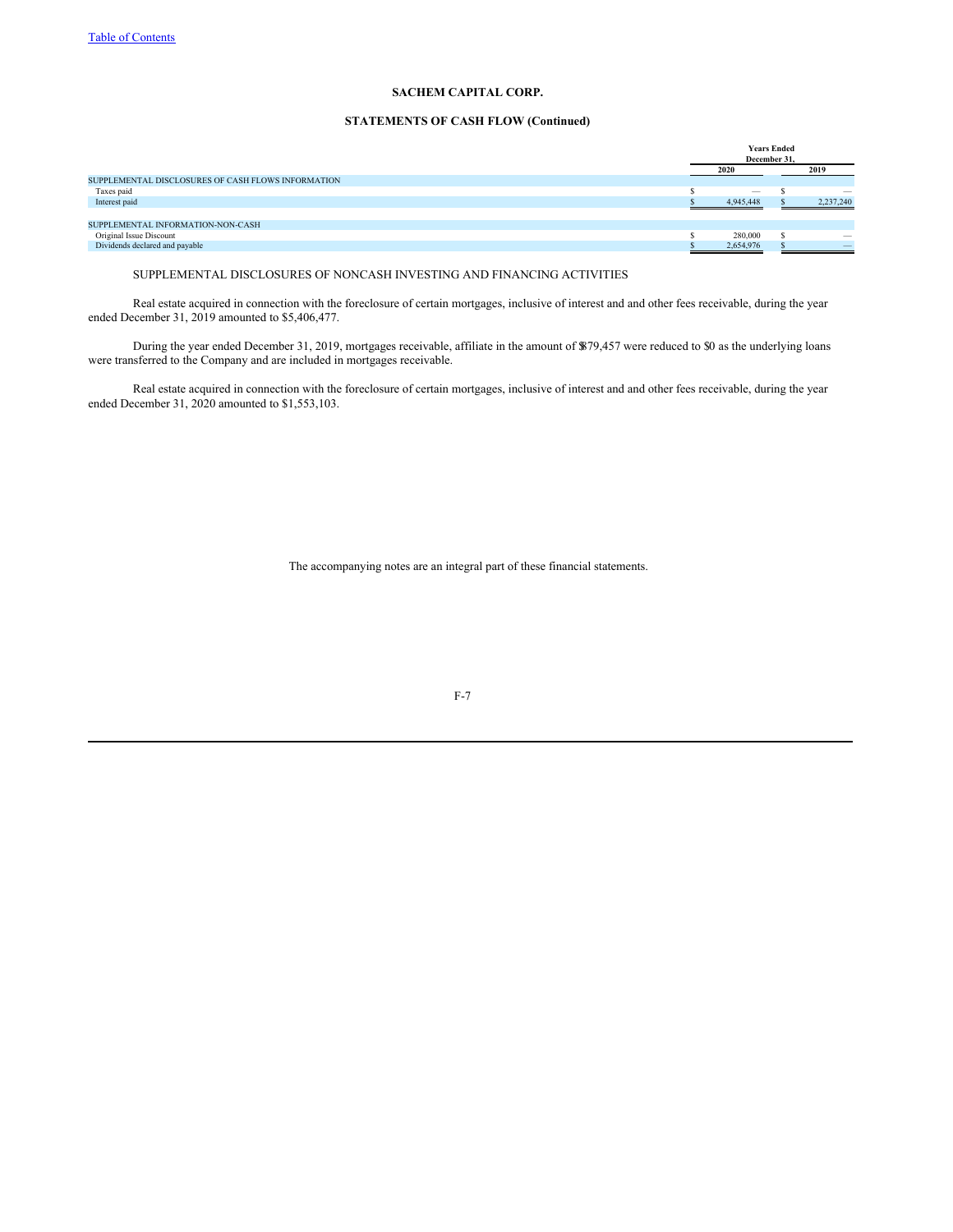### **STATEMENTS OF CASH FLOW (Continued)**

|                                                    | <b>Years Ended</b><br>December 31, |  |           |
|----------------------------------------------------|------------------------------------|--|-----------|
|                                                    | 2020                               |  | 2019      |
| SUPPLEMENTAL DISCLOSURES OF CASH FLOWS INFORMATION |                                    |  |           |
| Taxes paid                                         | $\overline{\phantom{a}}$           |  |           |
| Interest paid                                      | 4,945,448                          |  | 2.237.240 |
|                                                    |                                    |  |           |
| SUPPLEMENTAL INFORMATION-NON-CASH                  |                                    |  |           |
| Original Issue Discount                            | 280,000                            |  |           |
| Dividends declared and payable                     | 2,654,976                          |  |           |
|                                                    |                                    |  |           |

# SUPPLEMENTAL DISCLOSURES OF NONCASH INVESTING AND FINANCING ACTIVITIES

Real estate acquired in connection with the foreclosure of certain mortgages, inclusive of interest and and other fees receivable, during the year ended December 31, 2019 amounted to \$5,406,477.

During the year ended December 31, 2019, mortgages receivable, affiliate in the amount of \$879,457 were reduced to \$0 as the underlying loans were transferred to the Company and are included in mortgages receivable.

Real estate acquired in connection with the foreclosure of certain mortgages, inclusive of interest and and other fees receivable, during the year ended December 31, 2020 amounted to \$1,553,103.

The accompanying notes are an integral part of these financial statements.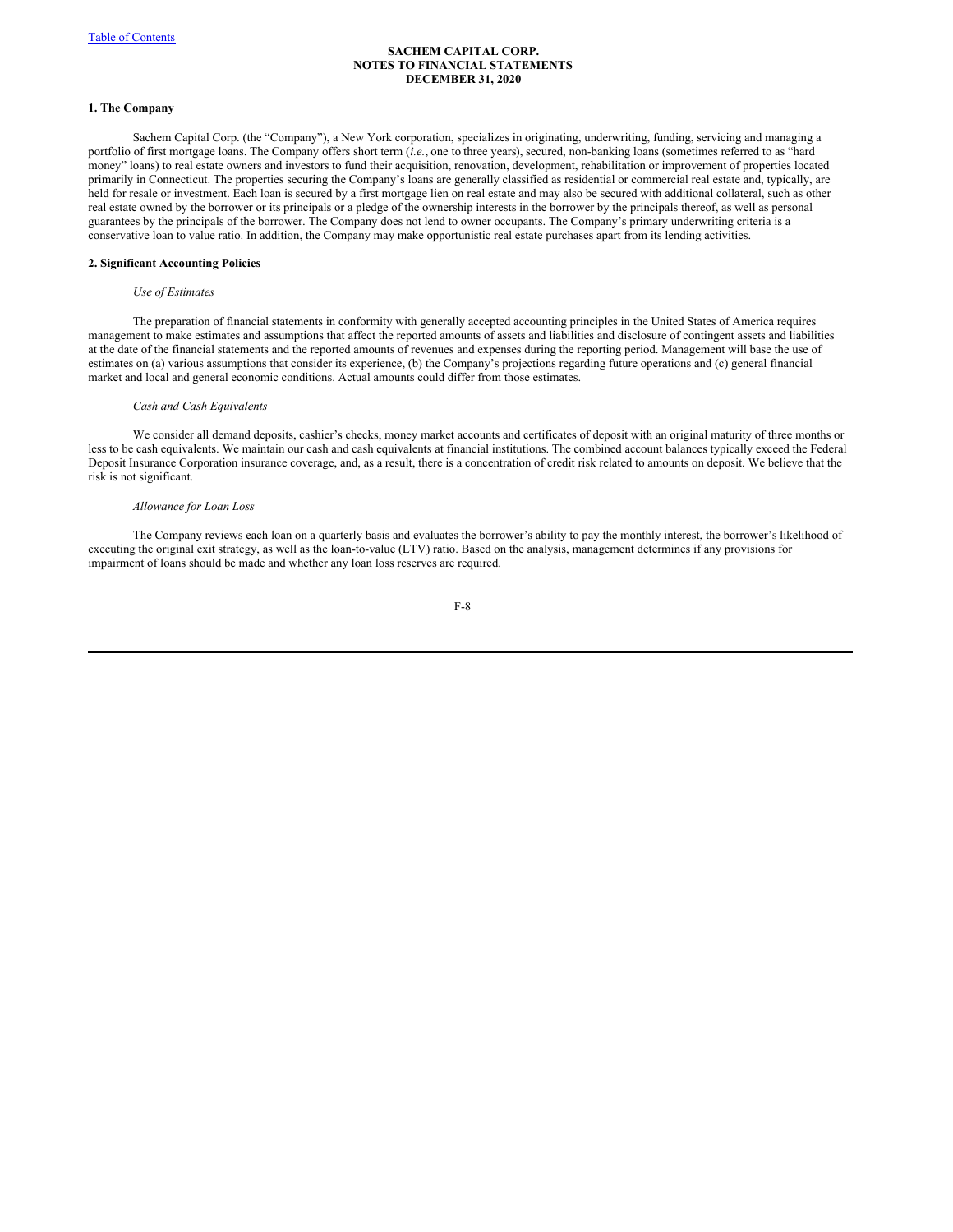## **SACHEM CAPITAL CORP. NOTES TO FINANCIAL STATEMENTS DECEMBER 31, 2020**

# **1. The Company**

Sachem Capital Corp. (the "Company"), a New York corporation, specializes in originating, underwriting, funding, servicing and managing a portfolio of first mortgage loans. The Company offers short term (*i.e.*, one to three years), secured, non-banking loans (sometimes referred to as "hard money" loans) to real estate owners and investors to fund their acquisition, renovation, development, rehabilitation or improvement of properties located primarily in Connecticut. The properties securing the Company's loans are generally classified as residential or commercial real estate and, typically, are held for resale or investment. Each loan is secured by a first mortgage lien on real estate and may also be secured with additional collateral, such as other real estate owned by the borrower or its principals or a pledge of the ownership interests in the borrower by the principals thereof, as well as personal guarantees by the principals of the borrower. The Company does not lend to owner occupants. The Company's primary underwriting criteria is a conservative loan to value ratio. In addition, the Company may make opportunistic real estate purchases apart from its lending activities.

# **2. Significant Accounting Policies**

# *Use of Estimates*

The preparation of financial statements in conformity with generally accepted accounting principles in the United States of America requires management to make estimates and assumptions that affect the reported amounts of assets and liabilities and disclosure of contingent assets and liabilities at the date of the financial statements and the reported amounts of revenues and expenses during the reporting period. Management will base the use of estimates on (a) various assumptions that consider its experience, (b) the Company's projections regarding future operations and (c) general financial market and local and general economic conditions. Actual amounts could differ from those estimates.

## *Cash and Cash Equivalents*

We consider all demand deposits, cashier's checks, money market accounts and certificates of deposit with an original maturity of three months or less to be cash equivalents. We maintain our cash and cash equivalents at financial institutions. The combined account balances typically exceed the Federal Deposit Insurance Corporation insurance coverage, and, as a result, there is a concentration of credit risk related to amounts on deposit. We believe that the risk is not significant.

### *Allowance for Loan Loss*

The Company reviews each loan on a quarterly basis and evaluates the borrower's ability to pay the monthly interest, the borrower's likelihood of executing the original exit strategy, as well as the loan-to-value (LTV) ratio. Based on the analysis, management determines if any provisions for impairment of loans should be made and whether any loan loss reserves are required.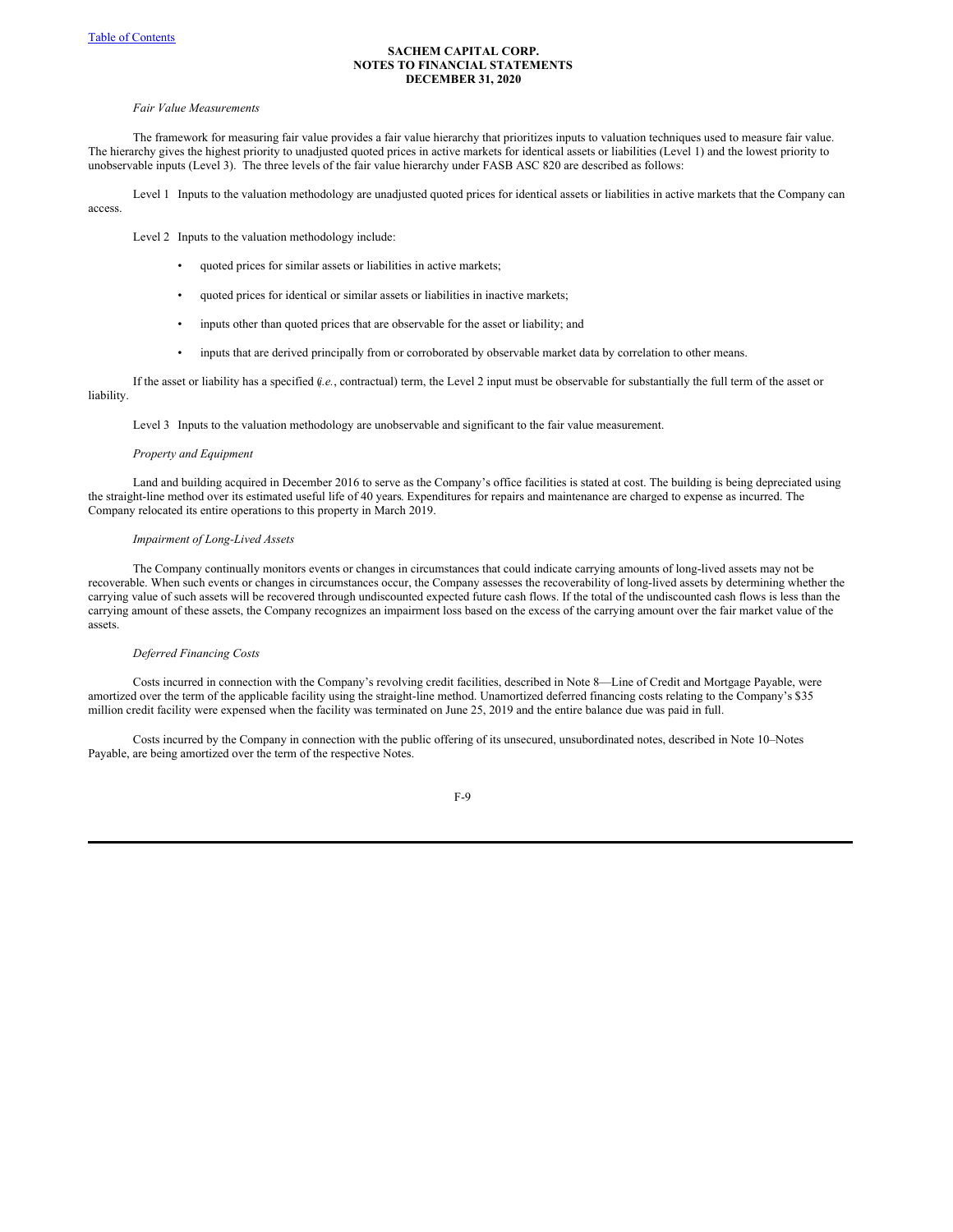## **SACHEM CAPITAL CORP. NOTES TO FINANCIAL STATEMENTS DECEMBER 31, 2020**

## *Fair Value Measurements*

The framework for measuring fair value provides a fair value hierarchy that prioritizes inputs to valuation techniques used to measure fair value. The hierarchy gives the highest priority to unadjusted quoted prices in active markets for identical assets or liabilities (Level 1) and the lowest priority to unobservable inputs (Level 3). The three levels of the fair value hierarchy under FASB ASC 820 are described as follows:

Level 1 Inputs to the valuation methodology are unadjusted quoted prices for identical assets or liabilities in active markets that the Company can access.

Level 2 Inputs to the valuation methodology include:

- quoted prices for similar assets or liabilities in active markets;
- quoted prices for identical or similar assets or liabilities in inactive markets;
- inputs other than quoted prices that are observable for the asset or liability; and
- inputs that are derived principally from or corroborated by observable market data by correlation to other means.

If the asset or liability has a specified (*i.e.*, contractual) term, the Level 2 input must be observable for substantially the full term of the asset or liability.

Level 3 Inputs to the valuation methodology are unobservable and significant to the fair value measurement.

#### *Property and Equipment*

Land and building acquired in December 2016 to serve as the Company's office facilities is stated at cost. The building is being depreciated using the straight-line method over its estimated useful life of 40 years. Expenditures for repairs and maintenance are charged to expense as incurred. The Company relocated its entire operations to this property in March 2019.

# *Impairment of Long-Lived Assets*

The Company continually monitors events or changes in circumstances that could indicate carrying amounts of long-lived assets may not be recoverable. When such events or changes in circumstances occur, the Company assesses the recoverability of long-lived assets by determining whether the carrying value of such assets will be recovered through undiscounted expected future cash flows. If the total of the undiscounted cash flows is less than the carrying amount of these assets, the Company recognizes an impairment loss based on the excess of the carrying amount over the fair market value of the assets.

#### *Deferred Financing Costs*

Costs incurred in connection with the Company's revolving credit facilities, described in Note 8—Line of Credit and Mortgage Payable, were amortized over the term of the applicable facility using the straight-line method. Unamortized deferred financing costs relating to the Company's \$35 million credit facility were expensed when the facility was terminated on June 25, 2019 and the entire balance due was paid in full.

Costs incurred by the Company in connection with the public offering of its unsecured, unsubordinated notes, described in Note 10–Notes Payable, are being amortized over the term of the respective Notes.

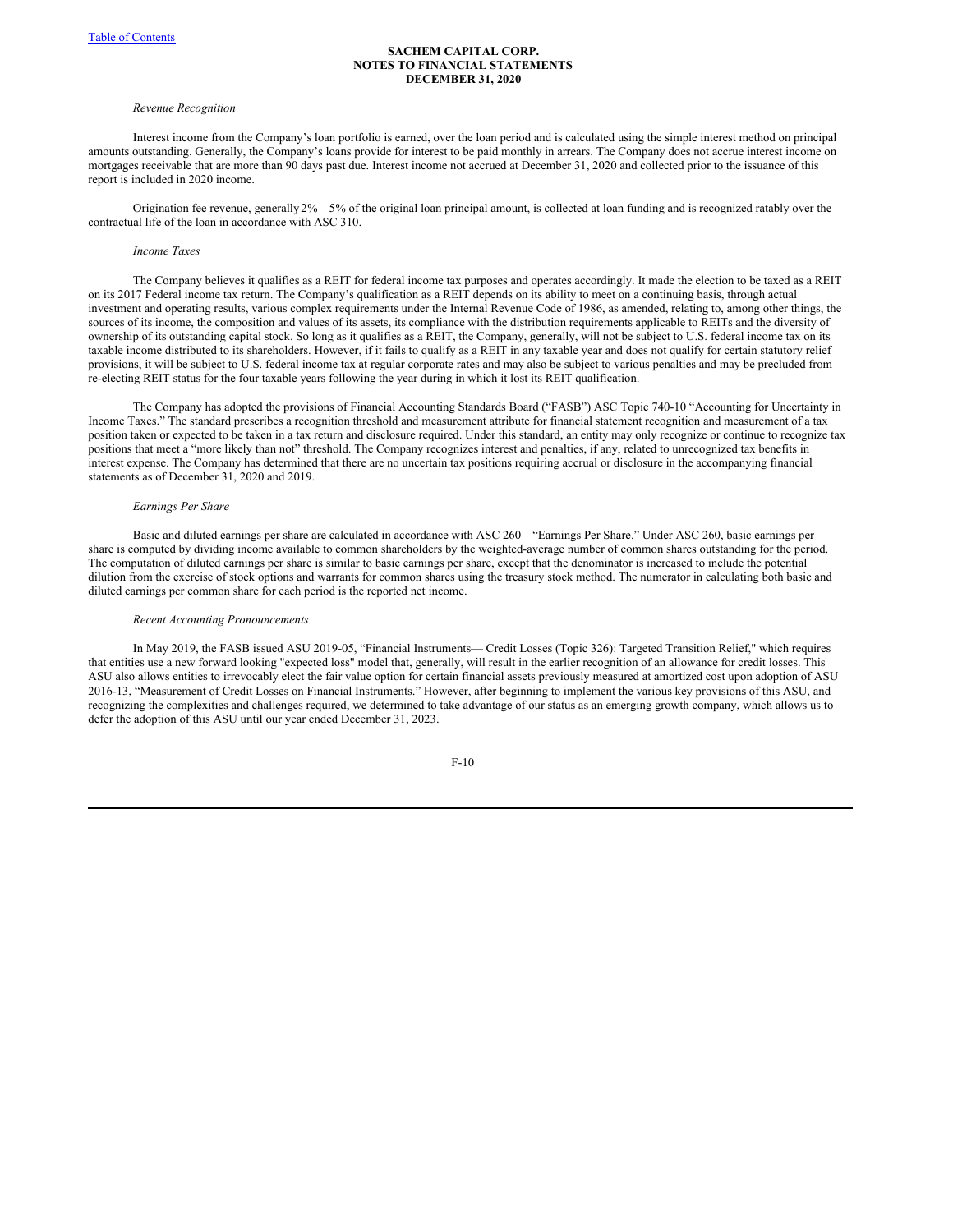#### *Revenue Recognition*

Interest income from the Company's loan portfolio is earned, over the loan period and is calculated using the simple interest method on principal amounts outstanding. Generally, the Company's loans provide for interest to be paid monthly in arrears. The Company does not accrue interest income on mortgages receivable that are more than 90 days past due. Interest income not accrued at December 31, 2020 and collected prior to the issuance of this report is included in 2020 income.

Origination fee revenue, generally 2% – 5% of the original loan principal amount, is collected at loan funding and is recognized ratably over the contractual life of the loan in accordance with ASC 310.

### *Income Taxes*

The Company believes it qualifies as a REIT for federal income tax purposes and operates accordingly. It made the election to be taxed as a REIT on its 2017 Federal income tax return. The Company's qualification as a REIT depends on its ability to meet on a continuing basis, through actual investment and operating results, various complex requirements under the Internal Revenue Code of 1986, as amended, relating to, among other things, the sources of its income, the composition and values of its assets, its compliance with the distribution requirements applicable to REITs and the diversity of ownership of its outstanding capital stock. So long as it qualifies as a REIT, the Company, generally, will not be subject to U.S. federal income tax on its taxable income distributed to its shareholders. However, if it fails to qualify as a REIT in any taxable year and does not qualify for certain statutory relief provisions, it will be subject to U.S. federal income tax at regular corporate rates and may also be subject to various penalties and may be precluded from re-electing REIT status for the four taxable years following the year during in which it lost its REIT qualification.

The Company has adopted the provisions of Financial Accounting Standards Board ("FASB") ASC Topic 740-10 "Accounting for Uncertainty in Income Taxes." The standard prescribes a recognition threshold and measurement attribute for financial statement recognition and measurement of a tax position taken or expected to be taken in a tax return and disclosure required. Under this standard, an entity may only recognize or continue to recognize tax positions that meet a "more likely than not" threshold. The Company recognizes interest and penalties, if any, related to unrecognized tax benefits in interest expense. The Company has determined that there are no uncertain tax positions requiring accrual or disclosure in the accompanying financial statements as of December 31, 2020 and 2019.

### *Earnings Per Share*

Basic and diluted earnings per share are calculated in accordance with ASC 260*—*"Earnings Per Share." Under ASC 260, basic earnings per share is computed by dividing income available to common shareholders by the weighted-average number of common shares outstanding for the period. The computation of diluted earnings per share is similar to basic earnings per share, except that the denominator is increased to include the potential dilution from the exercise of stock options and warrants for common shares using the treasury stock method. The numerator in calculating both basic and diluted earnings per common share for each period is the reported net income.

#### *Recent Accounting Pronouncements*

In May 2019, the FASB issued ASU 2019-05, "Financial Instruments— Credit Losses (Topic 326): Targeted Transition Relief," which requires that entities use a new forward looking "expected loss" model that, generally, will result in the earlier recognition of an allowance for credit losses. This ASU also allows entities to irrevocably elect the fair value option for certain financial assets previously measured at amortized cost upon adoption of ASU 2016-13, "Measurement of Credit Losses on Financial Instruments." However, after beginning to implement the various key provisions of this ASU, and recognizing the complexities and challenges required, we determined to take advantage of our status as an emerging growth company, which allows us to defer the adoption of this ASU until our year ended December 31, 2023.

$$
F-10
$$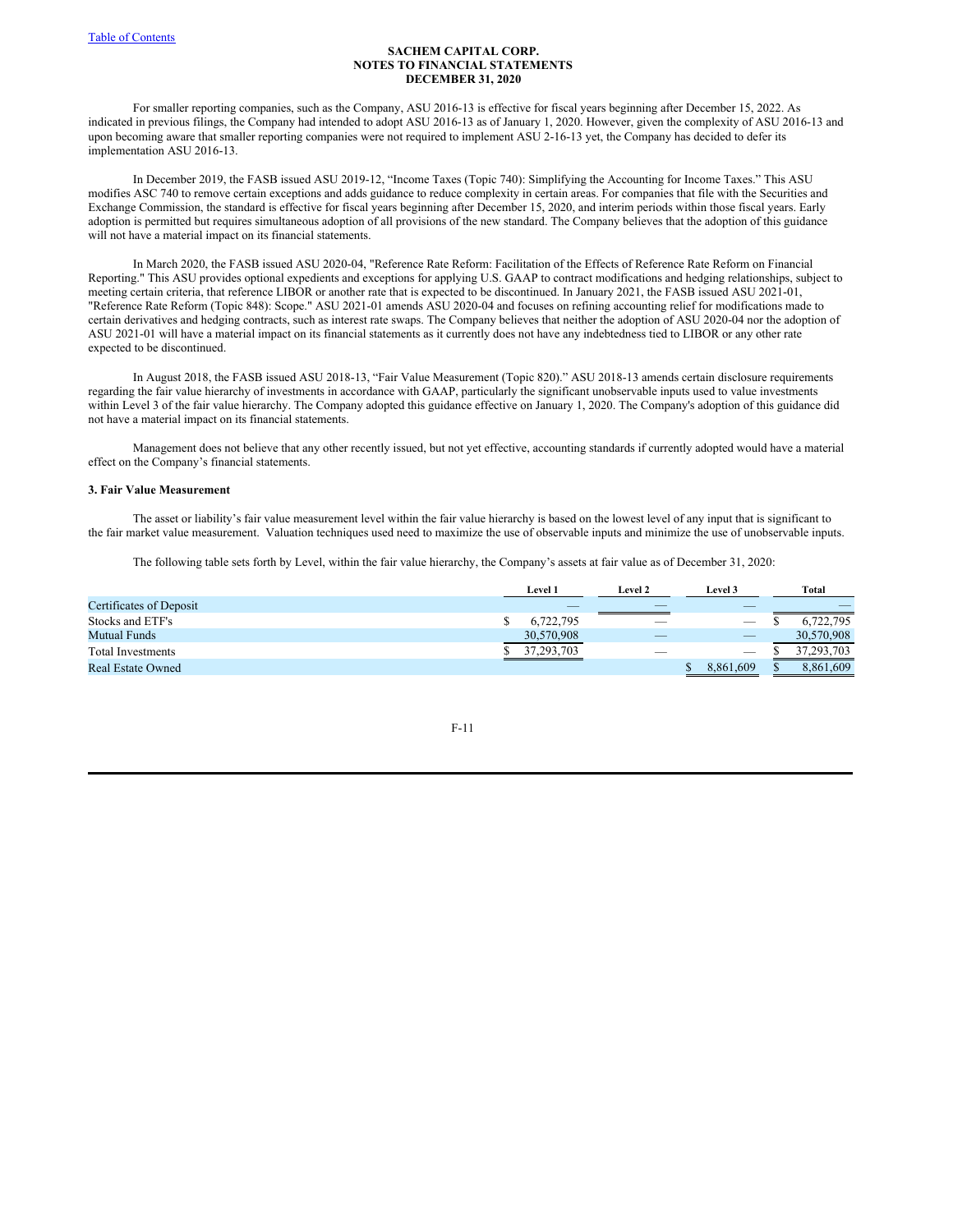For smaller reporting companies, such as the Company, ASU 2016-13 is effective for fiscal years beginning after December 15, 2022. As indicated in previous filings, the Company had intended to adopt ASU 2016-13 as of January 1, 2020. However, given the complexity of ASU 2016-13 and upon becoming aware that smaller reporting companies were not required to implement ASU 2-16-13 yet, the Company has decided to defer its implementation ASU 2016-13.

In December 2019, the FASB issued ASU 2019-12, "Income Taxes (Topic 740): Simplifying the Accounting for Income Taxes." This ASU modifies ASC 740 to remove certain exceptions and adds guidance to reduce complexity in certain areas. For companies that file with the Securities and Exchange Commission, the standard is effective for fiscal years beginning after December 15, 2020, and interim periods within those fiscal years. Early adoption is permitted but requires simultaneous adoption of all provisions of the new standard. The Company believes that the adoption of this guidance will not have a material impact on its financial statements.

In March 2020, the FASB issued ASU 2020-04, "Reference Rate Reform: Facilitation of the Effects of Reference Rate Reform on Financial Reporting." This ASU provides optional expedients and exceptions for applying U.S. GAAP to contract modifications and hedging relationships, subject to meeting certain criteria, that reference LIBOR or another rate that is expected to be discontinued. In January 2021, the FASB issued ASU 2021-01, "Reference Rate Reform (Topic 848): Scope." ASU 2021-01 amends ASU 2020-04 and focuses on refining accounting relief for modifications made to certain derivatives and hedging contracts, such as interest rate swaps. The Company believes that neither the adoption of ASU 2020-04 nor the adoption of ASU 2021-01 will have a material impact on its financial statements as it currently does not have any indebtedness tied to LIBOR or any other rate expected to be discontinued.

In August 2018, the FASB issued ASU 2018-13, "Fair Value Measurement (Topic 820)." ASU 2018-13 amends certain disclosure requirements regarding the fair value hierarchy of investments in accordance with GAAP, particularly the significant unobservable inputs used to value investments within Level 3 of the fair value hierarchy. The Company adopted this guidance effective on January 1, 2020. The Company's adoption of this guidance did not have a material impact on its financial statements.

Management does not believe that any other recently issued, but not yet effective, accounting standards if currently adopted would have a material effect on the Company's financial statements.

#### **3. Fair Value Measurement**

The asset or liability's fair value measurement level within the fair value hierarchy is based on the lowest level of any input that is significant to the fair market value measurement. Valuation techniques used need to maximize the use of observable inputs and minimize the use of unobservable inputs.

The following table sets forth by Level, within the fair value hierarchy, the Company's assets at fair value as of December 31, 2020:

|                          | <b>Level 1</b> | Level 2 | <b>Level 3</b> | Total        |
|--------------------------|----------------|---------|----------------|--------------|
| Certificates of Deposit  |                |         | _              |              |
| Stocks and ETF's         | 6.722.795      |         |                | 6,722,795    |
| <b>Mutual Funds</b>      | 30,570,908     |         | -              | 30,570,908   |
| <b>Total Investments</b> | 37, 293, 703   | _       | -              | 37, 293, 703 |
| <b>Real Estate Owned</b> |                |         | 8.861.609      | 8.861.609    |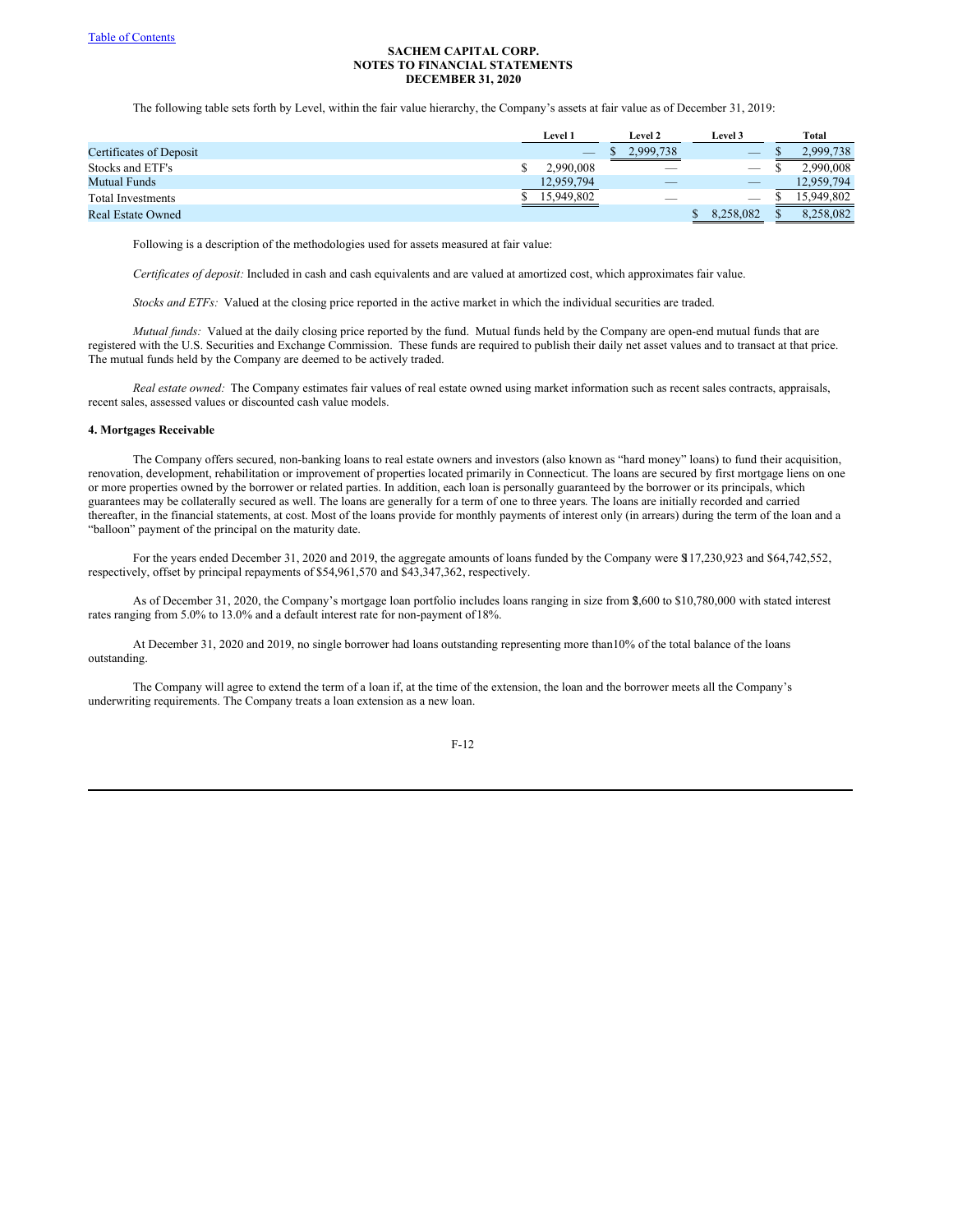The following table sets forth by Level, within the fair value hierarchy, the Company's assets at fair value as of December 31, 2019:

|                          | <b>Level 1</b>           | <b>Level 2</b> | <b>Level 3</b>                  | Total      |
|--------------------------|--------------------------|----------------|---------------------------------|------------|
| Certificates of Deposit  | $\overline{\phantom{a}}$ | 2.999.738      | $\overline{\phantom{a}}$        | 2.999.738  |
| Stocks and ETF's         | 2.990.008                |                | $\hspace{0.1mm}-\hspace{0.1mm}$ | 2.990.008  |
| <b>Mutual Funds</b>      | 12,959,794               |                |                                 | 12,959,794 |
| <b>Total Investments</b> | 15,949,802               |                | -                               | 15.949.802 |
| <b>Real Estate Owned</b> |                          |                | 8.258.082                       | 8.258.082  |

Following is a description of the methodologies used for assets measured at fair value:

*Certificates of deposit:* Included in cash and cash equivalents and are valued at amortized cost, which approximates fair value.

*Stocks and ETFs:* Valued at the closing price reported in the active market in which the individual securities are traded.

*Mutual funds:* Valued at the daily closing price reported by the fund. Mutual funds held by the Company are open-end mutual funds that are registered with the U.S. Securities and Exchange Commission. These funds are required to publish their daily net asset values and to transact at that price. The mutual funds held by the Company are deemed to be actively traded.

*Real estate owned:* The Company estimates fair values of real estate owned using market information such as recent sales contracts, appraisals, recent sales, assessed values or discounted cash value models.

#### **4. Mortgages Receivable**

The Company offers secured, non-banking loans to real estate owners and investors (also known as "hard money" loans) to fund their acquisition, renovation, development, rehabilitation or improvement of properties located primarily in Connecticut. The loans are secured by first mortgage liens on one or more properties owned by the borrower or related parties. In addition, each loan is personally guaranteed by the borrower or its principals, which guarantees may be collaterally secured as well. The loans are generally for a term of one to three years. The loans are initially recorded and carried thereafter, in the financial statements, at cost. Most of the loans provide for monthly payments of interest only (in arrears) during the term of the loan and a "balloon" payment of the principal on the maturity date.

For the years ended December 31, 2020 and 2019, the aggregate amounts of loans funded by the Company were \$117,230,923 and \$64,742,552, respectively, offset by principal repayments of \$54,961,570 and \$43,347,362, respectively.

As of December 31, 2020, the Company's mortgage loan portfolio includes loans ranging in size from \$2,600 to \$10,780,000 with stated interest rates ranging from 5.0% to 13.0% and a default interest rate for non-payment of18%.

At December 31, 2020 and 2019, no single borrower had loans outstanding representing more than10% of the total balance of the loans outstanding.

The Company will agree to extend the term of a loan if, at the time of the extension, the loan and the borrower meets all the Company's underwriting requirements. The Company treats a loan extension as a new loan.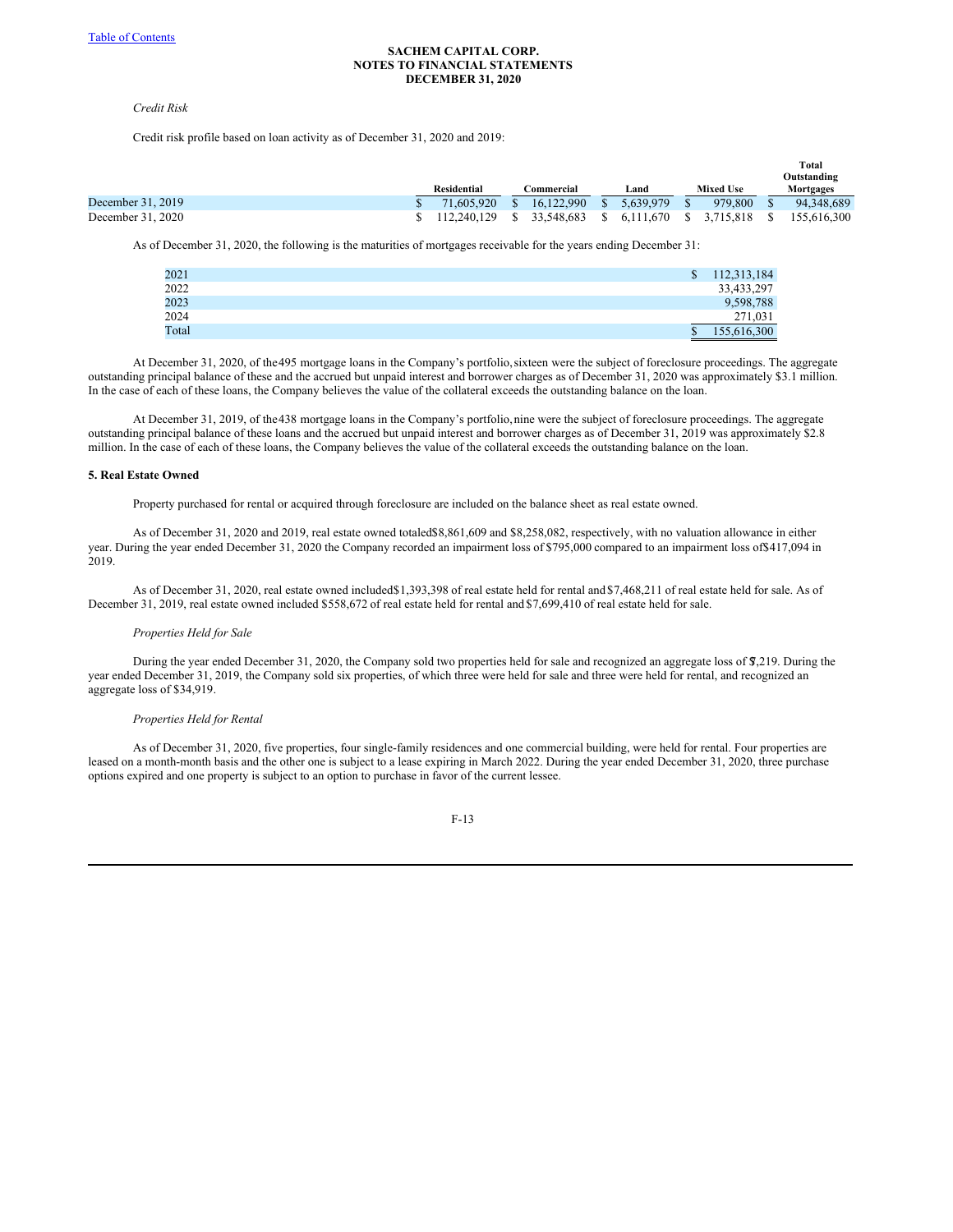# *Credit Risk*

Credit risk profile based on loan activity as of December 31, 2020 and 2019:

|                   |                           |            |    |              |                  | Total       |
|-------------------|---------------------------|------------|----|--------------|------------------|-------------|
|                   |                           |            |    |              |                  | Outstanding |
|                   | Residential               | Commercial |    | ∟and         | <b>Mixed Use</b> | Mortgages   |
| December 31, 2019 | 71.605.920                | 16.122.990 | S. | 5.639.979    | 979.800          | 94.348.689  |
| December 31, 2020 | 112.240.129 \$ 33.548.683 |            |    | \$ 6.111.670 | \$ 3.715.818     | 155,616,300 |

As of December 31, 2020, the following is the maturities of mortgages receivable for the years ending December 31:

| 2021  | $\mathbf{s}$ | 112,313,184 |
|-------|--------------|-------------|
| 2022  |              | 33,433,297  |
| 2023  |              | 9,598,788   |
| 2024  |              | 271,031     |
| Total |              | 155,616,300 |

At December 31, 2020, of the495 mortgage loans in the Company's portfolio,sixteen were the subject of foreclosure proceedings. The aggregate outstanding principal balance of these and the accrued but unpaid interest and borrower charges as of December 31, 2020 was approximately \$3.1 million. In the case of each of these loans, the Company believes the value of the collateral exceeds the outstanding balance on the loan.

At December 31, 2019, of the438 mortgage loans in the Company's portfolio,nine were the subject of foreclosure proceedings. The aggregate outstanding principal balance of these loans and the accrued but unpaid interest and borrower charges as of December 31, 2019 was approximately \$2.8 million. In the case of each of these loans, the Company believes the value of the collateral exceeds the outstanding balance on the loan.

#### **5. Real Estate Owned**

Property purchased for rental or acquired through foreclosure are included on the balance sheet as real estate owned.

As of December 31, 2020 and 2019, real estate owned totaled\$8,861,609 and \$8,258,082, respectively, with no valuation allowance in either year. During the year ended December 31, 2020 the Company recorded an impairment loss of \$795,000 compared to an impairment loss of\$417,094 in 2019.

As of December 31, 2020, real estate owned included\$1,393,398 of real estate held for rental and \$7,468,211 of real estate held for sale. As of December 31, 2019, real estate owned included \$558,672 of real estate held for rental and \$7,699,410 of real estate held for sale.

### *Properties Held for Sale*

During the year ended December 31, 2020, the Company sold two properties held for sale and recognized an aggregate loss of \$7,219. During the year ended December 31, 2019, the Company sold six properties, of which three were held for sale and three were held for rental, and recognized an aggregate loss of \$34,919.

### *Properties Held for Rental*

As of December 31, 2020, five properties, four single-family residences and one commercial building, were held for rental. Four properties are leased on a month-month basis and the other one is subject to a lease expiring in March 2022. During the year ended December 31, 2020, three purchase options expired and one property is subject to an option to purchase in favor of the current lessee.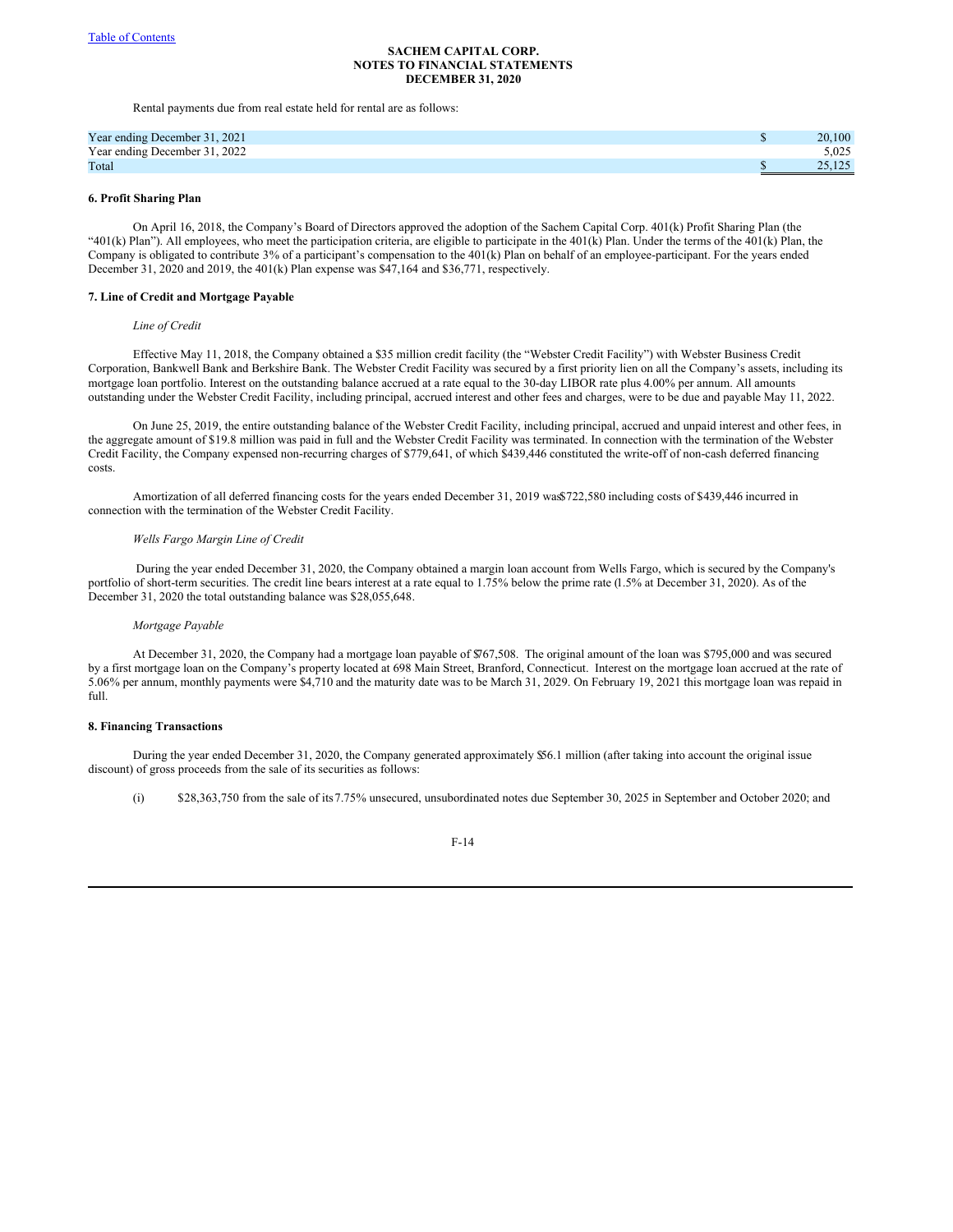Rental payments due from real estate held for rental are as follows:

| Year ending December 31, 2021 | 20,100 |
|-------------------------------|--------|
| Year ending December 31, 2022 | 5,025  |
| Total                         | 25.125 |

#### **6. Profit Sharing Plan**

On April 16, 2018, the Company's Board of Directors approved the adoption of the Sachem Capital Corp. 401(k) Profit Sharing Plan (the "401(k) Plan"). All employees, who meet the participation criteria, are eligible to participate in the 401(k) Plan. Under the terms of the 401(k) Plan, the Company is obligated to contribute 3% of a participant's compensation to the 401(k) Plan on behalf of an employee-participant. For the years ended December 31, 2020 and 2019, the 401(k) Plan expense was \$47,164 and \$36,771, respectively.

# **7. Line of Credit and Mortgage Payable**

#### *Line of Credit*

Effective May 11, 2018, the Company obtained a \$35 million credit facility (the "Webster Credit Facility") with Webster Business Credit Corporation, Bankwell Bank and Berkshire Bank. The Webster Credit Facility was secured by a first priority lien on all the Company's assets, including its mortgage loan portfolio. Interest on the outstanding balance accrued at a rate equal to the 30-day LIBOR rate plus 4.00% per annum. All amounts outstanding under the Webster Credit Facility, including principal, accrued interest and other fees and charges, were to be due and payable May 11, 2022.

On June 25, 2019, the entire outstanding balance of the Webster Credit Facility, including principal, accrued and unpaid interest and other fees, in the aggregate amount of \$19.8 million was paid in full and the Webster Credit Facility was terminated. In connection with the termination of the Webster Credit Facility, the Company expensed non-recurring charges of \$779,641, of which \$439,446 constituted the write-off of non-cash deferred financing costs.

Amortization of all deferred financing costs for the years ended December 31, 2019 was\$722,580 including costs of \$439,446 incurred in connection with the termination of the Webster Credit Facility.

#### *Wells Fargo Margin Line of Credit*

During the year ended December 31, 2020, the Company obtained a margin loan account from Wells Fargo, which is secured by the Company's portfolio of short-term securities. The credit line bears interest at a rate equal to 1.75% below the prime rate (1.5% at December 31, 2020). As of the December 31, 2020 the total outstanding balance was \$28,055,648.

#### *Mortgage Payable*

At December 31, 2020, the Company had a mortgage loan payable of \$767,508. The original amount of the loan was \$795,000 and was secured by a first mortgage loan on the Company's property located at 698 Main Street, Branford, Connecticut. Interest on the mortgage loan accrued at the rate of 5.06% per annum, monthly payments were \$4,710 and the maturity date was to be March 31, 2029. On February 19, 2021 this mortgage loan was repaid in full.

### **8. Financing Transactions**

During the year ended December 31, 2020, the Company generated approximately \$56.1 million (after taking into account the original issue discount) of gross proceeds from the sale of its securities as follows:

(i) \$28,363,750 from the sale of its7.75% unsecured, unsubordinated notes due September 30, 2025 in September and October 2020; and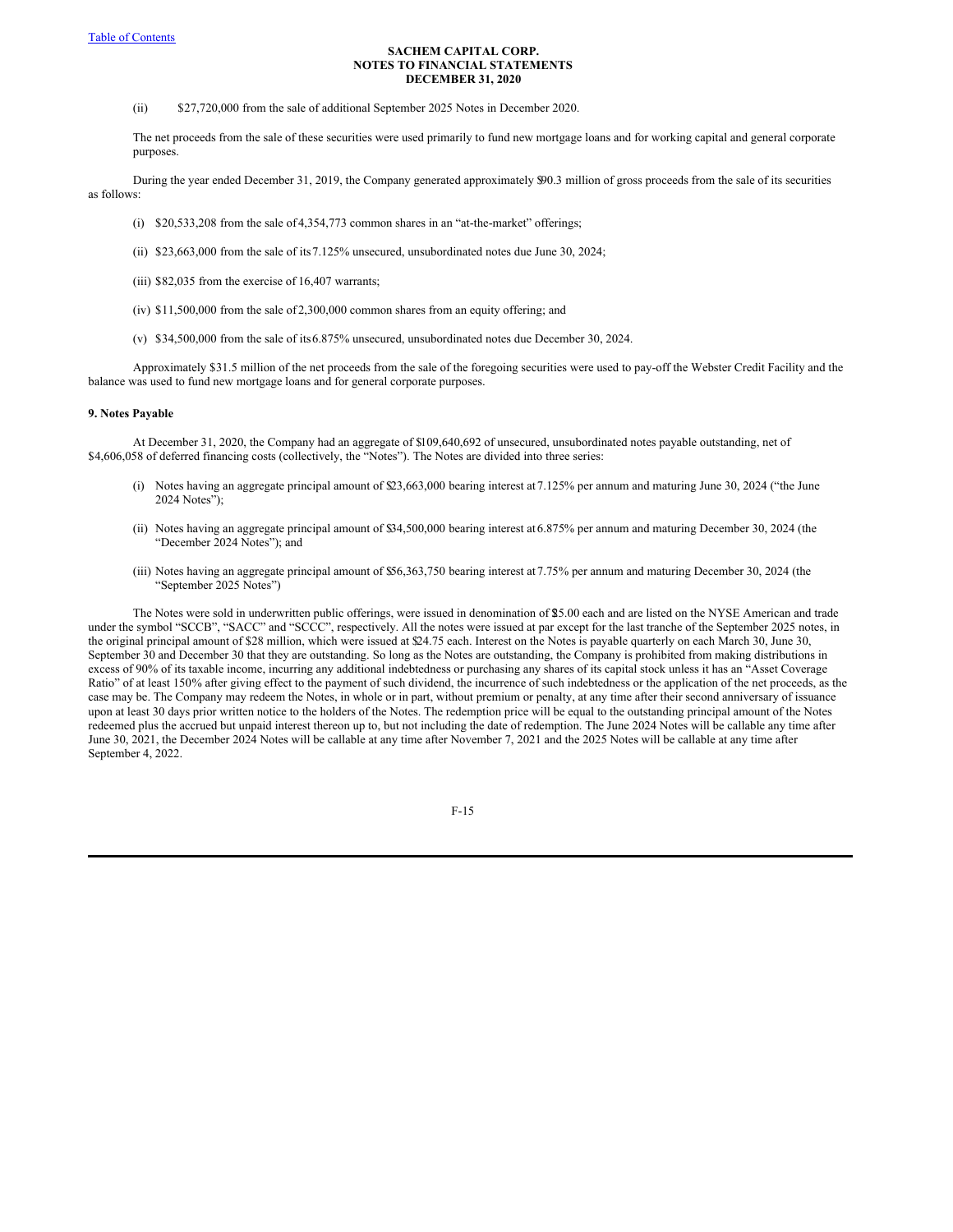(ii) \$27,720,000 from the sale of additional September 2025 Notes in December 2020.

The net proceeds from the sale of these securities were used primarily to fund new mortgage loans and for working capital and general corporate purposes.

During the year ended December 31, 2019, the Company generated approximately \$90.3 million of gross proceeds from the sale of its securities as follows:

- (i) \$20,533,208 from the sale of 4,354,773 common shares in an "at-the-market" offerings;
- (ii) \$23,663,000 from the sale of its7.125% unsecured, unsubordinated notes due June 30, 2024;
- (iii) \$82,035 from the exercise of 16,407 warrants;
- (iv) \$11,500,000 from the sale of 2,300,000 common shares from an equity offering; and
- (v) \$34,500,000 from the sale of its6.875% unsecured, unsubordinated notes due December 30, 2024.

Approximately \$31.5 million of the net proceeds from the sale of the foregoing securities were used to pay-off the Webster Credit Facility and the balance was used to fund new mortgage loans and for general corporate purposes.

#### **9. Notes Payable**

At December 31, 2020, the Company had an aggregate of \$109,640,692 of unsecured, unsubordinated notes payable outstanding, net of \$4,606,058 of deferred financing costs (collectively, the "Notes"). The Notes are divided into three series:

- (i) Notes having an aggregate principal amount of \$23,663,000 bearing interest at 7.125% per annum and maturing June 30, 2024 ("the June 2024 Notes");
- (ii) Notes having an aggregate principal amount of \$34,500,000 bearing interest at 6.875% per annum and maturing December 30, 2024 (the "December 2024 Notes"); and
- (iii) Notes having an aggregate principal amount of \$56,363,750 bearing interest at 7.75% per annum and maturing December 30, 2024 (the "September 2025 Notes")

The Notes were sold in underwritten public offerings, were issued in denomination of \$25.00 each and are listed on the NYSE American and trade under the symbol "SCCB", "SACC" and "SCCC", respectively. All the notes were issued at par except for the last tranche of the September 2025 notes, in the original principal amount of \$28 million, which were issued at \$24.75 each. Interest on the Notes is payable quarterly on each March 30, June 30, September 30 and December 30 that they are outstanding. So long as the Notes are outstanding, the Company is prohibited from making distributions in excess of 90% of its taxable income, incurring any additional indebtedness or purchasing any shares of its capital stock unless it has an "Asset Coverage Ratio" of at least 150% after giving effect to the payment of such dividend, the incurrence of such indebtedness or the application of the net proceeds, as the case may be. The Company may redeem the Notes, in whole or in part, without premium or penalty, at any time after their second anniversary of issuance upon at least 30 days prior written notice to the holders of the Notes. The redemption price will be equal to the outstanding principal amount of the Notes redeemed plus the accrued but unpaid interest thereon up to, but not including the date of redemption. The June 2024 Notes will be callable any time after June 30, 2021, the December 2024 Notes will be callable at any time after November 7, 2021 and the 2025 Notes will be callable at any time after September 4, 2022.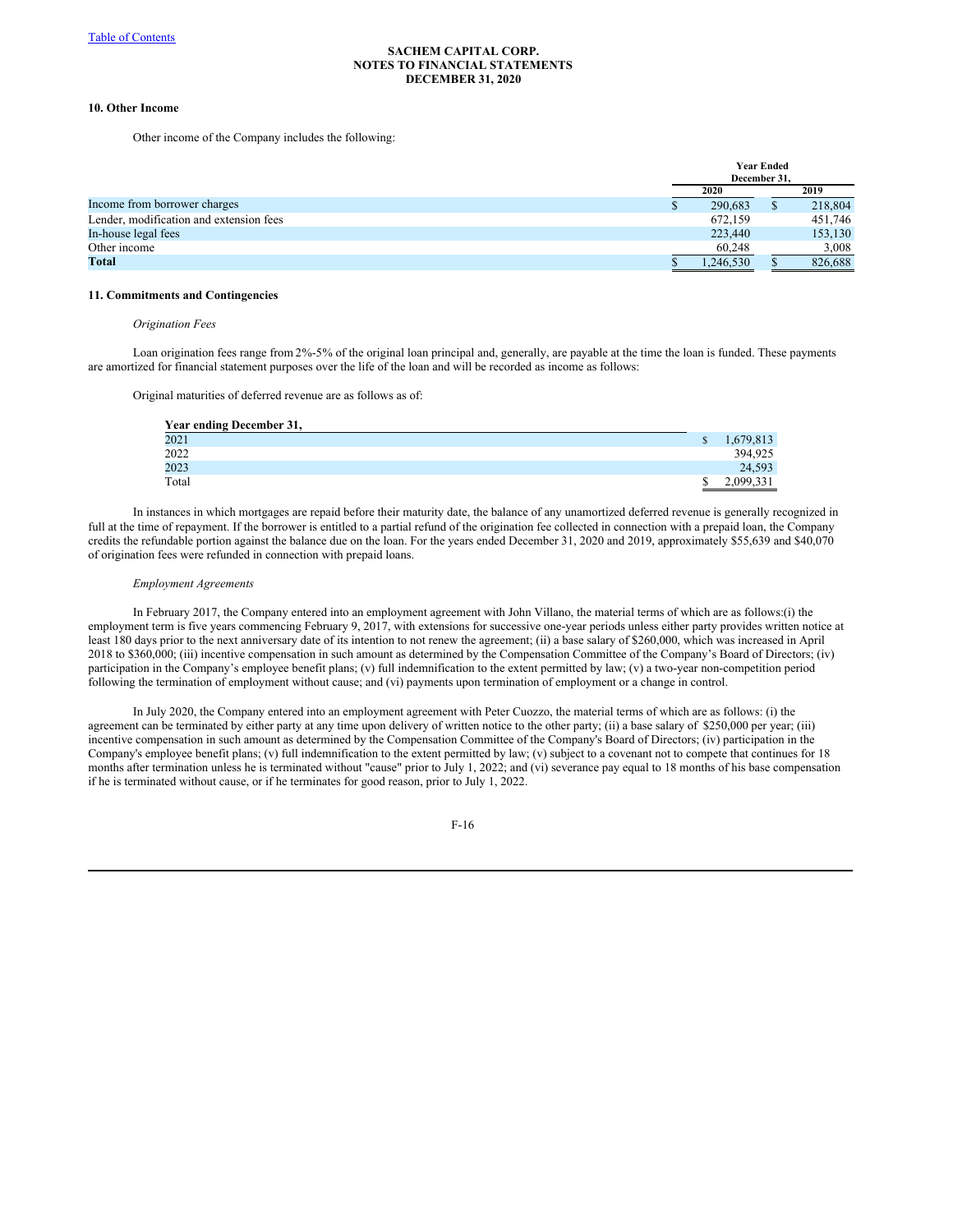## **10. Other Income**

Other income of the Company includes the following:

| <b>Year Ended</b> |           |  |         |
|-------------------|-----------|--|---------|
| December 31.      |           |  |         |
|                   | 2020      |  | 2019    |
|                   | 290.683   |  | 218,804 |
|                   | 672.159   |  | 451,746 |
|                   | 223,440   |  | 153,130 |
|                   | 60.248    |  | 3,008   |
|                   | 1.246.530 |  | 826,688 |
|                   |           |  |         |

#### **11. Commitments and Contingencies**

### *Origination Fees*

Loan origination fees range from 2%-5% of the original loan principal and, generally, are payable at the time the loan is funded. These payments are amortized for financial statement purposes over the life of the loan and will be recorded as income as follows:

Original maturities of deferred revenue are as follows as of:

| Year ending December 31, |           |
|--------------------------|-----------|
| 2021                     | 1,679,813 |
| 2022                     | 394.925   |
| 2023                     | 24.593    |
| Total                    | 2,099,331 |

In instances in which mortgages are repaid before their maturity date, the balance of any unamortized deferred revenue is generally recognized in full at the time of repayment. If the borrower is entitled to a partial refund of the origination fee collected in connection with a prepaid loan, the Company credits the refundable portion against the balance due on the loan. For the years ended December 31, 2020 and 2019, approximately \$55,639 and \$40,070 of origination fees were refunded in connection with prepaid loans.

### *Employment Agreements*

In February 2017, the Company entered into an employment agreement with John Villano, the material terms of which are as follows:(i) the employment term is five years commencing February 9, 2017, with extensions for successive one-year periods unless either party provides written notice at least 180 days prior to the next anniversary date of its intention to not renew the agreement; (ii) a base salary of \$260,000, which was increased in April 2018 to \$360,000; (iii) incentive compensation in such amount as determined by the Compensation Committee of the Company's Board of Directors; (iv) participation in the Company's employee benefit plans; (v) full indemnification to the extent permitted by law; (v) a two-year non-competition period following the termination of employment without cause; and (vi) payments upon termination of employment or a change in control.

In July 2020, the Company entered into an employment agreement with Peter Cuozzo, the material terms of which are as follows: (i) the agreement can be terminated by either party at any time upon delivery of written notice to the other party; (ii) a base salary of \$250,000 per year; (iii) incentive compensation in such amount as determined by the Compensation Committee of the Company's Board of Directors; (iv) participation in the Company's employee benefit plans; (v) full indemnification to the extent permitted by law; (v) subject to a covenant not to compete that continues for 18 months after termination unless he is terminated without "cause" prior to July 1, 2022; and (vi) severance pay equal to 18 months of his base compensation if he is terminated without cause, or if he terminates for good reason, prior to July 1, 2022.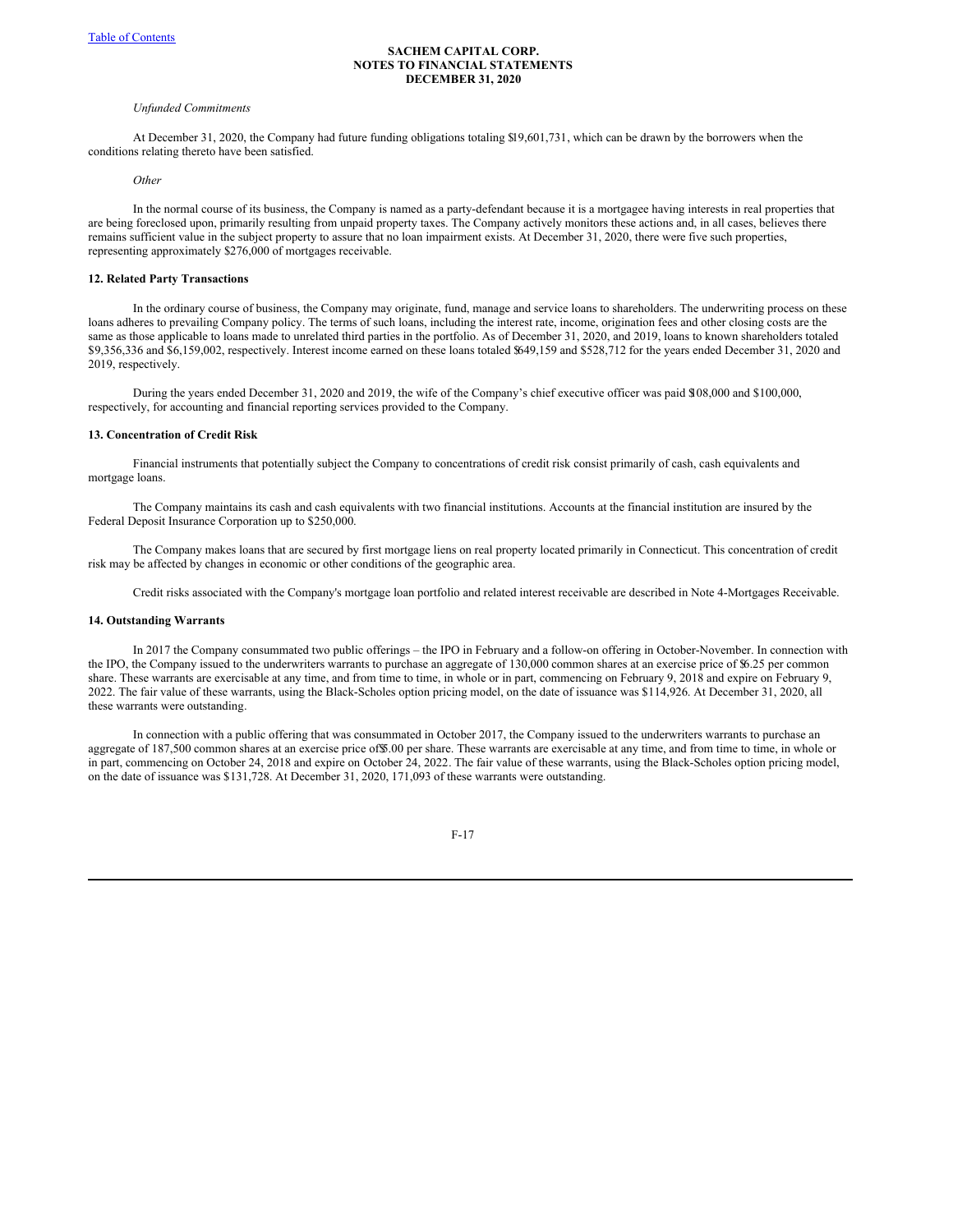#### *Unfunded Commitments*

At December 31, 2020, the Company had future funding obligations totaling \$19,601,731, which can be drawn by the borrowers when the conditions relating thereto have been satisfied.

### *Other*

In the normal course of its business, the Company is named as a party-defendant because it is a mortgagee having interests in real properties that are being foreclosed upon, primarily resulting from unpaid property taxes. The Company actively monitors these actions and, in all cases, believes there remains sufficient value in the subject property to assure that no loan impairment exists. At December 31, 2020, there were five such properties, representing approximately \$276,000 of mortgages receivable.

### **12. Related Party Transactions**

In the ordinary course of business, the Company may originate, fund, manage and service loans to shareholders. The underwriting process on these loans adheres to prevailing Company policy. The terms of such loans, including the interest rate, income, origination fees and other closing costs are the same as those applicable to loans made to unrelated third parties in the portfolio. As of December 31, 2020, and 2019, loans to known shareholders totaled \$9,356,336 and \$6,159,002, respectively. Interest income earned on these loans totaled \$649,159 and \$528,712 for the years ended December 31, 2020 and 2019, respectively.

During the years ended December 31, 2020 and 2019, the wife of the Company's chief executive officer was paid \$108,000 and \$100,000, respectively, for accounting and financial reporting services provided to the Company.

### **13. Concentration of Credit Risk**

Financial instruments that potentially subject the Company to concentrations of credit risk consist primarily of cash, cash equivalents and mortgage loans.

The Company maintains its cash and cash equivalents with two financial institutions. Accounts at the financial institution are insured by the Federal Deposit Insurance Corporation up to \$250,000.

The Company makes loans that are secured by first mortgage liens on real property located primarily in Connecticut. This concentration of credit risk may be affected by changes in economic or other conditions of the geographic area.

Credit risks associated with the Company's mortgage loan portfolio and related interest receivable are described in Note 4-Mortgages Receivable.

#### **14. Outstanding Warrants**

In 2017 the Company consummated two public offerings – the IPO in February and a follow-on offering in October-November. In connection with the IPO, the Company issued to the underwriters warrants to purchase an aggregate of 130,000 common shares at an exercise price of \$6.25 per common share. These warrants are exercisable at any time, and from time to time, in whole or in part, commencing on February 9, 2018 and expire on February 9, 2022. The fair value of these warrants, using the Black-Scholes option pricing model, on the date of issuance was \$114,926. At December 31, 2020, all these warrants were outstanding.

In connection with a public offering that was consummated in October 2017, the Company issued to the underwriters warrants to purchase an aggregate of 187,500 common shares at an exercise price of\$5.00 per share. These warrants are exercisable at any time, and from time to time, in whole or in part, commencing on October 24, 2018 and expire on October 24, 2022. The fair value of these warrants, using the Black-Scholes option pricing model, on the date of issuance was \$131,728. At December 31, 2020, 171,093 of these warrants were outstanding.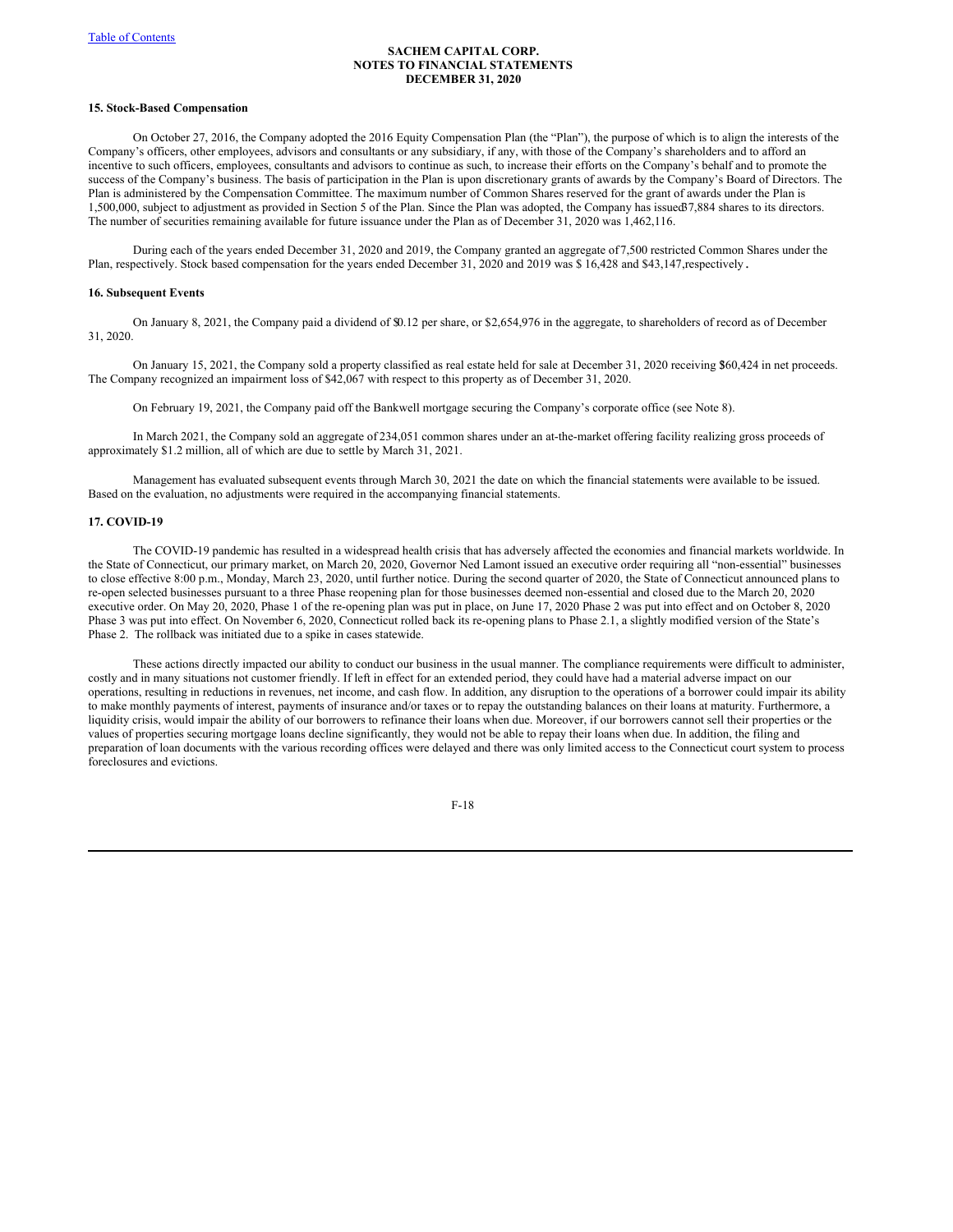#### **15. Stock-Based Compensation**

On October 27, 2016, the Company adopted the 2016 Equity Compensation Plan (the "Plan"), the purpose of which is to align the interests of the Company's officers, other employees, advisors and consultants or any subsidiary, if any, with those of the Company's shareholders and to afford an incentive to such officers, employees, consultants and advisors to continue as such, to increase their efforts on the Company's behalf and to promote the success of the Company's business. The basis of participation in the Plan is upon discretionary grants of awards by the Company's Board of Directors. The Plan is administered by the Compensation Committee. The maximum number of Common Shares reserved for the grant of awards under the Plan is 1,500,000, subject to adjustment as provided in Section 5 of the Plan. Since the Plan was adopted, the Company has issued37,884 shares to its directors. The number of securities remaining available for future issuance under the Plan as of December 31, 2020 was 1,462,116.

During each of the years ended December 31, 2020 and 2019, the Company granted an aggregate of 7,500 restricted Common Shares under the Plan, respectively. Stock based compensation for the years ended December 31, 2020 and 2019 was \$ 16,428 and \$43,147,respectively.

#### **16. Subsequent Events**

On January 8, 2021, the Company paid a dividend of \$0.12 per share, or \$2,654,976 in the aggregate, to shareholders of record as of December 31, 2020.

On January 15, 2021, the Company sold a property classified as real estate held for sale at December 31, 2020 receiving \$360,424 in net proceeds. The Company recognized an impairment loss of \$42,067 with respect to this property as of December 31, 2020.

On February 19, 2021, the Company paid off the Bankwell mortgage securing the Company's corporate office (see Note 8).

In March 2021, the Company sold an aggregate of 234,051 common shares under an at-the-market offering facility realizing gross proceeds of approximately \$1.2 million, all of which are due to settle by March 31, 2021.

Management has evaluated subsequent events through March 30, 2021 the date on which the financial statements were available to be issued. Based on the evaluation, no adjustments were required in the accompanying financial statements.

### **17. COVID-19**

The COVID-19 pandemic has resulted in a widespread health crisis that has adversely affected the economies and financial markets worldwide. In the State of Connecticut, our primary market, on March 20, 2020, Governor Ned Lamont issued an executive order requiring all "non-essential" businesses to close effective 8:00 p.m., Monday, March 23, 2020, until further notice. During the second quarter of 2020, the State of Connecticut announced plans to re-open selected businesses pursuant to a three Phase reopening plan for those businesses deemed non-essential and closed due to the March 20, 2020 executive order. On May 20, 2020, Phase 1 of the re-opening plan was put in place, on June 17, 2020 Phase 2 was put into effect and on October 8, 2020 Phase 3 was put into effect. On November 6, 2020, Connecticut rolled back its re-opening plans to Phase 2.1, a slightly modified version of the State's Phase 2. The rollback was initiated due to a spike in cases statewide.

These actions directly impacted our ability to conduct our business in the usual manner. The compliance requirements were difficult to administer, costly and in many situations not customer friendly. If left in effect for an extended period, they could have had a material adverse impact on our operations, resulting in reductions in revenues, net income, and cash flow. In addition, any disruption to the operations of a borrower could impair its ability to make monthly payments of interest, payments of insurance and/or taxes or to repay the outstanding balances on their loans at maturity. Furthermore, a liquidity crisis, would impair the ability of our borrowers to refinance their loans when due. Moreover, if our borrowers cannot sell their properties or the values of properties securing mortgage loans decline significantly, they would not be able to repay their loans when due. In addition, the filing and preparation of loan documents with the various recording offices were delayed and there was only limited access to the Connecticut court system to process foreclosures and evictions.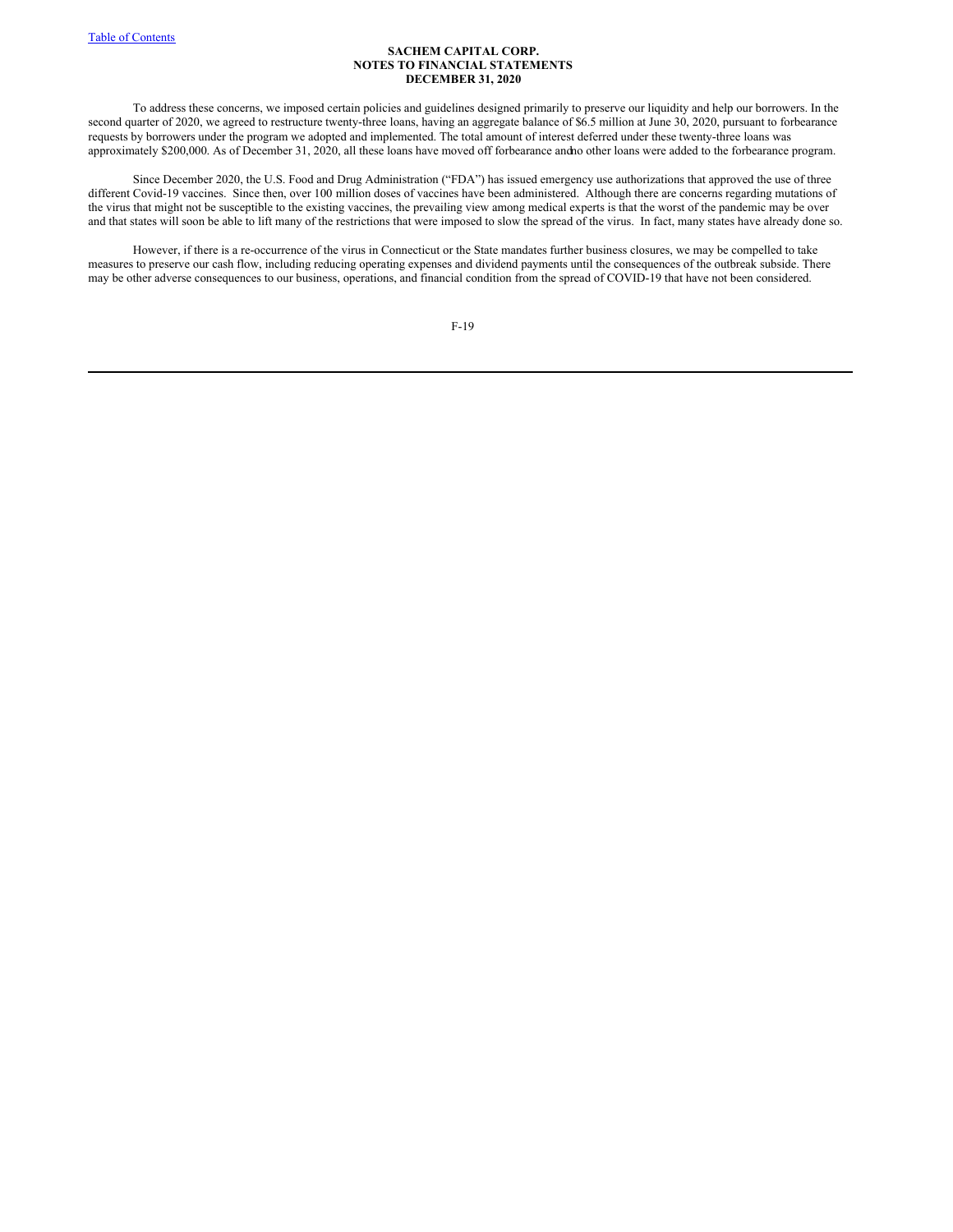To address these concerns, we imposed certain policies and guidelines designed primarily to preserve our liquidity and help our borrowers. In the second quarter of 2020, we agreed to restructure twenty-three loans, having an aggregate balance of \$6.5 million at June 30, 2020, pursuant to forbearance requests by borrowers under the program we adopted and implemented. The total amount of interest deferred under these twenty-three loans was approximately \$200,000. As of December 31, 2020, all these loans have moved off forbearance andno other loans were added to the forbearance program.

Since December 2020, the U.S. Food and Drug Administration ("FDA") has issued emergency use authorizations that approved the use of three different Covid-19 vaccines. Since then, over 100 million doses of vaccines have been administered. Although there are concerns regarding mutations of the virus that might not be susceptible to the existing vaccines, the prevailing view among medical experts is that the worst of the pandemic may be over and that states will soon be able to lift many of the restrictions that were imposed to slow the spread of the virus. In fact, many states have already done so.

However, if there is a re-occurrence of the virus in Connecticut or the State mandates further business closures, we may be compelled to take measures to preserve our cash flow, including reducing operating expenses and dividend payments until the consequences of the outbreak subside. There may be other adverse consequences to our business, operations, and financial condition from the spread of COVID-19 that have not been considered.

| _ | ł<br>۰.<br>v |
|---|--------------|
|---|--------------|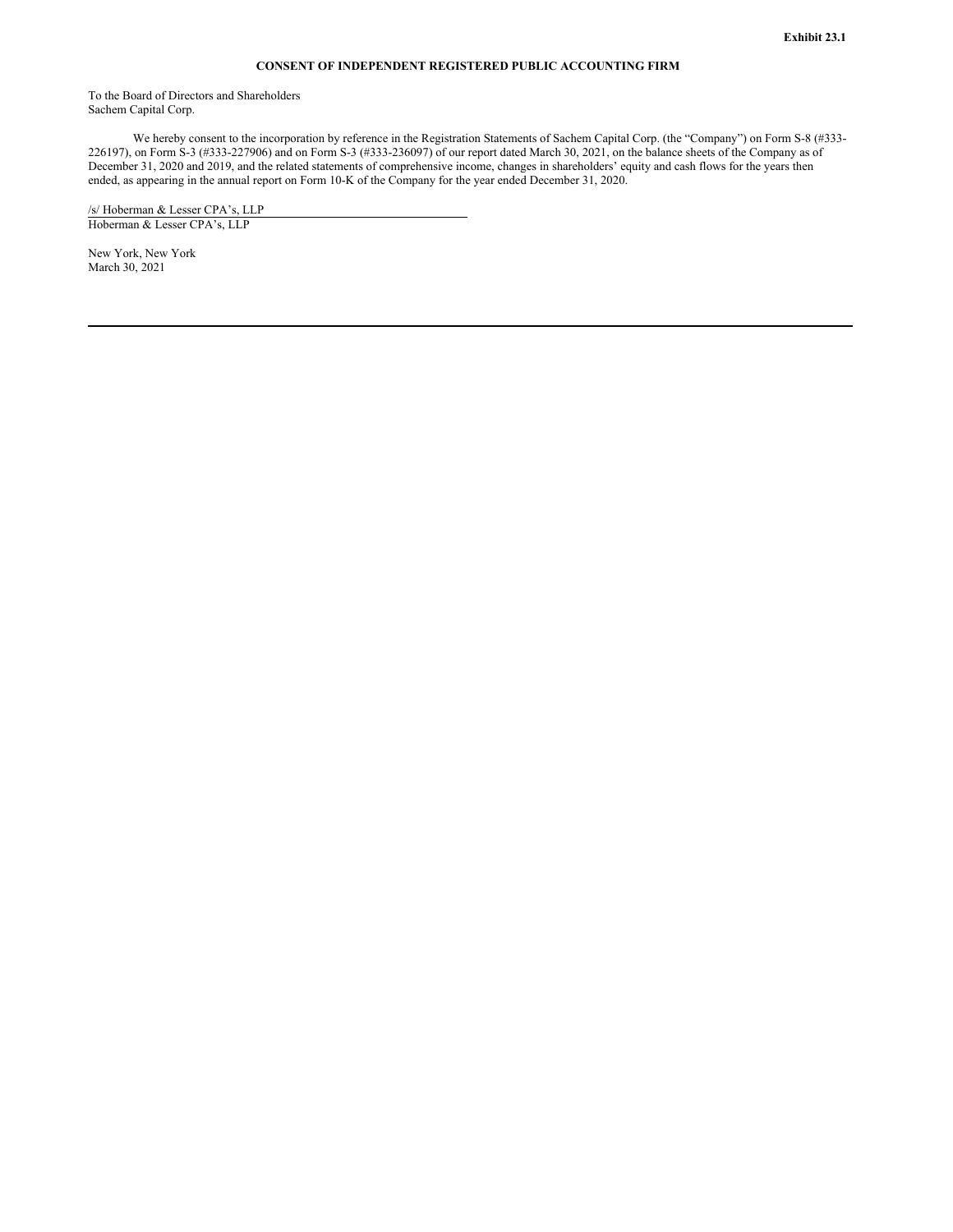# **CONSENT OF INDEPENDENT REGISTERED PUBLIC ACCOUNTING FIRM**

To the Board of Directors and Shareholders Sachem Capital Corp.

We hereby consent to the incorporation by reference in the Registration Statements of Sachem Capital Corp. (the "Company") on Form S-8 (#333- 226197), on Form S-3 (#333-227906) and on Form S-3 (#333-236097) of our report dated March 30, 2021, on the balance sheets of the Company as of December 31, 2020 and 2019, and the related statements of comprehensive income, changes in shareholders' equity and cash flows for the years then ended, as appearing in the annual report on Form 10-K of the Company for the year ended December 31, 2020.

/s/ Hoberman & Lesser CPA's, LLP Hoberman & Lesser CPA's, LLP

New York, New York March 30, 2021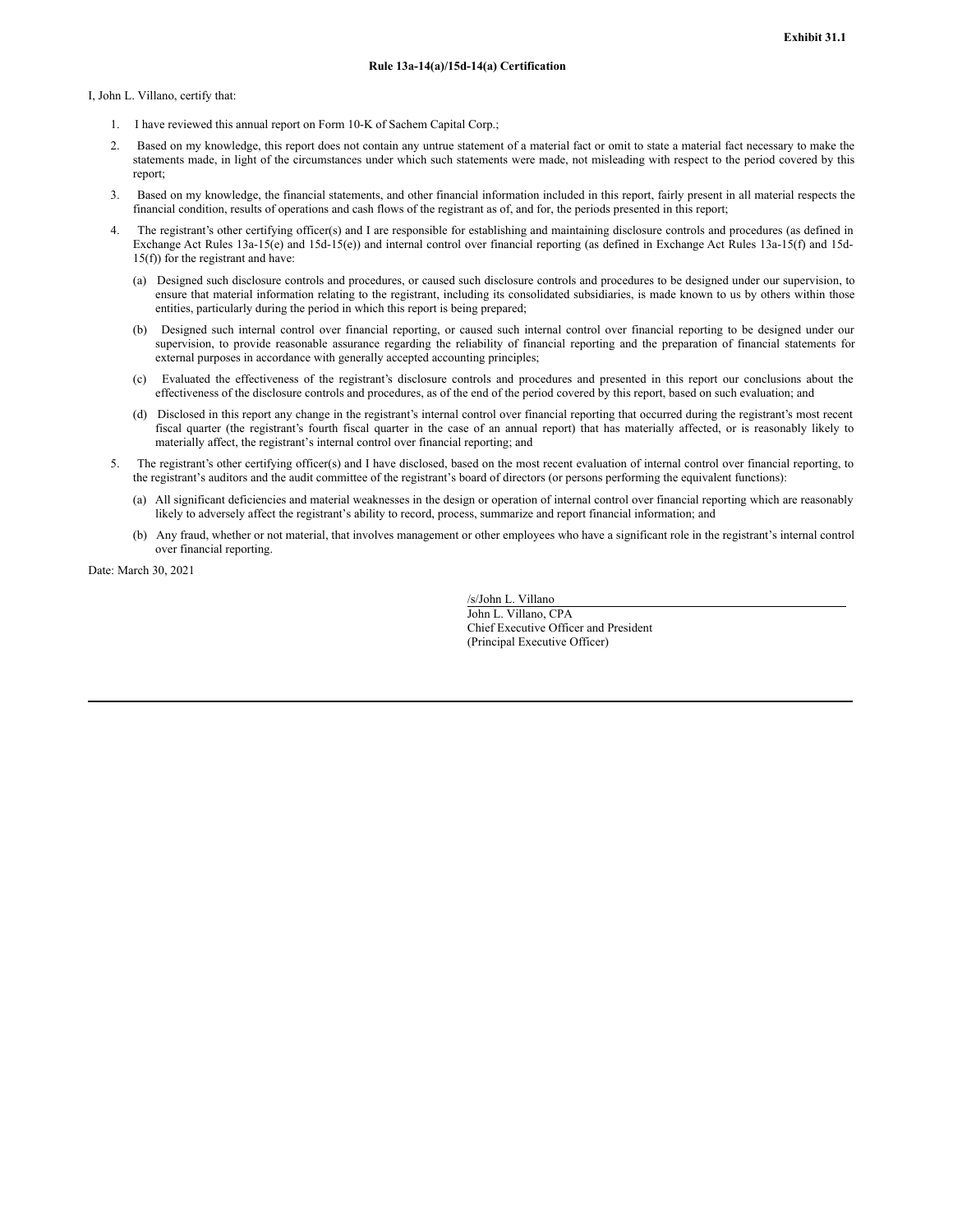I, John L. Villano, certify that:

- 1. I have reviewed this annual report on Form 10-K of Sachem Capital Corp.;
- 2. Based on my knowledge, this report does not contain any untrue statement of a material fact or omit to state a material fact necessary to make the statements made, in light of the circumstances under which such statements were made, not misleading with respect to the period covered by this report;
- 3. Based on my knowledge, the financial statements, and other financial information included in this report, fairly present in all material respects the financial condition, results of operations and cash flows of the registrant as of, and for, the periods presented in this report;
- 4. The registrant's other certifying officer(s) and I are responsible for establishing and maintaining disclosure controls and procedures (as defined in Exchange Act Rules 13a-15(e) and 15d-15(e)) and internal control over financial reporting (as defined in Exchange Act Rules 13a-15(f) and 15d-15(f)) for the registrant and have:
	- (a) Designed such disclosure controls and procedures, or caused such disclosure controls and procedures to be designed under our supervision, to ensure that material information relating to the registrant, including its consolidated subsidiaries, is made known to us by others within those entities, particularly during the period in which this report is being prepared;
	- (b) Designed such internal control over financial reporting, or caused such internal control over financial reporting to be designed under our supervision, to provide reasonable assurance regarding the reliability of financial reporting and the preparation of financial statements for external purposes in accordance with generally accepted accounting principles;
	- (c) Evaluated the effectiveness of the registrant's disclosure controls and procedures and presented in this report our conclusions about the effectiveness of the disclosure controls and procedures, as of the end of the period covered by this report, based on such evaluation; and
	- (d) Disclosed in this report any change in the registrant's internal control over financial reporting that occurred during the registrant's most recent fiscal quarter (the registrant's fourth fiscal quarter in the case of an annual report) that has materially affected, or is reasonably likely to materially affect, the registrant's internal control over financial reporting; and
- 5. The registrant's other certifying officer(s) and I have disclosed, based on the most recent evaluation of internal control over financial reporting, to the registrant's auditors and the audit committee of the registrant's board of directors (or persons performing the equivalent functions):
	- (a) All significant deficiencies and material weaknesses in the design or operation of internal control over financial reporting which are reasonably likely to adversely affect the registrant's ability to record, process, summarize and report financial information; and
	- (b) Any fraud, whether or not material, that involves management or other employees who have a significant role in the registrant's internal control over financial reporting.

Date: March 30, 2021

/s/John L. Villano

John L. Villano, CPA Chief Executive Officer and President (Principal Executive Officer)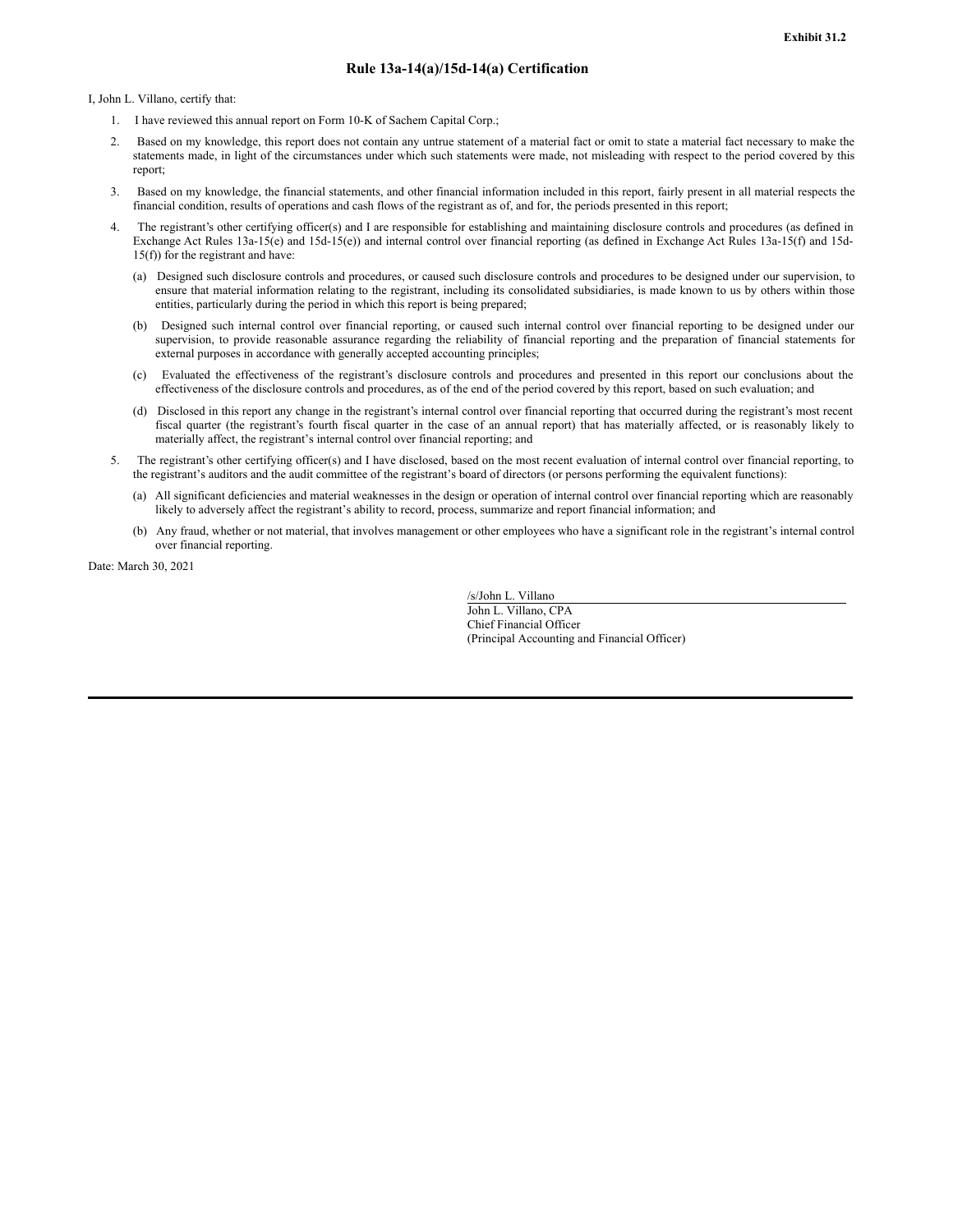# **Rule 13a-14(a)/15d-14(a) Certification**

I, John L. Villano, certify that:

- 1. I have reviewed this annual report on Form 10-K of Sachem Capital Corp.;
- 2. Based on my knowledge, this report does not contain any untrue statement of a material fact or omit to state a material fact necessary to make the statements made, in light of the circumstances under which such statements were made, not misleading with respect to the period covered by this report;
- 3. Based on my knowledge, the financial statements, and other financial information included in this report, fairly present in all material respects the financial condition, results of operations and cash flows of the registrant as of, and for, the periods presented in this report;
- 4. The registrant's other certifying officer(s) and I are responsible for establishing and maintaining disclosure controls and procedures (as defined in Exchange Act Rules 13a-15(e) and 15d-15(e)) and internal control over financial reporting (as defined in Exchange Act Rules 13a-15(f) and 15d-15(f)) for the registrant and have:
	- (a) Designed such disclosure controls and procedures, or caused such disclosure controls and procedures to be designed under our supervision, to ensure that material information relating to the registrant, including its consolidated subsidiaries, is made known to us by others within those entities, particularly during the period in which this report is being prepared;
	- (b) Designed such internal control over financial reporting, or caused such internal control over financial reporting to be designed under our supervision, to provide reasonable assurance regarding the reliability of financial reporting and the preparation of financial statements for external purposes in accordance with generally accepted accounting principles;
	- (c) Evaluated the effectiveness of the registrant's disclosure controls and procedures and presented in this report our conclusions about the effectiveness of the disclosure controls and procedures, as of the end of the period covered by this report, based on such evaluation; and
	- (d) Disclosed in this report any change in the registrant's internal control over financial reporting that occurred during the registrant's most recent fiscal quarter (the registrant's fourth fiscal quarter in the case of an annual report) that has materially affected, or is reasonably likely to materially affect, the registrant's internal control over financial reporting; and
- 5. The registrant's other certifying officer(s) and I have disclosed, based on the most recent evaluation of internal control over financial reporting, to the registrant's auditors and the audit committee of the registrant's board of directors (or persons performing the equivalent functions):
	- (a) All significant deficiencies and material weaknesses in the design or operation of internal control over financial reporting which are reasonably likely to adversely affect the registrant's ability to record, process, summarize and report financial information; and
	- (b) Any fraud, whether or not material, that involves management or other employees who have a significant role in the registrant's internal control over financial reporting.

Date: March 30, 2021

/s/John L. Villano John L. Villano, CPA Chief Financial Officer (Principal Accounting and Financial Officer)